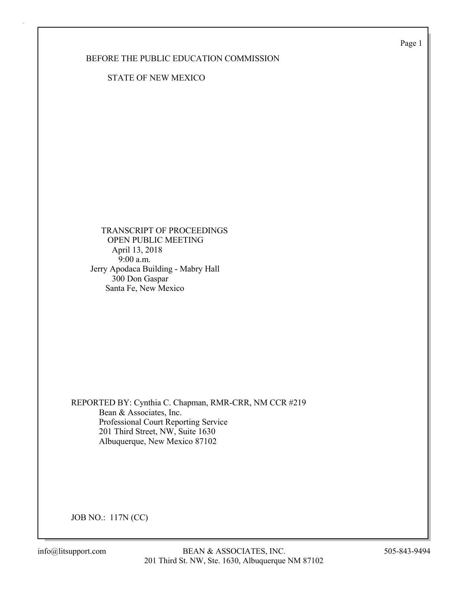Page 1

## BEFORE THE PUBLIC EDUCATION COMMISSION

STATE OF NEW MEXICO

 TRANSCRIPT OF PROCEEDINGS OPEN PUBLIC MEETING April 13, 2018 9:00 a.m. Jerry Apodaca Building - Mabry Hall 300 Don Gaspar Santa Fe, New Mexico

REPORTED BY: Cynthia C. Chapman, RMR-CRR, NM CCR #219 Bean & Associates, Inc. Professional Court Reporting Service 201 Third Street, NW, Suite 1630 Albuquerque, New Mexico 87102

JOB NO.: 117N (CC)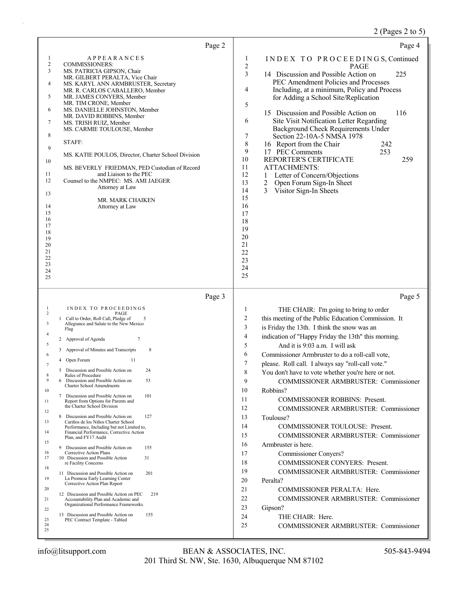# 2 (Pages 2 to 5)

| Page 2                                                                                                                                                                                                                                                                                                                                                                                                                                                                                                                                                                                                                                                                                                                                                                                                                                                                                                                                                                                                                                                                                                                                                                                                                                                                                                                                                                          | Page 4                                                                                                                                                                                                                                                                                                                                                                                                                                                                                                                                                                                                                                                                                                                                                                                                                                                                                                                                                                                                                                                                                                          |
|---------------------------------------------------------------------------------------------------------------------------------------------------------------------------------------------------------------------------------------------------------------------------------------------------------------------------------------------------------------------------------------------------------------------------------------------------------------------------------------------------------------------------------------------------------------------------------------------------------------------------------------------------------------------------------------------------------------------------------------------------------------------------------------------------------------------------------------------------------------------------------------------------------------------------------------------------------------------------------------------------------------------------------------------------------------------------------------------------------------------------------------------------------------------------------------------------------------------------------------------------------------------------------------------------------------------------------------------------------------------------------|-----------------------------------------------------------------------------------------------------------------------------------------------------------------------------------------------------------------------------------------------------------------------------------------------------------------------------------------------------------------------------------------------------------------------------------------------------------------------------------------------------------------------------------------------------------------------------------------------------------------------------------------------------------------------------------------------------------------------------------------------------------------------------------------------------------------------------------------------------------------------------------------------------------------------------------------------------------------------------------------------------------------------------------------------------------------------------------------------------------------|
| <b>APPEARANCES</b><br>1<br>$\overline{c}$<br><b>COMMISSIONERS:</b><br>3<br>MS. PATRICIA GIPSON, Chair<br>MR. GILBERT PERALTA, Vice Chair<br>4<br>MS. KARYL ANN ARMBRUSTER, Secretary<br>MR. R. CARLOS CABALLERO, Member<br>5<br>MR. JAMES CONYERS, Member<br>MR. TIM CRONE, Member<br>6<br>MS. DANIELLE JOHNSTON, Member<br>MR. DAVID ROBBINS, Member<br>7<br>MS. TRISH RUIZ, Member<br>MS. CARMIE TOULOUSE, Member<br>8<br>STAFF:<br>9<br>MS. KATIE POULOS, Director, Charter School Division<br>10<br>MS. BEVERLY FRIEDMAN, PED Custodian of Record<br>and Liaison to the PEC<br>11<br>12<br>Counsel to the NMPEC: MS. AMI JAEGER<br>Attorney at Law<br>13<br>MR. MARK CHAIKEN<br>14<br>Attorney at Law<br>15<br>16<br>17<br>18<br>19<br>20<br>21<br>22<br>23<br>24<br>25                                                                                                                                                                                                                                                                                                                                                                                                                                                                                                                                                                                                     | INDEX TO PROCEEDINGS, Continued<br>1<br>$\sqrt{2}$<br><b>PAGE</b><br>3<br>225<br>14 Discussion and Possible Action on<br>PEC Amendment Policies and Processes<br>4<br>Including, at a minimum, Policy and Process<br>for Adding a School Site/Replication<br>5<br>15 Discussion and Possible Action on<br>116<br>6<br>Site Visit Notification Letter Regarding<br>Background Check Requirements Under<br>7<br>Section 22-10A-5 NMSA 1978<br>$\,$ 8 $\,$<br>16 Report from the Chair<br>242<br>9<br>17 PEC Comments<br>253<br>10<br>REPORTER'S CERTIFICATE<br>259<br>11<br>ATTACHMENTS:<br>12<br>Letter of Concern/Objections<br>1<br>13<br>2<br>Open Forum Sign-In Sheet<br>14<br>3<br>Visitor Sign-In Sheets<br>15<br>16<br>17<br>18<br>19<br>20<br>21<br>22<br>23<br>24<br>25                                                                                                                                                                                                                                                                                                                                 |
| Page 3                                                                                                                                                                                                                                                                                                                                                                                                                                                                                                                                                                                                                                                                                                                                                                                                                                                                                                                                                                                                                                                                                                                                                                                                                                                                                                                                                                          | Page 5                                                                                                                                                                                                                                                                                                                                                                                                                                                                                                                                                                                                                                                                                                                                                                                                                                                                                                                                                                                                                                                                                                          |
| INDEX TO PROCEEDINGS<br>$\mathbf{1}$<br>$\overline{2}$<br>PAGE<br>1 Call to Order, Roll Call, Pledge of<br>5<br>3<br>Allegiance and Salute to the New Mexico<br>Flag<br>4<br>$\tau$<br>2 Approval of Agenda<br>5<br>8<br>3 Approval of Minutes and Transcripts<br>6<br>Open Forum<br>11<br>4<br>7<br>5 Discussion and Possible Action on<br>24<br>8<br>Rules of Procedure<br>9<br>6 Discussion and Possible Action on<br>53<br><b>Charter School Amendments</b><br>10<br>101<br>7 Discussion and Possible Action on<br>Report from Options for Parents and<br>11<br>the Charter School Division<br>12<br>8 Discussion and Possible Action on<br>127<br>Cariños de los Niños Charter School<br>13<br>Performance, Including but not Limited to,<br>Financial Performance, Corrective Action<br>14<br>Plan, and FY17 Audit<br>15<br>9 Discussion and Possible Action on<br>155<br>Corrective Action Plans<br>16<br>10 Discussion and Possible Action<br>17<br>31<br>re Facility Concerns<br>18<br>11 Discussion and Possible Action on<br>201<br>19<br>La Promesa Early Learning Center<br>Corrective Action Plan Report<br>20<br>12 Discussion and Possible Action on PEC<br>219<br>Accountability Plan and Academic and<br>21<br>Organizational Performance Frameworks<br>22<br>13 Discussion and Possible Action on<br>155<br>23<br>PEC Contract Template - Tabled<br>24<br>25 | THE CHAIR: I'm going to bring to order<br>1<br>$\overline{c}$<br>this meeting of the Public Education Commission. It<br>3<br>is Friday the 13th. I think the snow was an<br>$\overline{4}$<br>indication of "Happy Friday the 13th" this morning.<br>5<br>And it is 9:03 a.m. I will ask<br>6<br>Commissioner Armbruster to do a roll-call vote,<br>7<br>please. Roll call. I always say "roll-call vote."<br>8<br>You don't have to vote whether you're here or not.<br>9<br><b>COMMISSIONER ARMBRUSTER: Commissioner</b><br>10<br>Robbins?<br>11<br><b>COMMISSIONER ROBBINS: Present.</b><br>12<br>COMMISSIONER ARMBRUSTER: Commissioner<br>13<br>Toulouse?<br>14<br>COMMISSIONER TOULOUSE: Present.<br>15<br>COMMISSIONER ARMBRUSTER: Commissioner<br>16<br>Armbruster is here.<br>17<br>Commissioner Conyers?<br>18<br>COMMISSIONER CONYERS: Present.<br>19<br>COMMISSIONER ARMBRUSTER: Commissioner<br>20<br>Peralta?<br>21<br>COMMISSIONER PERALTA: Here.<br>22<br>COMMISSIONER ARMBRUSTER: Commissioner<br>23<br>Gipson?<br>24<br>THE CHAIR: Here.<br>25<br><b>COMMISSIONER ARMBRUSTER: Commissioner</b> |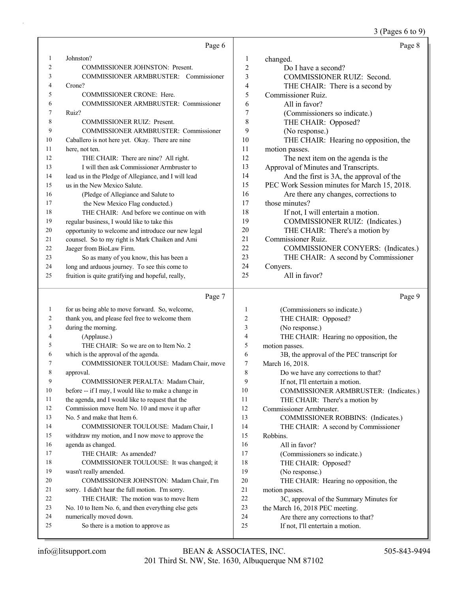#### 3 (Pages 6 to 9)

|    | Page 6                                               |                | Page 8                                       |
|----|------------------------------------------------------|----------------|----------------------------------------------|
| 1  | Johnston?                                            | 1              | changed.                                     |
| 2  | <b>COMMISSIONER JOHNSTON: Present.</b>               | $\overline{2}$ | Do I have a second?                          |
| 3  | COMMISSIONER ARMBRUSTER: Commissioner                | 3              | <b>COMMISSIONER RUIZ: Second.</b>            |
| 4  | Crone?                                               | 4              | THE CHAIR: There is a second by              |
| 5  | <b>COMMISSIONER CRONE: Here.</b>                     | 5              | Commissioner Ruiz.                           |
| 6  | COMMISSIONER ARMBRUSTER: Commissioner                | 6              | All in favor?                                |
| 7  | Ruiz?                                                | 7              | (Commissioners so indicate.)                 |
| 8  | <b>COMMISSIONER RUIZ: Present.</b>                   | 8              | THE CHAIR: Opposed?                          |
| 9  | COMMISSIONER ARMBRUSTER: Commissioner                | 9              | (No response.)                               |
| 10 | Caballero is not here yet. Okay. There are nine      | 10             | THE CHAIR: Hearing no opposition, the        |
| 11 | here, not ten.                                       | 11             | motion passes.                               |
| 12 | THE CHAIR: There are nine? All right.                | 12             | The next item on the agenda is the           |
| 13 | I will then ask Commissioner Armbruster to           | 13             | Approval of Minutes and Transcripts.         |
| 14 | lead us in the Pledge of Allegiance, and I will lead | 14             | And the first is 3A, the approval of the     |
| 15 | us in the New Mexico Salute.                         | 15             | PEC Work Session minutes for March 15, 2018. |
| 16 | (Pledge of Allegiance and Salute to                  | 16             | Are there any changes, corrections to        |
| 17 | the New Mexico Flag conducted.)                      | 17             | those minutes?                               |
| 18 | THE CHAIR: And before we continue on with            | 18             | If not, I will entertain a motion.           |
| 19 | regular business, I would like to take this          | 19             | COMMISSIONER RUIZ: (Indicates.)              |
| 20 | opportunity to welcome and introduce our new legal   | 20             | THE CHAIR: There's a motion by               |
| 21 | counsel. So to my right is Mark Chaiken and Ami      | 2.1            | Commissioner Ruiz.                           |
| 22 | Jaeger from BioLaw Firm.                             | 22.            | COMMISSIONER CONYERS: (Indicates.)           |
| 23 | So as many of you know, this has been a              | 23             | THE CHAIR: A second by Commissioner          |
| 24 | long and arduous journey. To see this come to        | 24             | Conyers.                                     |
| 25 | fruition is quite gratifying and hopeful, really,    | 25             | All in favor?                                |

Page 7

1 for us being able to move forward. So, welcome, 2 thank you, and please feel free to welcome them 3 during the morning. 4 (Applause.) 5 THE CHAIR: So we are on to Item No. 2 6 which is the approval of the agenda. 7 COMMISSIONER TOULOUSE: Madam Chair, move 8 approval. 9 COMMISSIONER PERALTA: Madam Chair, 10 before -- if I may, I would like to make a change in 11 the agenda, and I would like to request that the 12 Commission move Item No. 10 and move it up after 13 No. 5 and make that Item 6. 14 COMMISSIONER TOULOUSE: Madam Chair, I 15 withdraw my motion, and I now move to approve the 16 agenda as changed. 17 THE CHAIR: As amended? 18 COMMISSIONER TOULOUSE: It was changed; it 19 wasn't really amended. 20 COMMISSIONER JOHNSTON: Madam Chair, I'm 21 sorry. I didn't hear the full motion. I'm sorry. 22 THE CHAIR: The motion was to move Item 23 No. 10 to Item No. 6, and then everything else gets 24 numerically moved down. 25 So there is a motion to approve as 1 (Commissioners so indicate.) 2 THE CHAIR: Opposed? 3 (No response.) 4 THE CHAIR: Hearing no opposition, the 5 motion passes. 6 3B, the approval of the PEC transcript for 7 March 16, 2018. 8 Do we have any corrections to that? 9 If not, I'll entertain a motion. 10 COMMISSIONER ARMBRUSTER: (Indicates.) 11 THE CHAIR: There's a motion by 12 Commissioner Armbruster. 13 COMMISSIONER ROBBINS: (Indicates.) 14 THE CHAIR: A second by Commissioner 15 Robbins. 16 All in favor? 17 (Commissioners so indicate.) 18 THE CHAIR: Opposed? 19 (No response.) 20 THE CHAIR: Hearing no opposition, the 21 motion passes. 22 3C, approval of the Summary Minutes for 23 the March 16, 2018 PEC meeting. 24 Are there any corrections to that? 25 If not, I'll entertain a motion.

Page 9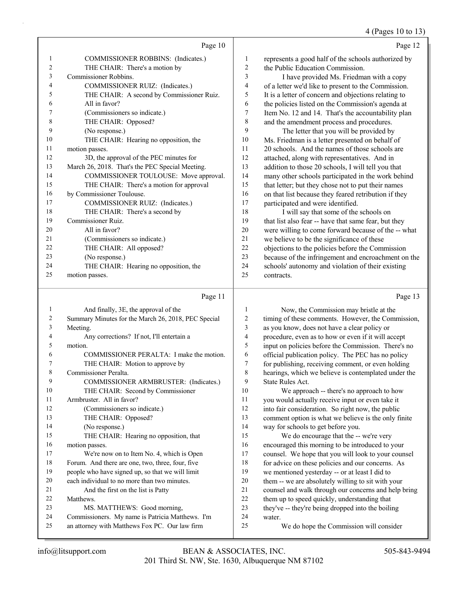4 (Pages 10 to 13)

|    | Page 10                                         |                         | Page 12                                              |
|----|-------------------------------------------------|-------------------------|------------------------------------------------------|
| 1  | COMMISSIONER ROBBINS: (Indicates.)              | 1                       | represents a good half of the schools authorized by  |
| 2  | THE CHAIR: There's a motion by                  | 2                       | the Public Education Commission.                     |
| 3  | Commissioner Robbins.                           | $\mathfrak{Z}$          | I have provided Ms. Friedman with a copy             |
| 4  | COMMISSIONER RUIZ: (Indicates.)                 | $\overline{\mathbf{4}}$ | of a letter we'd like to present to the Commission.  |
| 5  | THE CHAIR: A second by Commissioner Ruiz.       | 5                       | It is a letter of concern and objections relating to |
| 6  | All in favor?                                   | 6                       | the policies listed on the Commission's agenda at    |
| 7  | (Commissioners so indicate.)                    | 7                       | Item No. 12 and 14. That's the accountability plan   |
| 8  | THE CHAIR: Opposed?                             | 8                       | and the amendment process and procedures.            |
| 9  | (No response.)                                  | 9                       | The letter that you will be provided by              |
| 10 | THE CHAIR: Hearing no opposition, the           | 10                      | Ms. Friedman is a letter presented on behalf of      |
| 11 | motion passes.                                  | 11                      | 20 schools. And the names of those schools are       |
| 12 | 3D, the approval of the PEC minutes for         | 12                      | attached, along with representatives. And in         |
| 13 | March 26, 2018. That's the PEC Special Meeting. | 13                      | addition to those 20 schools, I will tell you that   |
| 14 | COMMISSIONER TOULOUSE: Move approval.           | 14                      | many other schools participated in the work behind   |
| 15 | THE CHAIR: There's a motion for approval        | 15                      | that letter; but they chose not to put their names   |
| 16 | by Commissioner Toulouse.                       | 16                      | on that list because they feared retribution if they |
| 17 | COMMISSIONER RUIZ: (Indicates.)                 | 17                      | participated and were identified.                    |
| 18 | THE CHAIR: There's a second by                  | 18                      | I will say that some of the schools on               |
| 19 | Commissioner Ruiz.                              | 19                      | that list also fear -- have that same fear, but they |
| 20 | All in favor?                                   | 20                      | were willing to come forward because of the -- what  |
| 21 | (Commissioners so indicate.)                    | 21                      | we believe to be the significance of these           |
| 22 | THE CHAIR: All opposed?                         | 22                      | objections to the policies before the Commission     |
| 23 | (No response.)                                  | 23                      | because of the infringement and encroachment on the  |
| 24 | THE CHAIR: Hearing no opposition, the           | 24                      | schools' autonomy and violation of their existing    |

25 contracts.

## Page 11

| 1  | And finally, 3E, the approval of the                |
|----|-----------------------------------------------------|
| 2  | Summary Minutes for the March 26, 2018, PEC Special |
| 3  | Meeting.                                            |
| 4  | Any corrections? If not, I'll entertain a           |
| 5  | motion.                                             |
| 6  | COMMISSIONER PERALTA: I make the motion.            |
| 7  | THE CHAIR: Motion to approve by                     |
| 8  | Commissioner Peralta.                               |
| 9  | COMMISSIONER ARMBRUSTER: (Indicates.)               |
| 10 | THE CHAIR: Second by Commissioner                   |
| 11 | Armbruster. All in favor?                           |
| 12 | (Commissioners so indicate.)                        |
| 13 | THE CHAIR: Opposed?                                 |
| 14 | (No response.)                                      |
| 15 | THE CHAIR: Hearing no opposition, that              |
| 16 | motion passes.                                      |
| 17 | We're now on to Item No. 4, which is Open           |
| 18 | Forum. And there are one, two, three, four, five    |
| 19 | people who have signed up, so that we will limit    |
| 20 | each individual to no more than two minutes.        |
| 21 | And the first on the list is Patty                  |
| 22 | Matthews.                                           |
| 23 | MS. MATTHEWS: Good morning,                         |
| 24 | Commissioners. My name is Patricia Matthews. I'm    |
| 25 | an attorney with Matthews Fox PC. Our law firm      |

1 Now, the Commission may bristle at the timing of these comments. However, the Commission, as you know, does not have a clear policy or procedure, even as to how or even if it will accept input on policies before the Commission. There's no official publication policy. The PEC has no policy for publishing, receiving comment, or even holding hearings, which we believe is contemplated under the State Rules Act. 10 We approach -- there's no approach to how

 you would actually receive input or even take it into fair consideration. So right now, the public comment option is what we believe is the only finite way for schools to get before you. 15 We do encourage that the -- we're very

 encouraged this morning to be introduced to your counsel. We hope that you will look to your counsel 18 for advice on these policies and our concerns. As we mentioned yesterday -- or at least I did to them -- we are absolutely willing to sit with your counsel and walk through our concerns and help bring them up to speed quickly, understanding that they've -- they're being dropped into the boiling 24 water.

25 We do hope the Commission will consider

25 motion passes.

Page 13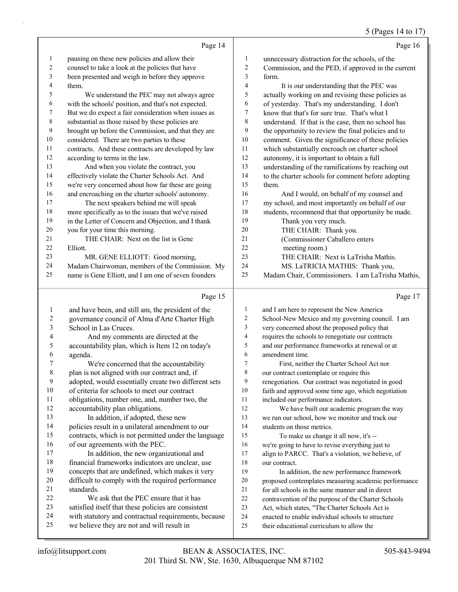## 5 (Pages 14 to 17)

|                |                                                                                                     |                         | $J(1 \text{ agcs } 1 + 101)$                                                                   |
|----------------|-----------------------------------------------------------------------------------------------------|-------------------------|------------------------------------------------------------------------------------------------|
|                | Page 14                                                                                             |                         | Page 16                                                                                        |
| $\mathbf{1}$   | pausing on these new policies and allow their                                                       | $\mathbf{1}$            | unnecessary distraction for the schools, of the                                                |
| 2              | counsel to take a look at the policies that have                                                    | $\sqrt{2}$              | Commission, and the PED, if approved in the current                                            |
| 3              | been presented and weigh in before they approve                                                     | $\mathfrak{Z}$          | form.                                                                                          |
| 4              | them.                                                                                               | $\overline{4}$          | It is our understanding that the PEC was                                                       |
| 5              | We understand the PEC may not always agree                                                          | 5                       | actually working on and revising these policies as                                             |
| 6              | with the schools' position, and that's not expected.                                                | 6                       | of yesterday. That's my understanding. I don't                                                 |
| 7              | But we do expect a fair consideration when issues as                                                | $\tau$                  | know that that's for sure true. That's what I                                                  |
| 8              | substantial as those raised by these policies are                                                   | $\,$ 8 $\,$             | understand. If that is the case, then no school has                                            |
| 9              | brought up before the Commission, and that they are                                                 | 9                       | the opportunity to review the final policies and to                                            |
| 10             | considered. There are two parties to these                                                          | 10                      | comment. Given the significance of these policies                                              |
| 11             | contracts. And these contracts are developed by law                                                 | 11                      | which substantially encroach on charter school                                                 |
| 12             | according to terms in the law.                                                                      | 12                      | autonomy, it is important to obtain a full                                                     |
| 13             | And when you violate the contract, you                                                              | 13                      | understanding of the ramifications by reaching out                                             |
| 14             | effectively violate the Charter Schools Act. And                                                    | 14                      | to the charter schools for comment before adopting                                             |
| 15             | we're very concerned about how far these are going                                                  | 15                      | them.                                                                                          |
| 16             | and encroaching on the charter schools' autonomy.                                                   | 16                      | And I would, on behalf of my counsel and                                                       |
| 17             | The next speakers behind me will speak                                                              | 17                      | my school, and most importantly on behalf of our                                               |
| 18             | more specifically as to the issues that we've raised                                                | 18                      | students, recommend that that opportunity be made.                                             |
| 19             | in the Letter of Concern and Objection, and I thank                                                 | 19                      | Thank you very much.                                                                           |
| 20             | you for your time this morning.                                                                     | 20                      | THE CHAIR: Thank you.                                                                          |
| 21             | THE CHAIR: Next on the list is Gene                                                                 | 21                      | (Commissioner Caballero enters                                                                 |
| 22             | Elliott.                                                                                            | 22                      | meeting room.)                                                                                 |
| 23             | MR. GENE ELLIOTT: Good morning,                                                                     | 23                      | THE CHAIR: Next is LaTrisha Mathis.                                                            |
| 24             | Madam Chairwoman, members of the Commission. My                                                     | 24                      | MS. LaTRICIA MATHIS: Thank you,                                                                |
| 25             | name is Gene Elliott, and I am one of seven founders                                                | 25                      | Madam Chair, Commissioners. I am LaTrisha Mathis,                                              |
|                |                                                                                                     |                         |                                                                                                |
|                | Page 15                                                                                             |                         | Page 17                                                                                        |
| $\mathbf{1}$   |                                                                                                     | 1                       | and I am here to represent the New America                                                     |
| $\overline{c}$ | and have been, and still am, the president of the<br>governance council of Alma d'Arte Charter High | $\overline{c}$          | School-New Mexico and my governing council. I am                                               |
| 3              | School in Las Cruces.                                                                               | $\overline{\mathbf{3}}$ | very concerned about the proposed policy that                                                  |
| 4              | And my comments are directed at the                                                                 | $\overline{4}$          | requires the schools to renegotiate our contracts                                              |
| 5              | accountability plan, which is Item 12 on today's                                                    | 5                       | and our performance frameworks at renewal or at                                                |
| 6              | agenda.                                                                                             | 6                       | amendment time.                                                                                |
| 7              | We're concerned that the accountability                                                             | $\overline{7}$          | First, neither the Charter School Act nor                                                      |
| 8              | plan is not aligned with our contract and, if                                                       | $\,$ $\,$               | our contract contemplate or require this                                                       |
| 9              | adopted, would essentially create two different sets                                                | 9                       | renegotiation. Our contract was negotiated in good                                             |
| 10             | of criteria for schools to meet our contract                                                        | 10                      | faith and approved some time ago, which negotiation                                            |
| 11             | obligations, number one, and, number two, the                                                       | 11                      | included our performance indicators.                                                           |
| 12             | accountability plan obligations.                                                                    | 12                      | We have built our academic program the way                                                     |
| 13             | In addition, if adopted, these new                                                                  | 13                      | we run our school, how we monitor and track our                                                |
| 14             | policies result in a unilateral amendment to our                                                    | 14                      | students on those metrics.                                                                     |
| 15             | contracts, which is not permitted under the language                                                | 15                      | To make us change it all now, it's --                                                          |
| 16             | of our agreements with the PEC.                                                                     | 16                      | we're going to have to revise everything just to                                               |
| 17             | In addition, the new organizational and                                                             | 17                      | align to PARCC. That's a violation, we believe, of                                             |
| 18             | financial frameworks indicators are unclear, use                                                    | 18                      | our contract.                                                                                  |
| 19             | concepts that are undefined, which makes it very                                                    | 19                      | In addition, the new performance framework                                                     |
| 20             | difficult to comply with the required performance                                                   | 20                      | proposed contemplates measuring academic performance                                           |
| 21             | standards.                                                                                          | $21\,$                  | for all schools in the same manner and in direct                                               |
| 22             | We ask that the PEC ensure that it has                                                              | 22                      | contravention of the purpose of the Charter Schools                                            |
| 23             | satisfied itself that these policies are consistent                                                 | 23                      | Act, which states, "The Charter Schools Act is                                                 |
| 24<br>25       | with statutory and contractual requirements, because<br>we believe they are not and will result in  | 24<br>25                | enacted to enable individual schools to structure<br>their educational curriculum to allow the |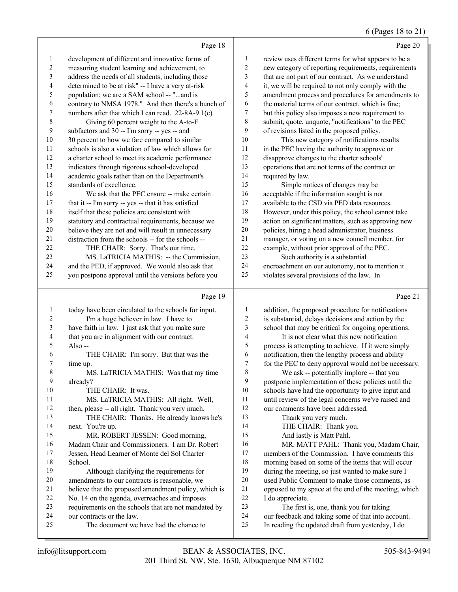### 6 (Pages 18 to 21)

|    | Page 18                                              |                | Page 20                                              |
|----|------------------------------------------------------|----------------|------------------------------------------------------|
| 1  | development of different and innovative forms of     | 1              | review uses different terms for what appears to be a |
| 2  | measuring student learning and achievement, to       | $\overline{2}$ | new category of reporting requirements, requirements |
| 3  | address the needs of all students, including those   | 3              | that are not part of our contract. As we understand  |
| 4  | determined to be at risk" -- I have a very at-risk   | $\overline{4}$ | it, we will be required to not only comply with the  |
| 5  | population; we are a SAM school -- "and is           | 5              | amendment process and procedures for amendments to   |
| 6  | contrary to NMSA 1978." And then there's a bunch of  | 6              | the material terms of our contract, which is fine;   |
| 7  | numbers after that which I can read. 22-8A-9.1(c)    | 7              | but this policy also imposes a new requirement to    |
| 8  | Giving 60 percent weight to the A-to-F               | 8              | submit, quote, unquote, "notifications" to the PEC   |
| 9  | subfactors and 30 -- I'm sorry -- yes -- and         | 9              | of revisions listed in the proposed policy.          |
| 10 | 30 percent to how we fare compared to similar        | 10             | This new category of notifications results           |
| 11 | schools is also a violation of law which allows for  | 11             | in the PEC having the authority to approve or        |
| 12 | a charter school to meet its academic performance    | 12             | disapprove changes to the charter schools'           |
| 13 | indicators through rigorous school-developed         | 13             | operations that are not terms of the contract or     |
| 14 | academic goals rather than on the Department's       | 14             | required by law.                                     |
| 15 | standards of excellence.                             | 15             | Simple notices of changes may be                     |
| 16 | We ask that the PEC ensure -- make certain           | 16             | acceptable if the information sought is not          |
| 17 | that it -- I'm sorry -- yes -- that it has satisfied | 17             | available to the CSD via PED data resources.         |
| 18 | itself that these policies are consistent with       | 18             | However, under this policy, the school cannot take   |
| 19 | statutory and contractual requirements, because we   | 19             | action on significant matters, such as approving new |
| 20 | believe they are not and will result in unnecessary  | 20             | policies, hiring a head administrator, business      |
| 21 | distraction from the schools -- for the schools --   | 21             | manager, or voting on a new council member, for      |
| 22 | THE CHAIR: Sorry. That's our time.                   | 22             | example, without prior approval of the PEC.          |
| 23 | MS. LaTRICIA MATHIS: -- the Commission,              | 23             | Such authority is a substantial                      |
| 24 | and the PED, if approved. We would also ask that     | 24             | encroachment on our autonomy, not to mention it      |
| 25 | you postpone approval until the versions before you  | 25             | violates several provisions of the law. In           |
|    | Page 19                                              |                | Page 21                                              |

| 1  | today have been circulated to the schools for input. |                |                                                      |
|----|------------------------------------------------------|----------------|------------------------------------------------------|
|    |                                                      | 1              | addition, the proposed procedure for notifications   |
| 2  | I'm a huge believer in law. I have to                | 2              | is substantial, delays decisions and action by the   |
| 3  | have faith in law. I just ask that you make sure     | 3              | school that may be critical for ongoing operations.  |
| 4  | that you are in alignment with our contract.         | $\overline{4}$ | It is not clear what this new notification           |
| 5  | Also $-$                                             | 5              | process is attempting to achieve. If it were simply  |
| 6  | THE CHAIR: I'm sorry. But that was the               | 6              | notification, then the lengthy process and ability   |
| 7  | time up.                                             | 7              | for the PEC to deny approval would not be necessary. |
| 8  | MS. LaTRICIA MATHIS: Was that my time                | 8              | We ask -- potentially implore -- that you            |
| 9  | already?                                             | 9              | postpone implementation of these policies until the  |
| 10 | THE CHAIR: It was.                                   | 10             | schools have had the opportunity to give input and   |
| 11 | MS. LaTRICIA MATHIS: All right. Well,                | 11             | until review of the legal concerns we've raised and  |
| 12 | then, please -- all right. Thank you very much.      | 12             | our comments have been addressed.                    |
| 13 | THE CHAIR: Thanks. He already knows he's             | 13             | Thank you very much.                                 |
| 14 | next. You're up.                                     | 14             | THE CHAIR: Thank you.                                |
| 15 | MR. ROBERT JESSEN: Good morning,                     | 15             | And lastly is Matt Pahl.                             |
| 16 | Madam Chair and Commissioners. I am Dr. Robert       | 16             | MR. MATT PAHL: Thank you, Madam Chair,               |
| 17 | Jessen, Head Learner of Monte del Sol Charter        | 17             | members of the Commission. I have comments this      |
| 18 | School.                                              | 18             | morning based on some of the items that will occur   |
| 19 | Although clarifying the requirements for             | 19             | during the meeting, so just wanted to make sure I    |
| 20 | amendments to our contracts is reasonable, we        | 20             | used Public Comment to make those comments, as       |
| 21 | believe that the proposed amendment policy, which is | 21             | opposed to my space at the end of the meeting, which |
| 22 | No. 14 on the agenda, overreaches and imposes        | 22             | I do appreciate.                                     |
| 23 | requirements on the schools that are not mandated by | 23             | The first is, one, thank you for taking              |
| 24 | our contracts or the law.                            | 24             | our feedback and taking some of that into account.   |
| 25 | The document we have had the chance to               | 25             | In reading the updated draft from yesterday, I do    |
|    |                                                      |                |                                                      |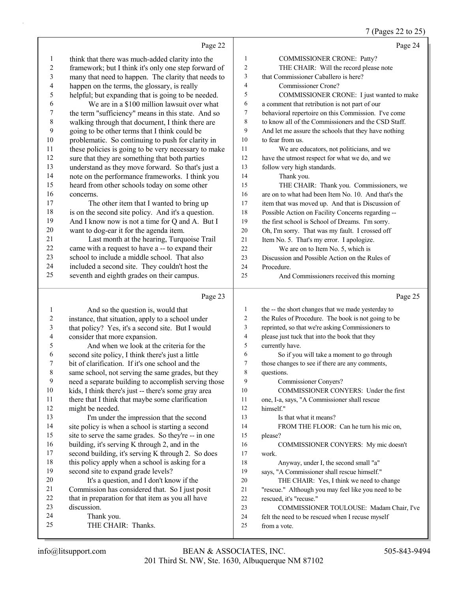## 7 (Pages 22 to 25)

|          | Page 22                                                      |                | Page 24                                                          |
|----------|--------------------------------------------------------------|----------------|------------------------------------------------------------------|
| 1        | think that there was much-added clarity into the             | $\mathbf{1}$   | COMMISSIONER CRONE: Patty?                                       |
| 2        | framework; but I think it's only one step forward of         | $\overline{c}$ | THE CHAIR: Will the record please note                           |
| 3        | many that need to happen. The clarity that needs to          | 3              | that Commissioner Caballero is here?                             |
| 4        | happen on the terms, the glossary, is really                 | $\overline{4}$ | Commissioner Crone?                                              |
| 5        | helpful; but expanding that is going to be needed.           | 5              | COMMISSIONER CRONE: I just wanted to make                        |
| 6        | We are in a \$100 million lawsuit over what                  | 6              | a comment that retribution is not part of our                    |
| 7        | the term "sufficiency" means in this state. And so           | 7              | behavioral repertoire on this Commission. I've come              |
| 8        | walking through that document, I think there are             | 8              | to know all of the Commissioners and the CSD Staff.              |
| 9        | going to be other terms that I think could be                | 9              | And let me assure the schools that they have nothing             |
| 10       | problematic. So continuing to push for clarity in            | 10             | to fear from us.                                                 |
| 11       | these policies is going to be very necessary to make         | 11             | We are educators, not politicians, and we                        |
| 12       | sure that they are something that both parties               | 12             | have the utmost respect for what we do, and we                   |
| 13       | understand as they move forward. So that's just a            | 13             | follow very high standards.                                      |
| 14       | note on the performance frameworks. I think you              | 14             | Thank you.                                                       |
| 15       | heard from other schools today on some other                 | 15             | THE CHAIR: Thank you. Commissioners, we                          |
| 16       | concerns.                                                    | 16             | are on to what had been Item No. 10. And that's the              |
| 17       | The other item that I wanted to bring up                     | 17             | item that was moved up. And that is Discussion of                |
| 18       | is on the second site policy. And it's a question.           | 18             | Possible Action on Facility Concerns regarding --                |
| 19       | And I know now is not a time for Q and A. But I              | 19             | the first school is School of Dreams. I'm sorry.                 |
| 20       | want to dog-ear it for the agenda item.                      | 20             | Oh, I'm sorry. That was my fault. I crossed off                  |
| 21       | Last month at the hearing, Turquoise Trail                   | 21             | Item No. 5. That's my error. I apologize.                        |
| 22       | came with a request to have a -- to expand their             | 22             | We are on to Item No. 5, which is                                |
| 23       | school to include a middle school. That also                 | 23             | Discussion and Possible Action on the Rules of                   |
| 24       | included a second site. They couldn't host the               | 24             | Procedure.                                                       |
| 25       | seventh and eighth grades on their campus.                   | 25             | And Commissioners received this morning                          |
|          |                                                              |                |                                                                  |
|          |                                                              |                |                                                                  |
|          | Page 23                                                      |                | Page 25                                                          |
| 1        | And so the question is, would that                           | 1              | the -- the short changes that we made yesterday to               |
| 2        | instance, that situation, apply to a school under            | $\sqrt{2}$     | the Rules of Procedure. The book is not going to be              |
| 3        | that policy? Yes, it's a second site. But I would            | 3              | reprinted, so that we're asking Commissioners to                 |
| 4        | consider that more expansion.                                | 4              | please just tuck that into the book that they                    |
| 5        | And when we look at the criteria for the                     | 5              | currently have.                                                  |
| 6<br>7   | second site policy, I think there's just a little            | 6<br>7         | So if you will take a moment to go through                       |
|          | bit of clarification. If it's one school and the             |                | those changes to see if there are any comments,                  |
| 8<br>9   | same school, not serving the same grades, but they           | 8<br>9         | questions.                                                       |
| 10       | need a separate building to accomplish serving those         | 10             | Commissioner Conyers?<br>COMMISSIONER CONYERS: Under the first   |
| 11       | kids, I think there's just -- there's some gray area         | 11             |                                                                  |
| 12       | there that I think that maybe some clarification             | 12             | one, I-a, says, "A Commissioner shall rescue<br>himself."        |
| 13       | might be needed.<br>I'm under the impression that the second | 13             | Is that what it means?                                           |
| 14       | site policy is when a school is starting a second            | 14             | FROM THE FLOOR: Can he turn his mic on,                          |
| 15       | site to serve the same grades. So they're -- in one          | 15             | please?                                                          |
| 16       | building, it's serving K through 2, and in the               | 16             | COMMISSIONER CONYERS: My mic doesn't                             |
| 17       | second building, it's serving K through 2. So does           | 17             | work.                                                            |
| 18       | this policy apply when a school is asking for a              | 18             | Anyway, under I, the second small "a"                            |
| 19       | second site to expand grade levels?                          | 19             | says, "A Commissioner shall rescue himself."                     |
| 20       | It's a question, and I don't know if the                     | $20\,$         | THE CHAIR: Yes, I think we need to change                        |
| 21       | Commission has considered that. So I just posit              | 21             | "rescue." Although you may feel like you need to be              |
| 22       | that in preparation for that item as you all have            | 22             | rescued, it's "recuse."                                          |
| 23       | discussion.                                                  | 23             | COMMISSIONER TOULOUSE: Madam Chair, I've                         |
| 24<br>25 | Thank you.<br>THE CHAIR: Thanks.                             | 24<br>25       | felt the need to be rescued when I recuse myself<br>from a vote. |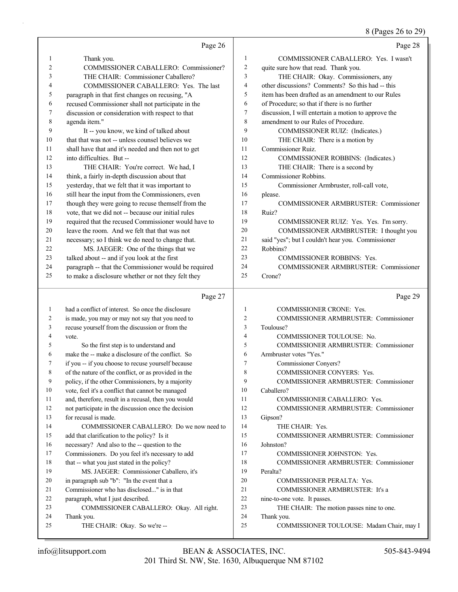8 (Pages 26 to 29)

|                | Page 26                                                                                                |                | Page 28                                                                    |
|----------------|--------------------------------------------------------------------------------------------------------|----------------|----------------------------------------------------------------------------|
| 1              | Thank you.                                                                                             | $\mathbf{1}$   | COMMISSIONER CABALLERO: Yes. I wasn't                                      |
| $\overline{2}$ | COMMISSIONER CABALLERO: Commissioner?                                                                  | $\overline{2}$ | quite sure how that read. Thank you.                                       |
| 3              | THE CHAIR: Commissioner Caballero?                                                                     | 3              | THE CHAIR: Okay. Commissioners, any                                        |
| 4              | COMMISSIONER CABALLERO: Yes. The last                                                                  | $\overline{4}$ | other discussions? Comments? So this had -- this                           |
| 5              | paragraph in that first changes on recusing, "A                                                        | 5              | item has been drafted as an amendment to our Rules                         |
| 6              | recused Commissioner shall not participate in the                                                      | 6              | of Procedure; so that if there is no further                               |
| 7              | discussion or consideration with respect to that                                                       | $\overline{7}$ | discussion, I will entertain a motion to approve the                       |
| 8              | agenda item."                                                                                          | 8              | amendment to our Rules of Procedure.                                       |
| 9              | It -- you know, we kind of talked about                                                                | 9              | COMMISSIONER RUIZ: (Indicates.)                                            |
| 10             | that that was not -- unless counsel believes we                                                        | 10             | THE CHAIR: There is a motion by                                            |
| 11             | shall have that and it's needed and then not to get                                                    | 11             | Commissioner Ruiz.                                                         |
| 12             | into difficulties. But --                                                                              | 12             | COMMISSIONER ROBBINS: (Indicates.)                                         |
| 13             | THE CHAIR: You're correct. We had, I                                                                   | 13             | THE CHAIR: There is a second by                                            |
| 14             | think, a fairly in-depth discussion about that                                                         | 14             | Commissioner Robbins.                                                      |
| 15             | yesterday, that we felt that it was important to                                                       | 15             | Commissioner Armbruster, roll-call vote,                                   |
| 16             | still hear the input from the Commissioners, even                                                      | 16             | please.                                                                    |
| 17             | though they were going to recuse themself from the                                                     | 17             | <b>COMMISSIONER ARMBRUSTER: Commissioner</b>                               |
| 18             | vote, that we did not -- because our initial rules                                                     | 18             | Ruiz?                                                                      |
| 19             | required that the recused Commissioner would have to                                                   | 19             | COMMISSIONER RUIZ: Yes. Yes. I'm sorry.                                    |
| 20             | leave the room. And we felt that that was not                                                          | 20             | COMMISSIONER ARMBRUSTER: I thought you                                     |
| 21             | necessary; so I think we do need to change that.                                                       | 21             | said "yes"; but I couldn't hear you. Commissioner                          |
| 22             | MS. JAEGER: One of the things that we                                                                  | 22             | Robbins?                                                                   |
| 23             | talked about -- and if you look at the first                                                           | 23             | <b>COMMISSIONER ROBBINS: Yes.</b>                                          |
| 24             | paragraph -- that the Commissioner would be required                                                   | 24             | COMMISSIONER ARMBRUSTER: Commissioner                                      |
| 25             | to make a disclosure whether or not they felt they                                                     | 25             | Crone?                                                                     |
|                |                                                                                                        |                |                                                                            |
|                |                                                                                                        |                |                                                                            |
|                | Page 27                                                                                                |                | Page 29                                                                    |
| $\mathbf{1}$   | had a conflict of interest. So once the disclosure                                                     | $\mathbf{1}$   | COMMISSIONER CRONE: Yes.                                                   |
| 2              | is made, you may or may not say that you need to                                                       | 2              | COMMISSIONER ARMBRUSTER: Commissioner                                      |
| 3              | recuse yourself from the discussion or from the                                                        | 3              | Toulouse?                                                                  |
| 4              | vote.                                                                                                  | $\overline{4}$ | COMMISSIONER TOULOUSE: No.                                                 |
| 5<br>6         | So the first step is to understand and                                                                 | 5              | COMMISSIONER ARMBRUSTER: Commissioner                                      |
| 7              | make the -- make a disclosure of the conflict. So                                                      | 6<br>$\tau$    | Armbruster votes "Yes."                                                    |
|                | if you -- if you choose to recuse yourself because                                                     | 8              | Commissioner Conyers?                                                      |
| 9              | of the nature of the conflict, or as provided in the                                                   | 9              | COMMISSIONER CONYERS: Yes.<br><b>COMMISSIONER ARMBRUSTER: Commissioner</b> |
| 10             | policy, if the other Commissioners, by a majority<br>vote, feel it's a conflict that cannot be managed | 10             | Caballero?                                                                 |
| 11             | and, therefore, result in a recusal, then you would                                                    | 11             | COMMISSIONER CABALLERO: Yes.                                               |
| 12             |                                                                                                        | 12             | <b>COMMISSIONER ARMBRUSTER: Commissioner</b>                               |
| 13             | not participate in the discussion once the decision<br>for recusal is made.                            | 13             | Gipson?                                                                    |
| 14             | COMMISSIONER CABALLERO: Do we now need to                                                              | 14             | THE CHAIR: Yes.                                                            |
| 15             | add that clarification to the policy? Is it                                                            | 15             | COMMISSIONER ARMBRUSTER: Commissioner                                      |
| 16             | necessary? And also to the -- question to the                                                          | 16             | Johnston?                                                                  |
| 17             | Commissioners. Do you feel it's necessary to add                                                       | 17             | COMMISSIONER JOHNSTON: Yes.                                                |
| 18             | that -- what you just stated in the policy?                                                            | 18             | <b>COMMISSIONER ARMBRUSTER: Commissioner</b>                               |
| 19             | MS. JAEGER: Commissioner Caballero, it's                                                               | 19             | Peralta?                                                                   |
| 20             | in paragraph sub "b": "In the event that a                                                             | 20             | COMMISSIONER PERALTA: Yes.                                                 |
| 21             | Commissioner who has disclosed" is in that                                                             | 21             | COMMISSIONER ARMBRUSTER: It's a                                            |
| 22             | paragraph, what I just described.                                                                      | 22             | nine-to-one vote. It passes.                                               |
| 23             | COMMISSIONER CABALLERO: Okay. All right.                                                               | 23             | THE CHAIR: The motion passes nine to one.                                  |
| 24             | Thank you.                                                                                             | 24<br>25       | Thank you.                                                                 |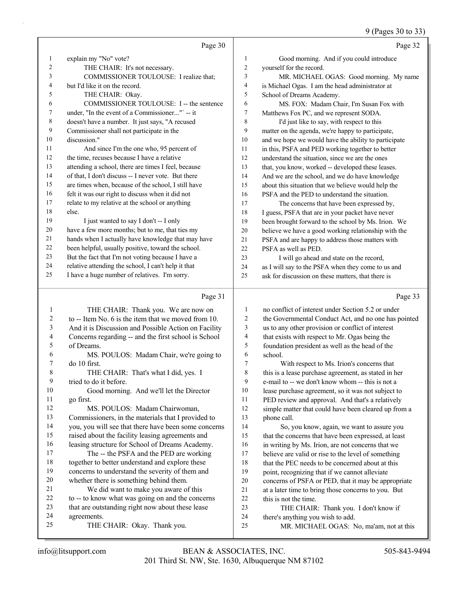## (Dages 20 to 22)

|                          |                                                                                            |                | $9$ (Pages 50 to 55)                                 |
|--------------------------|--------------------------------------------------------------------------------------------|----------------|------------------------------------------------------|
|                          | Page 30                                                                                    |                | Page 32                                              |
| $\mathbf{1}$             | explain my "No" vote?                                                                      | $\mathbf{1}$   | Good morning. And if you could introduce             |
| $\mathfrak{2}$           | THE CHAIR: It's not necessary.                                                             | $\sqrt{2}$     | yourself for the record.                             |
| 3                        | COMMISSIONER TOULOUSE: I realize that;                                                     | 3              | MR. MICHAEL OGAS: Good morning. My name              |
| 4                        | but I'd like it on the record.                                                             | $\overline{4}$ | is Michael Ogas. I am the head administrator at      |
| 5                        | THE CHAIR: Okay.                                                                           | 5              | School of Dreams Academy.                            |
| 6                        | COMMISSIONER TOULOUSE: I -- the sentence                                                   | 6              | MS. FOX: Madam Chair, I'm Susan Fox with             |
| 7                        | under, "In the event of a Commissioner" -- it                                              | $\sqrt{ }$     | Matthews Fox PC, and we represent SODA.              |
| 8                        | doesn't have a number. It just says, "A recused                                            | 8              | I'd just like to say, with respect to this           |
| 9                        | Commissioner shall not participate in the                                                  | 9              | matter on the agenda, we're happy to participate,    |
| 10                       | discussion."                                                                               | 10             | and we hope we would have the ability to participate |
| 11                       | And since I'm the one who, 95 percent of                                                   | 11             | in this, PSFA and PED working together to better     |
| 12                       | the time, recuses because I have a relative                                                | 12             | understand the situation, since we are the ones      |
| 13                       | attending a school, there are times I feel, because                                        | 13             | that, you know, worked -- developed these leases.    |
| 14                       | of that, I don't discuss -- I never vote. But there                                        | 14             | And we are the school, and we do have knowledge      |
| 15                       | are times when, because of the school, I still have                                        | 15             | about this situation that we believe would help the  |
| 16                       | felt it was our right to discuss when it did not                                           | 16             | PSFA and the PED to understand the situation.        |
| 17                       | relate to my relative at the school or anything                                            | 17             | The concerns that have been expressed by,            |
| 18                       | else.                                                                                      | 18             | I guess, PSFA that are in your packet have never     |
| 19                       | I just wanted to say I don't -- I only                                                     | 19             | been brought forward to the school by Ms. Irion. We  |
| 20                       | have a few more months; but to me, that ties my                                            | 20             | believe we have a good working relationship with the |
| 21                       | hands when I actually have knowledge that may have                                         | 21             | PSFA and are happy to address those matters with     |
| 22                       | been helpful, usually positive, toward the school.                                         | 22             | PSFA as well as PED.                                 |
| 23                       | But the fact that I'm not voting because I have a                                          | 23             | I will go ahead and state on the record,             |
| 24                       | relative attending the school, I can't help it that                                        | 24             | as I will say to the PSFA when they come to us and   |
| 25                       | I have a huge number of relatives. I'm sorry.                                              | 25             | ask for discussion on these matters, that there is   |
|                          | Page 31                                                                                    |                | Page 33                                              |
|                          |                                                                                            | $\mathbf{1}$   | no conflict of interest under Section 5.2 or under   |
| 1<br>$\overline{c}$      | THE CHAIR: Thank you. We are now on<br>to -- Item No. 6 is the item that we moved from 10. | $\sqrt{2}$     | the Governmental Conduct Act, and no one has pointed |
| 3                        | And it is Discussion and Possible Action on Facility                                       | 3              | us to any other provision or conflict of interest    |
| $\overline{\mathcal{L}}$ |                                                                                            | $\overline{4}$ | that exists with respect to Mr. Ogas being the       |
| 5                        | Concerns regarding -- and the first school is School<br>of Dreams.                         | 5              | foundation president as well as the head of the      |
| 6                        | MS. POULOS: Madam Chair, we're going to                                                    | 6              | school.                                              |
| $\sqrt{ }$               | do 10 first.                                                                               | $\overline{7}$ | With respect to Ms. Irion's concerns that            |
| 8                        | THE CHAIR: That's what I did, yes. I                                                       | 8              | this is a lease purchase agreement, as stated in her |
| 9                        | tried to do it before.                                                                     | 9              | e-mail to -- we don't know whom -- this is not a     |
| 10                       | Good morning. And we'll let the Director                                                   | 10             | lease purchase agreement, so it was not subject to   |
| 11                       | go first.                                                                                  | 11             | PED review and approval. And that's a relatively     |
| 12                       | MS. POULOS: Madam Chairwoman,                                                              | 12             | simple matter that could have been cleared up from a |
|                          |                                                                                            |                |                                                      |

- 12 MS. POULOS: Madam Chairwoman, Commissioners, in the materials that I provided to
- you, you will see that there have been some concerns raised about the facility leasing agreements and leasing structure for School of Dreams Academy.
- 17 The -- the PSFA and the PED are working together to better understand and explore these concerns to understand the severity of them and whether there is something behind them. 21 We did want to make you aware of this
- to -- to know what was going on and the concerns
- that are outstanding right now about these lease
- agreements. 25 THE CHAIR: Okay. Thank you.
- there's anything you wish to add. 25 MR. MICHAEL OGAS: No, ma'am, not at this

23 THE CHAIR: Thank you. I don't know if

14 So, you know, again, we want to assure you that the concerns that have been expressed, at least in writing by Ms. Irion, are not concerns that we believe are valid or rise to the level of something 18 that the PEC needs to be concerned about at this point, recognizing that if we cannot alleviate concerns of PSFA or PED, that it may be appropriate at a later time to bring those concerns to you. But

phone call.

this is not the time.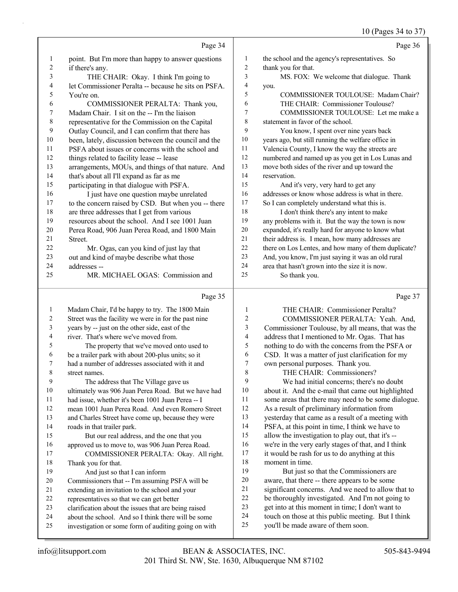## 10 (Pages 34 to 37)

|    |                                                      |                | $10$ (F ages $34$ to $37$ )                          |
|----|------------------------------------------------------|----------------|------------------------------------------------------|
|    | Page 34                                              |                | Page 36                                              |
| 1  | point. But I'm more than happy to answer questions   | 1              | the school and the agency's representatives. So      |
| 2  | if there's any.                                      | $\overline{2}$ | thank you for that.                                  |
| 3  | THE CHAIR: Okay. I think I'm going to                | 3              | MS. FOX: We welcome that dialogue. Thank             |
| 4  | let Commissioner Peralta -- because he sits on PSFA. | $\overline{4}$ | you.                                                 |
| 5  | You're on.                                           | 5              | COMMISSIONER TOULOUSE: Madam Chair?                  |
| 6  | COMMISSIONER PERALTA: Thank you,                     | 6              | THE CHAIR: Commissioner Toulouse?                    |
| 7  | Madam Chair. I sit on the -- I'm the liaison         | 7              | COMMISSIONER TOULOUSE: Let me make a                 |
| 8  | representative for the Commission on the Capital     | 8              | statement in favor of the school.                    |
| 9  | Outlay Council, and I can confirm that there has     | 9              | You know, I spent over nine years back               |
| 10 | been, lately, discussion between the council and the | 10             | years ago, but still running the welfare office in   |
| 11 | PSFA about issues or concerns with the school and    | 11             | Valencia County, I know the way the streets are      |
| 12 | things related to facility lease -- lease            | 12             | numbered and named up as you get in Los Lunas and    |
| 13 | arrangements, MOUs, and things of that nature. And   | 13             | move both sides of the river and up toward the       |
| 14 | that's about all I'll expand as far as me            | 14             | reservation.                                         |
| 15 | participating in that dialogue with PSFA.            | 15             | And it's very, very hard to get any                  |
| 16 | I just have one question maybe unrelated             | 16             | addresses or know whose address is what in there.    |
| 17 | to the concern raised by CSD. But when you -- there  | 17             | So I can completely understand what this is.         |
| 18 | are three addresses that I get from various          | 18             | I don't think there's any intent to make             |
| 19 | resources about the school. And I see 1001 Juan      | 19             | any problems with it. But the way the town is now    |
| 20 | Perea Road, 906 Juan Perea Road, and 1800 Main       | 20             | expanded, it's really hard for anyone to know what   |
| 21 | Street.                                              | 21             | their address is. I mean, how many addresses are     |
| 22 | Mr. Ogas, can you kind of just lay that              | 22             | there on Los Lentes, and how many of them duplicate? |
| 23 | out and kind of maybe describe what those            | 23             | And, you know, I'm just saying it was an old rural   |
| 24 | addresses --                                         | 24             | area that hasn't grown into the size it is now.      |
| 25 | MR. MICHAEL OGAS: Commission and                     | 25             | So thank you.                                        |
|    | Page 35                                              |                | Page 37                                              |
| 1  | Madam Chair, I'd be happy to try. The 1800 Main      | 1              | THE CHAIR: Commissioner Peralta?                     |

|                | Madam Chair, I'd be happy to try. The 1800 Main      | 1  | THE CHAIR: Commissioner Peralta?                    |
|----------------|------------------------------------------------------|----|-----------------------------------------------------|
| 2              | Street was the facility we were in for the past nine | 2  | COMMISSIONER PERALTA: Yeah. And,                    |
| 3              | years by -- just on the other side, east of the      | 3  | Commissioner Toulouse, by all means, that was the   |
| $\overline{4}$ | river. That's where we've moved from.                | 4  | address that I mentioned to Mr. Ogas. That has      |
| 5              | The property that we've moved onto used to           | 5  | nothing to do with the concerns from the PSFA or    |
| 6              | be a trailer park with about 200-plus units; so it   | 6  | CSD. It was a matter of just clarification for my   |
| 7              | had a number of addresses associated with it and     | 7  | own personal purposes. Thank you.                   |
| 8              | street names.                                        | 8  | THE CHAIR: Commissioners?                           |
| 9              | The address that The Village gave us                 | 9  | We had initial concerns; there's no doubt           |
| 10             | ultimately was 906 Juan Perea Road. But we have had  | 10 | about it. And the e-mail that came out highlighted  |
| 11             | had issue, whether it's been 1001 Juan Perea -- I    | 11 | some areas that there may need to be some dialogue. |
| 12             | mean 1001 Juan Perea Road. And even Romero Street    | 12 | As a result of preliminary information from         |
| 13             | and Charles Street have come up, because they were   | 13 | yesterday that came as a result of a meeting with   |
| 14             | roads in that trailer park.                          | 14 | PSFA, at this point in time, I think we have to     |
| 15             | But our real address, and the one that you           | 15 | allow the investigation to play out, that it's --   |
| 16             | approved us to move to, was 906 Juan Perea Road.     | 16 | we're in the very early stages of that, and I think |
| 17             | COMMISSIONER PERALTA: Okay. All right.               | 17 | it would be rash for us to do anything at this      |
| 18             | Thank you for that.                                  | 18 | moment in time.                                     |
| 19             | And just so that I can inform                        | 19 | But just so that the Commissioners are              |
| 20             | Commissioners that -- I'm assuming PSFA will be      | 20 | aware, that there -- there appears to be some       |
| 21             | extending an invitation to the school and your       | 21 | significant concerns. And we need to allow that to  |
| 22             | representatives so that we can get better            | 22 | be thoroughly investigated. And I'm not going to    |
| 23             | clarification about the issues that are being raised | 23 | get into at this moment in time; I don't want to    |
| 24             | about the school. And so I think there will be some  | 24 | touch on those at this public meeting. But I think  |
| 25             | investigation or some form of auditing going on with | 25 | you'll be made aware of them soon.                  |
|                |                                                      |    |                                                     |
|                |                                                      |    |                                                     |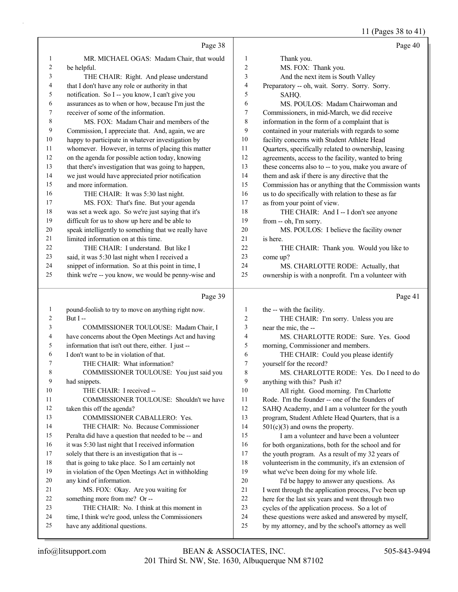# 11 (Pages 38 to 41)

|              | Page 38                                                                                                |                  | Page 40                                                                                                    |
|--------------|--------------------------------------------------------------------------------------------------------|------------------|------------------------------------------------------------------------------------------------------------|
| 1            | MR. MICHAEL OGAS: Madam Chair, that would                                                              | 1                | Thank you.                                                                                                 |
| 2            | be helpful.                                                                                            | 2                | MS. FOX: Thank you.                                                                                        |
| 3            | THE CHAIR: Right. And please understand                                                                | 3                | And the next item is South Valley                                                                          |
| 4            | that I don't have any role or authority in that                                                        | 4                | Preparatory -- oh, wait. Sorry. Sorry. Sorry.                                                              |
| 5            | notification. So I -- you know, I can't give you                                                       | 5                | SAHQ.                                                                                                      |
| 6            | assurances as to when or how, because I'm just the                                                     | 6                | MS. POULOS: Madam Chairwoman and                                                                           |
| 7            | receiver of some of the information.                                                                   | 7                | Commissioners, in mid-March, we did receive                                                                |
| 8            | MS. FOX: Madam Chair and members of the                                                                | 8                | information in the form of a complaint that is                                                             |
| 9            | Commission, I appreciate that. And, again, we are                                                      | 9                | contained in your materials with regards to some                                                           |
| 10           | happy to participate in whatever investigation by                                                      | 10               | facility concerns with Student Athlete Head                                                                |
| 11           | whomever. However, in terms of placing this matter                                                     | 11               | Quarters, specifically related to ownership, leasing                                                       |
| 12           | on the agenda for possible action today, knowing                                                       | 12               | agreements, access to the facility, wanted to bring                                                        |
| 13           | that there's investigation that was going to happen,                                                   | 13               | these concerns also to -- to you, make you aware of                                                        |
| 14           | we just would have appreciated prior notification                                                      | 14               | them and ask if there is any directive that the                                                            |
| 15           | and more information.                                                                                  | 15               | Commission has or anything that the Commission wants                                                       |
| 16           | THE CHAIR: It was 5:30 last night.                                                                     | 16               | us to do specifically with relation to these as far                                                        |
| 17           | MS. FOX: That's fine. But your agenda                                                                  | 17               | as from your point of view.                                                                                |
| $18\,$       | was set a week ago. So we're just saying that it's                                                     | 18               | THE CHAIR: And I -- I don't see anyone                                                                     |
| 19           | difficult for us to show up here and be able to                                                        | 19               | from -- oh, I'm sorry.                                                                                     |
| $20\,$       | speak intelligently to something that we really have                                                   | 20               | MS. POULOS: I believe the facility owner                                                                   |
| 21           | limited information on at this time.                                                                   | 21               | is here.                                                                                                   |
| 22           | THE CHAIR: I understand. But like I                                                                    | 22               | THE CHAIR: Thank you. Would you like to                                                                    |
| 23           | said, it was 5:30 last night when I received a                                                         | 23               | come up?                                                                                                   |
| 24           | snippet of information. So at this point in time, I                                                    | 24               | MS. CHARLOTTE RODE: Actually, that                                                                         |
| 25           | think we're -- you know, we would be penny-wise and                                                    | 25               | ownership is with a nonprofit. I'm a volunteer with                                                        |
|              |                                                                                                        |                  |                                                                                                            |
|              | Page 39                                                                                                |                  | Page 41                                                                                                    |
| $\mathbf{1}$ | pound-foolish to try to move on anything right now.                                                    | 1                | the -- with the facility.                                                                                  |
| 2            | But I-                                                                                                 | $\boldsymbol{2}$ | THE CHAIR: I'm sorry. Unless you are                                                                       |
| 3            | COMMISSIONER TOULOUSE: Madam Chair, I                                                                  | 3                | near the mic, the --                                                                                       |
| 4            | have concerns about the Open Meetings Act and having                                                   | 4                | MS. CHARLOTTE RODE: Sure. Yes. Good                                                                        |
| 5            | information that isn't out there, either. I just --                                                    | 5                | morning, Commissioner and members.                                                                         |
| 6            | I don't want to be in violation of that.                                                               | 6                | THE CHAIR: Could you please identify                                                                       |
| 7            | THE CHAIR: What information?                                                                           | 7                | yourself for the record?                                                                                   |
| 8            | COMMISSIONER TOULOUSE: You just said you                                                               | $\,$ 8 $\,$      | MS. CHARLOTTE RODE: Yes. Do I need to do                                                                   |
| 9            | had snippets.                                                                                          | 9                | anything with this? Push it?                                                                               |
| 10           | THE CHAIR: I received --                                                                               | 10               | All right. Good morning. I'm Charlotte                                                                     |
| 11           | COMMISSIONER TOULOUSE: Shouldn't we have                                                               | 11               | Rode. I'm the founder -- one of the founders of                                                            |
| 12           | taken this off the agenda?                                                                             | 12               | SAHQ Academy, and I am a volunteer for the youth                                                           |
| 13           | COMMISSIONER CABALLERO: Yes.                                                                           | 13               | program, Student Athlete Head Quarters, that is a                                                          |
| 14<br>15     | THE CHAIR: No. Because Commissioner                                                                    | 14<br>15         | $501(c)(3)$ and owns the property.                                                                         |
| 16           | Peralta did have a question that needed to be -- and                                                   | 16               | I am a volunteer and have been a volunteer                                                                 |
| 17           | it was 5:30 last night that I received information                                                     | 17               | for both organizations, both for the school and for                                                        |
| 18           | solely that there is an investigation that is --<br>that is going to take place. So I am certainly not | 18               | the youth program. As a result of my 32 years of                                                           |
| 19           | in violation of the Open Meetings Act in withholding                                                   | 19               | volunteerism in the community, it's an extension of<br>what we've been doing for my whole life.            |
| $20\,$       | any kind of information.                                                                               | $20\,$           | I'd be happy to answer any questions. As                                                                   |
| 21           | MS. FOX: Okay. Are you waiting for                                                                     | $21\,$           | I went through the application process, I've been up                                                       |
| 22           | something more from me? Or --                                                                          | $22\,$           | here for the last six years and went through two                                                           |
| 23           | THE CHAIR: No. I think at this moment in                                                               | $23\,$           | cycles of the application process. So a lot of                                                             |
| 24<br>25     | time, I think we're good, unless the Commissioners<br>have any additional questions.                   | 24<br>$25\,$     | these questions were asked and answered by myself,<br>by my attorney, and by the school's attorney as well |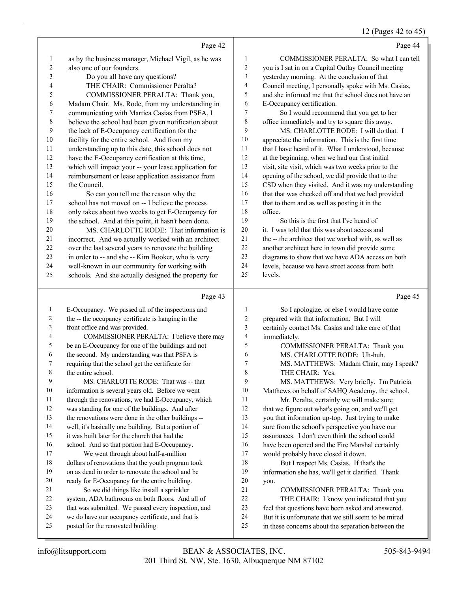#### 12 (Pages 42 to 45)

|              |                                                                                               |              | 12 (Pages 42 to 45                                                           |
|--------------|-----------------------------------------------------------------------------------------------|--------------|------------------------------------------------------------------------------|
|              | Page 42                                                                                       |              | Page 44                                                                      |
| $\mathbf{1}$ | as by the business manager, Michael Vigil, as he was                                          | 1            | COMMISSIONER PERALTA: So what I can tell                                     |
| 2            | also one of our founders.                                                                     | 2            | you is I sat in on a Capital Outlay Council meeting                          |
| 3            | Do you all have any questions?                                                                | 3            | yesterday morning. At the conclusion of that                                 |
| 4            | THE CHAIR: Commissioner Peralta?                                                              | 4            | Council meeting, I personally spoke with Ms. Casias,                         |
| 5            | COMMISSIONER PERALTA: Thank you,                                                              | 5            | and she informed me that the school does not have an                         |
| 6            | Madam Chair. Ms. Rode, from my understanding in                                               | 6            | E-Occupancy certification.                                                   |
| 7            | communicating with Martica Casias from PSFA, I                                                | 7            | So I would recommend that you get to her                                     |
| 8            | believe the school had been given notification about                                          | 8            | office immediately and try to square this away.                              |
| 9            | the lack of E-Occupancy certification for the                                                 | 9            | MS. CHARLOTTE RODE: I will do that. I                                        |
| 10           | facility for the entire school. And from my                                                   | $10\,$       | appreciate the information. This is the first time                           |
| 11           | understanding up to this date, this school does not                                           | 11           | that I have heard of it. What I understood, because                          |
| 12           | have the E-Occupancy certification at this time,                                              | 12           | at the beginning, when we had our first initial                              |
| 13           | which will impact your -- your lease application for                                          | 13           | visit, site visit, which was two weeks prior to the                          |
| 14           | reimbursement or lease application assistance from                                            | 14           | opening of the school, we did provide that to the                            |
| 15           | the Council.                                                                                  | 15           | CSD when they visited. And it was my understanding                           |
| 16           | So can you tell me the reason why the                                                         | 16           | that that was checked off and that we had provided                           |
| 17           | school has not moved on -- I believe the process                                              | 17           | that to them and as well as posting it in the                                |
| 18           | only takes about two weeks to get E-Occupancy for                                             | 18           | office.                                                                      |
| 19           | the school. And at this point, it hasn't been done.                                           | 19           | So this is the first that I've heard of                                      |
| 20           | MS. CHARLOTTE RODE: That information is                                                       | 20           | it. I was told that this was about access and                                |
| 21           | incorrect. And we actually worked with an architect                                           | 21           | the -- the architect that we worked with, as well as                         |
| 22           | over the last several years to renovate the building                                          | 22           | another architect here in town did provide some                              |
| 23           | in order to -- and she -- Kim Booker, who is very                                             | 23           | diagrams to show that we have ADA access on both                             |
| 24           | well-known in our community for working with                                                  | 24           | levels, because we have street access from both                              |
| 25           | schools. And she actually designed the property for                                           | 25           | levels.                                                                      |
|              | Page 43                                                                                       |              | Page 45                                                                      |
| $\mathbf{1}$ | E-Occupancy. We passed all of the inspections and                                             | $\mathbf{1}$ | So I apologize, or else I would have come                                    |
| 2            | the -- the occupancy certificate is hanging in the                                            | 2            | prepared with that information. But I will                                   |
| 3            | front office and was provided.                                                                | 3            | certainly contact Ms. Casias and take care of that                           |
| 4            | COMMISSIONER PERALTA: I believe there may                                                     | 4            | immediately.                                                                 |
| 5            | be an E-Occupancy for one of the buildings and not                                            | 5            | COMMISSIONER PERALTA: Thank you.                                             |
| 6            | the second. My understanding was that PSFA is                                                 | 6            | MS. CHARLOTTE RODE: Uh-huh.                                                  |
| 7            | requiring that the school get the certificate for                                             | 7            | MS. MATTHEWS: Madam Chair, may I speak?                                      |
| 8            | the entire school.                                                                            | 8            | THE CHAIR: Yes.                                                              |
| 9            | MS. CHARLOTTE RODE: That was -- that                                                          | 9            | MS. MATTHEWS: Very briefly. I'm Patricia                                     |
| 10           | information is several years old. Before we went                                              | 10           | Matthews on behalf of SAHQ Academy, the school.                              |
| 11           | through the renovations, we had E-Occupancy, which                                            | 11           | Mr. Peralta, certainly we will make sure                                     |
| 12           | was standing for one of the buildings. And after                                              | 12           | that we figure out what's going on, and we'll get                            |
| 13           | the renovations were done in the other buildings --                                           | 13           | you that information up-top. Just trying to make                             |
| 14           | well, it's basically one building. But a portion of                                           | 14           | sure from the school's perspective you have our                              |
| 15           | it was built later for the church that had the                                                | 15           | assurances. I don't even think the school could                              |
| 16           | school. And so that portion had E-Occupancy.                                                  | 16           | have been opened and the Fire Marshal certainly                              |
| 17           | We went through about half-a-million                                                          | 17           | would probably have closed it down.                                          |
| 18           | dollars of renovations that the youth program took                                            | 18           | But I respect Ms. Casias. If that's the                                      |
| 19           | on as dead in order to renovate the school and be                                             | 19           | information she has, we'll get it clarified. Thank                           |
| 20<br>21     | ready for E-Occupancy for the entire building.                                                | 20<br>21     | you.                                                                         |
| 22           | So we did things like install a sprinkler<br>system, ADA bathrooms on both floors. And all of | $22\,$       | COMMISSIONER PERALTA: Thank you.<br>THE CHAIR: I know you indicated that you |
| 23           | that was submitted. We passed every inspection, and                                           | 23           | feel that questions have been asked and answered.                            |
| 24           | we do have our occupancy certificate, and that is                                             | 24           | But it is unfortunate that we still seem to be mired                         |
|              |                                                                                               |              |                                                                              |

in these concerns about the separation between the

posted for the renovated building.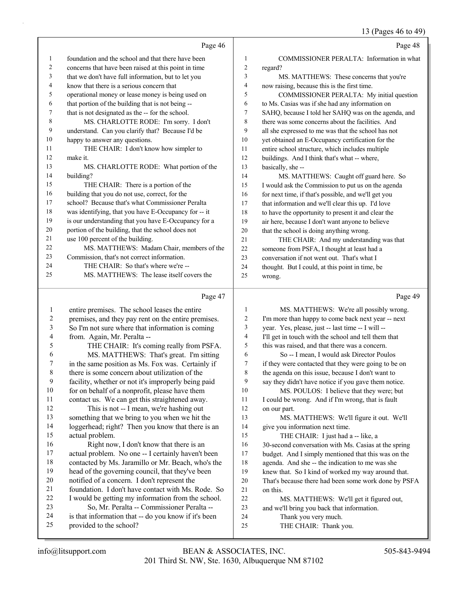|    |                                                      |                | $15 \times 1000$                                     |
|----|------------------------------------------------------|----------------|------------------------------------------------------|
|    | Page 46                                              |                | Page 48                                              |
| 1  | foundation and the school and that there have been   | 1              | COMMISSIONER PERALTA: Information in what            |
| 2  | concerns that have been raised at this point in time | $\overline{c}$ | regard?                                              |
| 3  | that we don't have full information, but to let you  | 3              | MS. MATTHEWS: These concerns that you're             |
| 4  | know that there is a serious concern that            | $\overline{4}$ | now raising, because this is the first time.         |
| 5  | operational money or lease money is being used on    | 5              | COMMISSIONER PERALTA: My initial question            |
| 6  | that portion of the building that is not being --    | 6              | to Ms. Casias was if she had any information on      |
| 7  | that is not designated as the -- for the school.     | 7              | SAHQ, because I told her SAHQ was on the agenda, and |
| 8  | MS. CHARLOTTE RODE: I'm sorry. I don't               | 8              | there was some concerns about the facilities. And    |
| 9  | understand. Can you clarify that? Because I'd be     | 9              | all she expressed to me was that the school has not  |
| 10 | happy to answer any questions.                       | 10             | yet obtained an E-Occupancy certification for the    |
| 11 | THE CHAIR: I don't know how simpler to               | 11             | entire school structure, which includes multiple     |
| 12 | make it.                                             | 12             | buildings. And I think that's what -- where,         |
| 13 | MS. CHARLOTTE RODE: What portion of the              | 13             | basically, she-                                      |
| 14 | building?                                            | 14             | MS. MATTHEWS: Caught off guard here. So              |
| 15 | THE CHAIR: There is a portion of the                 | 15             | I would ask the Commission to put us on the agenda   |
| 16 | building that you do not use, correct, for the       | 16             | for next time, if that's possible, and we'll get you |
| 17 | school? Because that's what Commissioner Peralta     | 17             | that information and we'll clear this up. I'd love   |
| 18 | was identifying, that you have E-Occupancy for -- it | 18             | to have the opportunity to present it and clear the  |
| 19 | is our understanding that you have E-Occupancy for a | 19             | air here, because I don't want anyone to believe     |
| 20 | portion of the building, that the school does not    | 20             | that the school is doing anything wrong.             |
| 21 | use 100 percent of the building.                     | 21             | THE CHAIR: And my understanding was that             |
| 22 | MS. MATTHEWS: Madam Chair, members of the            | 22             | someone from PSFA, I thought at least had a          |
| 23 | Commission, that's not correct information.          | 23             | conversation if not went out. That's what I          |
| 24 | THE CHAIR: So that's where we're --                  | 24             | thought. But I could, at this point in time, be      |
| 25 | MS. MATTHEWS: The lease itself covers the            | 25             | wrong.                                               |
|    | Page 47                                              |                | Page 49                                              |

 entire premises. The school leases the entire premises, and they pay rent on the entire premises. So I'm not sure where that information is coming from. Again, Mr. Peralta -- 5 THE CHAIR: It's coming really from PSFA. 6 MS. MATTHEWS: That's great. I'm sitting in the same position as Ms. Fox was. Certainly if there is some concern about utilization of the facility, whether or not it's improperly being paid 10 for on behalf of a nonprofit, please have them contact us. We can get this straightened away. 12 This is not -- I mean, we're hashing out something that we bring to you when we hit the loggerhead; right? Then you know that there is an actual problem. 16 Right now, I don't know that there is an actual problem. No one -- I certainly haven't been contacted by Ms. Jaramillo or Mr. Beach, who's the head of the governing council, that they've been notified of a concern. I don't represent the foundation. I don't have contact with Ms. Rode. So I would be getting my information from the school. 23 So, Mr. Peralta -- Commissioner Peralta -- is that information that -- do you know if it's been provided to the school? 1 MS. MATTHEWS: We're all possibly wrong. I'm more than happy to come back next year -- next year. Yes, please, just -- last time -- I will -- I'll get in touch with the school and tell them that this was raised, and that there was a concern. 6 So -- I mean, I would ask Director Poulos if they were contacted that they were going to be on the agenda on this issue, because I don't want to say they didn't have notice if you gave them notice. 10 MS. POULOS: I believe that they were; but I could be wrong. And if I'm wrong, that is fault on our part. 13 MS. MATTHEWS: We'll figure it out. We'll give you information next time. 15 THE CHAIR: I just had a -- like, a 30-second conversation with Ms. Casias at the spring budget. And I simply mentioned that this was on the agenda. And she -- the indication to me was she knew that. So I kind of worked my way around that. That's because there had been some work done by PSFA on this. 22 MS. MATTHEWS: We'll get it figured out, and we'll bring you back that information. 24 Thank you very much. 25 THE CHAIR: Thank you.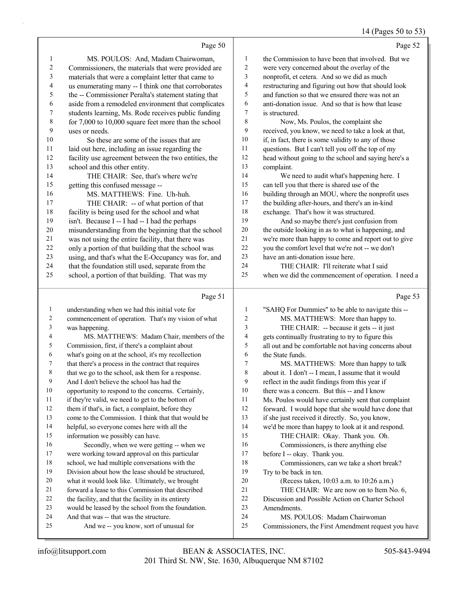#### 14 (Pages 50 to 53)

|                |                                                      |    | 14 (Pages 50 to 53)                                 |
|----------------|------------------------------------------------------|----|-----------------------------------------------------|
|                | Page 50                                              |    | Page 52                                             |
|                | MS. POULOS: And, Madam Chairwoman,                   |    | the Commission to have been that involved. But we   |
|                | Commissioners, the materials that were provided are  |    | were very concerned about the overlay of the        |
| 3              | materials that were a complaint letter that came to  |    | nonprofit, et cetera. And so we did as much         |
| $\overline{4}$ | us enumerating many -- I think one that corroborates | 4  | restructuring and figuring out how that should look |
| 5              | the -- Commissioner Peralta's statement stating that |    | and function so that we ensured there was not an    |
| 6              | aside from a remodeled environment that complicates  | 6  | anti-donation issue. And so that is how that lease  |
|                | students learning, Ms. Rode receives public funding  |    | is structured.                                      |
| 8              | for 7,000 to 10,000 square feet more than the school | 8  | Now, Ms. Poulos, the complaint she                  |
| 9              | uses or needs.                                       | 9  | received, you know, we need to take a look at that, |
| 10             | So these are some of the issues that are             | 10 | if, in fact, there is some validity to any of those |
| 11             | laid out here, including an issue regarding the      | 11 | questions. But I can't tell you off the top of my   |

 head without going to the school and saying here's a complaint. 14 We need to audit what's happening here. I

 can tell you that there is shared use of the building through an MOU, where the nonprofit uses the building after-hours, and there's an in-kind exchange. That's how it was structured.

19 And so maybe there's just confusion from the outside looking in as to what is happening, and we're more than happy to come and report out to give you the comfort level that we're not -- we don't have an anti-donation issue here.

24 THE CHAIR: I'll reiterate what I said when we did the commencement of operation. I need a

## Page 51

 understanding when we had this initial vote for commencement of operation. That's my vision of what was happening. 4 MS. MATTHEWS: Madam Chair, members of the Commission, first, if there's a complaint about what's going on at the school, it's my recollection that there's a process in the contract that requires that we go to the school, ask them for a response. And I don't believe the school has had the opportunity to respond to the concerns. Certainly, if they're valid, we need to get to the bottom of 12 them if that's, in fact, a complaint, before they come to the Commission. I think that that would be helpful, so everyone comes here with all the information we possibly can have. 16 Secondly, when we were getting -- when we were working toward approval on this particular school, we had multiple conversations with the Division about how the lease should be structured, what it would look like. Ultimately, we brought forward a lease to this Commission that described the facility, and that the facility in its entirety would be leased by the school from the foundation. And that was -- that was the structure. 25 And we -- you know, sort of unusual for "SAHQ For Dummies" to be able to navigate this -- 2 MS. MATTHEWS: More than happy to. 3 THE CHAIR: -- because it gets -- it just gets continually frustrating to try to figure this all out and be comfortable not having concerns about the State funds. 7 MS. MATTHEWS: More than happy to talk about it. I don't -- I mean, I assume that it would reflect in the audit findings from this year if 10 there was a concern. But this -- and I know Ms. Poulos would have certainly sent that complaint forward. I would hope that she would have done that if she just received it directly. So, you know, we'd be more than happy to look at it and respond. 15 THE CHAIR: Okay. Thank you. Oh. 16 Commissioners, is there anything else before I -- okay. Thank you. 18 Commissioners, can we take a short break? Try to be back in ten. 20 (Recess taken, 10:03 a.m. to 10:26 a.m.) 21 THE CHAIR: We are now on to Item No. 6, Discussion and Possible Action on Charter School Amendments. 24 MS. POULOS: Madam Chairwoman Commissioners, the First Amendment request you have

school and this other entity.

getting this confused message --

facility use agreement between the two entities, the

 misunderstanding from the beginning that the school was not using the entire facility, that there was only a portion of that building that the school was using, and that's what the E-Occupancy was for, and that the foundation still used, separate from the school, a portion of that building. That was my

14 THE CHAIR: See, that's where we're

16 MS. MATTHEWS: Fine. Uh-huh. 17 THE CHAIR: -- of what portion of that facility is being used for the school and what isn't. Because I -- I had -- I had the perhaps

#### Page 53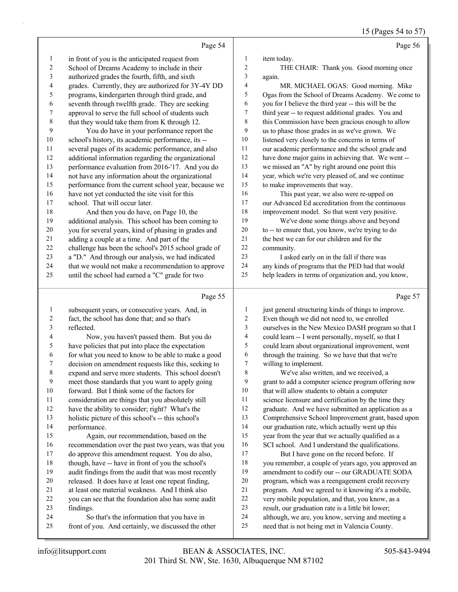15 (Pages 54 to 57)

|                          |                                                      |                | $15 \text{ (14505)} \cdot 100 \cdot 77$              |
|--------------------------|------------------------------------------------------|----------------|------------------------------------------------------|
|                          | Page 54                                              |                | Page 56                                              |
| $\mathbf{1}$             | in front of you is the anticipated request from      | 1              | item today.                                          |
| $\sqrt{2}$               | School of Dreams Academy to include in their         | $\overline{c}$ | THE CHAIR: Thank you. Good morning once              |
| 3                        | authorized grades the fourth, fifth, and sixth       | 3              | again.                                               |
| $\overline{\mathcal{L}}$ | grades. Currently, they are authorized for 3Y-4Y DD  | 4              | MR. MICHAEL OGAS: Good morning. Mike                 |
| 5                        | programs, kindergarten through third grade, and      | 5              | Ogas from the School of Dreams Academy. We come to   |
| 6                        | seventh through twelfth grade. They are seeking      | 6              | you for I believe the third year -- this will be the |
| $\tau$                   | approval to serve the full school of students such   | 7              | third year -- to request additional grades. You and  |
| $\,$ $\,$                | that they would take them from K through 12.         | 8              | this Commission have been gracious enough to allow   |
| 9                        | You do have in your performance report the           | 9              | us to phase those grades in as we've grown. We       |
| $10\,$                   | school's history, its academic performance, its --   | 10             | listened very closely to the concerns in terms of    |
| $11\,$                   | several pages of its academic performance, and also  | 11             | our academic performance and the school grade and    |
| 12                       | additional information regarding the organizational  | $12\,$         | have done major gains in achieving that. We went --  |
| 13                       | performance evaluation from 2016-'17. And you do     | 13             | we missed an "A" by right around one point this      |
| 14                       | not have any information about the organizational    | 14             | year, which we're very pleased of, and we continue   |
| 15                       | performance from the current school year, because we | 15             | to make improvements that way.                       |
| 16                       | have not yet conducted the site visit for this       | 16             | This past year, we also were re-upped on             |
| $17\,$                   | school. That will occur later.                       | $17\,$         | our Advanced Ed accreditation from the continuous    |
| 18                       | And then you do have, on Page 10, the                | $18\,$         | improvement model. So that went very positive.       |
| 19                       | additional analysis. This school has been coming to  | 19             | We've done some things above and beyond              |
| $20\,$                   | you for several years, kind of phasing in grades and | $20\,$         | to -- to ensure that, you know, we're trying to do   |
| 21                       | adding a couple at a time. And part of the           | 21             | the best we can for our children and for the         |
| 22                       | challenge has been the school's 2015 school grade of | $22\,$         | community.                                           |
| 23                       | a "D." And through our analysis, we had indicated    | 23             | I asked early on in the fall if there was            |
| 24                       | that we would not make a recommendation to approve   | 24             | any kinds of programs that the PED had that would    |
| 25                       | until the school had earned a "C" grade for two      | 25             | help leaders in terms of organization and, you know, |
|                          | Page 55                                              |                | Page 57                                              |
| 1                        | subsequent years, or consecutive years. And, in      | $\mathbf{1}$   | just general structuring kinds of things to improve. |
| $\overline{c}$           | fact, the school has done that; and so that's        | 2              | Even though we did not need to, we enrolled          |
| $\mathfrak{Z}$           | reflected.                                           | 3              | ourselves in the New Mexico DASH program so that I   |
| $\overline{\mathcal{L}}$ | Now, you haven't passed them. But you do             | 4              | could learn -- I went personally, myself, so that I  |
| 5                        | have policies that put into place the expectation    | 5              | could learn about organizational improvement, went   |
| 6                        | for what you need to know to be able to make a good  | 6              | through the training. So we have that that we're     |
| 7                        | decision on amendment requests like this, seeking to | 7              | willing to implement.                                |
| 8                        | expand and serve more students. This school doesn't  | 8              | We've also written, and we received, a               |
| 9                        | meet those standards that you want to apply going    | 9              | grant to add a computer science program offering now |
| $10\,$                   | forward. But I think some of the factors for         | 10             | that will allow students to obtain a computer        |
| $11\,$                   | consideration are things that you absolutely still   | 11             | science licensure and certification by the time they |
| 12                       | have the ability to consider; right? What's the      | 12             | graduate. And we have submitted an application as a  |
| 13                       | holistic picture of this school's -- this school's   | 13             | Comprehensive School Improvement grant, based upon   |
| 14                       | performance.                                         | 14             | our graduation rate, which actually went up this     |
| 15                       | Again, our recommendation, based on the              | 15             | year from the year that we actually qualified as a   |
| 16                       | recommendation over the past two years, was that you | 16             | SCI school. And I understand the qualifications.     |
| 17                       | do approve this amendment request. You do also,      | 17             | But I have gone on the record before. If             |

findings.

18 though, have -- have in front of you the school's audit findings from the audit that was most recently released. It does have at least one repeat finding, at least one material weakness. And I think also you can see that the foundation also has some audit

24 So that's the information that you have in front of you. And certainly, we discussed the other  you remember, a couple of years ago, you approved an amendment to codify our -- our GRADUATE SODA program, which was a reengagement credit recovery program. And we agreed to it knowing it's a mobile, very mobile population, and that, you know, as a result, our graduation rate is a little bit lower; although, we are, you know, serving and meeting a need that is not being met in Valencia County.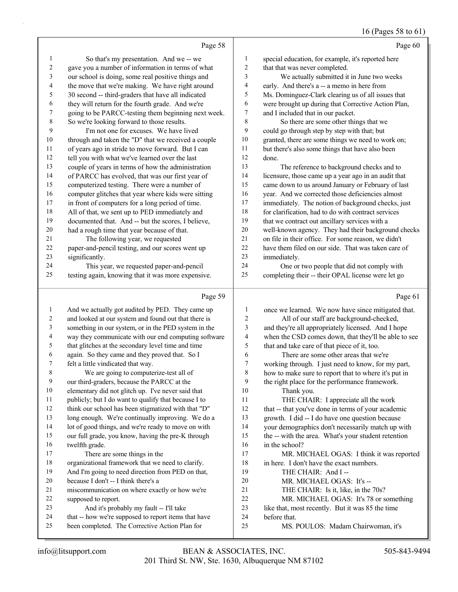# 16 (Pages 58 to 61)

|                | Page 58                                             |                | Page 60                                              |
|----------------|-----------------------------------------------------|----------------|------------------------------------------------------|
| 1              | So that's my presentation. And we -- we             | 1              | special education, for example, it's reported here   |
| $\overline{2}$ | gave you a number of information in terms of what   | $\overline{2}$ | that that was never completed.                       |
| 3              | our school is doing, some real positive things and  | 3              | We actually submitted it in June two weeks           |
| 4              | the move that we're making. We have right around    | 4              | early. And there's a -- a memo in here from          |
| 5              | 30 second -- third-graders that have all indicated  | 5              | Ms. Dominguez-Clark clearing us of all issues that   |
| 6              | they will return for the fourth grade. And we're    | 6              | were brought up during that Corrective Action Plan,  |
| 7              | going to be PARCC-testing them beginning next week. | 7              | and I included that in our packet.                   |
| 8              | So we're looking forward to those results.          | 8              | So there are some other things that we               |
| 9              | I'm not one for excuses. We have lived              | 9              | could go through step by step with that; but         |
| 10             | through and taken the "D" that we received a couple | 10             | granted, there are some things we need to work on;   |
| 11             | of years ago in stride to move forward. But I can   | 11             | but there's also some things that have also been     |
| 12             | tell you with what we've learned over the last      | 12             | done.                                                |
| 13             | couple of years in terms of how the administration  | 13             | The reference to background checks and to            |
| 14             | of PARCC has evolved, that was our first year of    | 14             | licensure, those came up a year ago in an audit that |
| 15             | computerized testing. There were a number of        | 15             | came down to us around January or February of last   |
| 16             | computer glitches that year where kids were sitting | 16             | year. And we corrected those deficiencies almost     |
| 17             | in front of computers for a long period of time.    | 17             | immediately. The notion of background checks, just   |
| 18             | All of that, we sent up to PED immediately and      | 18             | for clarification, had to do with contract services  |
| 19             | documented that. And -- but the scores, I believe,  | 19             | that we contract out ancillary services with a       |
| 20             | had a rough time that year because of that.         | 20             | well-known agency. They had their background checks  |
| 21             | The following year, we requested                    | 21             | on file in their office. For some reason, we didn't  |
| 22             | paper-and-pencil testing, and our scores went up    | 22             | have them filed on our side. That was taken care of  |
| 23             | significantly.                                      | 23             | immediately.                                         |
| 24             | This year, we requested paper-and-pencil            | 24             | One or two people that did not comply with           |
| 25             | testing again, knowing that it was more expensive.  | 25             | completing their -- their OPAL license were let go   |
|                | Page 59                                             |                | Page 61                                              |

|    | And we actually got audited by PED. They came up     |              | once we learned. We now have since mitigated that.   |
|----|------------------------------------------------------|--------------|------------------------------------------------------|
| 2  | and looked at our system and found out that there is | $\mathbf{2}$ | All of our staff are background-checked,             |
| 3  | something in our system, or in the PED system in the | 3            | and they're all appropriately licensed. And I hope   |
| 4  | way they communicate with our end computing software | 4            | when the CSD comes down, that they'll be able to see |
| 5  | that glitches at the secondary level time and time   | 5            | that and take care of that piece of it, too.         |
| 6  | again. So they came and they proved that. So I       | 6            | There are some other areas that we're                |
| 7  | felt a little vindicated that way.                   | 7            | working through. I just need to know, for my part,   |
| 8  | We are going to computerize-test all of              | 8            | how to make sure to report that to where it's put in |
| 9  | our third-graders, because the PARCC at the          | 9            | the right place for the performance framework.       |
| 10 | elementary did not glitch up. I've never said that   | 10           | Thank you.                                           |
| 11 | publicly; but I do want to qualify that because I to | 11           | THE CHAIR: I appreciate all the work                 |
| 12 | think our school has been stigmatized with that "D"  | 12           | that -- that you've done in terms of your academic   |
| 13 | long enough. We're continually improving. We do a    | 13           | growth. I did -- I do have one question because      |
| 14 | lot of good things, and we're ready to move on with  | 14           | your demographics don't necessarily match up with    |
| 15 | our full grade, you know, having the pre-K through   | 15           | the -- with the area. What's your student retention  |
| 16 | twelfth grade.                                       | 16           | in the school?                                       |
| 17 | There are some things in the                         | 17           | MR. MICHAEL OGAS: I think it was reported            |
| 18 | organizational framework that we need to clarify.    | 18           | in here. I don't have the exact numbers.             |
| 19 | And I'm going to need direction from PED on that,    | 19           | THE CHAIR: And I-                                    |
| 20 | because I don't -- I think there's a                 | 20           | MR. MICHAEL OGAS: It's --                            |
| 21 | miscommunication on where exactly or how we're       | 21           | THE CHAIR: Is it, like, in the 70s?                  |
| 22 | supposed to report.                                  | 22           | MR. MICHAEL OGAS: It's 78 or something               |
| 23 | And it's probably my fault -- I'll take              | 23           | like that, most recently. But it was 85 the time     |
| 24 | that -- how we're supposed to report items that have | 24           | before that.                                         |
| 25 | been completed. The Corrective Action Plan for       | 25           | MS. POULOS: Madam Chairwoman, it's                   |
|    |                                                      |              |                                                      |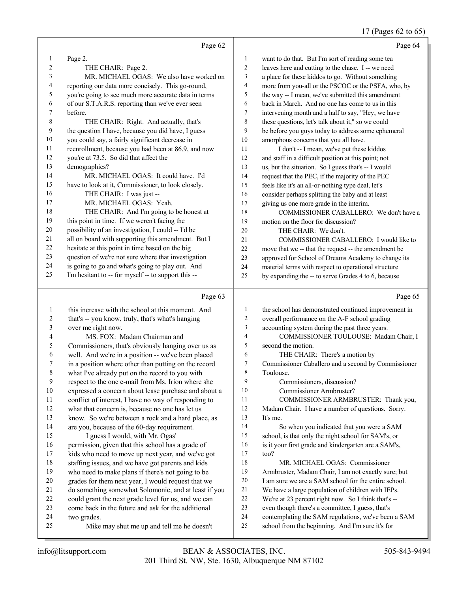# 17 (Pages 62 to 65)

|    | Page 62                                              |                | Page 64                                              |
|----|------------------------------------------------------|----------------|------------------------------------------------------|
| 1  | Page 2.                                              | 1              | want to do that. But I'm sort of reading some tea    |
| 2  | THE CHAIR: Page 2.                                   | $\overline{2}$ | leaves here and cutting to the chase. I -- we need   |
| 3  | MR. MICHAEL OGAS: We also have worked on             | 3              | a place for these kiddos to go. Without something    |
| 4  | reporting our data more concisely. This go-round,    | $\overline{4}$ | more from you-all or the PSCOC or the PSFA, who, by  |
| 5  | you're going to see much more accurate data in terms | 5              | the way -- I mean, we've submitted this amendment    |
| 6  | of our S.T.A.R.S. reporting than we've ever seen     | 6              | back in March. And no one has come to us in this     |
| 7  | before.                                              | $\overline{7}$ | intervening month and a half to say, "Hey, we have   |
| 8  | THE CHAIR: Right. And actually, that's               | 8              | these questions, let's talk about it," so we could   |
| 9  | the question I have, because you did have, I guess   | 9              | be before you guys today to address some ephemeral   |
| 10 | you could say, a fairly significant decrease in      | 10             | amorphous concerns that you all have.                |
| 11 | reenrollment, because you had been at 86.9, and now  | 11             | I don't -- I mean, we've put these kiddos            |
| 12 | you're at 73.5. So did that affect the               | 12             | and staff in a difficult position at this point; not |
| 13 | demographics?                                        | 13             | us, but the situation. So I guess that's -- I would  |
| 14 | MR. MICHAEL OGAS: It could have. I'd                 | 14             | request that the PEC, if the majority of the PEC     |
| 15 | have to look at it, Commissioner, to look closely.   | 15             | feels like it's an all-or-nothing type deal, let's   |
| 16 | THE CHAIR: I was just --                             | 16             | consider perhaps splitting the baby and at least     |
| 17 | MR. MICHAEL OGAS: Yeah.                              | 17             | giving us one more grade in the interim.             |
| 18 | THE CHAIR: And I'm going to be honest at             | 18             | COMMISSIONER CABALLERO: We don't have a              |
| 19 | this point in time. If we weren't facing the         | 19             | motion on the floor for discussion?                  |
| 20 | possibility of an investigation, I could -- I'd be   | 20             | THE CHAIR: We don't.                                 |
| 21 | all on board with supporting this amendment. But I   | 21             | COMMISSIONER CABALLERO: I would like to              |
| 22 | hesitate at this point in time based on the big      | 22             | move that we -- that the request -- the amendment be |
| 23 | question of we're not sure where that investigation  | 23             | approved for School of Dreams Academy to change its  |
| 24 | is going to go and what's going to play out. And     | 24             | material terms with respect to operational structure |
| 25 | I'm hesitant to -- for myself -- to support this --  | 25             | by expanding the -- to serve Grades 4 to 6, because  |

## Page 63

|    | Page 63                                              |                | Page 65                                              |
|----|------------------------------------------------------|----------------|------------------------------------------------------|
| 1  | this increase with the school at this moment. And    | 1              | the school has demonstrated continued improvement in |
| 2  | that's -- you know, truly, that's what's hanging     | 2              | overall performance on the A-F school grading        |
| 3  | over me right now.                                   | 3              | accounting system during the past three years.       |
| 4  | MS. FOX: Madam Chairman and                          | $\overline{4}$ | COMMISSIONER TOULOUSE: Madam Chair, I                |
| 5  | Commissioners, that's obviously hanging over us as   | 5              | second the motion.                                   |
| 6  | well. And we're in a position -- we've been placed   | 6              | THE CHAIR: There's a motion by                       |
| 7  | in a position where other than putting on the record | 7              | Commissioner Caballero and a second by Commissioner  |
| 8  | what I've already put on the record to you with      | 8              | Toulouse.                                            |
| 9  | respect to the one e-mail from Ms. Irion where she   | 9              | Commissioners, discussion?                           |
| 10 | expressed a concern about lease purchase and about a | 10             | Commissioner Armbruster?                             |
| 11 | conflict of interest, I have no way of responding to | 11             | COMMISSIONER ARMBRUSTER: Thank you,                  |
| 12 | what that concern is, because no one has let us      | 12             | Madam Chair. I have a number of questions. Sorry.    |
| 13 | know. So we're between a rock and a hard place, as   | 13             | It's me.                                             |
| 14 | are you, because of the 60-day requirement.          | 14             | So when you indicated that you were a SAM            |
| 15 | I guess I would, with Mr. Ogas'                      | 15             | school, is that only the night school for SAM's, or  |
| 16 | permission, given that this school has a grade of    | 16             | is it your first grade and kindergarten are a SAM's, |
| 17 | kids who need to move up next year, and we've got    | 17             | $\text{too?}$                                        |
| 18 | staffing issues, and we have got parents and kids    | 18             | MR. MICHAEL OGAS: Commissioner                       |
| 19 | who need to make plans if there's not going to be    | 19             | Armbruster, Madam Chair, I am not exactly sure; but  |
| 20 | grades for them next year, I would request that we   | 20             | I am sure we are a SAM school for the entire school. |
| 21 | do something somewhat Solomonic, and at least if you | 21             | We have a large population of children with IEPs.    |
| 22 | could grant the next grade level for us, and we can  | 22             | We're at 23 percent right now. So I think that's --  |
| 23 | come back in the future and ask for the additional   | 23             | even though there's a committee, I guess, that's     |
| 24 | two grades.                                          | 24             | contemplating the SAM regulations, we've been a SAM  |
| 25 | Mike may shut me up and tell me he doesn't           | 25             | school from the beginning. And I'm sure it's for     |
|    |                                                      |                |                                                      |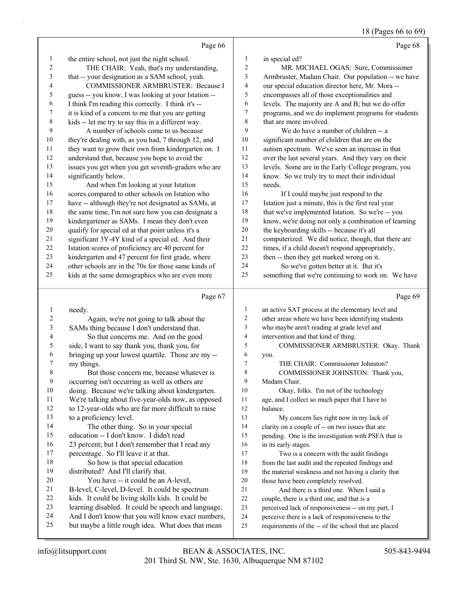# 18 (Pages 66 to 69)

|                  | Page 66                                                                                                  |                | Page 68                                              |
|------------------|----------------------------------------------------------------------------------------------------------|----------------|------------------------------------------------------|
| $\mathbf{1}$     | the entire school, not just the night school.                                                            | 1              | in special ed?                                       |
| 2                | THE CHAIR: Yeah, that's my understanding,                                                                | 2              | MR. MICHAEL OGAS: Sure, Commissioner                 |
| 3                | that -- your designation as a SAM school, yeah.                                                          | 3              | Armbruster, Madam Chair. Our population -- we have   |
| 4                | COMMISSIONER ARMBRUSTER: Because I                                                                       | 4              | our special education director here, Mr. Mora --     |
| 5                | guess -- you know, I was looking at your Istation --                                                     | 5              | encompasses all of those exceptionalities and        |
| 6                | I think I'm reading this correctly. I think it's --                                                      | 6              | levels. The majority are A and B; but we do offer    |
| 7                | it is kind of a concern to me that you are getting                                                       | 7              | programs, and we do implement programs for students  |
| 8                | kids -- let me try to say this in a different way.                                                       | 8              | that are more involved.                              |
| 9                | A number of schools come to us because                                                                   | 9              | We do have a number of children -- a                 |
| 10               | they're dealing with, as you had, 7 through 12, and                                                      | 10             | significant number of children that are on the       |
| 11               | they want to grow their own from kindergarten on. I                                                      | 11             | autism spectrum. We've seen an increase in that      |
| 12               | understand that, because you hope to avoid the                                                           | 12             | over the last several years. And they vary on their  |
| 13               | issues you get when you get seventh-graders who are                                                      | 13             | levels. Some are in the Early College program, you   |
| 14               | significantly below.                                                                                     | 14             | know. So we truly try to meet their individual       |
| 15               | And when I'm looking at your Istation                                                                    | 15             | needs.                                               |
| 16               | scores compared to other schools on Istation who                                                         | 16             | If I could maybe just respond to the                 |
| 17               | have -- although they're not designated as SAMs, at                                                      | 17             | Istation just a minute, this is the first real year  |
| 18               | the same time, I'm not sure how you can designate a                                                      | 18             | that we've implemented Istation. So we're -- you     |
| 19               | kindergartener as SAMs. I mean they don't even                                                           | 19             | know, we're doing not only a combination of learning |
| $20\,$           | qualify for special ed at that point unless it's a                                                       | $20\,$         | the keyboarding skills -- because it's all           |
| $21\,$           | significant 3Y-4Y kind of a special ed. And their                                                        | 21             | computerized. We did notice, though, that there are  |
| $22\,$           | Istation scores of proficiency are 40 percent for                                                        | 22             | times, if a child doesn't respond appropriately,     |
| 23               | kindergarten and 47 percent for first grade, where                                                       | 23             | then -- then they get marked wrong on it.            |
| 24               | other schools are in the 70s for those same kinds of                                                     | 24             | So we've gotten better at it. But it's               |
| 25               | kids at the same demographics who are even more                                                          | 25             | something that we're continuing to work on. We have  |
|                  |                                                                                                          |                |                                                      |
|                  |                                                                                                          |                |                                                      |
|                  | Page 67                                                                                                  |                | Page 69                                              |
| $\mathbf{1}$     | needy.                                                                                                   | 1              | an active SAT process at the elementary level and    |
| 2                | Again, we're not going to talk about the                                                                 | $\overline{c}$ | other areas where we have been identifying students  |
| 3                | SAMs thing because I don't understand that.                                                              | 3              | who maybe aren't reading at grade level and          |
| 4                | So that concerns me. And on the good                                                                     | $\overline{4}$ | intervention and that kind of thing.                 |
| 5                | side, I want to say thank you, thank you, for                                                            | 5              | COMMISSIONER ARMBRUSTER: Okay. Thank                 |
| 6                | bringing up your lowest quartile. Those are my --                                                        | 6              | you.                                                 |
| $\boldsymbol{7}$ | my things.                                                                                               | 7              | THE CHAIR: Commissioner Johnston?                    |
| 8                | But those concern me, because whatever is                                                                | 8              | COMMISSIONER JOHNSTON: Thank you,                    |
| 9                | occurring isn't occurring as well as others are                                                          | 9              | Madam Chair.                                         |
| 10               | doing. Because we're talking about kindergarten.                                                         | 10             | Okay, folks. I'm not of the technology               |
| 11               | We're talking about five-year-olds now, as opposed                                                       | 11             | age, and I collect so much paper that I have to      |
| 12               | to 12-year-olds who are far more difficult to raise                                                      | 12             | balance.                                             |
| 13               | to a proficiency level.                                                                                  | 13             | My concern lies right now in my lack of              |
| 14               | The other thing. So in your special                                                                      | 14             | clarity on a couple of -- on two issues that are     |
| 15               | education -- I don't know. I didn't read                                                                 | 15             | pending. One is the investigation with PSFA that is  |
| 16               | 23 percent; but I don't remember that I read any                                                         | 16             | in its early stages.                                 |
| 17               | percentage. So I'll leave it at that.                                                                    | 17             | Two is a concern with the audit findings             |
| 18               | So how is that special education                                                                         | 18             | from the last audit and the repeated findings and    |
| 19               | distributed? And I'll clarify that.                                                                      | 19             | the material weakness and not having a clarity that  |
| 20               | You have -- it could be an A-level,                                                                      | 20             | those have been completely resolved.                 |
| 21               | B-level, C-level, D-level. It could be spectrum                                                          | 21             | And there is a third one. When I said a              |
| 22               | kids. It could be living skills kids. It could be                                                        | 22             | couple, there is a third one, and that is a          |
| 23               | learning disabled. It could be speech and language.                                                      | 23             | perceived lack of responsiveness -- on my part, I    |
| 24<br>25         | And I don't know that you will know exact numbers,<br>but maybe a little rough idea. What does that mean | 24             | perceive there is a lack of responsiveness to the    |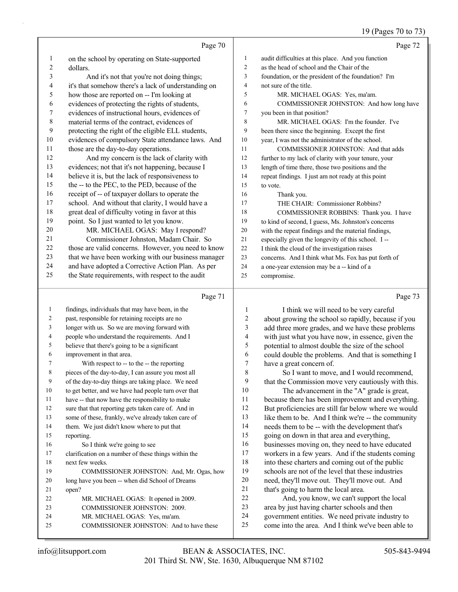# 19 (Pages 70 to 73)

|                | Page 70                                                                                             |                          | Page 72                                                                                                 |
|----------------|-----------------------------------------------------------------------------------------------------|--------------------------|---------------------------------------------------------------------------------------------------------|
| $\mathbf{1}$   | on the school by operating on State-supported                                                       | 1                        | audit difficulties at this place. And you function                                                      |
| $\overline{c}$ | dollars.                                                                                            | $\overline{c}$           | as the head of school and the Chair of the                                                              |
| 3              | And it's not that you're not doing things;                                                          | 3                        | foundation, or the president of the foundation? I'm                                                     |
| 4              | it's that somehow there's a lack of understanding on                                                | $\overline{\mathbf{4}}$  | not sure of the title.                                                                                  |
| 5              | how those are reported on -- I'm looking at                                                         | 5                        | MR. MICHAEL OGAS: Yes, ma'am.                                                                           |
| 6              | evidences of protecting the rights of students,                                                     | 6                        | COMMISSIONER JOHNSTON: And how long have                                                                |
| 7              | evidences of instructional hours, evidences of                                                      | 7                        | you been in that position?                                                                              |
| $\,$ 8 $\,$    | material terms of the contract, evidences of                                                        | $\,$ 8 $\,$              | MR. MICHAEL OGAS: I'm the founder. I've                                                                 |
| 9              | protecting the right of the eligible ELL students,                                                  | 9                        | been there since the beginning. Except the first                                                        |
| $10\,$         | evidences of compulsory State attendance laws. And                                                  | 10                       | year, I was not the administrator of the school.                                                        |
| 11             | those are the day-to-day operations.                                                                | 11                       | COMMISSIONER JOHNSTON: And that adds                                                                    |
| 12             | And my concern is the lack of clarity with                                                          | 12                       | further to my lack of clarity with your tenure, your                                                    |
| 13             | evidences; not that it's not happening, because I                                                   | 13                       | length of time there, those two positions and the                                                       |
| 14             | believe it is, but the lack of responsiveness to                                                    | 14                       | repeat findings. I just am not ready at this point                                                      |
| 15             | the -- to the PEC, to the PED, because of the                                                       | 15                       | to vote.                                                                                                |
| 16             | receipt of -- of taxpayer dollars to operate the                                                    | 16                       | Thank you.                                                                                              |
| 17             | school. And without that clarity, I would have a                                                    | 17                       | THE CHAIR: Commissioner Robbins?                                                                        |
| 18             | great deal of difficulty voting in favor at this                                                    | 18                       | COMMISSIONER ROBBINS: Thank you. I have                                                                 |
| 19             | point. So I just wanted to let you know.                                                            | 19                       | to kind of second, I guess, Ms. Johnston's concerns                                                     |
| 20             | MR. MICHAEL OGAS: May I respond?                                                                    | 20                       | with the repeat findings and the material findings,                                                     |
| 21             | Commissioner Johnston, Madam Chair. So                                                              | 21                       | especially given the longevity of this school. I --                                                     |
| $22\,$         | those are valid concerns. However, you need to know                                                 | 22                       | I think the cloud of the investigation raises                                                           |
| 23             | that we have been working with our business manager                                                 | 23                       | concerns. And I think what Ms. Fox has put forth of                                                     |
| 24             | and have adopted a Corrective Action Plan. As per                                                   | 24                       | a one-year extension may be a -- kind of a                                                              |
| 25             | the State requirements, with respect to the audit                                                   | 25                       | compromise.                                                                                             |
|                |                                                                                                     |                          |                                                                                                         |
|                | Page 71                                                                                             |                          | Page 73                                                                                                 |
| 1              |                                                                                                     | 1                        |                                                                                                         |
| 2              | findings, individuals that may have been, in the<br>past, responsible for retaining receipts are no | $\overline{c}$           | I think we will need to be very careful                                                                 |
| 3              | longer with us. So we are moving forward with                                                       | 3                        | about growing the school so rapidly, because if you                                                     |
| 4              | people who understand the requirements. And I                                                       | $\overline{\mathcal{L}}$ | add three more grades, and we have these problems<br>with just what you have now, in essence, given the |
| 5              | believe that there's going to be a significant                                                      | 5                        |                                                                                                         |
| 6              | improvement in that area.                                                                           | 6                        | potential to almost double the size of the school                                                       |
| 7              | With respect to -- to the -- the reporting                                                          | 7                        | could double the problems. And that is something I<br>have a great concern of.                          |
| 8              | pieces of the day-to-day, I can assure you most all                                                 | 8                        | So I want to move, and I would recommend,                                                               |
| 9              | of the day-to-day things are taking place. We need                                                  | 9                        | that the Commission move very cautiously with this.                                                     |
| 10             | to get better, and we have had people turn over that                                                | 10                       | The advancement in the "A" grade is great,                                                              |
| 11             | have -- that now have the responsibility to make                                                    | 11                       | because there has been improvement and everything.                                                      |
| 12             | sure that that reporting gets taken care of. And in                                                 | 12                       | But proficiencies are still far below where we would                                                    |
| 13             | some of these, frankly, we've already taken care of                                                 | 13                       | like them to be. And I think we're -- the community                                                     |
| 14             | them. We just didn't know where to put that                                                         | 14                       | needs them to be -- with the development that's                                                         |
| 15             | reporting.                                                                                          | 15                       | going on down in that area and everything,                                                              |
| 16             | So I think we're going to see                                                                       | 16                       | businesses moving on, they need to have educated                                                        |
| 17             | clarification on a number of these things within the                                                | 17                       | workers in a few years. And if the students coming                                                      |
| 18             | next few weeks.                                                                                     | 18                       | into these charters and coming out of the public                                                        |
| 19             | COMMISSIONER JOHNSTON: And, Mr. Ogas, how                                                           | 19                       | schools are not of the level that these industries                                                      |
| 20             | long have you been -- when did School of Dreams                                                     | $20\,$                   | need, they'll move out. They'll move out. And                                                           |
| 21             | open?                                                                                               | 21                       | that's going to harm the local area.                                                                    |
| 22             | MR. MICHAEL OGAS: It opened in 2009.                                                                | 22                       | And, you know, we can't support the local                                                               |
| 23             | COMMISSIONER JOHNSTON: 2009.                                                                        | 23                       | area by just having charter schools and then                                                            |
| 24<br>25       | MR. MICHAEL OGAS: Yes, ma'am.<br>COMMISSIONER JOHNSTON: And to have these                           | 24<br>25                 | government entities. We need private industry to<br>come into the area. And I think we've been able to  |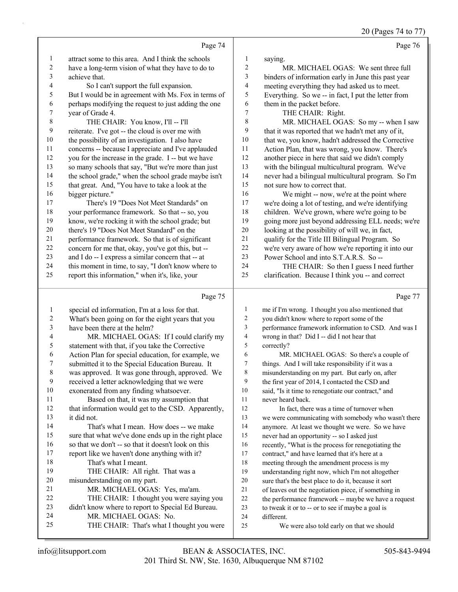20 (Pages 74 to 77)

|                          |                                                                    |                  | 20 (1 agos $7 + 10$ ) $7$                               |
|--------------------------|--------------------------------------------------------------------|------------------|---------------------------------------------------------|
|                          | Page 74                                                            |                  | Page 76                                                 |
| 1                        | attract some to this area. And I think the schools                 | 1                | saying.                                                 |
| $\sqrt{2}$               | have a long-term vision of what they have to do to                 | $\sqrt{2}$       | MR. MICHAEL OGAS: We sent three full                    |
| 3                        | achieve that.                                                      | 3                | binders of information early in June this past year     |
| $\overline{\mathcal{L}}$ | So I can't support the full expansion.                             | 4                | meeting everything they had asked us to meet.           |
| 5                        | But I would be in agreement with Ms. Fox in terms of               | 5                | Everything. So we -- in fact, I put the letter from     |
| 6                        | perhaps modifying the request to just adding the one               | 6                | them in the packet before.                              |
| $\boldsymbol{7}$         | year of Grade 4.                                                   | $\boldsymbol{7}$ | THE CHAIR: Right.                                       |
| $\,$ $\,$                | THE CHAIR: You know, I'll -- I'll                                  | $\,$ $\,$        | MR. MICHAEL OGAS: So my -- when I saw                   |
| 9                        | reiterate. I've got -- the cloud is over me with                   | 9                | that it was reported that we hadn't met any of it,      |
| $10\,$                   | the possibility of an investigation. I also have                   | $10\,$           | that we, you know, hadn't addressed the Corrective      |
| 11                       | concerns -- because I appreciate and I've applauded                | 11               | Action Plan, that was wrong, you know. There's          |
| 12                       | you for the increase in the grade. I -- but we have                | 12               | another piece in here that said we didn't comply        |
| 13                       | so many schools that say, "But we're more than just                | 13               | with the bilingual multicultural program. We've         |
| 14                       | the school grade," when the school grade maybe isn't               | 14               | never had a bilingual multicultural program. So I'm     |
| 15                       | that great. And, "You have to take a look at the                   | 15               | not sure how to correct that.                           |
| 16                       | bigger picture."                                                   | 16               | We might -- now, we're at the point where               |
| 17                       | There's 19 "Does Not Meet Standards" on                            | $17\,$           | we're doing a lot of testing, and we're identifying     |
| 18                       | your performance framework. So that -- so, you                     | 18               | children. We've grown, where we're going to be          |
| 19                       | know, we're rocking it with the school grade; but                  | 19               | going more just beyond addressing ELL needs; we're      |
| $20\,$                   | there's 19 "Does Not Meet Standard" on the                         | $20\,$           | looking at the possibility of will we, in fact,         |
| 21                       | performance framework. So that is of significant                   | $21\,$           | qualify for the Title III Bilingual Program. So         |
| 22                       | concern for me that, okay, you've got this, but --                 | 22               | we're very aware of how we're reporting it into our     |
| 23                       | and I do -- I express a similar concern that -- at                 | 23               | Power School and into S.T.A.R.S. So --                  |
| 24                       | this moment in time, to say, "I don't know where to                | 24               | THE CHAIR: So then I guess I need further               |
| 25                       | report this information," when it's, like, your                    | 25               | clarification. Because I think you -- and correct       |
|                          |                                                                    |                  |                                                         |
|                          |                                                                    |                  |                                                         |
|                          | Page 75                                                            |                  | Page 77                                                 |
| 1                        | special ed information, I'm at a loss for that.                    | 1                | me if I'm wrong. I thought you also mentioned that      |
| $\overline{c}$           | What's been going on for the eight years that you                  | $\overline{c}$   | you didn't know where to report some of the             |
| 3                        | have been there at the helm?                                       | 3                | performance framework information to CSD. And was I     |
| $\overline{\mathcal{L}}$ | MR. MICHAEL OGAS: If I could clarify my                            | 4                | wrong in that? Did I -- did I not hear that             |
| 5                        | statement with that, if you take the Corrective                    | 5                | correctly?                                              |
| 6                        | Action Plan for special education, for example, we                 | 6                | MR. MICHAEL OGAS: So there's a couple of                |
| 7                        | submitted it to the Special Education Bureau. It                   | 7                | things. And I will take responsibility if it was a      |
| $\,8\,$                  | was approved. It was gone through, approved. We                    | 8                | misunderstanding on my part. But early on, after        |
| 9                        | received a letter acknowledging that we were                       | 9                | the first year of 2014, I contacted the CSD and         |
| 10                       | exonerated from any finding whatsoever.                            | 10               | said, "Is it time to renegotiate our contract," and     |
| 11                       | Based on that, it was my assumption that                           | 11               | never heard back.                                       |
| 12                       | that information would get to the CSD. Apparently,                 | 12               | In fact, there was a time of turnover when              |
| 13                       | it did not.                                                        | 13               | we were communicating with somebody who wasn't there    |
| 14                       | That's what I mean. How does -- we make                            | 14               | anymore. At least we thought we were. So we have        |
| 15                       | sure that what we've done ends up in the right place               | 15               | never had an opportunity -- so I asked just             |
| 16                       | so that we don't -- so that it doesn't look on this                | 16               | recently, "What is the process for renegotiating the    |
| 17                       | report like we haven't done anything with it?                      | 17               | contract," and have learned that it's here at a         |
| 18                       | That's what I meant.                                               | 18               | meeting through the amendment process is my             |
| 19                       | THE CHAIR: All right. That was a                                   | 19               | understanding right now, which I'm not altogether       |
| 20                       | misunderstanding on my part.                                       | 20               | sure that's the best place to do it, because it sort    |
| 21                       | MR. MICHAEL OGAS: Yes, ma'am.                                      | 21               | of leaves out the negotiation piece, if something in    |
| 22                       | THE CHAIR: I thought you were saying you                           | 22               | the performance framework -- maybe we have a request    |
| 23                       | didn't know where to report to Special Ed Bureau.                  | 23               | to tweak it or to -- or to see if maybe a goal is       |
| 24<br>25                 | MR. MICHAEL OGAS: No.<br>THE CHAIR: That's what I thought you were | $24\,$<br>25     | different.<br>We were also told early on that we should |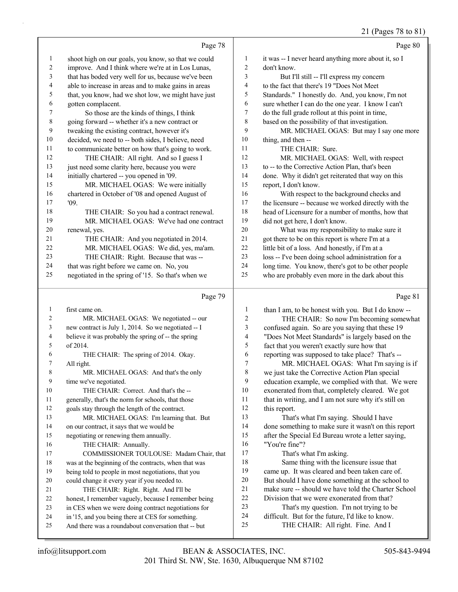|                |                                                                                                          |                  | $21 \text{ (10 g/s)}$ 70 to 01                                                        |
|----------------|----------------------------------------------------------------------------------------------------------|------------------|---------------------------------------------------------------------------------------|
|                | Page 78                                                                                                  |                  | Page 80                                                                               |
| $\mathbf{1}$   | shoot high on our goals, you know, so that we could                                                      | 1                | it was -- I never heard anything more about it, so I                                  |
| $\overline{c}$ | improve. And I think where we're at in Los Lunas,                                                        | $\overline{c}$   | don't know.                                                                           |
| 3              | that has boded very well for us, because we've been                                                      | 3                | But I'll still -- I'll express my concern                                             |
| 4              | able to increase in areas and to make gains in areas                                                     | 4                | to the fact that there's 19 "Does Not Meet                                            |
| 5              | that, you know, had we shot low, we might have just                                                      | 5                | Standards." I honestly do. And, you know, I'm not                                     |
| 6              | gotten complacent.                                                                                       | 6                | sure whether I can do the one year. I know I can't                                    |
| 7              | So those are the kinds of things, I think                                                                | 7                | do the full grade rollout at this point in time,                                      |
| $\,$ 8 $\,$    | going forward -- whether it's a new contract or                                                          | 8                | based on the possibility of that investigation.                                       |
| $\mathbf{9}$   | tweaking the existing contract, however it's                                                             | 9                | MR. MICHAEL OGAS: But may I say one more                                              |
| 10             | decided, we need to -- both sides, I believe, need                                                       | 10               | thing, and then --                                                                    |
| 11             | to communicate better on how that's going to work.                                                       | 11               | THE CHAIR: Sure.                                                                      |
| 12             | THE CHAIR: All right. And so I guess I                                                                   | 12               | MR. MICHAEL OGAS: Well, with respect                                                  |
| 13             | just need some clarity here, because you were                                                            | 13               | to -- to the Corrective Action Plan, that's been                                      |
| 14             | initially chartered -- you opened in '09.                                                                | 14               | done. Why it didn't get reiterated that way on this                                   |
| 15             | MR. MICHAEL OGAS: We were initially                                                                      | 15               | report, I don't know.                                                                 |
| 16             | chartered in October of '08 and opened August of                                                         | 16               | With respect to the background checks and                                             |
| 17             | '09.                                                                                                     | 17               | the licensure -- because we worked directly with the                                  |
| 18             | THE CHAIR: So you had a contract renewal.                                                                | 18               | head of Licensure for a number of months, how that                                    |
| 19             | MR. MICHAEL OGAS: We've had one contract                                                                 | 19               | did not get here, I don't know.                                                       |
| 20             | renewal, yes.                                                                                            | 20               | What was my responsibility to make sure it                                            |
| 21             | THE CHAIR: And you negotiated in 2014.                                                                   | $21\,$           | got there to be on this report is where I'm at a                                      |
| 22             | MR. MICHAEL OGAS: We did, yes, ma'am.                                                                    | $22\,$           | little bit of a loss. And honestly, if I'm at a                                       |
| 23             | THE CHAIR: Right. Because that was --                                                                    | 23               | loss -- I've been doing school administration for a                                   |
| 24             | that was right before we came on. No, you                                                                | 24               | long time. You know, there's got to be other people                                   |
| 25             | negotiated in the spring of '15. So that's when we                                                       | 25               | who are probably even more in the dark about this                                     |
|                | Page 79                                                                                                  |                  | Page 81                                                                               |
| 1              | first came on.                                                                                           | $\mathbf{1}$     | than I am, to be honest with you. But I do know --                                    |
| 2              | MR. MICHAEL OGAS: We negotiated -- our                                                                   | $\boldsymbol{2}$ | THE CHAIR: So now I'm becoming somewhat                                               |
| 3              | new contract is July 1, 2014. So we negotiated -- I                                                      | 3                | confused again. So are you saying that these 19                                       |
| 4              | believe it was probably the spring of -- the spring                                                      | 4                | "Does Not Meet Standards" is largely based on the                                     |
| 5              | of 2014.                                                                                                 | 5                | fact that you weren't exactly sure how that                                           |
| 6              | THE CHAIR: The spring of 2014. Okay.                                                                     | 6                | reporting was supposed to take place? That's --                                       |
| 7              | All right.                                                                                               | 7                | MR. MICHAEL OGAS: What I'm saying is if                                               |
| 8              | MR. MICHAEL OGAS: And that's the only                                                                    | 8                | we just take the Corrective Action Plan special                                       |
| 9              | time we've negotiated.                                                                                   | 9                | education example, we complied with that. We were                                     |
| 10             | THE CHAIR: Correct. And that's the --                                                                    | 10               | exonerated from that, completely cleared. We got                                      |
| 11             | generally, that's the norm for schools, that those                                                       | 11               | that in writing, and I am not sure why it's still on                                  |
| 12             | goals stay through the length of the contract.                                                           | 12               | this report.                                                                          |
| 13             | MR. MICHAEL OGAS: I'm learning that. But                                                                 | 13               | That's what I'm saying. Should I have                                                 |
| 14             | on our contract, it says that we would be                                                                | 14               | done something to make sure it wasn't on this report                                  |
| 15             | negotiating or renewing them annually.                                                                   | 15               | after the Special Ed Bureau wrote a letter saying,                                    |
| 16             | THE CHAIR: Annually.                                                                                     | 16               | "You're fine"?                                                                        |
| 17             | COMMISSIONER TOULOUSE: Madam Chair, that                                                                 | 17               | That's what I'm asking.                                                               |
| 18             | was at the beginning of the contracts, when that was                                                     | 18               | Same thing with the licensure issue that                                              |
| 19             | being told to people in most negotiations, that you                                                      | 19               | came up. It was cleared and been taken care of.                                       |
| 20             | could change it every year if you needed to.                                                             | 20               | But should I have done something at the school to                                     |
| 21             | THE CHAIR: Right. Right. And I'll be                                                                     | 21               | make sure -- should we have told the Charter School                                   |
| 22             | honest, I remember vaguely, because I remember being                                                     | 22<br>23         | Division that we were exonerated from that?                                           |
| 23             | in CES when we were doing contract negotiations for                                                      | 24               | That's my question. I'm not trying to be                                              |
| 24<br>$25\,$   | in '15, and you being there at CES for something.<br>And there was a roundabout conversation that -- but | 25               | difficult. But for the future, I'd like to know.<br>THE CHAIR: All right. Fine. And I |
|                |                                                                                                          |                  |                                                                                       |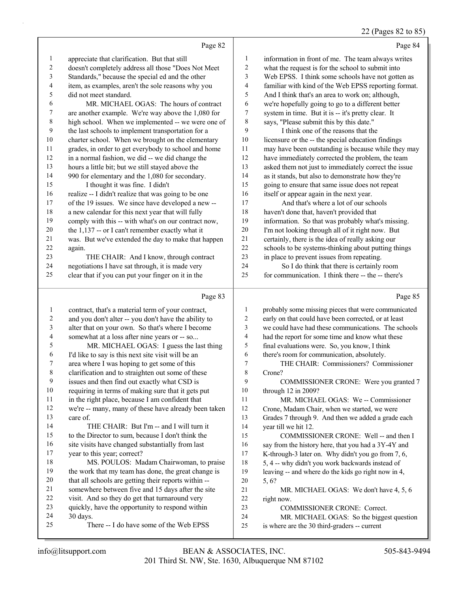# 22 (Pages 82 to 85)

|                | Page 82                                              |                | Page 84                                              |
|----------------|------------------------------------------------------|----------------|------------------------------------------------------|
| $\mathbf{1}$   | appreciate that clarification. But that still        | 1              | information in front of me. The team always writes   |
| $\overline{c}$ | doesn't completely address all those "Does Not Meet  | $\overline{2}$ | what the request is for the school to submit into    |
| 3              | Standards," because the special ed and the other     | 3              | Web EPSS. I think some schools have not gotten as    |
| 4              | item, as examples, aren't the sole reasons why you   | $\overline{4}$ | familiar with kind of the Web EPSS reporting format. |
| 5              | did not meet standard.                               | 5              | And I think that's an area to work on; although,     |
| 6              | MR. MICHAEL OGAS: The hours of contract              | 6              | we're hopefully going to go to a different better    |
| 7              | are another example. We're way above the 1,080 for   | $\tau$         | system in time. But it is -- it's pretty clear. It   |
| 8              | high school. When we implemented -- we were one of   | 8              | says, "Please submit this by this date."             |
| 9              | the last schools to implement transportation for a   | 9              | I think one of the reasons that the                  |
| 10             | charter school. When we brought on the elementary    | 10             | licensure or the -- the special education findings   |
| 11             | grades, in order to get everybody to school and home | 11             | may have been outstanding is because while they may  |
| 12             | in a normal fashion, we did -- we did change the     | 12             | have immediately corrected the problem, the team     |
| 13             | hours a little bit; but we still stayed above the    | 13             | asked them not just to immediately correct the issue |
| 14             | 990 for elementary and the 1,080 for secondary.      | 14             | as it stands, but also to demonstrate how they're    |
| 15             | I thought it was fine. I didn't                      | 15             | going to ensure that same issue does not repeat      |
| 16             | realize -- I didn't realize that was going to be one | 16             | itself or appear again in the next year.             |
| 17             | of the 19 issues. We since have developed a new--    | 17             | And that's where a lot of our schools                |
| 18             | a new calendar for this next year that will fully    | 18             | haven't done that, haven't provided that             |
| 19             | comply with this -- with what's on our contract now, | 19             | information. So that was probably what's missing.    |
| 20             | the $1,137$ -- or I can't remember exactly what it   | 20             | I'm not looking through all of it right now. But     |
| 21             | was. But we've extended the day to make that happen  | 21             | certainly, there is the idea of really asking our    |
| 22             | again.                                               | 22             | schools to be systems-thinking about putting things  |
| 23             | THE CHAIR: And I know, through contract              | 23             | in place to prevent issues from repeating.           |
| 24             | negotiations I have sat through, it is made very     | 24             | So I do think that there is certainly room           |
| 25             | clear that if you can put your finger on it in the   | 25             | for communication. I think there -- the -- there's   |
|                | Page 83                                              |                | Page 85                                              |
|                | contract that's a material term of your contract     |                | probably some missing pieces that were communicated  |

| contract, that's a material term of your contract,   | 1                                                                                                                                                                                                                                                                                                    | probably some missing pieces that were communicated  |
|------------------------------------------------------|------------------------------------------------------------------------------------------------------------------------------------------------------------------------------------------------------------------------------------------------------------------------------------------------------|------------------------------------------------------|
| and you don't alter -- you don't have the ability to | 2                                                                                                                                                                                                                                                                                                    | early on that could have been corrected, or at least |
| alter that on your own. So that's where I become     | 3                                                                                                                                                                                                                                                                                                    | we could have had these communications. The schools  |
| somewhat at a loss after nine years or -- so         | 4                                                                                                                                                                                                                                                                                                    | had the report for some time and know what these     |
| MR. MICHAEL OGAS: I guess the last thing             | 5                                                                                                                                                                                                                                                                                                    | final evaluations were. So, you know, I think        |
| I'd like to say is this next site visit will be an   | 6                                                                                                                                                                                                                                                                                                    | there's room for communication, absolutely.          |
| area where I was hoping to get some of this          | 7                                                                                                                                                                                                                                                                                                    | THE CHAIR: Commissioners? Commissioner               |
| clarification and to straighten out some of these    | 8                                                                                                                                                                                                                                                                                                    | Crone?                                               |
| issues and then find out exactly what CSD is         | 9                                                                                                                                                                                                                                                                                                    | COMMISSIONER CRONE: Were you granted 7               |
| requiring in terms of making sure that it gets put   | 10                                                                                                                                                                                                                                                                                                   | through 12 in 2009?                                  |
| in the right place, because I am confident that      | 11                                                                                                                                                                                                                                                                                                   | MR. MICHAEL OGAS: We -- Commissioner                 |
|                                                      | 12                                                                                                                                                                                                                                                                                                   | Crone, Madam Chair, when we started, we were         |
| care of.                                             | 13                                                                                                                                                                                                                                                                                                   | Grades 7 through 9. And then we added a grade each   |
| THE CHAIR: But I'm -- and I will turn it             | 14                                                                                                                                                                                                                                                                                                   | year till we hit 12.                                 |
|                                                      | 15                                                                                                                                                                                                                                                                                                   | COMMISSIONER CRONE: Well -- and then I               |
| site visits have changed substantially from last     | 16                                                                                                                                                                                                                                                                                                   | say from the history here, that you had a 3Y-4Y and  |
|                                                      | 17                                                                                                                                                                                                                                                                                                   | K-through-3 later on. Why didn't you go from 7, 6,   |
| MS. POULOS: Madam Chairwoman, to praise              | 18                                                                                                                                                                                                                                                                                                   | 5, 4 -- why didn't you work backwards instead of     |
|                                                      | 19                                                                                                                                                                                                                                                                                                   | leaving -- and where do the kids go right now in 4,  |
| that all schools are getting their reports within -- | 20                                                                                                                                                                                                                                                                                                   | 5, 6?                                                |
| somewhere between five and 15 days after the site    | 21                                                                                                                                                                                                                                                                                                   | MR. MICHAEL OGAS: We don't have 4, 5, 6              |
|                                                      | 22                                                                                                                                                                                                                                                                                                   | right now.                                           |
|                                                      | 23                                                                                                                                                                                                                                                                                                   | <b>COMMISSIONER CRONE: Correct.</b>                  |
| 30 days.                                             | 24                                                                                                                                                                                                                                                                                                   | MR. MICHAEL OGAS: So the biggest question            |
| There -- I do have some of the Web EPSS              | 25                                                                                                                                                                                                                                                                                                   | is where are the 30 third-graders -- current         |
|                                                      | we're -- many, many of these have already been taken<br>to the Director to sum, because I don't think the<br>year to this year; correct?<br>the work that my team has done, the great change is<br>visit. And so they do get that turnaround very<br>quickly, have the opportunity to respond within |                                                      |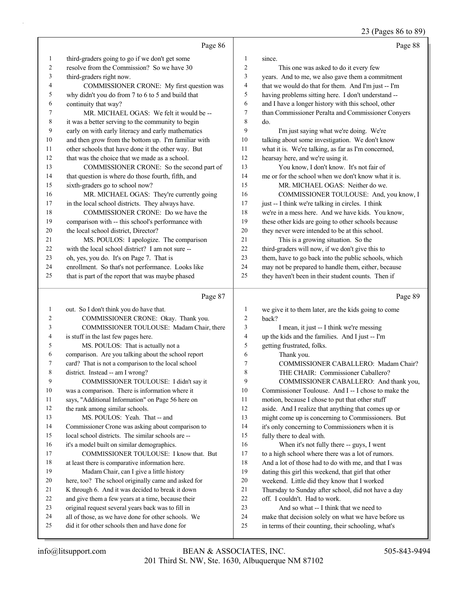23 (Pages 86 to 89)

|    | Page 86                                             |                | Page 88                                              |
|----|-----------------------------------------------------|----------------|------------------------------------------------------|
| 1  | third-graders going to go if we don't get some      | 1              | since.                                               |
| 2  | resolve from the Commission? So we have 30          | $\overline{2}$ | This one was asked to do it every few                |
| 3  | third-graders right now.                            | 3              | years. And to me, we also gave them a commitment     |
| 4  | COMMISSIONER CRONE: My first question was           | 4              | that we would do that for them. And I'm just -- I'm  |
| 5  | why didn't you do from 7 to 6 to 5 and build that   | 5              | having problems sitting here. I don't understand --  |
| 6  | continuity that way?                                | 6              | and I have a longer history with this school, other  |
|    | MR. MICHAEL OGAS: We felt it would be --            | 7              | than Commissioner Peralta and Commissioner Conyers   |
| 8  | it was a better serving to the community to begin   | 8              | do.                                                  |
| 9  | early on with early literacy and early mathematics  | 9              | I'm just saying what we're doing. We're              |
| 10 | and then grow from the bottom up. I'm familiar with | 10             | talking about some investigation. We don't know      |
| 11 | other schools that have done it the other way. But  | 11             | what it is. We're talking, as far as I'm concerned,  |
| 12 | that was the choice that we made as a school.       | 12             | hearsay here, and we're using it.                    |
| 13 | COMMISSIONER CRONE: So the second part of           | 13             | You know, I don't know. It's not fair of             |
| 14 | that question is where do those fourth, fifth, and  | 14             | me or for the school when we don't know what it is.  |
| 15 | sixth-graders go to school now?                     | 15             | MR. MICHAEL OGAS: Neither do we.                     |
| 16 | MR. MICHAEL OGAS: They're currently going           | 16             | COMMISSIONER TOULOUSE: And, you know, I              |
| 17 | in the local school districts. They always have.    | 17             | just -- I think we're talking in circles. I think    |
| 18 | COMMISSIONER CRONE: Do we have the                  | 18             | we're in a mess here. And we have kids. You know,    |
| 19 | comparison with -- this school's performance with   | 19             | these other kids are going to other schools because  |
| 20 | the local school district, Director?                | 20             | they never were intended to be at this school.       |
| 21 | MS. POULOS: I apologize. The comparison             | 21             | This is a growing situation. So the                  |
| 22 | with the local school district? I am not sure --    | 22             | third-graders will now, if we don't give this to     |
| 23 | oh, yes, you do. It's on Page 7. That is            | 23             | them, have to go back into the public schools, which |
| 24 | enrollment. So that's not performance. Looks like   | 24             | may not be prepared to handle them, either, because  |
| 25 | that is part of the report that was maybe phased    | 25             | they haven't been in their student counts. Then if   |
|    |                                                     |                |                                                      |

## Page 87

| $\mathbf{1}$   | out. So I don't think you do have that.             | 1  | we give it to them la  |
|----------------|-----------------------------------------------------|----|------------------------|
| 2              | COMMISSIONER CRONE: Okay. Thank you.                | 2  | back?                  |
| 3              | COMMISSIONER TOULOUSE: Madam Chair, there           | 3  | I mean, it just        |
| $\overline{4}$ | is stuff in the last few pages here.                | 4  | up the kids and the f  |
| 5              | MS. POULOS: That is actually not a                  | 5  | getting frustrated, fo |
| 6              | comparison. Are you talking about the school report | 6  | Thank you.             |
| 7              | card? That is not a comparison to the local school  | 7  | <b>COMMISSIC</b>       |
| 8              | district. Instead -- am I wrong?                    | 8  | THE CHAIR:             |
| 9              | COMMISSIONER TOULOUSE: I didn't say it              | 9  | <b>COMMISSIC</b>       |
| 10             | was a comparison. There is information where it     | 10 | Commissioner Toul      |
| 11             | says, "Additional Information" on Page 56 here on   | 11 | motion, because I cl   |
| 12             | the rank among similar schools.                     | 12 | aside. And I realize   |
| 13             | MS. POULOS: Yeah. That -- and                       | 13 | might come up is co    |
| 14             | Commissioner Crone was asking about comparison to   | 14 | it's only concerning   |
| 15             | local school districts. The similar schools are --  | 15 | fully there to deal w  |
| 16             | it's a model built on similar demographics.         | 16 | When it's not          |
| 17             | COMMISSIONER TOULOUSE: I know that. But             | 17 | to a high school who   |
| 18             | at least there is comparative information here.     | 18 | And a lot of those h   |
| 19             | Madam Chair, can I give a little history            | 19 | dating this girl this  |
| 20             | here, too? The school originally came and asked for | 20 | weekend. Little did    |
| 21             | K through 6. And it was decided to break it down    | 21 | Thursday to Sunday     |
| 22             | and give them a few years at a time, because their  | 22 | off. I couldn't. Had   |
| 23             | original request several years back was to fill in  | 23 | And so what -          |
| 24             | all of those, as we have done for other schools. We | 24 | make that decision s   |
| 25             | did it for other schools then and have done for     | 25 | in terms of their cou  |
|                |                                                     |    |                        |

Page 89

| 1              | we give it to them later, are the kids going to come |
|----------------|------------------------------------------------------|
| 2              | back?                                                |
| 3              | I mean, it just -- I think we're messing             |
| $\overline{4}$ | up the kids and the families. And I just -- I'm      |
| 5              | getting frustrated, folks.                           |
| 6              | Thank you.                                           |
| 7              | COMMISSIONER CABALLERO: Madam Chair?                 |
| 8              | THE CHAIR: Commissioner Caballero?                   |
| 9              | COMMISSIONER CABALLERO: And thank you,               |
| 10             | Commissioner Toulouse. And I -- I chose to make the  |
| 11             | motion, because I chose to put that other stuff      |
| 12             | aside. And I realize that anything that comes up or  |
| 13             | might come up is concerning to Commissioners. But    |
| 14             | it's only concerning to Commissioners when it is     |
| 15             | fully there to deal with.                            |
| 16             | When it's not fully there -- guys, I went            |
| 17             | to a high school where there was a lot of rumors.    |
| 18             | And a lot of those had to do with me, and that I was |
| 19             | dating this girl this weekend, that girl that other  |
| 20             | weekend. Little did they know that I worked          |
| 21             | Thursday to Sunday after school, did not have a day  |
| 22             | off. Leouldn't. Had to work.                         |
| 23             | And so what -- I think that we need to               |
| 24             | make that decision solely on what we have before us  |
| 25             | in terms of their counting, their schooling, what's  |
|                |                                                      |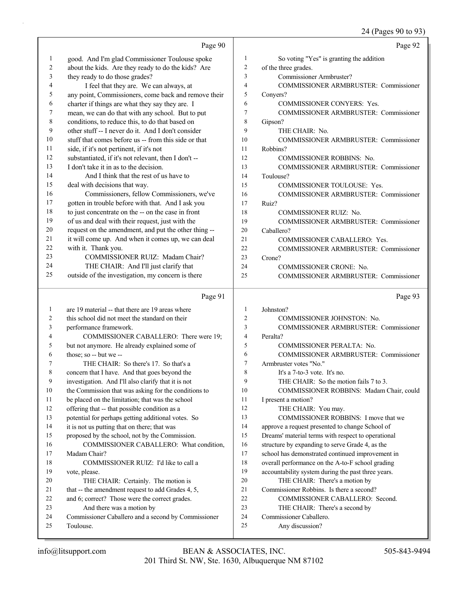# 24 (Pages 90 to 93)

|                | Page 90                                                          |                | Page 92                                            |
|----------------|------------------------------------------------------------------|----------------|----------------------------------------------------|
| 1              | good. And I'm glad Commissioner Toulouse spoke                   | 1              | So voting "Yes" is granting the addition           |
| 2              | about the kids. Are they ready to do the kids? Are               | $\overline{2}$ | of the three grades.                               |
| 3              | they ready to do those grades?                                   | 3              | Commissioner Armbruster?                           |
| 4              | I feel that they are. We can always, at                          | $\overline{4}$ | COMMISSIONER ARMBRUSTER: Commissioner              |
| 5              | any point, Commissioners, come back and remove their             | 5              | Conyers?                                           |
| 6              | charter if things are what they say they are. I                  | 6              | <b>COMMISSIONER CONYERS: Yes.</b>                  |
| 7              | mean, we can do that with any school. But to put                 | $\overline{7}$ | COMMISSIONER ARMBRUSTER: Commissioner              |
| 8              | conditions, to reduce this, to do that based on                  | 8              | Gipson?                                            |
| 9              | other stuff -- I never do it. And I don't consider               | 9              | THE CHAIR: No.                                     |
| 10             | stuff that comes before us -- from this side or that             | 10             | <b>COMMISSIONER ARMBRUSTER: Commissioner</b>       |
| 11             | side, if it's not pertinent, if it's not                         | 11             | Robbins?                                           |
| 12             | substantiated, if it's not relevant, then I don't --             | 12             | <b>COMMISSIONER ROBBINS: No.</b>                   |
| 13             | I don't take it in as to the decision.                           | 13             | COMMISSIONER ARMBRUSTER: Commissioner              |
| 14             | And I think that the rest of us have to                          | 14             | Toulouse?                                          |
| $15\,$         | deal with decisions that way.                                    | 15             | COMMISSIONER TOULOUSE: Yes.                        |
| 16             | Commissioners, fellow Commissioners, we've                       | 16             | COMMISSIONER ARMBRUSTER: Commissioner              |
| $17\,$         | gotten in trouble before with that. And I ask you                | 17             | Ruiz?                                              |
| 18             | to just concentrate on the -- on the case in front               | 18             | <b>COMMISSIONER RUIZ: No.</b>                      |
| 19             | of us and deal with their request, just with the                 | 19             | <b>COMMISSIONER ARMBRUSTER: Commissioner</b>       |
| 20             | request on the amendment, and put the other thing --             | 20             | Caballero?                                         |
| 21             | it will come up. And when it comes up, we can deal               | 21             | COMMISSIONER CABALLERO: Yes.                       |
| 22             | with it. Thank you.                                              | 22             | <b>COMMISSIONER ARMBRUSTER: Commissioner</b>       |
| 23             | COMMISSIONER RUIZ: Madam Chair?                                  | 23             | Crone?                                             |
| 24             | THE CHAIR: And I'll just clarify that                            | 24             | <b>COMMISSIONER CRONE: No.</b>                     |
| 25             | outside of the investigation, my concern is there                | 25             | COMMISSIONER ARMBRUSTER: Commissioner              |
|                |                                                                  |                |                                                    |
|                | Page 91                                                          |                | Page 93                                            |
| $\mathbf{1}$   | are 19 material -- that there are 19 areas where                 | $\mathbf{1}$   | Johnston?                                          |
| $\overline{c}$ | this school did not meet the standard on their                   | $\overline{2}$ | COMMISSIONER JOHNSTON: No.                         |
| 3              |                                                                  | 3              | COMMISSIONER ARMBRUSTER: Commissioner              |
| 4              | performance framework.<br>COMMISSIONER CABALLERO: There were 19; | $\overline{4}$ | Peralta?                                           |
| 5              | but not anymore. He already explained some of                    | 5              | COMMISSIONER PERALTA: No.                          |
| 6              | those; so -- but we --                                           | 6              | COMMISSIONER ARMBRUSTER: Commissioner              |
| 7              | THE CHAIR: So there's 17. So that's a                            | $\overline{7}$ | Armbruster votes "No."                             |
| 8              | concern that I have. And that goes beyond the                    | 8              | It's a 7-to-3 vote. It's no.                       |
| 9              | investigation. And I'll also clarify that it is not              | 9              | THE CHAIR: So the motion fails 7 to 3.             |
| 10             | the Commission that was asking for the conditions to             | 10             | COMMISSIONER ROBBINS: Madam Chair, could           |
| 11             | be placed on the limitation; that was the school                 | 11             | I present a motion?                                |
| 12             | offering that -- that possible condition as a                    | 12             | THE CHAIR: You may.                                |
| 13             | potential for perhaps getting additional votes. So               | 13             | COMMISSIONER ROBBINS: I move that we               |
| 14             | it is not us putting that on there; that was                     | 14             | approve a request presented to change School of    |
| 15             | proposed by the school, not by the Commission.                   | 15             | Dreams' material terms with respect to operational |
| 16             | COMMISSIONER CABALLERO: What condition,                          | 16             | structure by expanding to serve Grade 4, as the    |
| 17             | Madam Chair?                                                     | 17             | school has demonstrated continued improvement in   |
| 18             | COMMISSIONER RUIZ: I'd like to call a                            | 18             | overall performance on the A-to-F school grading   |
| 19             | vote, please.                                                    | 19             | accountability system during the past three years. |
| 20             | THE CHAIR: Certainly. The motion is                              | 20             | THE CHAIR: There's a motion by                     |
| 21             | that -- the amendment request to add Grades 4, 5,                | 21             | Commissioner Robbins. Is there a second?           |
| 22             | and 6; correct? Those were the correct grades.                   | 22             | COMMISSIONER CABALLERO: Second.                    |
| 23             | And there was a motion by                                        | 23             | THE CHAIR: There's a second by                     |
| 24<br>25       | Commissioner Caballero and a second by Commissioner<br>Toulouse. | 24<br>25       | Commissioner Caballero.<br>Any discussion?         |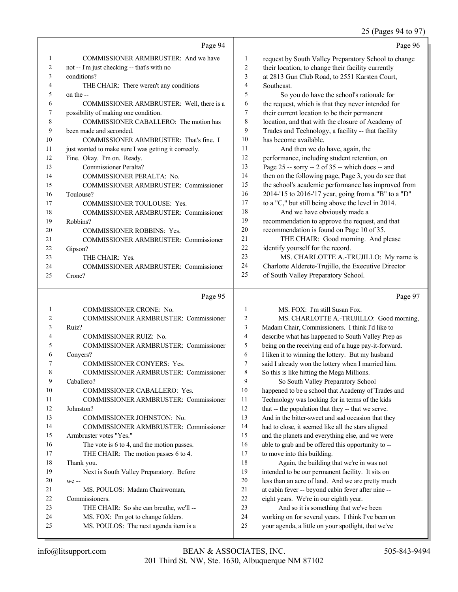## 25 (Pages 94 to 97)

|              |                                                      |        | $2J$ (1 ages $77$ to $77$                                                                                                                                                                                                                                                                                                                                                            |
|--------------|------------------------------------------------------|--------|--------------------------------------------------------------------------------------------------------------------------------------------------------------------------------------------------------------------------------------------------------------------------------------------------------------------------------------------------------------------------------------|
|              | Page 94                                              |        | Page 96                                                                                                                                                                                                                                                                                                                                                                              |
| $\mathbf{1}$ | COMMISSIONER ARMBRUSTER: And we have                 | 1      | request by South Valley Preparatory School to change                                                                                                                                                                                                                                                                                                                                 |
| 2            | not -- I'm just checking -- that's with no           | 2      | their location, to change their facility currently                                                                                                                                                                                                                                                                                                                                   |
| 3            | conditions?                                          | 3      | at 2813 Gun Club Road, to 2551 Karsten Court,                                                                                                                                                                                                                                                                                                                                        |
| 4            | THE CHAIR: There weren't any conditions              | 4      | Southeast.                                                                                                                                                                                                                                                                                                                                                                           |
| 5            | on the --                                            | 5      | So you do have the school's rationale for                                                                                                                                                                                                                                                                                                                                            |
| 6            | COMMISSIONER ARMBRUSTER: Well, there is a            | 6      | the request, which is that they never intended for                                                                                                                                                                                                                                                                                                                                   |
| 7            | possibility of making one condition.                 | 7      | their current location to be their permanent                                                                                                                                                                                                                                                                                                                                         |
| 8            | COMMISSIONER CABALLERO: The motion has               | 8      | location, and that with the closure of Academy of                                                                                                                                                                                                                                                                                                                                    |
| 9            | been made and seconded.                              | 9      | Trades and Technology, a facility -- that facility                                                                                                                                                                                                                                                                                                                                   |
| 10           | COMMISSIONER ARMBRUSTER: That's fine. I              | 10     | has become available.                                                                                                                                                                                                                                                                                                                                                                |
| 11           | just wanted to make sure I was getting it correctly. | 11     | And then we do have, again, the                                                                                                                                                                                                                                                                                                                                                      |
| 12           | Fine. Okay. I'm on. Ready.                           | 12     | performance, including student retention, on                                                                                                                                                                                                                                                                                                                                         |
| 13           | Commissioner Peralta?                                | 13     | Page 25 -- sorry -- 2 of 35 -- which does -- and                                                                                                                                                                                                                                                                                                                                     |
| 14           | COMMISSIONER PERALTA: No.                            | 14     | then on the following page, Page 3, you do see that                                                                                                                                                                                                                                                                                                                                  |
| 15           | <b>COMMISSIONER ARMBRUSTER: Commissioner</b>         | 15     | the school's academic performance has improved from                                                                                                                                                                                                                                                                                                                                  |
| 16           | Toulouse?                                            | 16     | 2014-15 to 2016-17 year, going from a "B" to a "D"                                                                                                                                                                                                                                                                                                                                   |
| 17           | <b>COMMISSIONER TOULOUSE: Yes.</b>                   | 17     | to a "C," but still being above the level in 2014.                                                                                                                                                                                                                                                                                                                                   |
| 18           | COMMISSIONER ARMBRUSTER: Commissioner                | 18     | And we have obviously made a                                                                                                                                                                                                                                                                                                                                                         |
| 19           | Robbins?                                             | 19     | recommendation to approve the request, and that                                                                                                                                                                                                                                                                                                                                      |
| 20           | <b>COMMISSIONER ROBBINS: Yes.</b>                    | 20     | recommendation is found on Page 10 of 35.                                                                                                                                                                                                                                                                                                                                            |
| 21           | COMMISSIONER ARMBRUSTER: Commissioner                | 21     | THE CHAIR: Good morning. And please                                                                                                                                                                                                                                                                                                                                                  |
| 22           | Gipson?                                              | 22     | identify yourself for the record.                                                                                                                                                                                                                                                                                                                                                    |
| 23           | THE CHAIR: Yes.                                      | 23     | MS. CHARLOTTE A.-TRUJILLO: My name is                                                                                                                                                                                                                                                                                                                                                |
| 24           | COMMISSIONER ARMBRUSTER: Commissioner                | 24     | Charlotte Alderete-Trujillo, the Executive Director                                                                                                                                                                                                                                                                                                                                  |
| 25           | Crone?                                               | 25     | of South Valley Preparatory School.                                                                                                                                                                                                                                                                                                                                                  |
|              | Page 95                                              |        | Page 97                                                                                                                                                                                                                                                                                                                                                                              |
|              | COMMISSIONER CRONE: No.                              | 1      | MS. FOX: I'm still Susan Fox.                                                                                                                                                                                                                                                                                                                                                        |
|              | $0.020101$ in $0.001$ in $0.000$ $\sim$              | $\sim$ | $\overline{M}$ $\overline{C}$ $\overline{C}$ $\overline{M}$ $\overline{M}$ $\overline{M}$ $\overline{C}$ $\overline{C}$ $\overline{M}$ $\overline{M}$ $\overline{M}$ $\overline{M}$ $\overline{M}$ $\overline{M}$ $\overline{M}$ $\overline{M}$ $\overline{M}$ $\overline{M}$ $\overline{M}$ $\overline{M}$ $\overline{M}$ $\overline{M}$ $\overline{M}$ $\overline{M}$ $\overline{$ |

| $\overline{2}$ | <b>COMMISSIONER ARMBRUSTER: Commissioner</b> |
|----------------|----------------------------------------------|
| 3              | Ruiz?                                        |
| 4              | <b>COMMISSIONER RUIZ: No.</b>                |
| 5              | COMMISSIONER ARMBRUSTER: Commissioner        |
| 6              | Conyers?                                     |
| 7              | <b>COMMISSIONER CONYERS: Yes.</b>            |
| 8              | COMMISSIONER ARMBRUSTER: Commissioner        |
| 9              | Caballero?                                   |
| 10             | COMMISSIONER CABALLERO: Yes.                 |
| 11             | COMMISSIONER ARMBRUSTER: Commissioner        |
| 12             | Johnston?                                    |
| 13             | COMMISSIONER JOHNSTON: No.                   |
| 14             | COMMISSIONER ARMBRUSTER: Commissioner        |
| 15             | Armbruster votes "Yes."                      |
| 16             | The vote is 6 to 4, and the motion passes.   |
| 17             | THE CHAIR: The motion passes 6 to 4.         |
| 18             | Thank you.                                   |
| 19             | Next is South Valley Preparatory. Before     |
| 20             | we --                                        |
| 21             | MS. POULOS: Madam Chairwoman,                |
| 22             | Commissioners.                               |
| 23             | THE CHAIR: So she can breathe, we'll --      |
| 24             | MS. FOX: I'm got to change folders.          |
| 25             | MS. POULOS: The next agenda item is a        |

2 MS. CHARLOTTE A.-TRUJILLO: Good morning, Madam Chair, Commissioners. I think I'd like to describe what has happened to South Valley Prep as being on the receiving end of a huge pay-it-forward. I liken it to winning the lottery. But my husband said I already won the lottery when I married him. So this is like hitting the Mega Millions. 9 So South Valley Preparatory School happened to be a school that Academy of Trades and Technology was looking for in terms of the kids 12 that -- the population that they -- that we serve. And in the bitter-sweet and sad occasion that they had to close, it seemed like all the stars aligned and the planets and everything else, and we were able to grab and be offered this opportunity to -- 17 to move into this building. 18 Again, the building that we're in was not

 intended to be our permanent facility. It sits on less than an acre of land. And we are pretty much at cabin fever -- beyond cabin fever after nine -- eight years. We're in our eighth year. 23 And so it is something that we've been

24 working on for several years. I think I've been on 25 your agenda, a little on your spotlight, that we've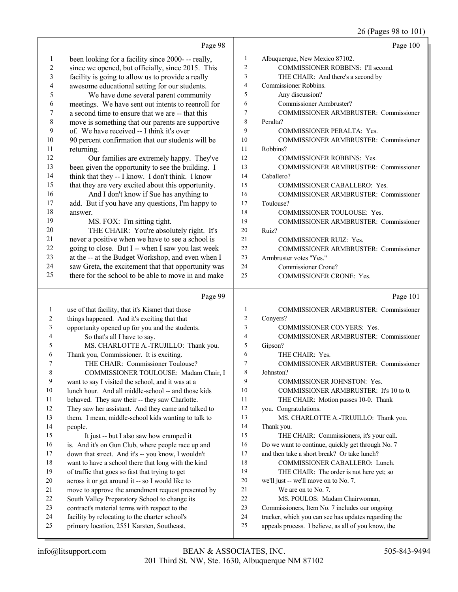# 26 (Pages 98 to 101)

|                | Page 98                                                                                                  |                | Page 100                                                                                                    |
|----------------|----------------------------------------------------------------------------------------------------------|----------------|-------------------------------------------------------------------------------------------------------------|
| 1              | been looking for a facility since 2000- -- really,                                                       | 1              | Albuquerque, New Mexico 87102.                                                                              |
| $\overline{c}$ | since we opened, but officially, since 2015. This                                                        | $\overline{c}$ | COMMISSIONER ROBBINS: I'll second.                                                                          |
| 3              | facility is going to allow us to provide a really                                                        | 3              | THE CHAIR: And there's a second by                                                                          |
| 4              | awesome educational setting for our students.                                                            | $\overline{4}$ | Commissioner Robbins.                                                                                       |
| 5              | We have done several parent community                                                                    | 5              | Any discussion?                                                                                             |
| 6              | meetings. We have sent out intents to reenroll for                                                       | 6              | Commissioner Armbruster?                                                                                    |
| 7              | a second time to ensure that we are -- that this                                                         | 7              | COMMISSIONER ARMBRUSTER: Commissioner                                                                       |
| 8              | move is something that our parents are supportive                                                        | 8              | Peralta?                                                                                                    |
| 9              | of. We have received -- I think it's over                                                                | 9              | COMMISSIONER PERALTA: Yes.                                                                                  |
| 10             | 90 percent confirmation that our students will be                                                        | 10             | <b>COMMISSIONER ARMBRUSTER: Commissioner</b>                                                                |
| 11             | returning.                                                                                               | 11             | Robbins?                                                                                                    |
| 12             | Our families are extremely happy. They've                                                                | 12             | <b>COMMISSIONER ROBBINS: Yes.</b>                                                                           |
| 13             | been given the opportunity to see the building. I                                                        | 13             | COMMISSIONER ARMBRUSTER: Commissioner                                                                       |
| 14             | think that they -- I know. I don't think. I know                                                         | 14             | Caballero?                                                                                                  |
| 15             | that they are very excited about this opportunity.                                                       | 15             | COMMISSIONER CABALLERO: Yes.                                                                                |
| 16             | And I don't know if Sue has anything to                                                                  | 16             | COMMISSIONER ARMBRUSTER: Commissioner                                                                       |
| 17             | add. But if you have any questions, I'm happy to                                                         | 17             | Toulouse?                                                                                                   |
| 18             | answer.                                                                                                  | 18             | COMMISSIONER TOULOUSE: Yes.                                                                                 |
| 19             | MS. FOX: I'm sitting tight.                                                                              | 19             | COMMISSIONER ARMBRUSTER: Commissioner                                                                       |
| 20             | THE CHAIR: You're absolutely right. It's                                                                 | 20             | Ruiz?                                                                                                       |
| 21             | never a positive when we have to see a school is                                                         | 21             | COMMISSIONER RUIZ: Yes.                                                                                     |
| 22             | going to close. But I -- when I saw you last week                                                        | 22             | COMMISSIONER ARMBRUSTER: Commissioner                                                                       |
| 23             | at the -- at the Budget Workshop, and even when I                                                        | 23             | Armbruster votes "Yes."                                                                                     |
| 24             | saw Greta, the excitement that that opportunity was                                                      | 24             | Commissioner Crone?                                                                                         |
| 25             | there for the school to be able to move in and make                                                      | 25             | COMMISSIONER CRONE: Yes.                                                                                    |
|                |                                                                                                          |                |                                                                                                             |
|                | Page 99                                                                                                  |                | Page 101                                                                                                    |
| 1              | use of that facility, that it's Kismet that those                                                        | $\mathbf{1}$   | COMMISSIONER ARMBRUSTER: Commissioner                                                                       |
| 2              | things happened. And it's exciting that that                                                             | $\overline{c}$ | Conyers?                                                                                                    |
| 3              | opportunity opened up for you and the students.                                                          | 3              | COMMISSIONER CONYERS: Yes.                                                                                  |
| 4              | So that's all I have to say.                                                                             | $\overline{4}$ | COMMISSIONER ARMBRUSTER: Commissioner                                                                       |
| 5              | MS. CHARLOTTE A.-TRUJILLO: Thank you.                                                                    | 5              | Gipson?                                                                                                     |
| 6              | Thank you, Commissioner. It is exciting.                                                                 | 6              | THE CHAIR: Yes.                                                                                             |
| 7              | THE CHAIR: Commissioner Toulouse?                                                                        | 7              | COMMISSIONER ARMBRUSTER: Commissioner                                                                       |
| 8              | COMMISSIONER TOULOUSE: Madam Chair, I                                                                    | $\,$ $\,$      | Johnston?                                                                                                   |
| 9              | want to say I visited the school, and it was at a                                                        | 9              | COMMISSIONER JOHNSTON: Yes.                                                                                 |
| 10             | lunch hour. And all middle-school -- and those kids                                                      | 10             | COMMISSIONER ARMBRUSTER: It's 10 to 0.                                                                      |
| 11             | behaved. They saw their -- they saw Charlotte.                                                           | 11             | THE CHAIR: Motion passes 10-0. Thank                                                                        |
| 12             | They saw her assistant. And they came and talked to                                                      | 12             | you. Congratulations.                                                                                       |
| 13             | them. I mean, middle-school kids wanting to talk to                                                      | 13<br>14       | MS. CHARLOTTE A.-TRUJILLO: Thank you.                                                                       |
| 14<br>15       | people.                                                                                                  | 15             | Thank you.                                                                                                  |
| 16             | It just -- but I also saw how cramped it                                                                 | 16             | THE CHAIR: Commissioners, it's your call.<br>Do we want to continue, quickly get through No. 7              |
| 17             | is. And it's on Gun Club, where people race up and<br>down that street. And it's -- you know, I wouldn't | 17             | and then take a short break? Or take lunch?                                                                 |
| 18             | want to have a school there that long with the kind                                                      | 18             | COMMISSIONER CABALLERO: Lunch.                                                                              |
| 19             | of traffic that goes so fast that trying to get                                                          | 19             | THE CHAIR: The order is not here yet; so                                                                    |
| 20             | across it or get around it -- so I would like to                                                         | 20             | we'll just -- we'll move on to No. 7.                                                                       |
| 21             | move to approve the amendment request presented by                                                       | 21             | We are on to No. 7.                                                                                         |
| 22             | South Valley Preparatory School to change its                                                            | 22             | MS. POULOS: Madam Chairwoman,                                                                               |
| 23             | contract's material terms with respect to the                                                            | 23             | Commissioners, Item No. 7 includes our ongoing                                                              |
| 24<br>25       | facility by relocating to the charter school's<br>primary location, 2551 Karsten, Southeast,             | 24<br>25       | tracker, which you can see has updates regarding the<br>appeals process. I believe, as all of you know, the |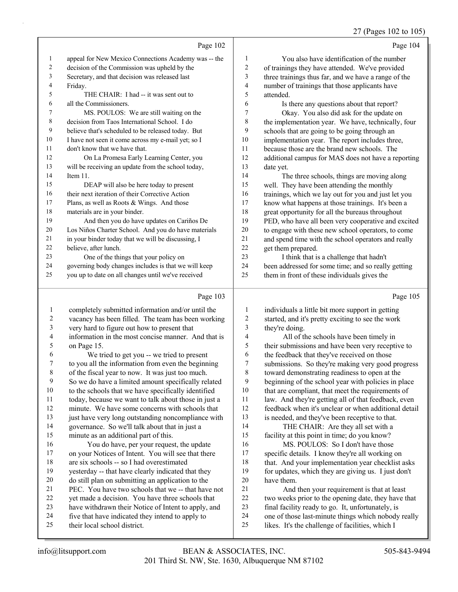|                |                                                      |                         | 27 (Pages 102 to 105)                                |
|----------------|------------------------------------------------------|-------------------------|------------------------------------------------------|
|                | Page 102                                             |                         | Page 104                                             |
| $\mathbf{1}$   | appeal for New Mexico Connections Academy was -- the | $\mathbf{1}$            | You also have identification of the number           |
| 2              | decision of the Commission was upheld by the         | $\overline{c}$          | of trainings they have attended. We've provided      |
| 3              | Secretary, and that decision was released last       | 3                       | three trainings thus far, and we have a range of the |
| 4              | Friday.                                              | $\overline{\mathbf{4}}$ | number of trainings that those applicants have       |
| 5              | THE CHAIR: I had -- it was sent out to               | 5                       | attended.                                            |
| 6              | all the Commissioners.                               | 6                       | Is there any questions about that report?            |
| 7              | MS. POULOS: We are still waiting on the              | 7                       | Okay. You also did ask for the update on             |
| 8              | decision from Taos International School. I do        | $\,$ 8 $\,$             | the implementation year. We have, technically, four  |
| 9              | believe that's scheduled to be released today. But   | 9                       | schools that are going to be going through an        |
| 10             | I have not seen it come across my e-mail yet; so I   | 10                      | implementation year. The report includes three,      |
| 11             | don't know that we have that.                        | 11                      | because those are the brand new schools. The         |
| 12             | On La Promesa Early Learning Center, you             | 12                      | additional campus for MAS does not have a reporting  |
| 13             | will be receiving an update from the school today,   | 13                      | date yet.                                            |
| 14             | Item 11.                                             | 14                      | The three schools, things are moving along           |
| 15             | DEAP will also be here today to present              | 15                      | well. They have been attending the monthly           |
| 16             | their next iteration of their Corrective Action      | 16                      | trainings, which we lay out for you and just let you |
| 17             | Plans, as well as Roots & Wings. And those           | 17                      | know what happens at those trainings. It's been a    |
| 18             | materials are in your binder.                        | 18                      | great opportunity for all the bureaus throughout     |
| 19             | And then you do have updates on Cariños De           | 19                      | PED, who have all been very cooperative and excited  |
| 20             | Los Niños Charter School. And you do have materials  | 20                      | to engage with these new school operators, to come   |
| 21             | in your binder today that we will be discussing, I   | 21                      | and spend time with the school operators and really  |
| 22             | believe, after lunch.                                | 22                      | get them prepared.                                   |
| 23             | One of the things that your policy on                | 23                      | I think that is a challenge that hadn't              |
| 24             | governing body changes includes is that we will keep | 24                      | been addressed for some time; and so really getting  |
| 25             | you up to date on all changes until we've received   | 25                      | them in front of these individuals gives the         |
|                | Page 103                                             |                         | Page 105                                             |
| 1              | completely submitted information and/or until the    | 1                       | individuals a little bit more support in getting     |
| 2              | vacancy has been filled. The team has been working   | 2                       | started, and it's pretty exciting to see the work    |
| 3              | very hard to figure out how to present that          | 3                       | they're doing.                                       |
| 4              | information in the most concise manner. And that is  | 4                       | All of the schools have been timely in               |
| 5              | on Page 15.                                          | 5                       | their submissions and have been very receptive to    |
| 6              | We tried to get you -- we tried to present           | 6                       | the feedback that they've received on those          |
| 7              | to you all the information from even the beginning   | Τ                       | submissions. So they're making very good progress    |
| $\,8\,$        | of the fiscal year to now. It was just too much.     | $\,$ $\,$               | toward demonstrating readiness to open at the        |
| $\overline{9}$ | So we do have a limited amount specifically related  | 9                       | beginning of the school year with policies in place  |
| $10\,$         | to the schools that we have specifically identified  | 10                      | that are compliant, that meet the requirements of    |
| 11             | today, because we want to talk about those in just a | 11                      | law. And they're getting all of that feedback, even  |
| $12\,$         | minute. We have some concerns with schools that      | 12                      | feedback when it's unclear or when additional detail |
| 13             | just have very long outstanding noncompliance with   | 13                      | is needed, and they've been receptive to that.       |

governance. So we'll talk about that in just a

minute as an additional part of this.

16 You do have, per your request, the update on your Notices of Intent. You will see that there are six schools -- so I had overestimated yesterday -- that have clearly indicated that they do still plan on submitting an application to the PEC. You have two schools that we -- that have not yet made a decision. You have three schools that have withdrawn their Notice of Intent to apply, and

- 
- five that have indicated they intend to apply to their local school district.

 is needed, and they've been receptive to that. 14 THE CHAIR: Are they all set with a facility at this point in time; do you know?

16 MS. POULOS: So I don't have those specific details. I know they're all working on that. And your implementation year checklist asks for updates, which they are giving us. I just don't have them.

- 21 And then your requirement is that at least two weeks prior to the opening date, they have that final facility ready to go. It, unfortunately, is one of those last-minute things which nobody really
- likes. It's the challenge of facilities, which I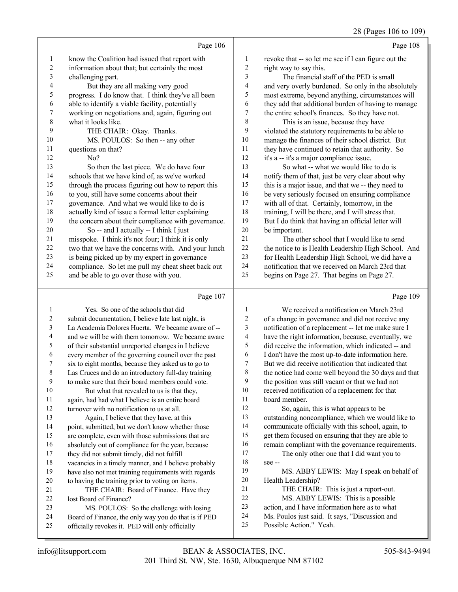28 (Pages 106 to 109)

|    |                                                     |                  | $V(x, w, y, z)$ . $V(x, y, z)$                       |
|----|-----------------------------------------------------|------------------|------------------------------------------------------|
|    | Page 106                                            |                  | Page 108                                             |
| 1  | know the Coalition had issued that report with      | 1                | revoke that -- so let me see if I can figure out the |
| 2  | information about that; but certainly the most      | 2                | right way to say this.                               |
| 3  | challenging part.                                   | 3                | The financial staff of the PED is small              |
| 4  | But they are all making very good                   | $\overline{4}$   | and very overly burdened. So only in the absolutely  |
| 5  | progress. I do know that. I think they've all been  | 5                | most extreme, beyond anything, circumstances will    |
| 6  | able to identify a viable facility, potentially     | 6                | they add that additional burden of having to manage  |
| 7  | working on negotiations and, again, figuring out    | $\boldsymbol{7}$ | the entire school's finances. So they have not.      |
| 8  | what it looks like.                                 | $\,8\,$          | This is an issue, because they have                  |
| 9  | THE CHAIR: Okay. Thanks.                            | 9                | violated the statutory requirements to be able to    |
| 10 | MS. POULOS: So then -- any other                    | 10               | manage the finances of their school district. But    |
| 11 | questions on that?                                  | 11               | they have continued to retain that authority. So     |
| 12 | No?                                                 | 12               | it's a -- it's a major compliance issue.             |
| 13 | So then the last piece. We do have four             | 13               | So what -- what we would like to do is               |
| 14 | schools that we have kind of, as we've worked       | 14               | notify them of that, just be very clear about why    |
| 15 | through the process figuring out how to report this | 15               | this is a major issue, and that we -- they need to   |
| 16 | to you, still have some concerns about their        | 16               | be very seriously focused on ensuring compliance     |
| 17 | governance. And what we would like to do is         | 17               | with all of that. Certainly, tomorrow, in the        |
| 18 | actually kind of issue a formal letter explaining   | 18               | training, I will be there, and I will stress that.   |
| 19 | the concern about their compliance with governance. | 19               | But I do think that having an official letter will   |
| 20 | So -- and I actually -- I think I just              | 20               | be important.                                        |
| 21 | misspoke. I think it's not four; I think it is only | 21               | The other school that I would like to send           |
| 22 | two that we have the concerns with. And your lunch  | 22               | the notice to is Health Leadership High School. And  |
| 23 | is being picked up by my expert in governance       | 23               | for Health Leadership High School, we did have a     |
| 24 | compliance. So let me pull my cheat sheet back out  | 24               | notification that we received on March 23rd that     |
| 25 | and be able to go over those with you.              | 25               | begins on Page 27. That begins on Page 27.           |
|    | Page 107                                            |                  | Page 109                                             |

## Page 107 |

| 1  | Yes. So one of the schools that did                  | 1  | We received a notification on March 23rd             |
|----|------------------------------------------------------|----|------------------------------------------------------|
| 2  | submit documentation, I believe late last night, is  | 2  | of a change in governance and did not receive any    |
| 3  | La Academia Dolores Huerta. We became aware of --    | 3  | notification of a replacement -- let me make sure I  |
| 4  | and we will be with them tomorrow. We became aware   | 4  | have the right information, because, eventually, we  |
| 5  | of their substantial unreported changes in I believe | 5  | did receive the information, which indicated -- and  |
| 6  | every member of the governing council over the past  | 6  | I don't have the most up-to-date information here.   |
| 7  | six to eight months, because they asked us to go to  | 7  | But we did receive notification that indicated that  |
| 8  | Las Cruces and do an introductory full-day training  | 8  | the notice had come well beyond the 30 days and that |
| 9  | to make sure that their board members could vote.    | 9  | the position was still vacant or that we had not     |
| 10 | But what that revealed to us is that they,           | 10 | received notification of a replacement for that      |
| 11 | again, had had what I believe is an entire board     | 11 | board member.                                        |
| 12 | turnover with no notification to us at all.          | 12 | So, again, this is what appears to be                |
| 13 | Again, I believe that they have, at this             | 13 | outstanding noncompliance, which we would like to    |
| 14 | point, submitted, but we don't know whether those    | 14 | communicate officially with this school, again, to   |
| 15 | are complete, even with those submissions that are   | 15 | get them focused on ensuring that they are able to   |
| 16 | absolutely out of compliance for the year, because   | 16 | remain compliant with the governance requirements.   |
| 17 | they did not submit timely, did not fulfill          | 17 | The only other one that I did want you to            |
| 18 | vacancies in a timely manner, and I believe probably | 18 | $see -$                                              |
| 19 | have also not met training requirements with regards | 19 | MS. ABBY LEWIS: May I speak on behalf of             |
| 20 | to having the training prior to voting on items.     | 20 | Health Leadership?                                   |
| 21 | THE CHAIR: Board of Finance. Have they               | 21 | THE CHAIR: This is just a report-out.                |
| 22 | lost Board of Finance?                               | 22 | MS. ABBY LEWIS: This is a possible                   |
| 23 | MS. POULOS: So the challenge with losing             | 23 | action, and I have information here as to what       |
| 24 | Board of Finance, the only way you do that is if PED | 24 | Ms. Poulos just said. It says, "Discussion and       |
| 25 | officially revokes it. PED will only officially      | 25 | Possible Action." Yeah.                              |
|    |                                                      |    |                                                      |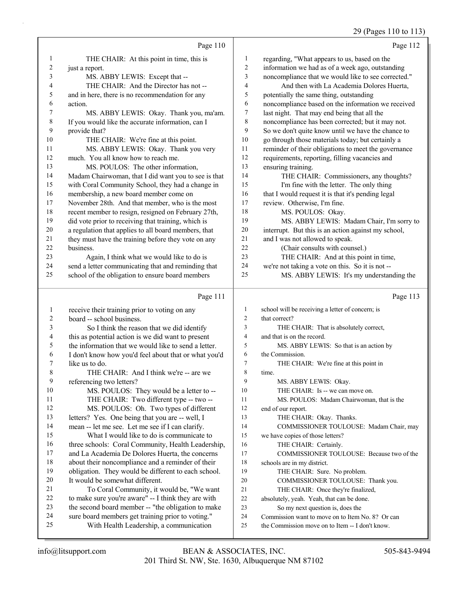#### 29 (Pages 110 to 113)

|         |                                                      |                          | $27 \text{ (1450)} \cdot 110 \text{ to } 115$        |
|---------|------------------------------------------------------|--------------------------|------------------------------------------------------|
|         | Page 110                                             |                          | Page 112                                             |
| 1       | THE CHAIR: At this point in time, this is            | 1                        | regarding, "What appears to us, based on the         |
| 2       | just a report.                                       | 2                        | information we had as of a week ago, outstanding     |
| 3       | MS. ABBY LEWIS: Except that --                       | 3                        | noncompliance that we would like to see corrected."  |
| 4       | THE CHAIR: And the Director has not --               | $\overline{\mathcal{A}}$ | And then with La Academia Dolores Huerta,            |
| 5       | and in here, there is no recommendation for any      | 5                        | potentially the same thing, outstanding              |
| 6       | action.                                              | 6                        | noncompliance based on the information we received   |
| 7       | MS. ABBY LEWIS: Okay. Thank you, ma'am.              | 7                        | last night. That may end being that all the          |
| 8       | If you would like the accurate information, can I    | 8                        | noncompliance has been corrected; but it may not.    |
| 9       | provide that?                                        | 9                        | So we don't quite know until we have the chance to   |
| 10      | THE CHAIR: We're fine at this point.                 | 10                       | go through those materials today; but certainly a    |
| 11      | MS. ABBY LEWIS: Okay. Thank you very                 | 11                       | reminder of their obligations to meet the governance |
| 12      | much. You all know how to reach me.                  | 12                       | requirements, reporting, filling vacancies and       |
| 13      | MS. POULOS: The other information,                   | 13                       | ensuring training.                                   |
| 14      | Madam Chairwoman, that I did want you to see is that | 14                       | THE CHAIR: Commissioners, any thoughts?              |
| 15      | with Coral Community School, they had a change in    | 15                       | I'm fine with the letter. The only thing             |
| 16      | membership, a new board member come on               | 16                       | that I would request it is that it's pending legal   |
| 17      | November 28th. And that member, who is the most      | $17$                     | review. Otherwise, I'm fine.                         |
| 18      | recent member to resign, resigned on February 27th,  | 18                       | MS. POULOS: Okay.                                    |
| 19      | did vote prior to receiving that training, which is  | 19                       | MS. ABBY LEWIS: Madam Chair, I'm sorry to            |
| 20      | a regulation that applies to all board members, that | $20\,$                   | interrupt. But this is an action against my school,  |
| 21      | they must have the training before they vote on any  | 21                       | and I was not allowed to speak.                      |
| 22      | business.                                            | 22                       | (Chair consults with counsel.)                       |
| 23      | Again, I think what we would like to do is           | 23                       | THE CHAIR: And at this point in time,                |
| 24      | send a letter communicating that and reminding that  | 24                       | we're not taking a vote on this. So it is not --     |
| 25      | school of the obligation to ensure board members     | 25                       | MS. ABBY LEWIS: It's my understanding the            |
|         | Page 111                                             |                          | Page 113                                             |
| 1       | receive their training prior to voting on any        | 1                        | school will be receiving a letter of concern; is     |
| 2       | board -- school business.                            | $\overline{2}$           | that correct?                                        |
| 3       | So I think the reason that we did identify           | 3                        | THE CHAIR: That is absolutely correct,               |
| 4       | this as potential action is we did want to present   | 4                        | and that is on the record.                           |
| 5       | the information that we would like to send a letter. | 5                        | MS. ABBY LEWIS: So that is an action by              |
| 6       | I don't know how you'd feel about that or what you'd | 6                        | the Commission.                                      |
| 7       | like us to do.                                       | 7                        | THE CHAIR: We're fine at this point in               |
| $\,8\,$ | THE CHAIR: And I think we're -- are we               | 8                        | time.                                                |
| 9       | referencing two letters?                             | 9                        | MS. ABBY LEWIS: Okay.                                |
| 10      | MS. POULOS: They would be a letter to --             | 10                       | THE CHAIR: Is -- we can move on.                     |
| 11      | THE CHAIR: Two different type -- two --              | 11                       | MS. POULOS: Madam Chairwoman, that is the            |
| 12      | MS. POULOS: Oh. Two types of different               | 12                       | end of our report.                                   |
| 13      | letters? Yes. One being that you are -- well, I      | 13                       | THE CHAIR: Okay. Thanks.                             |
| 14      | mean -- let me see. Let me see if I can clarify.     | 14                       | COMMISSIONER TOULOUSE: Madam Chair, may              |
| 15      | What I would like to do is communicate to            | 15                       | we have copies of those letters?                     |
| 16      | three schools: Coral Community, Health Leadership,   | 16                       | THE CHAIR: Certainly.                                |
| 17      | and La Academia De Dolores Huerta, the concerns      | 17                       | COMMISSIONER TOULOUSE: Because two of the            |

18 about their noncompliance and a reminder of their 19 obligation. They would be different to each school.

21 To Coral Community, it would be, "We want 22 to make sure you're aware" -- I think they are with 23 the second board member -- "the obligation to make 24 sure board members get training prior to voting." 25 With Health Leadership, a communication

20 It would be somewhat different.

18 schools are in my district.

19 THE CHAIR: Sure. No problem.

20 COMMISSIONER TOULOUSE: Thank you. 21 THE CHAIR: Once they're finalized, 22 absolutely, yeah. Yeah, that can be done. 23 So my next question is, does the

24 Commission want to move on to Item No. 8? Or can 25 the Commission move on to Item -- I don't know.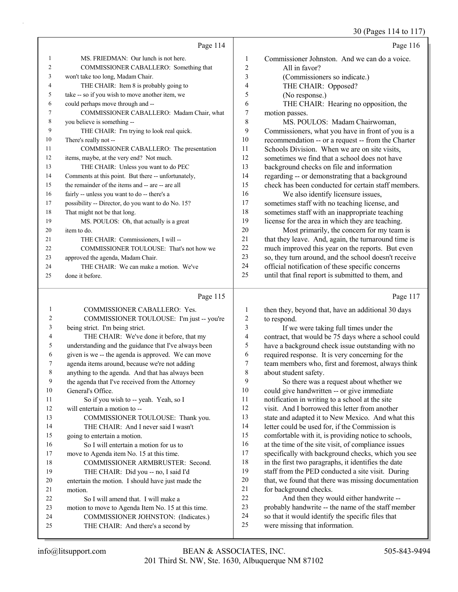# 30 (Pages 114 to 117)

|                | Page 114                                            |                | Page 116                                             |
|----------------|-----------------------------------------------------|----------------|------------------------------------------------------|
| 1              | MS. FRIEDMAN: Our lunch is not here.                | 1              | Commissioner Johnston. And we can do a voice.        |
| $\overline{c}$ | COMMISSIONER CABALLERO: Something that              | $\overline{c}$ | All in favor?                                        |
| 3              | won't take too long, Madam Chair.                   | 3              | (Commissioners so indicate.)                         |
| 4              | THE CHAIR: Item 8 is probably going to              | 4              | THE CHAIR: Opposed?                                  |
| 5              | take -- so if you wish to move another item, we     | 5              | (No response.)                                       |
| 6              | could perhaps move through and --                   | 6              | THE CHAIR: Hearing no opposition, the                |
| 7              | COMMISSIONER CABALLERO: Madam Chair, what           | 7              | motion passes.                                       |
| 8              | you believe is something --                         | 8              | MS. POULOS: Madam Chairwoman,                        |
| 9              | THE CHAIR: I'm trying to look real quick.           | 9              | Commissioners, what you have in front of you is a    |
| 10             | There's really not --                               | 10             | recommendation -- or a request -- from the Charter   |
| 11             | COMMISSIONER CABALLERO: The presentation            | 11             | Schools Division. When we are on site visits,        |
| 12             | items, maybe, at the very end? Not much.            | 12             | sometimes we find that a school does not have        |
| 13             | THE CHAIR: Unless you want to do PEC                | 13             | background checks on file and information            |
| 14             | Comments at this point. But there -- unfortunately, | 14             | regarding -- or demonstrating that a background      |
| 15             | the remainder of the items and -- are -- are all    | 15             | check has been conducted for certain staff members.  |
| 16             | fairly -- unless you want to do -- there's a        | 16             | We also identify licensure issues,                   |
| 17             | possibility -- Director, do you want to do No. 15?  | 17             | sometimes staff with no teaching license, and        |
| 18             | That might not be that long.                        | 18             | sometimes staff with an inappropriate teaching       |
| 19             | MS. POULOS: Oh, that actually is a great            | 19             | license for the area in which they are teaching.     |
| 20             | item to do.                                         | 20             | Most primarily, the concern for my team is           |
| 21             | THE CHAIR: Commissioners, I will --                 | 21             | that they leave. And, again, the turnaround time is  |
| 22             | COMMISSIONER TOULOUSE: That's not how we            | 22             | much improved this year on the reports. But even     |
| 23             | approved the agenda, Madam Chair.                   | 23             | so, they turn around, and the school doesn't receive |
| 24             | THE CHAIR: We can make a motion. We've              | 24             | official notification of these specific concerns     |
| 25             | done it before.                                     | 25             | until that final report is submitted to them, and    |

# Page 115 |

| 1  | COMMISSIONER CABALLERO: Yes.                         |                          |
|----|------------------------------------------------------|--------------------------|
| 2  | COMMISSIONER TOULOUSE: I'm just -- you're            | 2                        |
| 3  | being strict. I'm being strict.                      | Ê                        |
| 4  | THE CHAIR: We've done it before, that my             | $\overline{\phantom{a}}$ |
| 5  | understanding and the guidance that I've always been |                          |
| 6  | given is we -- the agenda is approved. We can move   | 6                        |
| 7  | agenda items around, because we're not adding        |                          |
| 8  | anything to the agenda. And that has always been     | ξ                        |
| 9  | the agenda that I've received from the Attorney      | Č                        |
| 10 | General's Office.                                    | 1(                       |
| 11 | So if you wish to -- yeah. Yeah, so I                | 11                       |
| 12 | will entertain a motion to --                        | 12                       |
| 13 | COMMISSIONER TOULOUSE: Thank you.                    | 13                       |
| 14 | THE CHAIR: And I never said I wasn't                 | 14                       |
| 15 | going to entertain a motion.                         | 1:                       |
| 16 | So I will entertain a motion for us to               | 16                       |
| 17 | move to Agenda item No. 15 at this time.             | $1^\circ$                |
| 18 | COMMISSIONER ARMBRUSTER: Second.                     | 18                       |
| 19 | THE CHAIR: Did you -- no, I said I'd                 | 19                       |
| 20 | entertain the motion. I should have just made the    | $\overline{2}$           |
| 21 | motion.                                              | 21                       |
| 22 | So I will amend that. I will make a                  | 22                       |
| 23 | motion to move to Agenda Item No. 15 at this time.   | $2\overline{3}$          |
| 24 | COMMISSIONER JOHNSTON: (Indicates.)                  | 24                       |
| 25 | THE CHAIR: And there's a second by                   | 2 <sup>2</sup>           |
|    |                                                      |                          |

| 1              | then they, beyond that, have an additional 30 days   |
|----------------|------------------------------------------------------|
| $\overline{2}$ | to respond.                                          |
| $\overline{3}$ | If we were taking full times under the               |
| $\overline{4}$ | contract, that would be 75 days where a school could |
| 5              | have a background check issue outstanding with no    |
| 6              | required response. It is very concerning for the     |
| 7              | team members who, first and foremost, always think   |
| 8              | about student safety.                                |
| 9              | So there was a request about whether we              |
| 10             | could give handwritten -- or give immediate          |
| 11             | notification in writing to a school at the site      |
| 12             | visit. And I borrowed this letter from another       |
| 13             | state and adapted it to New Mexico. And what this    |
| 14             | letter could be used for, if the Commission is       |
| 15             | comfortable with it, is providing notice to schools, |
| 16             | at the time of the site visit, of compliance issues  |
| 17             | specifically with background checks, which you see   |
| 18             | in the first two paragraphs, it identifies the date  |
| 19             | staff from the PED conducted a site visit. During    |
| 20             | that, we found that there was missing documentation  |
| 21             | for background checks.                               |
| 22             | And then they would either handwrite --              |
| 23             | probably handwrite -- the name of the staff member   |
| 24             | so that it would identify the specific files that    |
| 25             | were missing that information.                       |
|                |                                                      |

Page 117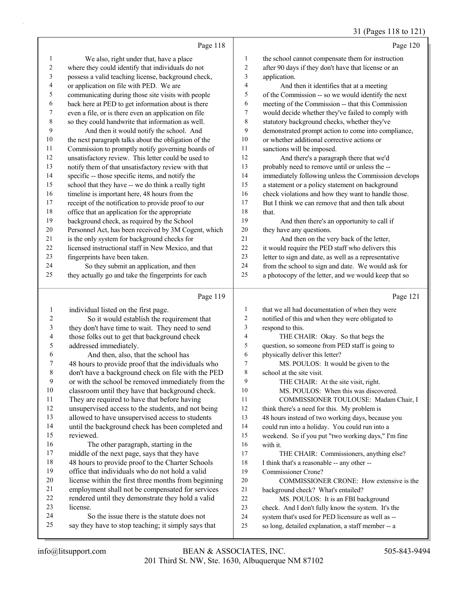# 31 (Pages 118 to 121)

|                | Page 118                                                                                              |           | Page 120                                                                                                   |
|----------------|-------------------------------------------------------------------------------------------------------|-----------|------------------------------------------------------------------------------------------------------------|
| $\mathbf{1}$   | We also, right under that, have a place                                                               | 1         | the school cannot compensate them for instruction                                                          |
| 2              | where they could identify that individuals do not                                                     | 2         | after 90 days if they don't have that license or an                                                        |
| 3              | possess a valid teaching license, background check,                                                   | 3         | application.                                                                                               |
| 4              | or application on file with PED. We are                                                               | 4         | And then it identifies that at a meeting                                                                   |
| 5              | communicating during those site visits with people                                                    | 5         | of the Commission -- so we would identify the next                                                         |
| 6              | back here at PED to get information about is there                                                    | 6         | meeting of the Commission -- that this Commission                                                          |
| 7              | even a file, or is there even an application on file                                                  | 7         | would decide whether they've failed to comply with                                                         |
| $\,$ 8 $\,$    | so they could handwrite that information as well.                                                     | 8         | statutory background checks, whether they've                                                               |
| 9              | And then it would notify the school. And                                                              | 9         | demonstrated prompt action to come into compliance,                                                        |
| $10\,$         | the next paragraph talks about the obligation of the                                                  | 10        | or whether additional corrective actions or                                                                |
| 11             | Commission to promptly notify governing boards of                                                     | 11        | sanctions will be imposed.                                                                                 |
| 12             | unsatisfactory review. This letter could be used to                                                   | 12        | And there's a paragraph there that we'd                                                                    |
| 13             | notify them of that unsatisfactory review with that                                                   | 13        | probably need to remove until or unless the --                                                             |
| 14             | specific -- those specific items, and notify the                                                      | 14        | immediately following unless the Commission develops                                                       |
| 15             | school that they have -- we do think a really tight                                                   | 15        | a statement or a policy statement on background                                                            |
| 16             | timeline is important here, 48 hours from the                                                         | 16        | check violations and how they want to handle those.                                                        |
| 17             | receipt of the notification to provide proof to our                                                   | 17        | But I think we can remove that and then talk about                                                         |
| 18             | office that an application for the appropriate                                                        | 18        | that.                                                                                                      |
| 19             | background check, as required by the School                                                           | 19        | And then there's an opportunity to call if                                                                 |
| 20             | Personnel Act, has been received by 3M Cogent, which                                                  | 20        | they have any questions.                                                                                   |
| 21             | is the only system for background checks for                                                          | 21        | And then on the very back of the letter,                                                                   |
| 22             | licensed instructional staff in New Mexico, and that                                                  | 22        | it would require the PED staff who delivers this                                                           |
| 23             | fingerprints have been taken.                                                                         | 23<br>24  | letter to sign and date, as well as a representative                                                       |
| 24<br>25       | So they submit an application, and then<br>they actually go and take the fingerprints for each        | 25        | from the school to sign and date. We would ask for<br>a photocopy of the letter, and we would keep that so |
|                |                                                                                                       |           |                                                                                                            |
|                |                                                                                                       |           |                                                                                                            |
|                | Page 119                                                                                              |           | Page 121                                                                                                   |
| $\mathbf{1}$   | individual listed on the first page.                                                                  | 1         | that we all had documentation of when they were                                                            |
| $\overline{c}$ | So it would establish the requirement that                                                            | 2         | notified of this and when they were obligated to                                                           |
| 3              | they don't have time to wait. They need to send                                                       | 3         | respond to this.                                                                                           |
| 4              | those folks out to get that background check                                                          | 4         | THE CHAIR: Okay. So that begs the                                                                          |
| 5              | addressed immediately.                                                                                | 5         | question, so someone from PED staff is going to                                                            |
| 6              | And then, also, that the school has                                                                   | 6         | physically deliver this letter?                                                                            |
| 7              | 48 hours to provide proof that the individuals who                                                    | 7         | MS. POULOS: It would be given to the                                                                       |
| $\,$ 8 $\,$    | don't have a background check on file with the PED                                                    | $\,$ $\,$ | school at the site visit.                                                                                  |
| 9              | or with the school be removed immediately from the                                                    | 9<br>10   | THE CHAIR: At the site visit, right.                                                                       |
| 10             | classroom until they have that background check.                                                      | 11        | MS. POULOS: When this was discovered.                                                                      |
| 11<br>12       | They are required to have that before having                                                          | 12        | COMMISSIONER TOULOUSE: Madam Chair, I<br>think there's a need for this. My problem is                      |
| 13             | unsupervised access to the students, and not being<br>allowed to have unsupervised access to students | 13        |                                                                                                            |
| 14             | until the background check has been completed and                                                     | 14        | 48 hours instead of two working days, because you<br>could run into a holiday. You could run into a        |
| 15             | reviewed.                                                                                             | 15        | weekend. So if you put "two working days," I'm fine                                                        |
| 16             | The other paragraph, starting in the                                                                  | 16        | with it.                                                                                                   |
| 17             | middle of the next page, says that they have                                                          | 17        | THE CHAIR: Commissioners, anything else?                                                                   |
| 18             | 48 hours to provide proof to the Charter Schools                                                      | 18        | I think that's a reasonable -- any other --                                                                |
| 19             | office that individuals who do not hold a valid                                                       | 19        | Commissioner Crone?                                                                                        |
| 20             | license within the first three months from beginning                                                  | 20        | COMMISSIONER CRONE: How extensive is the                                                                   |
| 21             | employment shall not be compensated for services                                                      | 21        | background check? What's entailed?                                                                         |
| 22             | rendered until they demonstrate they hold a valid                                                     | $22\,$    | MS. POULOS: It is an FBI background                                                                        |
| 23             | license.                                                                                              | 23        | check. And I don't fully know the system. It's the                                                         |
| 24<br>25       | So the issue there is the statute does not<br>say they have to stop teaching; it simply says that     | 24<br>25  | system that's used for PED licensure as well as --<br>so long, detailed explanation, a staff member -- a   |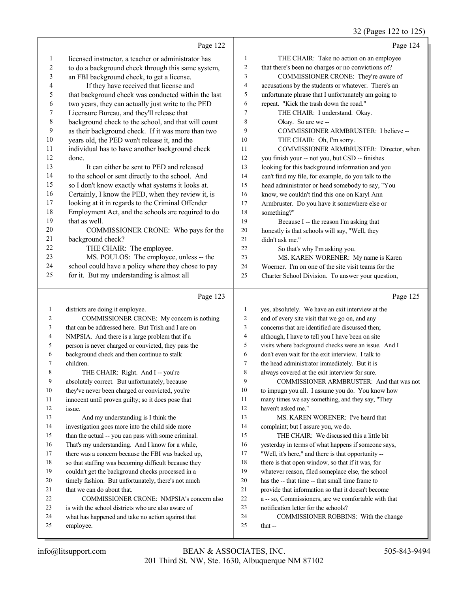32 (Pages 122 to 125)

|              | Page 122                                                                                        |                | Page 124                                                                                           |
|--------------|-------------------------------------------------------------------------------------------------|----------------|----------------------------------------------------------------------------------------------------|
| 1            | licensed instructor, a teacher or administrator has                                             | $\mathbf{1}$   | THE CHAIR: Take no action on an employee                                                           |
| 2            | to do a background check through this same system,                                              | $\overline{c}$ | that there's been no charges or no convictions of?                                                 |
| 3            | an FBI background check, to get a license.                                                      | 3              | COMMISSIONER CRONE: They're aware of                                                               |
| 4            | If they have received that license and                                                          | 4              | accusations by the students or whatever. There's an                                                |
| 5            | that background check was conducted within the last                                             | 5              | unfortunate phrase that I unfortunately am going to                                                |
| 6            | two years, they can actually just write to the PED                                              | 6              | repeat. "Kick the trash down the road."                                                            |
| 7            | Licensure Bureau, and they'll release that                                                      | $\overline{7}$ | THE CHAIR: I understand. Okay.                                                                     |
| 8            | background check to the school, and that will count                                             | 8              | Okay. So are we-                                                                                   |
| 9            | as their background check. If it was more than two                                              | 9              | COMMISSIONER ARMBRUSTER: I believe --                                                              |
| 10           | years old, the PED won't release it, and the                                                    | 10             | THE CHAIR: Oh, I'm sorry.                                                                          |
| 11           | individual has to have another background check                                                 | 11             | COMMISSIONER ARMBRUSTER: Director, when                                                            |
| 12           | done.                                                                                           | 12             | you finish your -- not you, but CSD -- finishes                                                    |
| 13           | It can either be sent to PED and released                                                       | 13             | looking for this background information and you                                                    |
| 14           | to the school or sent directly to the school. And                                               | 14             | can't find my file, for example, do you talk to the                                                |
| 15           | so I don't know exactly what systems it looks at.                                               | 15             | head administrator or head somebody to say, "You                                                   |
| 16           | Certainly, I know the PED, when they review it, is                                              | 16             | know, we couldn't find this one on Karyl Ann                                                       |
| 17           | looking at it in regards to the Criminal Offender                                               | 17             | Armbruster. Do you have it somewhere else or                                                       |
| 18           | Employment Act, and the schools are required to do                                              | 18             | something?"                                                                                        |
| 19           | that as well.                                                                                   | 19             | Because I -- the reason I'm asking that                                                            |
| 20           | COMMISSIONER CRONE: Who pays for the                                                            | $20\,$         | honestly is that schools will say, "Well, they                                                     |
| 21           | background check?                                                                               | 21             | didn't ask me."                                                                                    |
| 22           | THE CHAIR: The employee.                                                                        | 22             | So that's why I'm asking you.                                                                      |
| 23           | MS. POULOS: The employee, unless -- the                                                         | 23             | MS. KAREN WORENER: My name is Karen                                                                |
| 24           | school could have a policy where they chose to pay                                              | 24             | Woerner. I'm on one of the site visit teams for the                                                |
| 25           | for it. But my understanding is almost all                                                      | 25             | Charter School Division. To answer your question,                                                  |
|              | Page 123                                                                                        |                | Page 125                                                                                           |
|              |                                                                                                 |                |                                                                                                    |
| $\mathbf{1}$ |                                                                                                 | $\mathbf{1}$   |                                                                                                    |
| 2            | districts are doing it employee.                                                                | 2              | yes, absolutely. We have an exit interview at the                                                  |
| 3            | COMMISSIONER CRONE: My concern is nothing<br>that can be addressed here. But Trish and I are on | 3              | end of every site visit that we go on, and any<br>concerns that are identified are discussed then; |
| 4            | NMPSIA. And there is a large problem that if a                                                  | 4              | although, I have to tell you I have been on site                                                   |
| 5            | person is never charged or convicted, they pass the                                             | 5              | visits where background checks were an issue. And I                                                |
| 6            | background check and then continue to stalk                                                     | 6              | don't even wait for the exit interview. I talk to                                                  |
| 7            | children.                                                                                       | $\tau$         | the head administrator immediately. But it is                                                      |
| 8            | THE CHAIR: Right. And I -- you're                                                               | 8              | always covered at the exit interview for sure.                                                     |
| 9            | absolutely correct. But unfortunately, because                                                  | 9              | COMMISSIONER ARMBRUSTER: And that was not                                                          |
| 10           | they've never been charged or convicted, you're                                                 | 10             | to impugn you all. I assume you do. You know how                                                   |
| 11           | innocent until proven guilty; so it does pose that                                              | 11             | many times we say something, and they say, "They                                                   |
| 12           | issue.                                                                                          | 12             | haven't asked me."                                                                                 |
| 13           | And my understanding is I think the                                                             | 13             | MS. KAREN WORENER: I've heard that                                                                 |
| 14           | investigation goes more into the child side more                                                | 14             | complaint; but I assure you, we do.                                                                |
| 15           | than the actual -- you can pass with some criminal.                                             | 15             | THE CHAIR: We discussed this a little bit                                                          |
| 16           | That's my understanding. And I know for a while,                                                | 16             | yesterday in terms of what happens if someone says,                                                |
| 17           | there was a concern because the FBI was backed up,                                              | 17             | "Well, it's here," and there is that opportunity --                                                |
| 18           | so that staffing was becoming difficult because they                                            | 18             | there is that open window, so that if it was, for                                                  |
| 19           | couldn't get the background checks processed in a                                               | 19             | whatever reason, filed someplace else, the school                                                  |
| 20           | timely fashion. But unfortunately, there's not much                                             | 20             | has the -- that time -- that small time frame to                                                   |
| 21           | that we can do about that.                                                                      | 21             | provide that information so that it doesn't become                                                 |
| 22           | COMMISSIONER CRONE: NMPSIA's concern also                                                       | 22             | a -- so, Commissioners, are we comfortable with that                                               |
| 23           | is with the school districts who are also aware of                                              | 23             | notification letter for the schools?                                                               |
| 24<br>25     | what has happened and take no action against that<br>employee.                                  | 24<br>25       | COMMISSIONER ROBBINS: With the change<br>that --                                                   |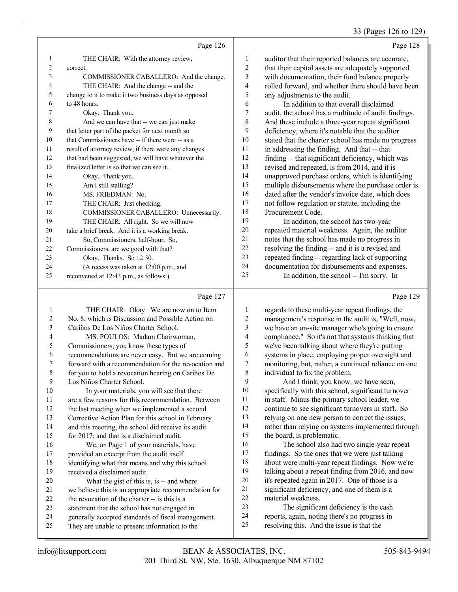#### 33 (Pages 126 to 129)

| .,<br>۹ |
|---------|
|         |

|                | Page 126                                             |    | Page 128                                             |
|----------------|------------------------------------------------------|----|------------------------------------------------------|
|                | THE CHAIR: With the attorney review,                 | 1  | auditor that their reported balances are accurate,   |
| $\overline{c}$ | correct.                                             | 2  | that their capital assets are adequately supported   |
| 3              | COMMISSIONER CABALLERO: And the change.              | 3  | with documentation, their fund balance properly      |
| 4              | THE CHAIR: And the change -- and the                 | 4  | rolled forward, and whether there should have been   |
| 5              | change to it to make it two business days as opposed | 5  | any adjustments to the audit.                        |
| 6              | to 48 hours.                                         | 6  | In addition to that overall disclaimed               |
| 7              | Okay. Thank you.                                     | 7  | audit, the school has a multitude of audit findings. |
| 8              | And we can have that -- we can just make             | 8  | And these include a three-year repeat significant    |
| 9              | that letter part of the packet for next month so     | 9  | deficiency, where it's notable that the auditor      |
| 10             | that Commissioners have -- if there were -- as a     | 10 | stated that the charter school has made no progress  |
| 11             | result of attorney review, if there were any changes | 11 | in addressing the finding. And that -- that          |
| 12             | that had been suggested, we will have whatever the   | 12 | finding -- that significant deficiency, which was    |
| 13             | finalized letter is so that we can see it.           | 13 | revised and repeated, is from 2014, and it is        |
| 14             | Okay. Thank you.                                     | 14 | unapproved purchase orders, which is identifying     |
| 15             | Am I still stalling?                                 | 15 | multiple disbursements where the purchase order is   |
| 16             | MS. FRIEDMAN: No.                                    | 16 | dated after the vendor's invoice date, which does    |
| 17             | THE CHAIR: Just checking.                            | 17 | not follow regulation or statute, including the      |
| 18             | COMMISSIONER CABALLERO: Unnecessarily.               | 18 | Procurement Code.                                    |
| 19             | THE CHAIR: All right. So we will now                 | 19 | In addition, the school has two-year                 |
| 20             | take a brief break. And it is a working break.       | 20 | repeated material weakness. Again, the auditor       |
| 21             | So, Commissioners, half-hour. So,                    | 21 | notes that the school has made no progress in        |
| 22             | Commissioners, are we good with that?                | 22 | resolving the finding -- and it is a revised and     |
| 23             | Okay. Thanks. So 12:30.                              | 23 | repeated finding -- regarding lack of supporting     |
| 24             | (A recess was taken at 12:00 p.m., and               | 24 | documentation for disbursements and expenses.        |
| 25             | reconvened at 12:43 p.m., as follows:)               | 25 | In addition, the school -- I'm sorry. In             |
|                |                                                      |    |                                                      |

## Page 127

| $\mathbf{1}$   | THE CHAIR: Okay. We are now on to Item               | 1  | regards to these mult   |
|----------------|------------------------------------------------------|----|-------------------------|
| $\overline{2}$ | No. 8, which is Discussion and Possible Action on    | 2  | management's respon     |
| 3              | Cariños De Los Niños Charter School.                 | 3  | we have an on-site m    |
| $\overline{4}$ | MS. POULOS: Madam Chairwoman,                        | 4  | compliance." So it's    |
| 5              | Commissioners, you know these types of               | 5  | we've been talking ab   |
| 6              | recommendations are never easy. But we are coming    | 6  | systems in place, emp   |
| 7              | forward with a recommendation for the revocation and | 7  | monitoring, but, ratho  |
| 8              | for you to hold a revocation hearing on Cariños De   | 8  | individual to fix the p |
| 9              | Los Niños Charter School.                            | 9  | And I think, yo         |
| 10             | In your materials, you will see that there           | 10 | specifically with this  |
| 11             | are a few reasons for this recommendation. Between   | 11 | in staff. Minus the pi  |
| 12             | the last meeting when we implemented a second        | 12 | continue to see signif  |
| 13             | Corrective Action Plan for this school in February   | 13 | relying on one new p    |
| 14             | and this meeting, the school did receive its audit   | 14 | rather than relying or  |
| 15             | for 2017; and that is a disclaimed audit.            | 15 | the board, is problem   |
| 16             | We, on Page 1 of your materials, have                | 16 | The school also         |
| 17             | provided an excerpt from the audit itself            | 17 | findings. So the ones   |
| 18             | identifying what that means and why this school      | 18 | about were multi-yea    |
| 19             | received a disclaimed audit.                         | 19 | talking about a repea   |
| 20             | What the gist of this is, is -- and where            | 20 | it's repeated again in  |
| 21             | we believe this is an appropriate recommendation for | 21 | significant deficiency  |
| 22             | the revocation of the charter -- is this is a        | 22 | material weakness.      |
| 23             | statement that the school has not engaged in         | 23 | The significant         |
| 24             | generally accepted standards of fiscal management.   | 24 | reports, again, noting  |
| 25             | They are unable to present information to the        | 25 | resolving this. And t   |
|                |                                                      |    |                         |

y, where it's notable that the auditor it the charter school has made no progress sing the finding. And that -- that that significant deficiency, which was nd repeated, is from 2014, and it is red purchase orders, which is identifying disbursements where the purchase order is er the vendor's invoice date, which does v regulation or statute, including the ent Code. addition, the school has two-year material weakness. Again, the auditor the school has made no progress in the finding -- and it is a revised and finding -- regarding lack of supporting tation for disbursements and expenses. addition, the school -- I'm sorry. In

Page 129

| 1              | regards to these multi-year repeat findings, the     |
|----------------|------------------------------------------------------|
| $\overline{2}$ | management's response in the audit is, "Well, now,   |
| 3              | we have an on-site manager who's going to ensure     |
| $\overline{4}$ | compliance." So it's not that systems thinking that  |
| 5              | we've been talking about where they're putting       |
| 6              | systems in place, employing proper oversight and     |
| 7              | monitoring, but, rather, a continued reliance on one |
| 8              | individual to fix the problem.                       |
| 9              | And I think, you know, we have seen,                 |
| 10             | specifically with this school, significant turnover  |
| 11             | in staff. Minus the primary school leader, we        |
| 12             | continue to see significant turnovers in staff. So   |
| 13             | relying on one new person to correct the issues,     |
| 14             | rather than relying on systems implemented through   |
| 15             | the board, is problematic.                           |
| 16             | The school also had two single-year repeat           |
| 17             | findings. So the ones that we were just talking      |
| 18             | about were multi-year repeat findings. Now we're     |
| 19             | talking about a repeat finding from 2016, and now    |
| 20             | it's repeated again in 2017. One of those is a       |
| 21             | significant deficiency, and one of them is a         |
| 22             | material weakness.                                   |
| 23             | The significant deficiency is the cash               |
| 24             | reports, again, noting there's no progress in        |
| 25             | resolving this. And the issue is that the            |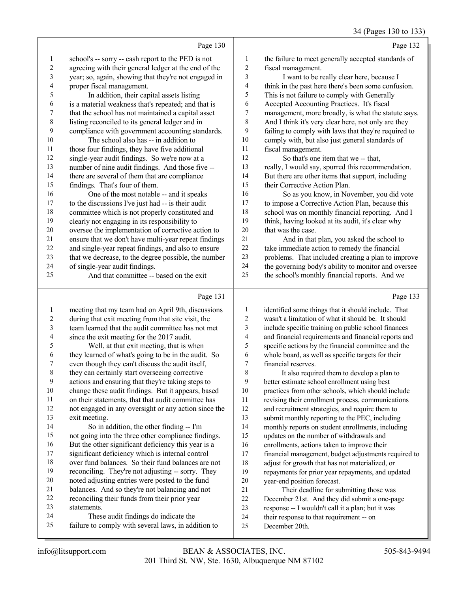|                |                                                      |                | 34 (rages 130 to 13.                                 |
|----------------|------------------------------------------------------|----------------|------------------------------------------------------|
|                | Page 130                                             |                | Page 132                                             |
| $\mathbf{1}$   | school's -- sorry -- cash report to the PED is not   | 1              | the failure to meet generally accepted standards of  |
| $\sqrt{2}$     | agreeing with their general ledger at the end of the | $\overline{c}$ | fiscal management.                                   |
| 3              | year; so, again, showing that they're not engaged in | 3              | I want to be really clear here, because I            |
| 4              | proper fiscal management.                            | 4              | think in the past here there's been some confusion.  |
| 5              | In addition, their capital assets listing            | 5              | This is not failure to comply with Generally         |
| 6              | is a material weakness that's repeated; and that is  | 6              | Accepted Accounting Practices. It's fiscal           |
| 7              | that the school has not maintained a capital asset   | 7              | management, more broadly, is what the statute says.  |
| $\,8\,$        | listing reconciled to its general ledger and in      | $\,$ $\,$      | And I think it's very clear here, not only are they  |
| $\overline{9}$ | compliance with government accounting standards.     | 9              | failing to comply with laws that they're required to |
| 10             | The school also has -- in addition to                | 10             | comply with, but also just general standards of      |
| 11             | those four findings, they have five additional       | 11             | fiscal management.                                   |
| 12             | single-year audit findings. So we're now at a        | 12             | So that's one item that we -- that,                  |
| 13             | number of nine audit findings. And those five --     | 13             | really, I would say, spurred this recommendation.    |
| 14             | there are several of them that are compliance        | 14             | But there are other items that support, including    |
| 15             | findings. That's four of them.                       | 15             | their Corrective Action Plan.                        |
| 16             | One of the most notable -- and it speaks             | 16             | So as you know, in November, you did vote            |
| 17             | to the discussions I've just had -- is their audit   | 17             | to impose a Corrective Action Plan, because this     |
| 18             | committee which is not properly constituted and      | 18             | school was on monthly financial reporting. And I     |
| 19             | clearly not engaging in its responsibility to        | 19             | think, having looked at its audit, it's clear why    |
| 20             | oversee the implementation of corrective action to   | 20             | that was the case.                                   |
| 21             | ensure that we don't have multi-year repeat findings | 21             | And in that plan, you asked the school to            |
| 22             | and single-year repeat findings, and also to ensure  | 22             | take immediate action to remedy the financial        |
| 23             | that we decrease, to the degree possible, the number | 23             | problems. That included creating a plan to improve   |
| 24             | of single-year audit findings.                       | 24             | the governing body's ability to monitor and oversee  |
| 25             | And that committee -- based on the exit              | 25             | the school's monthly financial reports. And we       |
|                | Page 131                                             |                | Page 133                                             |
| $\mathbf{1}$   | meeting that my team had on April 9th, discussions   | 1              | identified some things that it should include. That  |
| $\overline{2}$ | during that exit meeting from that site visit, the   | $\overline{2}$ | wasn't a limitation of what it should be. It should  |
| 3              | team learned that the audit committee has not met    | 3              | include specific training on public school finances  |
|                |                                                      |                |                                                      |

- since the exit meeting for the 2017 audit. 5 Well, at that exit meeting, that is when they learned of what's going to be in the audit. So
- even though they can't discuss the audit itself,
- they can certainly start overseeing corrective actions and ensuring that they're taking steps to
- change these audit findings. But it appears, based on their statements, that that audit committee has
- not engaged in any oversight or any action since the exit meeting.

14 So in addition, the other finding -- I'm not going into the three other compliance findings. 16 But the other significant deficiency this year is a significant deficiency which is internal control over fund balances. So their fund balances are not reconciling. They're not adjusting -- sorry. They noted adjusting entries were posted to the fund balances. And so they're not balancing and not reconciling their funds from their prior year statements. 24 These audit findings do indicate the

failure to comply with several laws, in addition to

ific training on public school fin and financial requirements and financial reports and specific actions by the financial committee and the whole board, as well as specific targets for their financial reserves.

8 It also required them to develop a plan to better estimate school enrollment using best practices from other schools, which should include revising their enrollment process, communications and recruitment strategies, and require them to submit monthly reporting to the PEC, including monthly reports on student enrollments, including updates on the number of withdrawals and enrollments, actions taken to improve their financial management, budget adjustments required to adjust for growth that has not materialized, or repayments for prior year repayments, and updated year-end position forecast. 21 Their deadline for submitting those was December 21st. And they did submit a one-page response -- I wouldn't call it a plan; but it was their response to that requirement -- on

December 20th.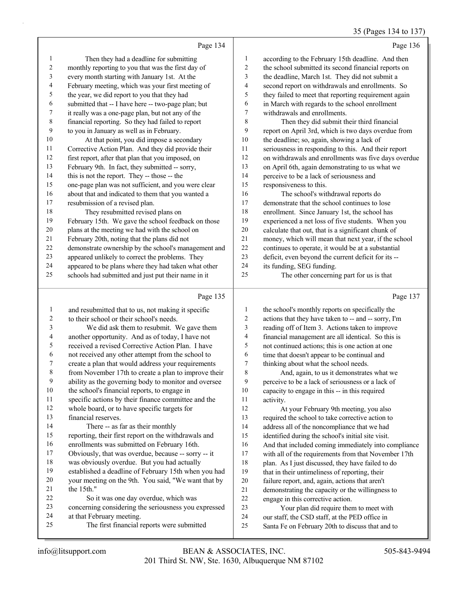# 35 (Pages 134 to 137)

|                | Page 134                                             |    | Page 136                                             |
|----------------|------------------------------------------------------|----|------------------------------------------------------|
| 1              | Then they had a deadline for submitting              | 1  | according to the February 15th deadline. And then    |
| $\overline{2}$ | monthly reporting to you that was the first day of   | 2  | the school submitted its second financial reports on |
| 3              | every month starting with January 1st. At the        | 3  | the deadline, March 1st. They did not submit a       |
| $\overline{4}$ | February meeting, which was your first meeting of    | 4  | second report on withdrawals and enrollments. So     |
| 5              | the year, we did report to you that they had         | 5  | they failed to meet that reporting requirement again |
| 6              | submitted that -- I have here -- two-page plan; but  | 6  | in March with regards to the school enrollment       |
| 7              | it really was a one-page plan, but not any of the    | 7  | withdrawals and enrollments.                         |
| $\,$ 8 $\,$    | financial reporting. So they had failed to report    | 8  | Then they did submit their third financial           |
| 9              | to you in January as well as in February.            | 9  | report on April 3rd, which is two days overdue from  |
| 10             | At that point, you did impose a secondary            | 10 | the deadline; so, again, showing a lack of           |
| 11             | Corrective Action Plan. And they did provide their   | 11 | seriousness in responding to this. And their report  |
| 12             | first report, after that plan that you imposed, on   | 12 | on withdrawals and enrollments was five days overdue |
| 13             | February 9th. In fact, they submitted -- sorry,      | 13 | on April 6th, again demonstrating to us what we      |
| 14             | this is not the report. They -- those -- the         | 14 | perceive to be a lack of seriousness and             |
| 15             | one-page plan was not sufficient, and you were clear | 15 | responsiveness to this.                              |
| 16             | about that and indicated to them that you wanted a   | 16 | The school's withdrawal reports do                   |
| 17             | resubmission of a revised plan.                      | 17 | demonstrate that the school continues to lose        |
| 18             | They resubmitted revised plans on                    | 18 | enrollment. Since January 1st, the school has        |
| 19             | February 15th. We gave the school feedback on those  | 19 | experienced a net loss of five students. When you    |
| 20             | plans at the meeting we had with the school on       | 20 | calculate that out, that is a significant chunk of   |
| 21             | February 20th, noting that the plans did not         | 21 | money, which will mean that next year, if the school |
| 22             | demonstrate ownership by the school's management and | 22 | continues to operate, it would be at a substantial   |
| 23             | appeared unlikely to correct the problems. They      | 23 | deficit, even beyond the current deficit for its --  |
| 24             | appeared to be plans where they had taken what other | 24 | its funding, SEG funding.                            |
| 25             | schools had submitted and just put their name in it  | 25 | The other concerning part for us is that             |
|                | Page 135                                             |    | Page 137                                             |

#### Page 135 |

| 1              | and resubmitted that to us, not making it specific   | $\mathbf{1}$   | the school's monthly reports on specifically the     |
|----------------|------------------------------------------------------|----------------|------------------------------------------------------|
| $\overline{2}$ | to their school or their school's needs.             | $\overline{2}$ | actions that they have taken to -- and -- sorry, I'm |
| 3              | We did ask them to resubmit. We gave them            | 3              | reading off of Item 3. Actions taken to improve      |
| 4              | another opportunity. And as of today, I have not     | 4              | financial management are all identical. So this is   |
| 5              | received a revised Corrective Action Plan. I have    | 5              | not continued actions; this is one action at one     |
| 6              | not received any other attempt from the school to    | 6              | time that doesn't appear to be continual and         |
| 7              | create a plan that would address your requirements   | 7              | thinking about what the school needs.                |
| $\,$ 8 $\,$    | from November 17th to create a plan to improve their | 8              | And, again, to us it demonstrates what we            |
| 9              | ability as the governing body to monitor and oversee | 9              | perceive to be a lack of seriousness or a lack of    |
| 10             | the school's financial reports, to engage in         | 10             | capacity to engage in this -- in this required       |
| 11             | specific actions by their finance committee and the  | 11             | activity.                                            |
| 12             | whole board, or to have specific targets for         | 12             | At your February 9th meeting, you also               |
| 13             | financial reserves.                                  | 13             | required the school to take corrective action to     |
| 14             | There -- as far as their monthly                     | 14             | address all of the noncompliance that we had         |
| 15             | reporting, their first report on the withdrawals and | 15             | identified during the school's initial site visit.   |
| 16             | enrollments was submitted on February 16th.          | 16             | And that included coming immediately into compliance |
| 17             | Obviously, that was overdue, because -- sorry -- it  | 17             | with all of the requirements from that November 17th |
| 18             | was obviously overdue. But you had actually          | 18             | plan. As I just discussed, they have failed to do    |
| 19             | established a deadline of February 15th when you had | 19             | that in their untimeliness of reporting, their       |
| 20             | your meeting on the 9th. You said, "We want that by  | 20             | failure report, and, again, actions that aren't      |
| 21             | the 15th."                                           | 21             | demonstrating the capacity or the willingness to     |
| 22             | So it was one day overdue, which was                 | 22             | engage in this corrective action.                    |
| 23             | concerning considering the seriousness you expressed | 23             | Your plan did require them to meet with              |
| 24             | at that February meeting.                            | 24             | our staff, the CSD staff, at the PED office in       |
| 25             | The first financial reports were submitted           | 25             | Santa Fe on February 20th to discuss that and to     |
|                |                                                      |                |                                                      |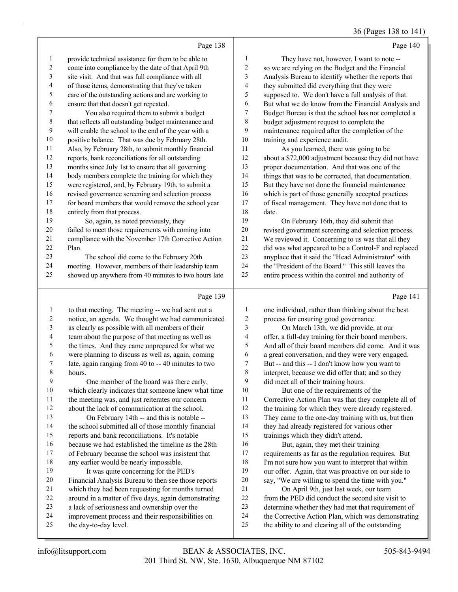|                |                                                      |                         | $30(1450)$ 130 to 1 11                                |
|----------------|------------------------------------------------------|-------------------------|-------------------------------------------------------|
|                | Page 138                                             |                         | Page 140                                              |
| 1              | provide technical assistance for them to be able to  | 1                       | They have not, however, I want to note --             |
| 2              | come into compliance by the date of that April 9th   | $\overline{\mathbf{c}}$ | so we are relying on the Budget and the Financial     |
| 3              | site visit. And that was full compliance with all    | 3                       | Analysis Bureau to identify whether the reports that  |
| 4              | of those items, demonstrating that they've taken     | 4                       | they submitted did everything that they were          |
| 5              | care of the outstanding actions and are working to   | 5                       | supposed to. We don't have a full analysis of that.   |
| 6              | ensure that that doesn't get repeated.               | 6                       | But what we do know from the Financial Analysis and   |
| 7              | You also required them to submit a budget            | 7                       | Budget Bureau is that the school has not completed a  |
| $\,$ 8 $\,$    | that reflects all outstanding budget maintenance and | 8                       | budget adjustment request to complete the             |
| 9              | will enable the school to the end of the year with a | 9                       | maintenance required after the completion of the      |
| 10             | positive balance. That was due by February 28th.     | 10                      | training and experience audit.                        |
| 11             | Also, by February 28th, to submit monthly financial  | 11                      | As you learned, there was going to be                 |
| $12\,$         | reports, bank reconciliations for all outstanding    | 12                      | about a \$72,000 adjustment because they did not have |
| 13             | months since July 1st to ensure that all governing   | 13                      | proper documentation. And that was one of the         |
| 14             | body members complete the training for which they    | 14                      | things that was to be corrected, that documentation.  |
| 15             | were registered, and, by February 19th, to submit a  | 15                      | But they have not done the financial maintenance      |
| 16             | revised governance screening and selection process   | 16                      | which is part of those generally accepted practices   |
| $17\,$         | for board members that would remove the school year  | 17                      | of fiscal management. They have not done that to      |
| $18\,$         | entirely from that process.                          | 18                      | date.                                                 |
| 19             | So, again, as noted previously, they                 | 19                      | On February 16th, they did submit that                |
| $20\,$         | failed to meet those requirements with coming into   | $20\,$                  | revised government screening and selection process.   |
| 21             | compliance with the November 17th Corrective Action  | 21                      | We reviewed it. Concerning to us was that all they    |
| 22             | Plan.                                                | 22                      | did was what appeared to be a Control-F and replaced  |
| 23             | The school did come to the February 20th             | 23                      | anyplace that it said the "Head Administrator" with   |
| 24             | meeting. However, members of their leadership team   | 24                      | the "President of the Board." This still leaves the   |
| 25             | showed up anywhere from 40 minutes to two hours late | 25                      | entire process within the control and authority of    |
|                | Page 139                                             |                         | Page 141                                              |
| 1              | to that meeting. The meeting -- we had sent out a    | 1                       | one individual, rather than thinking about the best   |
| $\overline{c}$ | notice, an agenda. We thought we had communicated    | $\overline{\mathbf{c}}$ | process for ensuring good governance.                 |
| 3              | as clearly as possible with all members of their     | 3                       | On March 13th, we did provide, at our                 |
| 4              | team about the purpose of that meeting as well as    | 4                       | offer, a full-day training for their board members.   |
| 5              | the times. And they came unprepared for what we      | 5                       | And all of their board members did come. And it was   |
| 6              | were planning to discuss as well as, again, coming   | 6                       | a great conversation, and they were very engaged.     |
| 7              | late, again ranging from 40 to -- 40 minutes to two  | $\tau$                  | But -- and this -- I don't know how you want to       |
| 8              | hours.                                               | 8                       | interpret, because we did offer that; and so they     |
| 9              | One member of the board was there early,             | 9                       | did meet all of their training hours.                 |
| $10\,$         | which clearly indicates that someone knew what time  | $10\,$                  | But one of the requirements of the                    |
| 11             | the meeting was, and just reiterates our concern     | 11                      | Corrective Action Plan was that they complete all of  |
| 12             | about the lack of communication at the school.       | 12                      | the training for which they were already registered.  |
| 13             | On February 14th -- and this is notable --           | 13                      | They came to the one-day training with us, but then   |
| 14             | the school submitted all of those monthly financial  | 14                      | they had already registered for various other         |
| 15             | reports and bank reconciliations. It's notable       | 15                      | trainings which they didn't attend.                   |
| 16             | because we had established the timeline as the 28th  | 16                      | But, again, they met their training                   |
| 17             | of February because the school was insistent that    | 17                      | requirements as far as the regulation requires. But   |
| 18             | any earlier would be nearly impossible.              | 18                      | I'm not sure how you want to interpret that within    |
| 19             | It was quite concerning for the PED's                | 19                      | our offer. Again, that was proactive on our side to   |
| $20\,$         | Financial Analysis Bureau to then see those reports  | 20                      | say, "We are willing to spend the time with you."     |

- Financial Analysis Bureau to then see those reports which they had been requesting for months turned around in a matter of five days, again demonstrating
- a lack of seriousness and ownership over the
- improvement process and their responsibilities on
- the day-to-day level.

21 On April 9th, just last week, our team from the PED did conduct the second site visit to determine whether they had met that requirement of the Corrective Action Plan, which was demonstrating the ability to and clearing all of the outstanding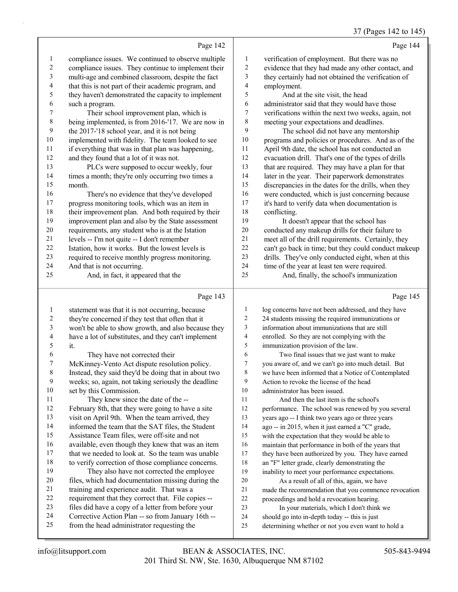#### 37 (Pages 142 to 145)

Page 142 compliance issues. We continued to observe multiple compliance issues. They continue to implement their multi-age and combined classroom, despite the fact that this is not part of their academic program, and they haven't demonstrated the capacity to implement such a program. 7 Their school improvement plan, which is being implemented, is from 2016-'17. We are now in the 2017-'18 school year, and it is not being implemented with fidelity. The team looked to see if everything that was in that plan was happening, 12 and they found that a lot of it was not. 13 PLCs were supposed to occur weekly, four times a month; they're only occurring two times a month. 16 There's no evidence that they've developed progress monitoring tools, which was an item in their improvement plan. And both required by their improvement plan and also by the State assessment requirements, any student who is at the Istation levels -- I'm not quite -- I don't remember Istation, how it works. But the lowest levels is required to receive monthly progress monitoring. And that is not occurring. 25 And, in fact, it appeared that the Page 144 verification of employment. But there was no evidence that they had made any other contact, and they certainly had not obtained the verification of employment. 5 And at the site visit, the head administrator said that they would have those verifications within the next two weeks, again, not meeting your expectations and deadlines. 9 The school did not have any mentorship programs and policies or procedures. And as of the April 9th date, the school has not conducted an evacuation drill. That's one of the types of drills that are required. They may have a plan for that later in the year. Their paperwork demonstrates discrepancies in the dates for the drills, when they were conducted, which is just concerning because it's hard to verify data when documentation is conflicting. 19 It doesn't appear that the school has conducted any makeup drills for their failure to meet all of the drill requirements. Certainly, they can't go back in time; but they could conduct makeup drills. They've only conducted eight, when at this time of the year at least ten were required. 25 And, finally, the school's immunization Page 145

|    | Page 143                                             |                | Page 145                                             |
|----|------------------------------------------------------|----------------|------------------------------------------------------|
| 1  | statement was that it is not occurring, because      | 1              | log concerns have not been addressed, and they have  |
| 2  | they're concerned if they test that often that it    | $\overline{c}$ | 24 students missing the required immunizations or    |
| 3  | won't be able to show growth, and also because they  | 3              | information about immunizations that are still       |
| 4  | have a lot of substitutes, and they can't implement  | 4              | enrolled. So they are not complying with the         |
| 5  | it.                                                  | 5              | immunization provision of the law.                   |
| 6  | They have not corrected their                        | 6              | Two final issues that we just want to make           |
| 7  | McKinney-Vento Act dispute resolution policy.        | $\tau$         | you aware of, and we can't go into much detail. But  |
| 8  | Instead, they said they'd be doing that in about two | 8              | we have been informed that a Notice of Contemplated  |
| 9  | weeks; so, again, not taking seriously the deadline  | 9              | Action to revoke the license of the head             |
| 10 | set by this Commission.                              | 10             | administrator has been issued.                       |
| 11 | They knew since the date of the --                   | 11             | And then the last item is the school's               |
| 12 | February 8th, that they were going to have a site    | 12             | performance. The school was renewed by you several   |
| 13 | visit on April 9th. When the team arrived, they      | 13             | years ago -- I think two years ago or three years    |
| 14 | informed the team that the SAT files, the Student    | 14             | ago -- in 2015, when it just earned a "C" grade,     |
| 15 | Assistance Team files, were off-site and not         | 15             | with the expectation that they would be able to      |
| 16 | available, even though they knew that was an item    | 16             | maintain that performance in both of the years that  |
| 17 | that we needed to look at. So the team was unable    | 17             | they have been authorized by you. They have earned   |
| 18 | to verify correction of those compliance concerns.   | 18             | an "F" letter grade, clearly demonstrating the       |
| 19 | They also have not corrected the employee            | 19             | inability to meet your performance expectations.     |
| 20 | files, which had documentation missing during the    | 20             | As a result of all of this, again, we have           |
| 21 | training and experience audit. That was a            | 21             | made the recommendation that you commence revocation |
| 22 | requirement that they correct that. File copies --   | 22             | proceedings and hold a revocation hearing.           |
| 23 | files did have a copy of a letter from before your   | 23             | In your materials, which I don't think we            |
| 24 | Corrective Action Plan -- so from January 16th --    | 24             | should go into in-depth today -- this is just        |
| 25 | from the head administrator requesting the           | 25             | determining whether or not you even want to hold a   |
|    |                                                      |                |                                                      |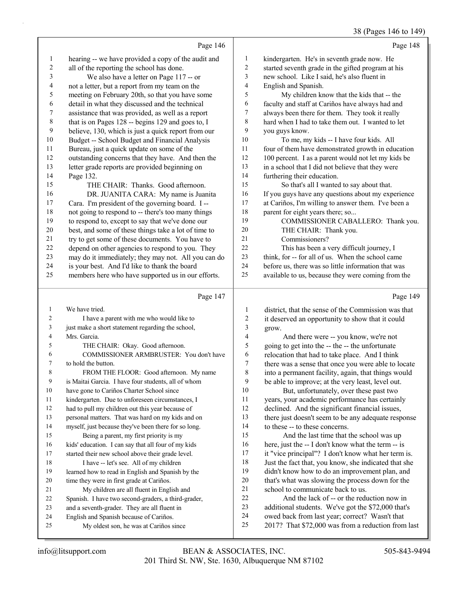38 (Pages 146 to 149)

Page 146 hearing -- we have provided a copy of the audit and all of the reporting the school has done. 3 We also have a letter on Page 117 -- or not a letter, but a report from my team on the meeting on February 20th, so that you have some detail in what they discussed and the technical assistance that was provided, as well as a report 8 that is on Pages 128 -- begins 129 and goes to, I believe, 130, which is just a quick report from our Budget -- School Budget and Financial Analysis Bureau, just a quick update on some of the outstanding concerns that they have. And then the letter grade reports are provided beginning on Page 132. 15 THE CHAIR: Thanks. Good afternoon. 16 DR. JUANITA CARA: My name is Juanita Cara. I'm president of the governing board. I -- not going to respond to -- there's too many things to respond to, except to say that we've done our best, and some of these things take a lot of time to try to get some of these documents. You have to depend on other agencies to respond to you. They may do it immediately; they may not. All you can do is your best. And I'd like to thank the board members here who have supported us in our efforts. Page 147 We have tried. 2 I have a parent with me who would like to just make a short statement regarding the school, Mrs. Garcia. 5 THE CHAIR: Okay. Good afternoon. 6 COMMISSIONER ARMBRUSTER: You don't have to hold the button. 8 FROM THE FLOOR: Good afternoon. My name is Maitai Garcia. I have four students, all of whom have gone to Cariños Charter School since kindergarten. Due to unforeseen circumstances, I had to pull my children out this year because of personal matters. That was hard on my kids and on myself, just because they've been there for so long. 15 Being a parent, my first priority is my kids' education. I can say that all four of my kids started their new school above their grade level. 18 I have -- let's see. All of my children learned how to read in English and Spanish by the time they were in first grade at Cariños. 21 My children are all fluent in English and Spanish. I have two second-graders, a third-grader, and a seventh-grader. They are all fluent in English and Spanish because of Cariños. 25 My oldest son, he was at Cariños since Page 148 kindergarten. He's in seventh grade now. He started seventh grade in the gifted program at his new school. Like I said, he's also fluent in English and Spanish. 5 My children know that the kids that -- the faculty and staff at Cariños have always had and always been there for them. They took it really hard when I had to take them out. I wanted to let you guys know. 10 To me, my kids -- I have four kids. All four of them have demonstrated growth in education 100 percent. I as a parent would not let my kids be in a school that I did not believe that they were furthering their education. 15 So that's all I wanted to say about that. If you guys have any questions about my experience at Cariños, I'm willing to answer them. I've been a 18 parent for eight years there; so... 19 COMMISSIONER CABALLERO: Thank you. 20 THE CHAIR: Thank you. 21 Commissioners? 22 This has been a very difficult journey, I think, for -- for all of us. When the school came before us, there was so little information that was available to us, because they were coming from the Page 149 district, that the sense of the Commission was that it deserved an opportunity to show that it could grow. 4 And there were -- you know, we're not going to get into the -- the -- the unfortunate relocation that had to take place. And I think there was a sense that once you were able to locate into a permanent facility, again, that things would be able to improve; at the very least, level out. 10 But, unfortunately, over these past two years, your academic performance has certainly declined. And the significant financial issues, there just doesn't seem to be any adequate response to these -- to these concerns. 15 And the last time that the school was up here, just the -- I don't know what the term -- is it "vice principal"? I don't know what her term is. Just the fact that, you know, she indicated that she didn't know how to do an improvement plan, and that's what was slowing the process down for the 21 school to communicate back to us. 22 And the lack of -- or the reduction now in additional students. We've got the \$72,000 that's owed back from last year; correct? Wasn't that 2017? That \$72,000 was from a reduction from last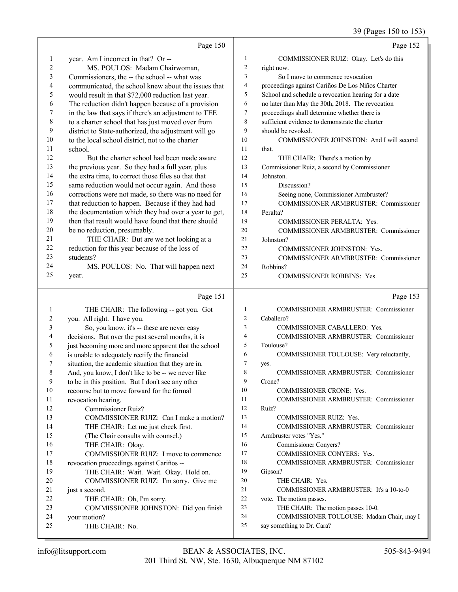# 39 (Pages 150 to 153)

|                | Page 150                                             |                | Page 152                                                                |
|----------------|------------------------------------------------------|----------------|-------------------------------------------------------------------------|
| 1              | year. Am I incorrect in that? Or --                  | 1              | COMMISSIONER RUIZ: Okay. Let's do this                                  |
| $\overline{c}$ | MS. POULOS: Madam Chairwoman,                        | 2              | right now.                                                              |
| 3              | Commissioners, the -- the school -- what was         | 3              | So I move to commence revocation                                        |
| 4              | communicated, the school knew about the issues that  | 4              | proceedings against Cariños De Los Niños Charter                        |
| 5              | would result in that \$72,000 reduction last year.   | 5              | School and schedule a revocation hearing for a date                     |
| 6              | The reduction didn't happen because of a provision   | 6              | no later than May the 30th, 2018. The revocation                        |
| 7              | in the law that says if there's an adjustment to TEE | 7              | proceedings shall determine whether there is                            |
| $\,$ $\,$      | to a charter school that has just moved over from    | 8              | sufficient evidence to demonstrate the charter                          |
| 9              | district to State-authorized, the adjustment will go | 9              | should be revoked.                                                      |
| 10             | to the local school district, not to the charter     | 10             | COMMISSIONER JOHNSTON: And I will second                                |
| 11             | school.                                              | 11             | that.                                                                   |
| 12             | But the charter school had been made aware           | 12             | THE CHAIR: There's a motion by                                          |
| 13             | the previous year. So they had a full year, plus     | 13             | Commissioner Ruiz, a second by Commissioner                             |
| 14             | the extra time, to correct those files so that that  | 14             | Johnston.                                                               |
| 15             | same reduction would not occur again. And those      | 15             | Discussion?                                                             |
| 16             | corrections were not made, so there was no need for  | 16             | Seeing none, Commissioner Armbruster?                                   |
| 17             | that reduction to happen. Because if they had had    | 17             | COMMISSIONER ARMBRUSTER: Commissioner                                   |
| 18             | the documentation which they had over a year to get, | 18             | Peralta?                                                                |
| 19             | then that result would have found that there should  | 19             | COMMISSIONER PERALTA: Yes.                                              |
| 20             | be no reduction, presumably.                         | 20             | COMMISSIONER ARMBRUSTER: Commissioner                                   |
| 21             | THE CHAIR: But are we not looking at a               | 21             | Johnston?                                                               |
| 22             | reduction for this year because of the loss of       | 22             | COMMISSIONER JOHNSTON: Yes.                                             |
| 23             | students?                                            | 23             | COMMISSIONER ARMBRUSTER: Commissioner                                   |
| 24             | MS. POULOS: No. That will happen next                | 24             | Robbins?                                                                |
| 25             | year.                                                | 25             | COMMISSIONER ROBBINS: Yes.                                              |
|                |                                                      |                |                                                                         |
|                | Page 151                                             |                |                                                                         |
|                |                                                      |                | Page 153                                                                |
| $\mathbf{1}$   | THE CHAIR: The following -- got you. Got             | 1              | <b>COMMISSIONER ARMBRUSTER: Commissioner</b>                            |
| 2              | you. All right. I have you.                          | $\overline{2}$ | Caballero?                                                              |
| 3              | So, you know, it's -- these are never easy           | 3              | COMMISSIONER CABALLERO: Yes.                                            |
| 4              | decisions. But over the past several months, it is   | 4              | COMMISSIONER ARMBRUSTER: Commissioner                                   |
| 5              | just becoming more and more apparent that the school | 5              | Toulouse?                                                               |
| 6              | is unable to adequately rectify the financial        | 6              | COMMISSIONER TOULOUSE: Very reluctantly,                                |
| 7              | situation, the academic situation that they are in.  | $\tau$         | yes.                                                                    |
| 8              | And, you know, I don't like to be -- we never like   | 8              | COMMISSIONER ARMBRUSTER: Commissioner                                   |
| 9              | to be in this position. But I don't see any other    | 9              | Crone?                                                                  |
| 10             | recourse but to move forward for the formal          | 10             | COMMISSIONER CRONE: Yes.                                                |
| 11             | revocation hearing.                                  | 11             | COMMISSIONER ARMBRUSTER: Commissioner                                   |
| 12             | <b>Commissioner Ruiz?</b>                            | 12             | Ruiz?                                                                   |
| 13             | COMMISSIONER RUIZ: Can I make a motion?              | 13             | COMMISSIONER RUIZ: Yes.                                                 |
| 14             | THE CHAIR: Let me just check first.                  | 14             | <b>COMMISSIONER ARMBRUSTER: Commissioner</b>                            |
| 15             | (The Chair consults with counsel.)                   | 15             | Armbruster votes "Yes."                                                 |
| 16             | THE CHAIR: Okay.                                     | 16             | Commissioner Conyers?                                                   |
| 17             | COMMISSIONER RUIZ: I move to commence                | 17             | COMMISSIONER CONYERS: Yes.                                              |
| $18\,$         | revocation proceedings against Cariños --            | 18             | COMMISSIONER ARMBRUSTER: Commissioner                                   |
| 19             | THE CHAIR: Wait. Wait. Okay. Hold on.                | 19             | Gipson?                                                                 |
| 20             | COMMISSIONER RUIZ: I'm sorry. Give me                | 20             | THE CHAIR: Yes.                                                         |
| 21             | just a second.                                       | 21             | COMMISSIONER ARMBRUSTER: It's a 10-to-0                                 |
| 22             | THE CHAIR: Oh, I'm sorry.                            | $22\,$         | vote. The motion passes.                                                |
| 23             | COMMISSIONER JOHNSTON: Did you finish                | 23             | THE CHAIR: The motion passes 10-0.                                      |
| 24<br>25       | your motion?<br>THE CHAIR: No.                       | 24<br>25       | COMMISSIONER TOULOUSE: Madam Chair, may I<br>say something to Dr. Cara? |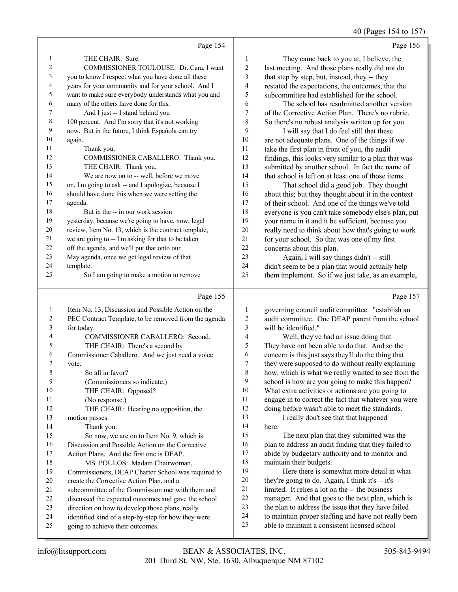40 (Pages 154 to 157)

|                |                                                      |                | $70$ (1 ages 197 to 197                              |
|----------------|------------------------------------------------------|----------------|------------------------------------------------------|
|                | Page 154                                             |                | Page 156                                             |
| $\mathbf{1}$   | THE CHAIR: Sure.                                     | 1              | They came back to you at, I believe, the             |
| 2              | COMMISSIONER TOULOUSE: Dr. Cara, I want              | 2              | last meeting. And those plans really did not do      |
| 3              | you to know I respect what you have done all these   | 3              | that step by step, but, instead, they -- they        |
| $\overline{4}$ | years for your community and for your school. And I  | 4              | restated the expectations, the outcomes, that the    |
| 5              | want to make sure everybody understands what you and | 5              | subcommittee had established for the school.         |
| 6              | many of the others have done for this.               | 6              | The school has resubmitted another version           |
| $\overline{7}$ | And I just -- I stand behind you                     | 7              | of the Corrective Action Plan. There's no rubric.    |
| 8              | 100 percent. And I'm sorry that it's not working     | 8              | So there's no robust analysis written up for you.    |
| 9              | now. But in the future, I think Española can try     | 9              | I will say that I do feel still that these           |
| 10             | again.                                               | 10             | are not adequate plans. One of the things if we      |
| 11             | Thank you.                                           | 11             | take the first plan in front of you, the audit       |
| 12             | COMMISSIONER CABALLERO: Thank you.                   | 12             | findings, this looks very similar to a plan that was |
| 13             | THE CHAIR: Thank you.                                | 13             | submitted by another school. In fact the name of     |
| 14             | We are now on to -- well, before we move             | 14             | that school is left on at least one of those items.  |
| 15             | on, I'm going to ask -- and I apologize, because I   | 15             | That school did a good job. They thought             |
| 16             | should have done this when we were setting the       | 16             | about this; but they thought about it in the context |
| 17             | agenda.                                              | 17             | of their school. And one of the things we've told    |
| 18             | But in the -- in our work session                    | 18             | everyone is you can't take somebody else's plan, put |
| 19             | yesterday, because we're going to have, now, legal   | 19             | your name in it and it be sufficient, because you    |
| 20             | review, Item No. 13, which is the contract template, | 20             | really need to think about how that's going to work  |
| 21             | we are going to -- I'm asking for that to be taken   | 21             | for your school. So that was one of my first         |
| 22             | off the agenda, and we'll put that onto our          | 22             | concerns about this plan.                            |
| 23             | May agenda, once we get legal review of that         | 23             | Again, I will say things didn't -- still             |
| 24             | template.                                            | 24             | didn't seem to be a plan that would actually help    |
| 25             | So I am going to make a motion to remove             | 25             | them implement. So if we just take, as an example,   |
|                | Page 155                                             |                | Page 157                                             |
| -1             | Item No. 13, Discussion and Possible Action on the   | 1              | governing council audit committee. "establish an     |
| 2              | PEC Contract Template, to be removed from the agenda | $\overline{2}$ | audit committee. One DEAP parent from the school     |
|                |                                                      |                |                                                      |

|    | Le commer remplate, to be removed from the agental  |
|----|-----------------------------------------------------|
| 3  | for today.                                          |
| 4  | COMMISSIONER CABALLERO: Second.                     |
| 5  | THE CHAIR: There's a second by                      |
| 6  | Commissioner Caballero. And we just need a voice    |
| 7  | vote.                                               |
| 8  | So all in favor?                                    |
| 9  | (Commissioners so indicate.)                        |
| 10 | THE CHAIR: Opposed?                                 |
| 11 | (No response.)                                      |
| 12 | THE CHAIR: Hearing no opposition, the               |
| 13 | motion passes.                                      |
| 14 | Thank you.                                          |
| 15 | So now, we are on to Item No. 9, which is           |
| 16 | Discussion and Possible Action on the Corrective    |
| 17 | Action Plans. And the first one is DEAP.            |
| 18 | MS. POULOS: Madam Chairwoman,                       |
| 19 | Commissioners, DEAP Charter School was required to  |
| 20 | create the Corrective Action Plan, and a            |
| 21 | subcommittee of the Commission met with them and    |
| 22 | discussed the expected outcomes and gave the school |
| 23 | direction on how to develop those plans, really     |
| 24 | identified kind of a step-by-step for how they were |
| 25 | going to achieve their outcomes.                    |

 will be identified." 4 Well, they've had an issue doing that. They have not been able to do that. And so the concern is this just says they'll do the thing that they were supposed to do without really explaining how, which is what we really wanted to see from the school is how are you going to make this happen? What extra activities or actions are you going to engage in to correct the fact that whatever you were doing before wasn't able to meet the standards. 13 I really don't see that that happened here. 15 The next plan that they submitted was the 16 plan to address an audit finding that they failed to abide by budgetary authority and to monitor and

 maintain their budgets. 19 Here there is somewhat more detail in what they're going to do. Again, I think it's -- it's limited. It relies a lot on the -- the business manager. And that goes to the next plan, which is 23 the plan to address the issue that they have failed to maintain proper staffing and have not really been able to maintain a consistent licensed school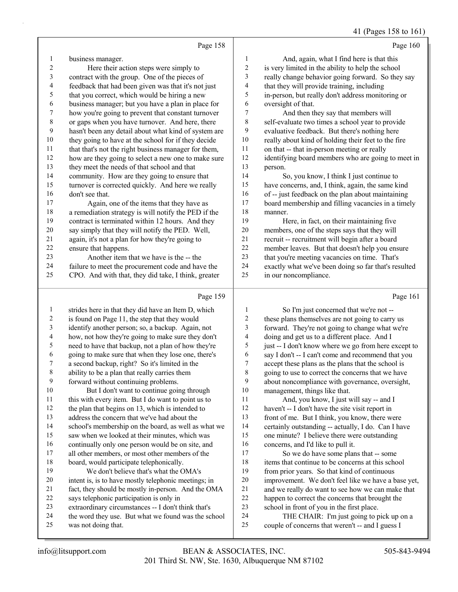#### 41 (Pages 158 to 161)

|                          |                                                      |                          | $11 \times 1000$ 100 101                             |
|--------------------------|------------------------------------------------------|--------------------------|------------------------------------------------------|
|                          | Page 158                                             |                          | Page 160                                             |
| 1                        | business manager.                                    | 1                        | And, again, what I find here is that this            |
| $\overline{c}$           | Here their action steps were simply to               | $\overline{c}$           | is very limited in the ability to help the school    |
| 3                        | contract with the group. One of the pieces of        | $\mathfrak{Z}$           | really change behavior going forward. So they say    |
| $\overline{\mathcal{A}}$ | feedback that had been given was that it's not just  | $\overline{\mathcal{L}}$ | that they will provide training, including           |
| 5                        | that you correct, which would be hiring a new        | 5                        | in-person, but really don't address monitoring or    |
| 6                        | business manager; but you have a plan in place for   | 6                        | oversight of that.                                   |
| 7                        | how you're going to prevent that constant turnover   | $\tau$                   | And then they say that members will                  |
| 8                        | or gaps when you have turnover. And here, there      | $\,$ $\,$                | self-evaluate two times a school year to provide     |
| 9                        | hasn't been any detail about what kind of system are | 9                        | evaluative feedback. But there's nothing here        |
| $10\,$                   | they going to have at the school for if they decide  | $10\,$                   | really about kind of holding their feet to the fire  |
| $11\,$                   | that that's not the right business manager for them, | $11\,$                   | on that -- that in-person meeting or really          |
| 12                       | how are they going to select a new one to make sure  | $12\,$                   | identifying board members who are going to meet in   |
| 13                       | they meet the needs of that school and that          | 13                       | person.                                              |
| 14                       | community. How are they going to ensure that         | 14                       | So, you know, I think I just continue to             |
| 15                       | turnover is corrected quickly. And here we really    | 15                       | have concerns, and, I think, again, the same kind    |
| 16                       | don't see that.                                      | 16                       | of -- just feedback on the plan about maintaining    |
| 17                       | Again, one of the items that they have as            | 17                       | board membership and filling vacancies in a timely   |
| 18                       | a remediation strategy is will notify the PED if the | 18                       | manner.                                              |
| 19                       | contract is terminated within 12 hours. And they     | 19                       | Here, in fact, on their maintaining five             |
| 20                       | say simply that they will notify the PED. Well,      | 20                       | members, one of the steps says that they will        |
| $21\,$                   | again, it's not a plan for how they're going to      | $21\,$                   | recruit -- recruitment will begin after a board      |
| 22                       | ensure that happens.                                 | 22                       | member leaves. But that doesn't help you ensure      |
| 23                       | Another item that we have is the -- the              | 23                       | that you're meeting vacancies on time. That's        |
| 24                       | failure to meet the procurement code and have the    | 24                       | exactly what we've been doing so far that's resulted |
| 25                       | CPO. And with that, they did take, I think, greater  | 25                       | in our noncompliance.                                |
|                          | Page 159                                             |                          | Page 161                                             |
|                          |                                                      |                          |                                                      |
| 1<br>$\sqrt{2}$          | strides here in that they did have an Item D, which  | 1<br>$\boldsymbol{2}$    | So I'm just concerned that we're not --              |
| $\overline{\mathbf{3}}$  | is found on Page 11, the step that they would        | $\mathfrak{Z}$           | these plans themselves are not going to carry us     |
| $\overline{4}$           | identify another person; so, a backup. Again, not    | $\overline{4}$           | forward. They're not going to change what we're      |
|                          | how, not how they're going to make sure they don't   |                          | doing and get us to a different place. And I         |

- need to have that backup, not a plan of how they're
- going to make sure that when they lose one, there's
- a second backup, right? So it's limited in the
- ability to be a plan that really carries them forward without continuing problems.
- 10 But I don't want to continue going through this with every item. But I do want to point us to the plan that begins on 13, which is intended to address the concern that we've had about the
- school's membership on the board, as well as what we
- saw when we looked at their minutes, which was
- continually only one person would be on site, and
- all other members, or most other members of the
- board, would participate telephonically. 19 We don't believe that's what the OMA's
- intent is, is to have mostly telephonic meetings; in
- fact, they should be mostly in-person. And the OMA says telephonic participation is only in
- extraordinary circumstances -- I don't think that's
- the word they use. But what we found was the school
- was not doing that.
- doing and get us to a different place. And I just -- I don't know where we go from here except to say I don't -- I can't come and recommend that you accept these plans as the plans that the school is going to use to correct the concerns that we have about noncompliance with governance, oversight, management, things like that. 11 And, you know, I just will say -- and I haven't -- I don't have the site visit report in front of me. But I think, you know, there were certainly outstanding -- actually, I do. Can I have one minute? I believe there were outstanding
- concerns, and I'd like to pull it.
- 17 So we do have some plans that -- some items that continue to be concerns at this school from prior years. So that kind of continuous improvement. We don't feel like we have a base yet, and we really do want to see how we can make that happen to correct the concerns that brought the school in front of you in the first place.
- 24 THE CHAIR: I'm just going to pick up on a couple of concerns that weren't -- and I guess I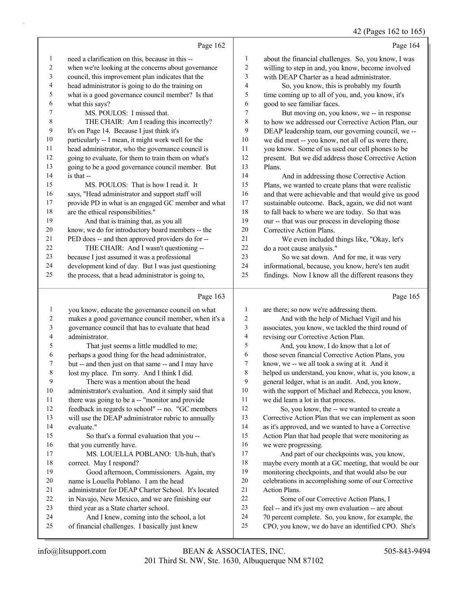42 (Pages 162 to 165)

|    | Page 162                                            |    | Page 164                                             |
|----|-----------------------------------------------------|----|------------------------------------------------------|
| 1  | need a clarification on this, because in this --    | 1  | about the financial challenges. So, you know, I was  |
| 2  | when we're looking at the concerns about governance | 2  | willing to step in and, you know, become involved    |
| 3  | council, this improvement plan indicates that the   | 3  | with DEAP Charter as a head administrator.           |
| 4  | head administrator is going to do the training on   | 4  | So, you know, this is probably my fourth             |
| 5  | what is a good governance council member? Is that   | 5  | time coming up to all of you, and, you know, it's    |
| 6  | what this says?                                     | 6  | good to see familiar faces.                          |
| 7  | MS. POULOS: I missed that.                          | 7  | But moving on, you know, we -- in response           |
| 8  | THE CHAIR: Am I reading this incorrectly?           | 8  | to how we addressed our Corrective Action Plan, our  |
| 9  | It's on Page 14. Because I just think it's          | 9  | DEAP leadership team, our governing council, we --   |
| 10 | particularly -- I mean, it might work well for the  | 10 | we did meet -- you know, not all of us were there,   |
| 11 | head administrator, who the governance council is   | 11 | you know. Some of us used our cell phones to be      |
| 12 | going to evaluate, for them to train them on what's | 12 | present. But we did address those Corrective Action  |
| 13 | going to be a good governance council member. But   | 13 | Plans.                                               |
| 14 | is that --                                          | 14 | And in addressing those Corrective Action            |
| 15 | MS. POULOS: That is how I read it. It               | 15 | Plans, we wanted to create plans that were realistic |
| 16 | says, "Head administrator and support staff will    | 16 | and that were achievable and that would give us good |
| 17 | provide PD in what is an engaged GC member and what | 17 | sustainable outcome. Back, again, we did not want    |
| 18 | are the ethical responsibilities."                  | 18 | to fall back to where we are today. So that was      |
| 19 | And that is training that, as you all               | 19 | our -- that was our process in developing those      |
| 20 | know, we do for introductory board members -- the   | 20 | Corrective Action Plans.                             |
| 21 | PED does -- and then approved providers do for --   | 21 | We even included things like, "Okay, let's           |
| 22 | THE CHAIR: And I wasn't questioning --              | 22 | do a root cause analysis."                           |
| 23 | because I just assumed it was a professional        | 23 | So we sat down. And for me, it was very              |
| 24 | development kind of day. But I was just questioning | 24 | informational, because, you know, here's ten audit   |
| 25 | the process, that a head administrator is going to, | 25 | findings. Now I know all the different reasons they  |

#### Page 163

|                | Page 163                                            |                | Page 165                                             |
|----------------|-----------------------------------------------------|----------------|------------------------------------------------------|
| $\mathbf{1}$   | you know, educate the governance council on what    | $\mathbf{1}$   | are there; so now we're addressing them.             |
| $\overline{c}$ | makes a good governance council member, when it's a | 2              | And with the help of Michael Vigil and his           |
| 3              | governance council that has to evaluate that head   | 3              | associates, you know, we tackled the third round of  |
| 4              | administrator.                                      | $\overline{4}$ | revising our Corrective Action Plan.                 |
| 5              | That just seems a little muddled to me;             | 5              | And, you know, I do know that a lot of               |
| 6              | perhaps a good thing for the head administrator,    | 6              | those seven financial Corrective Action Plans, you   |
| 7              | but -- and then just on that same -- and I may have | 7              | know, we -- we all took a swing at it. And it        |
| 8              | lost my place. I'm sorry. And I think I did.        | 8              | helped us understand, you know, what is, you know, a |
| 9              | There was a mention about the head                  | 9              | general ledger, what is an audit. And, you know,     |
| 10             | administrator's evaluation. And it simply said that | 10             | with the support of Michael and Rebecca, you know,   |
| 11             | there was going to be a -- "monitor and provide     | 11             | we did learn a lot in that process.                  |
| 12             | feedback in regards to school" -- no. "GC members   | 12             | So, you know, the -- we wanted to create a           |
| 13             | will use the DEAP administrator rubric to annually  | 13             | Corrective Action Plan that we can implement as soon |
| 14             | evaluate."                                          | 14             | as it's approved, and we wanted to have a Corrective |
| 15             | So that's a formal evaluation that you --           | 15             | Action Plan that had people that were monitoring as  |
| 16             | that you currently have.                            | 16             | we were progressing.                                 |
| 17             | MS. LOUELLA POBLANO: Uh-huh, that's                 | 17             | And part of our checkpoints was, you know,           |
| 18             | correct. May I respond?                             | 18             | maybe every month at a GC meeting, that would be our |
| 19             | Good afternoon, Commissioners. Again, my            | 19             | monitoring checkpoints, and that would also be our   |
| 20             | name is Louella Poblano. I am the head              | 20             | celebrations in accomplishing some of our Corrective |
| 21             | administrator for DEAP Charter School. It's located | 21             | <b>Action Plans.</b>                                 |
| 22             | in Navajo, New Mexico, and we are finishing our     | 22             | Some of our Corrective Action Plans, I               |
| 23             | third year as a State charter school.               | 23             | feel -- and it's just my own evaluation -- are about |
| 24             | And I knew, coming into the school, a lot           | 24             | 70 percent complete. So, you know, for example, the  |
| 25             | of financial challenges. I basically just knew      | 25             | CPO, you know, we do have an identified CPO. She's   |
|                |                                                     |                |                                                      |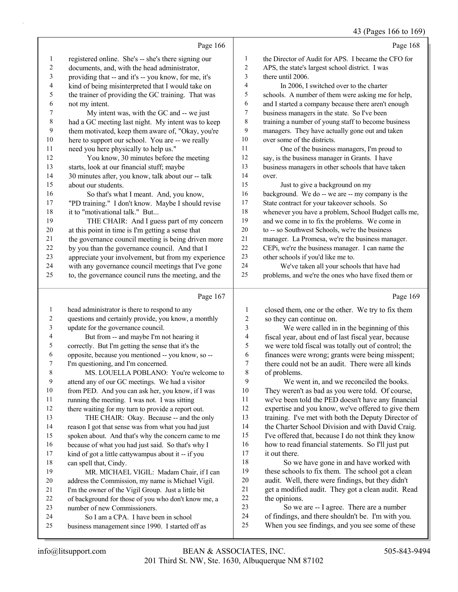# 43 (Pages 166 to 169)

|                          | Page 166                                                                                              |                         | Page 168                                                                                       |
|--------------------------|-------------------------------------------------------------------------------------------------------|-------------------------|------------------------------------------------------------------------------------------------|
| $\mathbf{1}$             | registered online. She's -- she's there signing our                                                   | $\mathbf{1}$            | the Director of Audit for APS. I became the CFO for                                            |
| $\overline{c}$           | documents, and, with the head administrator,                                                          | 2                       | APS, the state's largest school district. I was                                                |
| 3                        | providing that -- and it's -- you know, for me, it's                                                  | 3                       | there until 2006.                                                                              |
| $\overline{\mathcal{A}}$ | kind of being misinterpreted that I would take on                                                     | 4                       | In 2006, I switched over to the charter                                                        |
| 5                        | the trainer of providing the GC training. That was                                                    | 5                       | schools. A number of them were asking me for help,                                             |
| 6                        | not my intent.                                                                                        | 6                       | and I started a company because there aren't enough                                            |
| 7                        | My intent was, with the GC and -- we just                                                             | 7                       | business managers in the state. So I've been                                                   |
| $\,$ 8 $\,$              | had a GC meeting last night. My intent was to keep                                                    | 8                       | training a number of young staff to become business                                            |
| 9                        | them motivated, keep them aware of, "Okay, you're                                                     | 9                       | managers. They have actually gone out and taken                                                |
| $10\,$                   | here to support our school. You are -- we really                                                      | $10\,$                  | over some of the districts.                                                                    |
| 11                       | need you here physically to help us."                                                                 | 11                      | One of the business managers, I'm proud to                                                     |
| 12                       | You know, 30 minutes before the meeting                                                               | 12                      | say, is the business manager in Grants. I have                                                 |
| 13                       | starts, look at our financial stuff; maybe                                                            | 13                      | business managers in other schools that have taken                                             |
| 14                       | 30 minutes after, you know, talk about our -- talk                                                    | 14                      | over.                                                                                          |
| 15                       | about our students.                                                                                   | 15                      | Just to give a background on my                                                                |
| 16                       | So that's what I meant. And, you know,                                                                | 16                      | background. We do -- we are -- my company is the                                               |
| 17                       | "PD training." I don't know. Maybe I should revise                                                    | 17                      | State contract for your takeover schools. So                                                   |
| 18                       | it to "motivational talk." But                                                                        | $18\,$                  | whenever you have a problem, School Budget calls me,                                           |
| 19                       | THE CHAIR: And I guess part of my concern                                                             | 19                      | and we come in to fix the problems. We come in                                                 |
| $20\,$                   | at this point in time is I'm getting a sense that                                                     | $20\,$                  | to -- so Southwest Schools, we're the business                                                 |
| 21                       | the governance council meeting is being driven more                                                   | $21\,$                  | manager. La Promesa, we're the business manager.                                               |
| $22\,$                   | by you than the governance council. And that I                                                        | $22\,$                  | CEPi, we're the business manager. I can name the                                               |
| 23                       | appreciate your involvement, but from my experience                                                   | 23                      | other schools if you'd like me to.                                                             |
| 24                       | with any governance council meetings that I've gone                                                   | 24                      | We've taken all your schools that have had                                                     |
| 25                       | to, the governance council runs the meeting, and the                                                  | $25\,$                  | problems, and we're the ones who have fixed them or                                            |
|                          |                                                                                                       |                         |                                                                                                |
|                          | Page 167                                                                                              |                         | Page 169                                                                                       |
| $\mathbf{1}$             |                                                                                                       | $\mathbf{1}$            |                                                                                                |
| $\sqrt{2}$               | head administrator is there to respond to any<br>questions and certainly provide, you know, a monthly | $\boldsymbol{2}$        | closed them, one or the other. We try to fix them<br>so they can continue on.                  |
| 3                        | update for the governance council.                                                                    | $\mathfrak{Z}$          | We were called in in the beginning of this                                                     |
| $\overline{\mathcal{A}}$ | But from -- and maybe I'm not hearing it                                                              | $\overline{\mathbf{4}}$ | fiscal year, about end of last fiscal year, because                                            |
| 5                        | correctly. But I'm getting the sense that it's the                                                    | 5                       | we were told fiscal was totally out of control; the                                            |
| 6                        | opposite, because you mentioned -- you know, so --                                                    | 6                       | finances were wrong; grants were being misspent;                                               |
| 7                        | I'm questioning, and I'm concerned.                                                                   | $\boldsymbol{7}$        | there could not be an audit. There were all kinds                                              |
| $\,$ $\,$                | MS. LOUELLA POBLANO: You're welcome to                                                                | $\,$ $\,$               | of problems.                                                                                   |
| 9                        | attend any of our GC meetings. We had a visitor                                                       | 9                       | We went in, and we reconciled the books.                                                       |
| 10                       | from PED. And you can ask her, you know, if I was                                                     | 10                      | They weren't as bad as you were told. Of course,                                               |
| 11                       | running the meeting. I was not. I was sitting                                                         | 11                      | we've been told the PED doesn't have any financial                                             |
| 12                       | there waiting for my turn to provide a report out.                                                    | 12                      | expertise and you know, we've offered to give them                                             |
| 13                       | THE CHAIR: Okay. Because -- and the only                                                              | 13                      | training. I've met with both the Deputy Director of                                            |
| 14                       | reason I got that sense was from what you had just                                                    | 14                      | the Charter School Division and with David Craig.                                              |
| 15                       | spoken about. And that's why the concern came to me                                                   | 15                      | I've offered that, because I do not think they know                                            |
| 16                       | because of what you had just said. So that's why I                                                    | 16                      | how to read financial statements. So I'll just put                                             |
| 17                       | kind of got a little cattywampus about it -- if you                                                   | 17                      | it out there.                                                                                  |
| $18\,$                   | can spell that, Cindy.                                                                                | 18                      | So we have gone in and have worked with                                                        |
| 19                       | MR. MICHAEL VIGIL: Madam Chair, if I can                                                              | 19                      | these schools to fix them. The school got a clean                                              |
| $20\,$                   | address the Commission, my name is Michael Vigil.                                                     | $20\,$                  | audit. Well, there were findings, but they didn't                                              |
| 21                       | I'm the owner of the Vigil Group. Just a little bit                                                   | 21                      | get a modified audit. They got a clean audit. Read                                             |
| 22                       | of background for those of you who don't know me, a                                                   | 22<br>23                | the opinions.                                                                                  |
| 23<br>24                 | number of new Commissioners.                                                                          | 24                      | So we are -- I agree. There are a number<br>of findings, and there shouldn't be. I'm with you. |
| 25                       | So I am a CPA. I have been in school<br>business management since 1990. I started off as              | 25                      | When you see findings, and you see some of these                                               |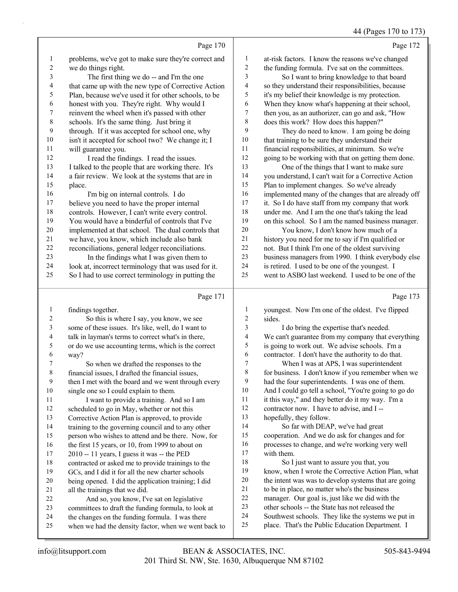## 44 (Pages 170 to 173)

|                |                                                      |                | $+$ (1 agos 1/0 to 1/2                               |
|----------------|------------------------------------------------------|----------------|------------------------------------------------------|
|                | Page 170                                             |                | Page 172                                             |
| 1              | problems, we've got to make sure they're correct and | $\mathbf{1}$   | at-risk factors. I know the reasons we've changed    |
| 2              | we do things right.                                  | 2              | the funding formula. I've sat on the committees.     |
| 3              | The first thing we do -- and I'm the one             | 3              | So I want to bring knowledge to that board           |
| 4              | that came up with the new type of Corrective Action  | 4              | so they understand their responsibilities, because   |
| 5              | Plan, because we've used it for other schools, to be | 5              | it's my belief their knowledge is my protection.     |
| 6              | honest with you. They're right. Why would I          | 6              | When they know what's happening at their school,     |
| 7              | reinvent the wheel when it's passed with other       | 7              | then you, as an authorizer, can go and ask, "How     |
| 8              | schools. It's the same thing. Just bring it          | $\,$ $\,$      | does this work? How does this happen?"               |
| 9              | through. If it was accepted for school one, why      | 9              | They do need to know. I am going be doing            |
| 10             | isn't it accepted for school two? We change it; I    | 10             | that training to be sure they understand their       |
| 11             | will guarantee you.                                  | 11             | financial responsibilities, at minimum. So we're     |
| 12             | I read the findings. I read the issues.              | 12             | going to be working with that on getting them done.  |
| 13             | I talked to the people that are working there. It's  | 13             | One of the things that I want to make sure           |
| 14             | a fair review. We look at the systems that are in    | 14             | you understand, I can't wait for a Corrective Action |
| 15             | place.                                               | 15             | Plan to implement changes. So we've already          |
| 16             | I'm big on internal controls. I do                   | 16             | implemented many of the changes that are already off |
| 17             | believe you need to have the proper internal         | 17             | it. So I do have staff from my company that work     |
| 18             | controls. However, I can't write every control.      | 18             | under me. And I am the one that's taking the lead    |
| 19             | You would have a binderful of controls that I've     | 19             | on this school. So I am the named business manager.  |
| 20             | implemented at that school. The dual controls that   | $20\,$         | You know, I don't know how much of a                 |
| 21             | we have, you know, which include also bank           | 21             | history you need for me to say if I'm qualified or   |
| 22             | reconciliations, general ledger reconciliations.     | 22             | not. But I think I'm one of the oldest surviving     |
| 23             | In the findings what I was given them to             | 23             | business managers from 1990. I think everybody else  |
| 24             | look at, incorrect terminology that was used for it. | 24             | is retired. I used to be one of the youngest. I      |
| 25             | So I had to use correct terminology in putting the   | 25             | went to ASBO last weekend. I used to be one of the   |
|                | Page 171                                             |                | Page 173                                             |
| $\mathbf{1}$   | findings together.                                   | $\mathbf{1}$   | youngest. Now I'm one of the oldest. I've flipped    |
| $\overline{c}$ | So this is where I say, you know, we see             | $\overline{c}$ | sides.                                               |
| 3              | some of these issues. It's like, well, do I want to  | 3              | I do bring the expertise that's needed.              |
| 4              | talk in layman's terms to correct what's in there,   | 4              | We can't guarantee from my company that everything   |
| 5              | or do we use accounting terms, which is the correct  | 5              | is going to work out. We advise schools. I'm a       |
| 6              | way?                                                 | 6              | contractor. I don't have the authority to do that.   |
| 7              | So when we drafted the responses to the              | $\tau$         | When I was at APS, I was superintendent              |
| $\,8\,$        | financial issues, I drafted the financial issues,    | 8              | for business. I don't know if you remember when we   |
| 9              | then I met with the board and we went through every  | 9              | had the four superintendents. I was one of them.     |
| 10             | single one so I could explain to them.               | 10             | And I could go tell a school, "You're going to go do |
| 11             | I want to provide a training. And so I am            | 11             | it this way," and they better do it my way. I'm a    |
| 12             | scheduled to go in May, whether or not this          | 12             | contractor now. I have to advise, and I --           |
| 13             | Corrective Action Plan is approved, to provide       | 13             | hopefully, they follow.                              |
| 14             | training to the governing council and to any other   | 14             | So far with DEAP, we've had great                    |
| 15             | person who wishes to attend and be there. Now, for   | 15             | cooperation. And we do ask for changes and for       |
| 16             | the first 15 years, or 10, from 1999 to about on     | 16             | processes to change, and we're working very well     |
| 17             | 2010 -- 11 years, I guess it was -- the PED          | 17             | with them.                                           |
| 18             | contracted or asked me to provide trainings to the   | 18             | So I just want to assure you that, you               |
| 19             | GCs, and I did it for all the new charter schools    | 19             | know, when I wrote the Corrective Action Plan, what  |
| 20             | being opened. I did the application training; I did  | $20\,$         | the intent was was to develop systems that are going |
| 21             | all the trainings that we did.                       | 21             | to be in place, no matter who's the business         |
| 22             | And so, you know, I've sat on legislative            | $22\,$         | manager. Our goal is, just like we did with the      |
| 23             | committees to draft the funding formula, to look at  | 23             | other schools -- the State has not released the      |
| 24             | the changes on the funding formula. I was there      | 24<br>$25\,$   | Southwest schools. They like the systems we put in   |
| 25             | when we had the density factor, when we went back to |                | place. That's the Public Education Department. I     |

when we had the density factor, when we went back to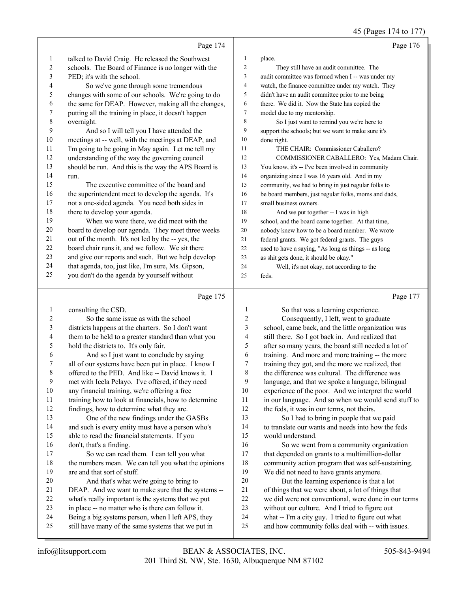|                |                                                                                                         |                | 45 (Pages 174 to 177)                                                                                   |
|----------------|---------------------------------------------------------------------------------------------------------|----------------|---------------------------------------------------------------------------------------------------------|
|                | Page 174                                                                                                |                | Page 176                                                                                                |
| $\mathbf{1}$   | talked to David Craig. He released the Southwest                                                        | $\mathbf{1}$   | place.                                                                                                  |
| $\overline{c}$ | schools. The Board of Finance is no longer with the                                                     | 2              | They still have an audit committee. The                                                                 |
| 3              | PED; it's with the school.                                                                              | 3              | audit committee was formed when I -- was under my                                                       |
| 4              | So we've gone through some tremendous                                                                   | 4              | watch, the finance committee under my watch. They                                                       |
| 5              | changes with some of our schools. We're going to do                                                     | 5              | didn't have an audit committee prior to me being                                                        |
| 6              | the same for DEAP. However, making all the changes,                                                     | 6              | there. We did it. Now the State has copied the                                                          |
| 7              | putting all the training in place, it doesn't happen                                                    | 7              | model due to my mentorship.                                                                             |
| 8              | overnight.                                                                                              | 8              | So I just want to remind you we're here to                                                              |
| 9              | And so I will tell you I have attended the                                                              | 9              | support the schools; but we want to make sure it's                                                      |
| 10             | meetings at -- well, with the meetings at DEAP, and                                                     | 10             | done right.                                                                                             |
| 11             | I'm going to be going in May again. Let me tell my                                                      | 11             | THE CHAIR: Commissioner Caballero?                                                                      |
| 12             | understanding of the way the governing council                                                          | 12             | COMMISSIONER CABALLERO: Yes, Madam Chair.                                                               |
| 13             | should be run. And this is the way the APS Board is                                                     | 13             | You know, it's -- I've been involved in community                                                       |
| 14             | run.                                                                                                    | 14             | organizing since I was 16 years old. And in my                                                          |
| 15             | The executive committee of the board and                                                                | 15             | community, we had to bring in just regular folks to                                                     |
| 16             | the superintendent meet to develop the agenda. It's                                                     | 16             | be board members, just regular folks, moms and dads,                                                    |
| 17             | not a one-sided agenda. You need both sides in                                                          | 17             | small business owners.                                                                                  |
| 18             | there to develop your agenda.                                                                           | 18             | And we put together -- I was in high                                                                    |
| 19             | When we were there, we did meet with the                                                                | 19             | school, and the board came together. At that time,                                                      |
| 20             | board to develop our agenda. They meet three weeks                                                      | 20             | nobody knew how to be a board member. We wrote                                                          |
| 21             | out of the month. It's not led by the -- yes, the                                                       | 21             | federal grants. We got federal grants. The guys                                                         |
| 22             | board chair runs it, and we follow. We sit there                                                        | 22             | used to have a saying, "As long as things -- as long                                                    |
| 23             | and give our reports and such. But we help develop                                                      | 23             | as shit gets done, it should be okay."                                                                  |
| 24             | that agenda, too, just like, I'm sure, Ms. Gipson,                                                      | 24             | Well, it's not okay, not according to the                                                               |
| 25             | you don't do the agenda by yourself without                                                             | 25             | feds.                                                                                                   |
|                | Page 175                                                                                                |                | Page 177                                                                                                |
| $\mathbf{1}$   | consulting the CSD.                                                                                     | $\mathbf{1}$   | So that was a learning experience.                                                                      |
| 2              | So the same issue as with the school                                                                    | $\overline{c}$ | Consequently, I left, went to graduate                                                                  |
|                | districts happens at the charters. So I don't want                                                      |                |                                                                                                         |
| 3              |                                                                                                         | 3              | school, came back, and the little organization was                                                      |
| 4              | them to be held to a greater standard than what you                                                     | 4              | still there. So I got back in. And realized that                                                        |
| 5              | hold the districts to. It's only fair.                                                                  | 5              | after so many years, the board still needed a lot of                                                    |
| 6              | And so I just want to conclude by saying                                                                | 6              | training. And more and more training -- the more                                                        |
| 7              | all of our systems have been put in place. I know I                                                     | 7              | training they got, and the more we realized, that                                                       |
| 8              | offered to the PED. And like -- David knows it. I                                                       | 8              | the difference was cultural. The difference was                                                         |
| 9              | met with Icela Pelayo. I've offered, if they need                                                       | 9              | language, and that we spoke a language, bilingual                                                       |
| 10             | any financial training, we're offering a free                                                           | 10             | experience of the poor. And we interpret the world                                                      |
| 11             | training how to look at financials, how to determine                                                    | 11             | in our language. And so when we would send stuff to                                                     |
| 12             | findings, how to determine what they are.                                                               | 12             | the feds, it was in our terms, not theirs.                                                              |
| 13             | One of the new findings under the GASBs                                                                 | 13             | So I had to bring in people that we paid                                                                |
| 14             | and such is every entity must have a person who's                                                       | 14             | to translate our wants and needs into how the feds                                                      |
| 15             | able to read the financial statements. If you                                                           | 15             | would understand.                                                                                       |
| 16             | don't, that's a finding.                                                                                | 16             | So we went from a community organization                                                                |
| 17             | So we can read them. I can tell you what                                                                | 17             | that depended on grants to a multimillion-dollar                                                        |
| 18             | the numbers mean. We can tell you what the opinions                                                     | 18             | community action program that was self-sustaining.                                                      |
| 19             | are and that sort of stuff.                                                                             | 19             | We did not need to have grants anymore.                                                                 |
| 20             | And that's what we're going to bring to                                                                 | 20             | But the learning experience is that a lot                                                               |
| 21             | DEAP. And we want to make sure that the systems --                                                      | 21             | of things that we were about, a lot of things that                                                      |
| 22             | what's really important is the systems that we put                                                      | 22             | we did were not conventional, were done in our terms                                                    |
| 23             | in place -- no matter who is there can follow it.                                                       | 23             | without our culture. And I tried to figure out                                                          |
| 24<br>25       | Being a big systems person, when I left APS, they<br>still have many of the same systems that we put in | 24<br>25       | what -- I'm a city guy. I tried to figure out what<br>and how community folks deal with -- with issues. |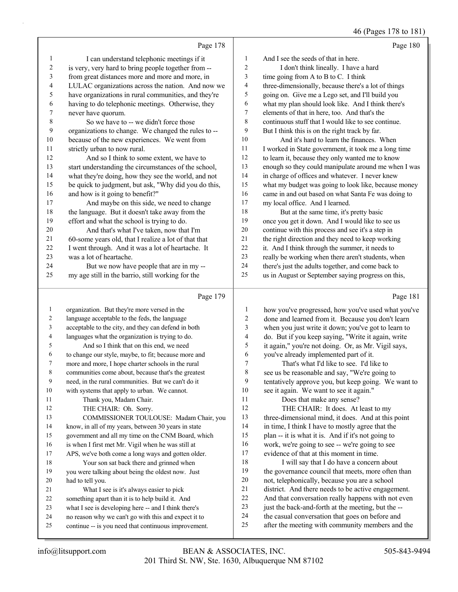46 (Pages 178 to 181)

|    | Page 178                                             |                | Page 180                                             |
|----|------------------------------------------------------|----------------|------------------------------------------------------|
| 1  | I can understand telephonic meetings if it           | -1             | And I see the seeds of that in here.                 |
| 2  | is very, very hard to bring people together from --  | $\overline{2}$ | I don't think lineally. I have a hard                |
| 3  | from great distances more and more and more, in      | 3              | time going from A to B to C. I think                 |
| 4  | LULAC organizations across the nation. And now we    | 4              | three-dimensionally, because there's a lot of things |
| 5  | have organizations in rural communities, and they're | 5              | going on. Give me a Lego set, and I'll build you     |
| 6  | having to do telephonic meetings. Otherwise, they    | 6              | what my plan should look like. And I think there's   |
| 7  | never have quorum.                                   | 7              | elements of that in here, too. And that's the        |
| 8  | So we have to -- we didn't force those               | 8              | continuous stuff that I would like to see continue.  |
| 9  | organizations to change. We changed the rules to --  | 9              | But I think this is on the right track by far.       |
| 10 | because of the new experiences. We went from         | 10             | And it's hard to learn the finances. When            |
| 11 | strictly urban to now rural.                         | 11             | I worked in State government, it took me a long time |
| 12 | And so I think to some extent, we have to            | 12             | to learn it, because they only wanted me to know     |
| 13 | start understanding the circumstances of the school, | 13             | enough so they could manipulate around me when I was |
| 14 | what they're doing, how they see the world, and not  | 14             | in charge of offices and whatever. I never knew      |
| 15 | be quick to judgment, but ask, "Why did you do this, | 15             | what my budget was going to look like, because money |
| 16 | and how is it going to benefit?"                     | 16             | came in and out based on what Santa Fe was doing to  |
| 17 | And maybe on this side, we need to change            | 17             | my local office. And I learned.                      |
| 18 | the language. But it doesn't take away from the      | 18             | But at the same time, it's pretty basic              |
| 19 | effort and what the school is trying to do.          | 19             | once you get it down. And I would like to see us     |
| 20 | And that's what I've taken, now that I'm             | 20             | continue with this process and see it's a step in    |
| 21 | 60-some years old, that I realize a lot of that that | 21             | the right direction and they need to keep working    |
| 22 | I went through. And it was a lot of heartache. It    | 22             | it. And I think through the summer, it needs to      |
| 23 | was a lot of heartache.                              | 23             | really be working when there aren't students, when   |
| 24 | But we now have people that are in my --             | 24             | there's just the adults together, and come back to   |
| 25 | my age still in the barrio, still working for the    | 25             | us in August or September saying progress on this,   |
|    | Page 179                                             |                | Page 181                                             |
| 1  | organization. But they're more versed in the         | 1              | how you've progressed, how you've used what you've   |
|    |                                                      | $\sim$         | $1 \t 11 \t 10 \t 10 \t 111$                         |

| language acceptable to the feds, the language        | 2  | done and learned from it. Because you don't learn   |
|------------------------------------------------------|----|-----------------------------------------------------|
| acceptable to the city, and they can defend in both  | 3  | when you just write it down; you've got to learn to |
| languages what the organization is trying to do.     | 4  | do. But if you keep saying, "Write it again, write  |
| And so I think that on this end, we need             | 5  | it again," you're not doing. Or, as Mr. Vigil says, |
| to change our style, maybe, to fit; because more and | 6  | you've already implemented part of it.              |
| more and more, I hope charter schools in the rural   | 7  | That's what I'd like to see. I'd like to            |
| communities come about, because that's the greatest  | 8  | see us be reasonable and say, "We're going to       |
| need, in the rural communities. But we can't do it   | 9  | tentatively approve you, but keep going. We want to |
| with systems that apply to urban. We cannot.         | 10 | see it again. We want to see it again."             |
| Thank you, Madam Chair.                              | 11 | Does that make any sense?                           |
| THE CHAIR: Oh. Sorry.                                | 12 | THE CHAIR: It does. At least to my                  |
| COMMISSIONER TOULOUSE: Madam Chair, you              | 13 | three-dimensional mind, it does. And at this point  |
| know, in all of my years, between 30 years in state  | 14 | in time, I think I have to mostly agree that the    |
| government and all my time on the CNM Board, which   | 15 | plan -- it is what it is. And if it's not going to  |
| is when I first met Mr. Vigil when he was still at   | 16 | work, we're going to see -- we're going to see      |
| APS, we've both come a long ways and gotten older.   | 17 | evidence of that at this moment in time.            |
| Your son sat back there and grinned when             | 18 | I will say that I do have a concern about           |
| you were talking about being the oldest now. Just    | 19 | the governance council that meets, more often than  |
| had to tell you.                                     | 20 | not, telephonically, because you are a school       |
| What I see is it's always easier to pick             | 21 | district. And there needs to be active engagement.  |
| something apart than it is to help build it. And     | 22 | And that conversation really happens with not even  |
| what I see is developing here -- and I think there's |    | just the back-and-forth at the meeting, but the --  |
| no reason why we can't go with this and expect it to | 24 | the casual conversation that goes on before and     |
| continue -- is you need that continuous improvement. | 25 | after the meeting with community members and the    |
|                                                      |    |                                                     |
|                                                      |    | 23                                                  |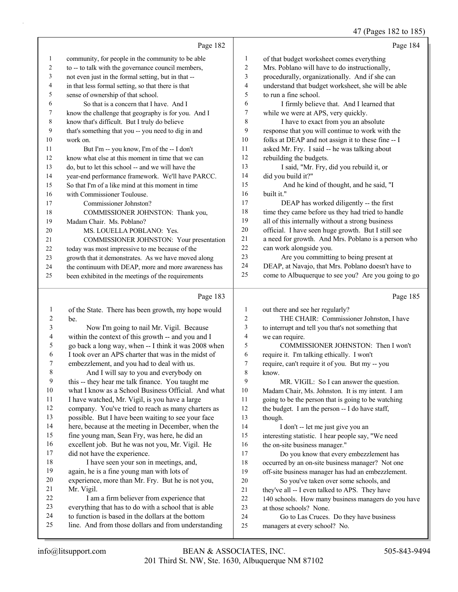47 (Pages 182 to 185)

|    | Page 182                                             |                | Page 184                                            |
|----|------------------------------------------------------|----------------|-----------------------------------------------------|
| 1  | community, for people in the community to be able    | $\mathbf{1}$   | of that budget worksheet comes everything           |
| 2  | to -- to talk with the governance council members,   | $\overline{c}$ | Mrs. Poblano will have to do instructionally,       |
| 3  | not even just in the formal setting, but in that --  | 3              | procedurally, organizationally. And if she can      |
| 4  | in that less formal setting, so that there is that   | 4              | understand that budget worksheet, she will be able  |
| 5  | sense of ownership of that school.                   | 5              | to run a fine school.                               |
| 6  | So that is a concern that I have. And I              | 6              | I firmly believe that. And I learned that           |
| 7  | know the challenge that geography is for you. And I  | 7              | while we were at APS, very quickly.                 |
| 8  | know that's difficult. But I truly do believe        | 8              | I have to exact from you an absolute                |
| 9  | that's something that you -- you need to dig in and  | 9              | response that you will continue to work with the    |
| 10 | work on.                                             | 10             | folks at DEAP and not assign it to these fine -- I  |
| 11 | But I'm -- you know, I'm of the -- I don't           | 11             | asked Mr. Fry. I said -- he was talking about       |
| 12 | know what else at this moment in time that we can    | 12             | rebuilding the budgets.                             |
| 13 | do, but to let this school -- and we will have the   | 13             | I said, "Mr. Fry, did you rebuild it, or            |
| 14 | year-end performance framework. We'll have PARCC.    | 14             | did you build it?"                                  |
| 15 | So that I'm of a like mind at this moment in time    | 15             | And he kind of thought, and he said, "I             |
| 16 | with Commissioner Toulouse.                          | 16             | built it."                                          |
| 17 | Commissioner Johnston?                               | 17             | DEAP has worked diligently -- the first             |
| 18 | COMMISSIONER JOHNSTON: Thank you,                    | 18             | time they came before us they had tried to handle   |
| 19 | Madam Chair. Ms. Poblano?                            | 19             | all of this internally without a strong business    |
| 20 | MS. LOUELLA POBLANO: Yes.                            | 20             | official. I have seen huge growth. But I still see  |
| 21 | COMMISSIONER JOHNSTON: Your presentation             | 21             | a need for growth. And Mrs. Poblano is a person who |
| 22 | today was most impressive to me because of the       | 22             | can work alongside you.                             |
| 23 | growth that it demonstrates. As we have moved along  | 23             | Are you committing to being present at              |
| 24 | the continuum with DEAP, more and more awareness has | 24             | DEAP, at Navajo, that Mrs. Poblano doesn't have to  |
| 25 | been exhibited in the meetings of the requirements   | 25             | come to Albuquerque to see you? Are you going to go |
|    | Page 183                                             |                | Page 185                                            |

## Page 183 |

|    | of the State. There has been growth, my hope would   | 1  | out there and see her regularly?                    |
|----|------------------------------------------------------|----|-----------------------------------------------------|
| 2  | be.                                                  | 2  | THE CHAIR: Commissioner Johnston, I have            |
| 3  | Now I'm going to nail Mr. Vigil. Because             | 3  | to interrupt and tell you that's not something that |
| 4  | within the context of this growth -- and you and I   | 4  | we can require.                                     |
| 5  | go back a long way, when -- I think it was 2008 when | 5  | COMMISSIONER JOHNSTON: Then I won't                 |
| 6  | I took over an APS charter that was in the midst of  | 6  | require it. I'm talking ethically. I won't          |
| 7  | embezzlement, and you had to deal with us.           | 7  | require, can't require it of you. But my -- you     |
| 8  | And I will say to you and everybody on               | 8  | know.                                               |
| 9  | this -- they hear me talk finance. You taught me     | 9  | MR. VIGIL: So I can answer the question.            |
| 10 | what I know as a School Business Official. And what  | 10 | Madam Chair, Ms. Johnston. It is my intent. I am    |
| 11 | I have watched, Mr. Vigil, is you have a large       | 11 | going to be the person that is going to be watching |
| 12 | company. You've tried to reach as many charters as   | 12 | the budget. I am the person -- I do have staff,     |
| 13 | possible. But I have been waiting to see your face   | 13 | though.                                             |
| 14 | here, because at the meeting in December, when the   | 14 | I don't -- let me just give you an                  |
| 15 | fine young man, Sean Fry, was here, he did an        | 15 | interesting statistic. I hear people say, "We need  |
| 16 | excellent job. But he was not you, Mr. Vigil. He     | 16 | the on-site business manager."                      |
| 17 | did not have the experience.                         | 17 | Do you know that every embezzlement has             |
| 18 | I have seen your son in meetings, and,               | 18 | occurred by an on-site business manager? Not one    |
| 19 | again, he is a fine young man with lots of           | 19 | off-site business manager has had an embezzlement.  |
| 20 | experience, more than Mr. Fry. But he is not you,    | 20 | So you've taken over some schools, and              |
| 21 | Mr. Vigil.                                           | 21 | they've all -- I even talked to APS. They have      |
| 22 | I am a firm believer from experience that            | 22 | 140 schools. How many business managers do you have |
| 23 | everything that has to do with a school that is able | 23 | at those schools? None.                             |
| 24 | to function is based in the dollars at the bottom    | 24 | Go to Las Cruces. Do they have business             |
| 25 | line. And from those dollars and from understanding  | 25 | managers at every school? No.                       |
|    |                                                      |    |                                                     |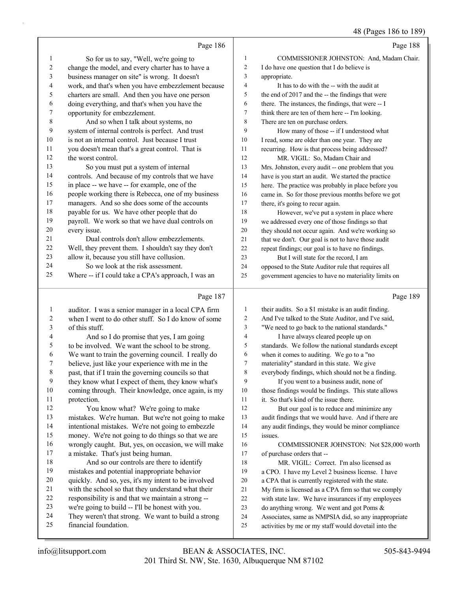#### 48 (Pages 186 to 189)

|    |                                                     |    | --- -- --- ,                                         |
|----|-----------------------------------------------------|----|------------------------------------------------------|
|    | Page 186                                            |    | Page 188                                             |
| -1 | So for us to say, "Well, we're going to             | 1  | COMMISSIONER JOHNSTON: And, Madam Chair.             |
| 2  | change the model, and every charter has to have a   | 2  | I do have one question that I do believe is          |
| 3  | business manager on site" is wrong. It doesn't      | 3  | appropriate.                                         |
| 4  | work, and that's when you have embezzlement because | 4  | It has to do with the -- with the audit at           |
| 5  | charters are small. And then you have one person    | 5  | the end of 2017 and the -- the findings that were    |
| 6  | doing everything, and that's when you have the      | 6  | there. The instances, the findings, that were -- I   |
| 7  | opportunity for embezzlement.                       | 7  | think there are ten of them here -- I'm looking.     |
| 8  | And so when I talk about systems, no                | 8  | There are ten on purchase orders.                    |
| 9  | system of internal controls is perfect. And trust   | 9  | How many of those -- if I understood what            |
| 10 | is not an internal control. Just because I trust    | 10 | I read, some are older than one year. They are       |
| 11 | you doesn't mean that's a great control. That is    | 11 | recurring. How is that process being addressed?      |
| 12 | the worst control.                                  | 12 | MR. VIGIL: So, Madam Chair and                       |
| 13 | So you must put a system of internal                | 13 | Mrs. Johnston, every audit -- one problem that you   |
| 14 | controls. And because of my controls that we have   | 14 | have is you start an audit. We started the practice  |
| 15 | in place -- we have -- for example, one of the      | 15 | here. The practice was probably in place before you  |
| 16 | people working there is Rebecca, one of my business | 16 | came in. So for those previous months before we got  |
| 17 | managers. And so she does some of the accounts      | 17 | there, it's going to recur again.                    |
| 18 | payable for us. We have other people that do        | 18 | However, we've put a system in place where           |
| 19 | payroll. We work so that we have dual controls on   | 19 | we addressed every one of those findings so that     |
| 20 | every issue.                                        | 20 | they should not occur again. And we're working so    |
| 21 | Dual controls don't allow embezzlements.            | 21 | that we don't. Our goal is not to have those audit   |
| 22 | Well, they prevent them. I shouldn't say they don't | 22 | repeat findings; our goal is to have no findings.    |
| 23 | allow it, because you still have collusion.         | 23 | But I will state for the record, I am                |
| 24 | So we look at the risk assessment.                  | 24 | opposed to the State Auditor rule that requires all  |
| 25 | Where -- if I could take a CPA's approach, I was an | 25 | government agencies to have no materiality limits on |
|    | Page 187                                            |    | Page 189                                             |

## $\lvert \lg$  187

| 1  | auditor. I was a senior manager in a local CPA firm  | 1  | their audits. So a \$1 mistake is an audit finding.  |
|----|------------------------------------------------------|----|------------------------------------------------------|
| 2  | when I went to do other stuff. So I do know of some  | 2  | And I've talked to the State Auditor, and I've said, |
| 3  | of this stuff.                                       | 3  | "We need to go back to the national standards."      |
| 4  | And so I do promise that yes, I am going             | 4  | I have always cleared people up on                   |
| 5  | to be involved. We want the school to be strong.     | 5  | standards. We follow the national standards except   |
| 6  | We want to train the governing council. I really do  | 6  | when it comes to auditing. We go to a "no            |
| 7  | believe, just like your experience with me in the    | 7  | materiality" standard in this state. We give         |
| 8  | past, that if I train the governing councils so that | 8  | everybody findings, which should not be a finding.   |
| 9  | they know what I expect of them, they know what's    | 9  | If you went to a business audit, none of             |
| 10 | coming through. Their knowledge, once again, is my   | 10 | those findings would be findings. This state allows  |
| 11 | protection.                                          | 11 | it. So that's kind of the issue there.               |
| 12 | You know what? We're going to make                   | 12 | But our goal is to reduce and minimize any           |
| 13 | mistakes. We're human. But we're not going to make   | 13 | audit findings that we would have. And if there are  |
| 14 | intentional mistakes. We're not going to embezzle    | 14 | any audit findings, they would be minor compliance   |
| 15 | money. We're not going to do things so that we are   | 15 | issues.                                              |
| 16 | wrongly caught. But, yes, on occasion, we will make  | 16 | COMMISSIONER JOHNSTON: Not \$28,000 worth            |
| 17 | a mistake. That's just being human.                  | 17 | of purchase orders that --                           |
| 18 | And so our controls are there to identify            | 18 | MR. VIGIL: Correct. I'm also licensed as             |
| 19 | mistakes and potential inappropriate behavior        | 19 | a CPO. I have my Level 2 business license. I have    |
| 20 | quickly. And so, yes, it's my intent to be involved  | 20 | a CPA that is currently registered with the state.   |
| 21 | with the school so that they understand what their   | 21 | My firm is licensed as a CPA firm so that we comply  |
| 22 | responsibility is and that we maintain a strong --   | 22 | with state law. We have insurances if my employees   |
| 23 | we're going to build -- I'll be honest with you.     | 23 | do anything wrong. We went and got Poms &            |
| 24 | They weren't that strong. We want to build a strong  | 24 | Associates, same as NMPSIA did, so any inappropriate |
| 25 | financial foundation.                                | 25 | activities by me or my staff would dovetail into the |
|    |                                                      |    |                                                      |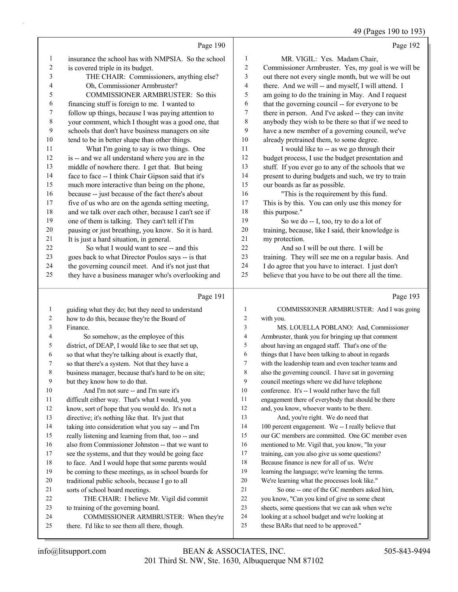49 (Pages 190 to 193)

|                         |                                                                                                         |                | 49 (Pages 190 to 193)                                                                                    |
|-------------------------|---------------------------------------------------------------------------------------------------------|----------------|----------------------------------------------------------------------------------------------------------|
|                         | Page 190                                                                                                |                | Page 192                                                                                                 |
| 1                       | insurance the school has with NMPSIA. So the school                                                     | 1              | MR. VIGIL: Yes. Madam Chair,                                                                             |
| $\overline{\mathbf{c}}$ | is covered triple in its budget.                                                                        | 2              | Commissioner Armbruster. Yes, my goal is we will be                                                      |
| 3                       | THE CHAIR: Commissioners, anything else?                                                                | 3              | out there not every single month, but we will be out                                                     |
| 4                       | Oh, Commissioner Armbruster?                                                                            | 4              | there. And we will -- and myself, I will attend. I                                                       |
| 5                       | COMMISSIONER ARMBRUSTER: So this                                                                        | 5              | am going to do the training in May. And I request                                                        |
| 6                       | financing stuff is foreign to me. I wanted to                                                           | 6              | that the governing council -- for everyone to be                                                         |
| 7                       | follow up things, because I was paying attention to                                                     | 7              | there in person. And I've asked -- they can invite                                                       |
| $\,$ 8 $\,$             | your comment, which I thought was a good one, that                                                      | $\,$ 8 $\,$    | anybody they wish to be there so that if we need to                                                      |
| $\mathbf{9}$            | schools that don't have business managers on site                                                       | 9              | have a new member of a governing council, we've                                                          |
| $10\,$                  | tend to be in better shape than other things.                                                           | 10             | already pretrained them, to some degree.                                                                 |
| 11                      | What I'm going to say is two things. One                                                                | 11             | I would like to -- as we go through their                                                                |
| 12                      | is -- and we all understand where you are in the                                                        | 12             | budget process, I use the budget presentation and                                                        |
| 13                      | middle of nowhere there. I get that. But being                                                          | 13             | stuff. If you ever go to any of the schools that we                                                      |
| 14                      | face to face -- I think Chair Gipson said that it's                                                     | 14             | present to during budgets and such, we try to train                                                      |
| 15                      | much more interactive than being on the phone,                                                          | 15             | our boards as far as possible.                                                                           |
| 16                      | because -- just because of the fact there's about                                                       | 16             | "This is the requirement by this fund.                                                                   |
| 17                      | five of us who are on the agenda setting meeting,                                                       | 17             | This is by this. You can only use this money for                                                         |
| $18\,$                  | and we talk over each other, because I can't see if                                                     | 18             | this purpose."                                                                                           |
| 19                      | one of them is talking. They can't tell if I'm                                                          | 19             | So we do -- I, too, try to do a lot of                                                                   |
| $20\,$                  | pausing or just breathing, you know. So it is hard.                                                     | 20             | training, because, like I said, their knowledge is                                                       |
| 21                      | It is just a hard situation, in general.                                                                | 21             | my protection.                                                                                           |
| $22\,$<br>23            | So what I would want to see -- and this                                                                 | 22<br>23       | And so I will be out there. I will be                                                                    |
| 24                      | goes back to what Director Poulos says -- is that<br>the governing council meet. And it's not just that | 24             | training. They will see me on a regular basis. And<br>I do agree that you have to interact. I just don't |
| 25                      | they have a business manager who's overlooking and                                                      | 25             | believe that you have to be out there all the time.                                                      |
|                         |                                                                                                         |                |                                                                                                          |
|                         | Page 191                                                                                                |                | Page 193                                                                                                 |
| $\mathbf{1}$            | guiding what they do; but they need to understand                                                       | 1              | COMMISSIONER ARMBRUSTER: And I was going                                                                 |
| 2                       | how to do this, because they're the Board of                                                            | $\overline{c}$ | with you.                                                                                                |
| 3                       | Finance.                                                                                                | 3              | MS. LOUELLA POBLANO: And, Commissioner                                                                   |
| 4                       | So somehow, as the employee of this                                                                     | 4              | Armbruster, thank you for bringing up that comment                                                       |
| 5                       | district, of DEAP, I would like to see that set up,                                                     | 5              | about having an engaged staff. That's one of the                                                         |
| 6                       | so that what they're talking about is exactly that,                                                     | 6              | things that I have been talking to about in regards                                                      |
| 7                       | so that there's a system. Not that they have a                                                          | 7              | with the leadership team and even teacher teams and                                                      |
| 8                       | business manager, because that's hard to be on site;                                                    | 8              | also the governing council. I have sat in governing                                                      |
| 9                       | but they know how to do that.                                                                           | 9              | council meetings where we did have telephone                                                             |
| 10                      | And I'm not sure -- and I'm sure it's                                                                   | 10             | conference. It's -- I would rather have the full                                                         |
| 11                      | difficult either way. That's what I would, you                                                          | 11             | engagement there of everybody that should be there                                                       |
| 12<br>13                | know, sort of hope that you would do. It's not a                                                        | 12<br>13       | and, you know, whoever wants to be there.                                                                |
| 14                      | directive; it's nothing like that. It's just that<br>taking into consideration what you say -- and I'm  | 14             | And, you're right. We do need that<br>100 percent engagement. We -- I really believe that                |
| 15                      | really listening and learning from that, too -- and                                                     | 15             | our GC members are committed. One GC member even                                                         |
| 16                      | also from Commissioner Johnston -- that we want to                                                      | 16             | mentioned to Mr. Vigil that, you know, "In your                                                          |
|                         |                                                                                                         |                |                                                                                                          |
|                         |                                                                                                         |                |                                                                                                          |
| 17                      | see the systems, and that they would be going face                                                      | 17             | training, can you also give us some questions?                                                           |
| 18                      | to face. And I would hope that some parents would                                                       | 18             | Because finance is new for all of us. We're                                                              |
| 19                      | be coming to these meetings, as in school boards for                                                    | 19<br>20       | learning the language; we're learning the terms.                                                         |
| 20<br>21                | traditional public schools, because I go to all                                                         | 21             | We're learning what the processes look like."                                                            |
| 22                      | sorts of school board meetings.                                                                         | 22             | So one -- one of the GC members asked him,                                                               |
| 23                      | THE CHAIR: I believe Mr. Vigil did commit                                                               | 23             | you know, "Can you kind of give us some cheat<br>sheets, some questions that we can ask when we're       |
| 24                      | to training of the governing board.<br>COMMISSIONER ARMBRUSTER: When they're                            | 24             | looking at a school budget and we're looking at                                                          |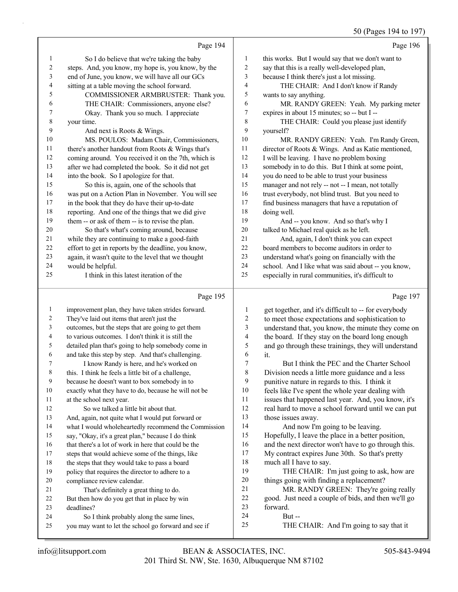50 (Pages 194 to 197)

|                |                                                            |                  | 50 (Pages 194 to 197)                                           |
|----------------|------------------------------------------------------------|------------------|-----------------------------------------------------------------|
|                | Page 194                                                   |                  | Page 196                                                        |
| 1              | So I do believe that we're taking the baby                 | $\mathbf{1}$     | this works. But I would say that we don't want to               |
| 2              | steps. And, you know, my hope is, you know, by the         | $\overline{c}$   | say that this is a really well-developed plan,                  |
| 3              | end of June, you know, we will have all our GCs            | 3                | because I think there's just a lot missing.                     |
| 4              | sitting at a table moving the school forward.              | $\overline{4}$   | THE CHAIR: And I don't know if Randy                            |
| 5              | COMMISSIONER ARMBRUSTER: Thank you.                        | 5                | wants to say anything.                                          |
| 6              | THE CHAIR: Commissioners, anyone else?                     | 6                | MR. RANDY GREEN: Yeah. My parking meter                         |
| 7              | Okay. Thank you so much. I appreciate                      | $\tau$           | expires in about 15 minutes; so -- but I --                     |
| 8              | your time.                                                 | 8                | THE CHAIR: Could you please just identify                       |
| 9              | And next is Roots & Wings.                                 | 9                | yourself?                                                       |
| 10             | MS. POULOS: Madam Chair, Commissioners,                    | 10               | MR. RANDY GREEN: Yeah. I'm Randy Green,                         |
| 11             | there's another handout from Roots & Wings that's          | 11               | director of Roots & Wings. And as Katie mentioned,              |
| 12             | coming around. You received it on the 7th, which is        | $12\,$           | I will be leaving. I have no problem boxing                     |
| 13             | after we had completed the book. So it did not get         | 13               | somebody in to do this. But I think at some point,              |
| 14             | into the book. So I apologize for that.                    | 14               | you do need to be able to trust your business                   |
| 15             | So this is, again, one of the schools that                 | 15               | manager and not rely -- not -- I mean, not totally              |
| 16             | was put on a Action Plan in November. You will see         | 16               | trust everybody, not blind trust. But you need to               |
| 17             | in the book that they do have their up-to-date             | $17\,$           | find business managers that have a reputation of                |
| 18             | reporting. And one of the things that we did give          | 18               | doing well.                                                     |
| 19             | them -- or ask of them -- is to revise the plan.           | 19               | And -- you know. And so that's why I                            |
| 20             | So that's what's coming around, because                    | 20               | talked to Michael real quick as he left.                        |
| 21             | while they are continuing to make a good-faith             | 21               | And, again, I don't think you can expect                        |
| 22             | effort to get in reports by the deadline, you know,        | 22               | board members to become auditors in order to                    |
| 23             | again, it wasn't quite to the level that we thought        | 23               | understand what's going on financially with the                 |
| 24             | would be helpful.                                          | 24               | school. And I like what was said about -- you know,             |
| 25             | I think in this latest iteration of the                    | 25               | especially in rural communities, it's difficult to              |
|                | Page 195                                                   |                  | Page 197                                                        |
| $\mathbf{1}$   | improvement plan, they have taken strides forward.         | 1                | get together, and it's difficult to -- for everybody            |
| $\overline{c}$ | They've laid out items that aren't just the                | $\boldsymbol{2}$ | to meet those expectations and sophistication to                |
| 3              | outcomes, but the steps that are going to get them         | 3                | understand that, you know, the minute they come on              |
| 4              | to various outcomes. I don't think it is still the         | 4                | the board. If they stay on the board long enough                |
| 5              | detailed plan that's going to help somebody come in        | 5                | and go through these trainings, they will understand            |
| 6              | and take this step by step. And that's challenging.        | 6                | it.                                                             |
| 7              | I know Randy is here, and he's worked on                   | 7                | But I think the PEC and the Charter School                      |
| 8              | this. I think he feels a little bit of a challenge,        | 8                | Division needs a little more guidance and a less                |
| 9              | because he doesn't want to box somebody in to              | 9                | punitive nature in regards to this. I think it                  |
| 10             | exactly what they have to do, because he will not be       | 10               | feels like I've spent the whole year dealing with               |
| 11             | at the school next year.                                   | 11               | issues that happened last year. And, you know, it's             |
| 12             | So we talked a little bit about that.                      | 12               | real hard to move a school forward until we can put             |
| 13             | And, again, not quite what I would put forward or          | 13               | those issues away.                                              |
| 14             | what I would wholeheartedly recommend the Commission       | 14               | And now I'm going to be leaving.                                |
| 15             | say, "Okay, it's a great plan," because I do think         | 15               | Hopefully, I leave the place in a better position,              |
| 16             | that there's a lot of work in here that could be the       | 16               | and the next director won't have to go through this.            |
| 17             | steps that would achieve some of the things, like          | 17               | My contract expires June 30th. So that's pretty                 |
| 18             | the steps that they would take to pass a board             | 18               | much all I have to say.                                         |
| 19             | policy that requires the director to adhere to a           | 19               | THE CHAIR: I'm just going to ask, how are                       |
| 20             | compliance review calendar.                                | 20<br>21         | things going with finding a replacement?                        |
| 21             | That's definitely a great thing to do.                     | $22\,$           | MR. RANDY GREEN: They're going really                           |
| 22<br>23       | But then how do you get that in place by win<br>deadlines? | 23               | good. Just need a couple of bids, and then we'll go<br>forward. |
|                |                                                            |                  |                                                                 |

- deadlines?
- 24 So I think probably along the same lines,
- you may want to let the school go forward and see if

24 But --<br>25 THE C

THE CHAIR: And I'm going to say that it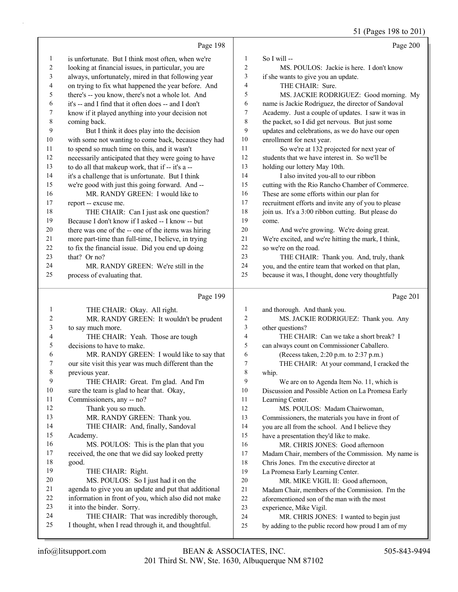51 (Pages 198 to 201)

|              |                                                                                             |                | $5 - 10$<br>$\cdots$ $\cdots$ $\cdots$                                                            |
|--------------|---------------------------------------------------------------------------------------------|----------------|---------------------------------------------------------------------------------------------------|
|              | Page 198                                                                                    |                | Page 200                                                                                          |
| 1            | is unfortunate. But I think most often, when we're                                          | 1              | So I will $-$                                                                                     |
| 2            | looking at financial issues, in particular, you are                                         | $\overline{c}$ | MS. POULOS: Jackie is here. I don't know                                                          |
| 3            | always, unfortunately, mired in that following year                                         | 3              | if she wants to give you an update.                                                               |
| 4            | on trying to fix what happened the year before. And                                         | $\overline{4}$ | THE CHAIR: Sure.                                                                                  |
| 5            | there's -- you know, there's not a whole lot. And                                           | 5              | MS. JACKIE RODRIGUEZ: Good morning. My                                                            |
| 6            | it's -- and I find that it often does -- and I don't                                        | 6              | name is Jackie Rodriguez, the director of Sandoval                                                |
| 7            | know if it played anything into your decision not                                           | 7              | Academy. Just a couple of updates. I saw it was in                                                |
| $\,$ 8 $\,$  | coming back.                                                                                | 8              | the packet, so I did get nervous. But just some                                                   |
| 9            | But I think it does play into the decision                                                  | 9              | updates and celebrations, as we do have our open                                                  |
| 10           | with some not wanting to come back, because they had                                        | 10             | enrollment for next year.                                                                         |
| 11           | to spend so much time on this, and it wasn't                                                | 11             | So we're at 132 projected for next year of                                                        |
| 12           | necessarily anticipated that they were going to have                                        | 12             | students that we have interest in. So we'll be                                                    |
| 13           | to do all that makeup work, that if -- it's a --                                            | 13             | holding our lottery May 10th.                                                                     |
| 14           | it's a challenge that is unfortunate. But I think                                           | 14             | I also invited you-all to our ribbon                                                              |
| 15<br>16     | we're good with just this going forward. And --                                             | 15<br>16       | cutting with the Rio Rancho Chamber of Commerce.                                                  |
| 17           | MR. RANDY GREEN: I would like to                                                            | 17             | These are some efforts within our plan for<br>recruitment efforts and invite any of you to please |
| 18           | report -- excuse me.                                                                        | 18             | join us. It's a 3:00 ribbon cutting. But please do                                                |
| 19           | THE CHAIR: Can I just ask one question?<br>Because I don't know if I asked -- I know -- but | 19             |                                                                                                   |
| 20           | there was one of the -- one of the items was hiring                                         | 20             | come.<br>And we're growing. We're doing great.                                                    |
| 21           | more part-time than full-time, I believe, in trying                                         | 21             | We're excited, and we're hitting the mark, I think,                                               |
| 22           | to fix the financial issue. Did you end up doing                                            | 22             | so we're on the road.                                                                             |
| 23           | that? Or no?                                                                                | 23             | THE CHAIR: Thank you. And, truly, thank                                                           |
| 24           | MR. RANDY GREEN: We're still in the                                                         | 24             | you, and the entire team that worked on that plan,                                                |
| 25           | process of evaluating that.                                                                 | 25             | because it was, I thought, done very thoughtfully                                                 |
|              |                                                                                             |                |                                                                                                   |
|              |                                                                                             |                |                                                                                                   |
|              | Page 199                                                                                    |                | Page 201                                                                                          |
| 1            | THE CHAIR: Okay. All right.                                                                 | $\mathbf{1}$   | and thorough. And thank you.                                                                      |
| 2            | MR. RANDY GREEN: It wouldn't be prudent                                                     | $\overline{c}$ | MS. JACKIE RODRIGUEZ: Thank you. Any                                                              |
| 3            | to say much more.                                                                           | 3              | other questions?                                                                                  |
| 4            | THE CHAIR: Yeah. Those are tough                                                            | $\overline{4}$ | THE CHAIR: Can we take a short break? I                                                           |
| 5            | decisions to have to make.                                                                  | 5              | can always count on Commissioner Caballero.                                                       |
| 6            | MR. RANDY GREEN: I would like to say that                                                   | 6              | (Recess taken, 2:20 p.m. to 2:37 p.m.)                                                            |
| 7            | our site visit this year was much different than the                                        | 7              | THE CHAIR: At your command, I cracked the                                                         |
| $\,8\,$      | previous year.                                                                              | $\,$ $\,$      | whip.                                                                                             |
| 9            | THE CHAIR: Great. I'm glad. And I'm                                                         | 9              | We are on to Agenda Item No. 11, which is                                                         |
| 10           | sure the team is glad to hear that. Okay,                                                   | 10             | Discussion and Possible Action on La Promesa Early                                                |
| 11           | Commissioners, any -- no?                                                                   | 11             | Learning Center.                                                                                  |
| 12           | Thank you so much.                                                                          | 12             | MS. POULOS: Madam Chairwoman,                                                                     |
| 13           | MR. RANDY GREEN: Thank you.                                                                 | 13             | Commissioners, the materials you have in front of                                                 |
| 14           | THE CHAIR: And, finally, Sandoval                                                           | 14             | you are all from the school. And I believe they                                                   |
| 15           | Academy.                                                                                    | 15             | have a presentation they'd like to make.                                                          |
| 16           | MS. POULOS: This is the plan that you                                                       | 16             | MR. CHRIS JONES: Good afternoon                                                                   |
| 17           | received, the one that we did say looked pretty                                             | 17             | Madam Chair, members of the Commission. My name is                                                |
| 18           | good.                                                                                       | 18             | Chris Jones. I'm the executive director at                                                        |
| 19           | THE CHAIR: Right.                                                                           | 19             | La Promesa Early Learning Center.                                                                 |
| $20\,$<br>21 | MS. POULOS: So I just had it on the                                                         | 20             | MR. MIKE VIGIL II: Good afternoon,                                                                |
| $22\,$       | agenda to give you an update and put that additional                                        | 21<br>22       | Madam Chair, members of the Commission. I'm the                                                   |
| 23           | information in front of you, which also did not make                                        | 23             | aforementioned son of the man with the most                                                       |
| 24           | it into the binder. Sorry.<br>THE CHAIR: That was incredibly thorough,                      | 24             | experience, Mike Vigil.                                                                           |
| 25           | I thought, when I read through it, and thoughtful.                                          | 25             | MR. CHRIS JONES: I wanted to begin just<br>by adding to the public record how proud I am of my    |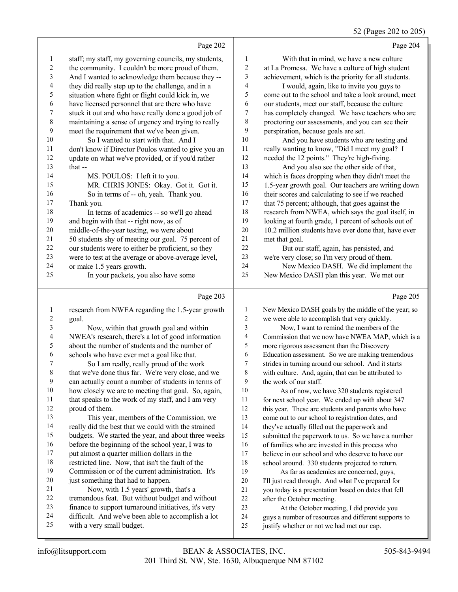#### 52 (Pages 202 to 205)

Page 202 staff; my staff, my governing councils, my students, the community. I couldn't be more proud of them. And I wanted to acknowledge them because they -- they did really step up to the challenge, and in a situation where fight or flight could kick in, we have licensed personnel that are there who have stuck it out and who have really done a good job of maintaining a sense of urgency and trying to really meet the requirement that we've been given. 10 So I wanted to start with that. And I don't know if Director Poulos wanted to give you an update on what we've provided, or if you'd rather that -- 14 MS. POULOS: I left it to you. 15 MR. CHRIS JONES: Okay. Got it. Got it. 16 So in terms of -- oh, yeah. Thank you. Thank you. 18 In terms of academics -- so we'll go ahead and begin with that -- right now, as of middle-of-the-year testing, we were about 50 students shy of meeting our goal. 75 percent of our students were to either be proficient, so they 23 were to test at the average or above-average level,<br>24 or make 1.5 years growth or make 1.5 years growth. 25 In your packets, you also have some Page 204 1 With that in mind, we have a new culture at La Promesa. We have a culture of high student achievement, which is the priority for all students. 4 I would, again, like to invite you guys to come out to the school and take a look around, meet our students, meet our staff, because the culture has completely changed. We have teachers who are proctoring our assessments, and you can see their perspiration, because goals are set. 10 And you have students who are testing and really wanting to know, "Did I meet my goal? I needed the 12 points." They're high-fiving. 13 And you also see the other side of that, which is faces dropping when they didn't meet the 1.5-year growth goal. Our teachers are writing down 16 their scores and calculating to see if we reached 17 that 75 percent; although, that goes against the research from NWEA, which says the goal itself, in looking at fourth grade, 1 percent of schools out of 20 10.2 million students have ever done that, have ever met that goal. 22 But our staff, again, has persisted, and we're very close; so I'm very proud of them. 24 New Mexico DASH. We did implement the New Mexico DASH plan this year. We met our Page 205

### Page 203

| 1       | research from NWEA regarding the 1.5-year growth     | 1              | New Mexico DASH goals by the middle of the year; so  |
|---------|------------------------------------------------------|----------------|------------------------------------------------------|
| 2       | goal.                                                | $\overline{2}$ | we were able to accomplish that very quickly.        |
| 3       | Now, within that growth goal and within              | 3              | Now, I want to remind the members of the             |
| 4       | NWEA's research, there's a lot of good information   | 4              | Commission that we now have NWEA MAP, which is a     |
| 5       | about the number of students and the number of       | 5              | more rigorous assessment than the Discovery          |
| 6       | schools who have ever met a goal like that.          | 6              | Education assessment. So we are making tremendous    |
| 7       | So I am really, really proud of the work             | 7              | strides in turning around our school. And it starts  |
| $\,8\,$ | that we've done thus far. We're very close, and we   | 8              | with culture. And, again, that can be attributed to  |
| 9       | can actually count a number of students in terms of  | 9              | the work of our staff.                               |
| 10      | how closely we are to meeting that goal. So, again,  | 10             | As of now, we have 320 students registered           |
| 11      | that speaks to the work of my staff, and I am very   | 11             | for next school year. We ended up with about 347     |
| 12      | proud of them.                                       | 12             | this year. These are students and parents who have   |
| 13      | This year, members of the Commission, we             | 13             | come out to our school to registration dates, and    |
| 14      | really did the best that we could with the strained  | 14             | they've actually filled out the paperwork and        |
| 15      | budgets. We started the year, and about three weeks  | 15             | submitted the paperwork to us. So we have a number   |
| 16      | before the beginning of the school year, I was to    | 16             | of families who are invested in this process who     |
| 17      | put almost a quarter million dollars in the          | 17             | believe in our school and who deserve to have our    |
| 18      | restricted line. Now, that isn't the fault of the    | 18             | school around. 330 students projected to return.     |
| 19      | Commission or of the current administration. It's    | 19             | As far as academics are concerned, guys,             |
| 20      | just something that had to happen.                   | 20             | I'll just read through. And what I've prepared for   |
| 21      | Now, with 1.5 years' growth, that's a                | 21             | you today is a presentation based on dates that fell |
| 22      | tremendous feat. But without budget and without      | 22             | after the October meeting.                           |
| 23      | finance to support turnaround initiatives, it's very | 23             | At the October meeting, I did provide you            |
| 24      | difficult. And we've been able to accomplish a lot   | 24             | guys a number of resources and different supports to |
| 25      | with a very small budget.                            | 25             | justify whether or not we had met our cap.           |
|         |                                                      |                |                                                      |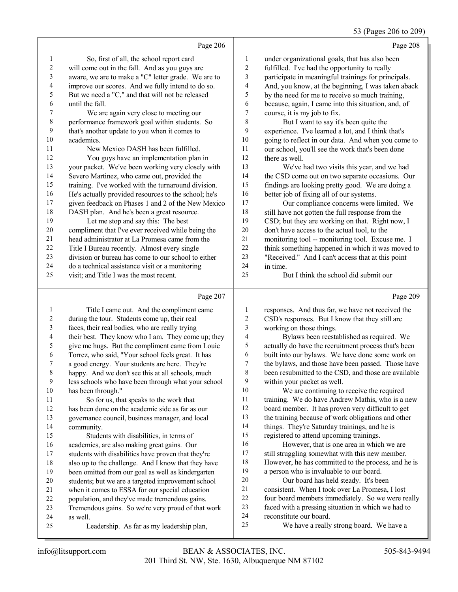# 53 (Pages 206 to 209)

|    | Page 206                                             |    | Page 208                                            |
|----|------------------------------------------------------|----|-----------------------------------------------------|
| 1  | So, first of all, the school report card             | 1  | under organizational goals, that has also been      |
| 2  | will come out in the fall. And as you guys are       | 2  | fulfilled. I've had the opportunity to really       |
| 3  | aware, we are to make a "C" letter grade. We are to  | 3  | participate in meaningful trainings for principals. |
| 4  | improve our scores. And we fully intend to do so.    | 4  | And, you know, at the beginning, I was taken aback  |
| 5  | But we need a "C," and that will not be released     | 5  | by the need for me to receive so much training,     |
| 6  | until the fall.                                      | 6  | because, again, I came into this situation, and, of |
| 7  | We are again very close to meeting our               | 7  | course, it is my job to fix.                        |
| 8  | performance framework goal within students. So       | 8  | But I want to say it's been quite the               |
| 9  | that's another update to you when it comes to        | 9  | experience. I've learned a lot, and I think that's  |
| 10 | academics.                                           | 10 | going to reflect in our data. And when you come to  |
| 11 | New Mexico DASH has been fulfilled.                  | 11 | our school, you'll see the work that's been done    |
| 12 | You guys have an implementation plan in              | 12 | there as well.                                      |
| 13 | your packet. We've been working very closely with    | 13 | We've had two visits this year, and we had          |
| 14 | Severo Martinez, who came out, provided the          | 14 | the CSD come out on two separate occasions. Our     |
| 15 | training. I've worked with the turnaround division.  | 15 | findings are looking pretty good. We are doing a    |
| 16 | He's actually provided resources to the school; he's | 16 | better job of fixing all of our systems.            |
| 17 | given feedback on Phases 1 and 2 of the New Mexico   | 17 | Our compliance concerns were limited. We            |
| 18 | DASH plan. And he's been a great resource.           | 18 | still have not gotten the full response from the    |
| 19 | Let me stop and say this: The best                   | 19 | CSD; but they are working on that. Right now, I     |
| 20 | compliment that I've ever received while being the   | 20 | don't have access to the actual tool, to the        |
| 21 | head administrator at La Promesa came from the       | 21 | monitoring tool -- monitoring tool. Excuse me. I    |
| 22 | Title I Bureau recently. Almost every single         | 22 | think something happened in which it was moved to   |
| 23 | division or bureau has come to our school to either  | 23 | "Received." And I can't access that at this point   |
| 24 | do a technical assistance visit or a monitoring      | 24 | in time.                                            |
| 25 | visit; and Title I was the most recent.              | 25 | But I think the school did submit our               |
|    | Page 207                                             |    | Page 209                                            |

|    | Title I came out. And the compliment came           | 1              | responses. And thus far, we have not received the    |
|----|-----------------------------------------------------|----------------|------------------------------------------------------|
| 2  | during the tour. Students come up, their real       | $\overline{c}$ | CSD's responses. But I know that they still are      |
| 3  | faces, their real bodies, who are really trying     | 3              | working on those things.                             |
| 4  | their best. They know who I am. They come up; they  | 4              | Bylaws been reestablished as required. We            |
| 5  | give me hugs. But the compliment came from Louie    | 5              | actually do have the recruitment process that's been |
| 6  | Torrez, who said, "Your school feels great. It has  | 6              | built into our bylaws. We have done some work on     |
| 7  | a good energy. Your students are here. They're      | 7              | the bylaws, and those have been passed. Those have   |
| 8  | happy. And we don't see this at all schools, much   | 8              | been resubmitted to the CSD, and those are available |
| 9  | less schools who have been through what your school | 9              | within your packet as well.                          |
| 10 | has been through."                                  | 10             | We are continuing to receive the required            |
| 11 | So for us, that speaks to the work that             | 11             | training. We do have Andrew Mathis, who is a new     |
| 12 | has been done on the academic side as far as our    | 12             | board member. It has proven very difficult to get    |
| 13 | governance council, business manager, and local     | 13             | the training because of work obligations and other   |
| 14 | community.                                          | 14             | things. They're Saturday trainings, and he is        |
| 15 | Students with disabilities, in terms of             | 15             | registered to attend upcoming trainings.             |
| 16 | academics, are also making great gains. Our         | 16             | However, that is one area in which we are            |
| 17 | students with disabilities have proven that they're | 17             | still struggling somewhat with this new member.      |
| 18 | also up to the challenge. And I know that they have | 18             | However, he has committed to the process, and he is  |
| 19 | been omitted from our goal as well as kindergarten  | 19             | a person who is invaluable to our board.             |
| 20 | students; but we are a targeted improvement school  | 20             | Our board has held steady. It's been                 |
| 21 | when it comes to ESSA for our special education     | 21             | consistent. When I took over La Promesa, I lost      |
| 22 | population, and they've made tremendous gains.      | 22             | four board members immediately. So we were really    |
| 23 | Tremendous gains. So we're very proud of that work  | 23             | faced with a pressing situation in which we had to   |
| 24 | as well.                                            | 24             | reconstitute our board.                              |
| 25 | Leadership. As far as my leadership plan,           | 25             | We have a really strong board. We have a             |
|    |                                                     |                |                                                      |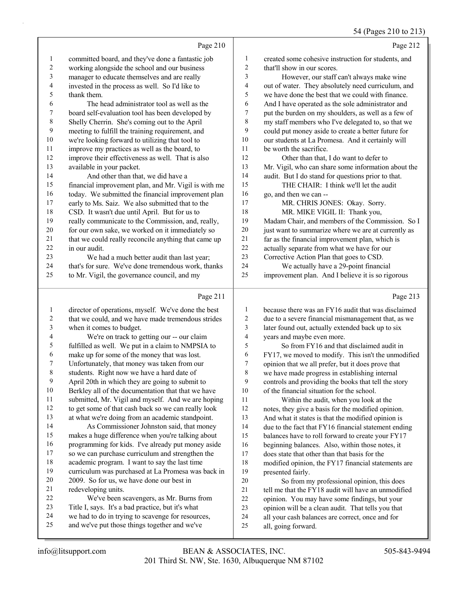|                          |                                                      |                          | $\sim$ 1 (1 ugus 210 to 219                         |
|--------------------------|------------------------------------------------------|--------------------------|-----------------------------------------------------|
|                          | Page 210                                             |                          | Page 212                                            |
| 1                        | committed board, and they've done a fantastic job    | 1                        | created some cohesive instruction for students, and |
| $\overline{c}$           | working alongside the school and our business        | $\overline{2}$           | that'll show in our scores.                         |
| 3                        | manager to educate themselves and are really         | 3                        | However, our staff can't always make wine           |
| $\overline{\mathcal{L}}$ | invested in the process as well. So I'd like to      | $\overline{\mathcal{L}}$ | out of water. They absolutely need curriculum, and  |
| 5                        | thank them.                                          | 5                        | we have done the best that we could with finance.   |
| 6                        | The head administrator tool as well as the           | 6                        | And I have operated as the sole administrator and   |
| 7                        | board self-evaluation tool has been developed by     | 7                        | put the burden on my shoulders, as well as a few of |
| $\,$ $\,$                | Shelly Cherrin. She's coming out to the April        | 8                        | my staff members who I've delegated to, so that we  |
| 9                        | meeting to fulfill the training requirement, and     | 9                        | could put money aside to create a better future for |
| 10                       | we're looking forward to utilizing that tool to      | 10                       | our students at La Promesa. And it certainly will   |
| 11                       | improve my practices as well as the board, to        | 11                       | be worth the sacrifice.                             |
| 12                       | improve their effectiveness as well. That is also    | 12                       | Other than that, I do want to defer to              |
| 13                       | available in your packet.                            | 13                       | Mr. Vigil, who can share some information about the |
| 14                       | And other than that, we did have a                   | 14                       | audit. But I do stand for questions prior to that.  |
| 15                       | financial improvement plan, and Mr. Vigil is with me | 15                       | THE CHAIR: I think we'll let the audit              |
| 16                       | today. We submitted the financial improvement plan   | 16                       | go, and then we can --                              |
| 17                       | early to Ms. Saiz. We also submitted that to the     | 17                       | MR. CHRIS JONES: Okay. Sorry.                       |
| 18                       | CSD. It wasn't due until April. But for us to        | 18                       | MR. MIKE VIGIL II: Thank you,                       |
| 19                       | really communicate to the Commission, and, really,   | 19                       | Madam Chair, and members of the Commission. So I    |
| 20                       | for our own sake, we worked on it immediately so     | $20\,$                   | just want to summarize where we are at currently as |
| 21                       | that we could really reconcile anything that came up | 21                       | far as the financial improvement plan, which is     |
| 22                       | in our audit.                                        | 22                       | actually separate from what we have for our         |
| 23                       | We had a much better audit than last year;           | 23                       | Corrective Action Plan that goes to CSD.            |
| 24                       | that's for sure. We've done tremendous work, thanks  | 24                       | We actually have a 29-point financial               |
| 25                       | to Mr. Vigil, the governance council, and my         | 25                       | improvement plan. And I believe it is so rigorous   |
|                          | Page 211                                             |                          | Page 213                                            |
|                          | director of operations, myself. We've done the best  | 1                        | because there was an FY16 audit that was disclaimed |
|                          | that we could and we have made tremendous strides    | 2                        | due to a severe financial mismanagement that as we  |

| 3  | when it comes to budget.                            |  |
|----|-----------------------------------------------------|--|
| 4  | We're on track to getting our -- our claim          |  |
| 5  | fulfilled as well. We put in a claim to NMPSIA to   |  |
| 6  | make up for some of the money that was lost.        |  |
| 7  | Unfortunately, that money was taken from our        |  |
| 8  | students. Right now we have a hard date of          |  |
| 9  | April 20th in which they are going to submit to     |  |
| 10 | Berkley all of the documentation that that we have  |  |
| 11 | submitted, Mr. Vigil and myself. And we are hoping  |  |
| 12 | to get some of that cash back so we can really look |  |
| 13 | at what we're doing from an academic standpoint.    |  |
| 14 | As Commissioner Johnston said, that money           |  |
| 15 | makes a huge difference when you're talking about   |  |
| 16 | programming for kids. I've already put money aside  |  |
| 17 | so we can purchase curriculum and strengthen the    |  |

## academic program. I want to say the last time curriculum was purchased at La Promesa was back in 2009. So for us, we have done our best in

- redeveloping units. 22 We've been scavengers, as Mr. Burns from
- Title I, says. It's a bad practice, but it's what
- we had to do in trying to scavenge for resources, and we've put those things together and we've
- due to a severe financial mismanagement that, as we later found out, actually extended back up to six years and maybe even more. 5 So from FY16 and that disclaimed audit in
- FY17, we moved to modify. This isn't the unmodified opinion that we all prefer, but it does prove that we have made progress in establishing internal controls and providing the books that tell the story of the financial situation for the school.

11 Within the audit, when you look at the notes, they give a basis for the modified opinion. And what it states is that the modified opinion is 14 due to the fact that FY16 financial statement ending balances have to roll forward to create your FY17 beginning balances. Also, within those notes, it does state that other than that basis for the

 modified opinion, the FY17 financial statements are presented fairly.

20 So from my professional opinion, this does tell me that the FY18 audit will have an unmodified opinion. You may have some findings, but your opinion will be a clean audit. That tells you that all your cash balances are correct, once and for all, going forward.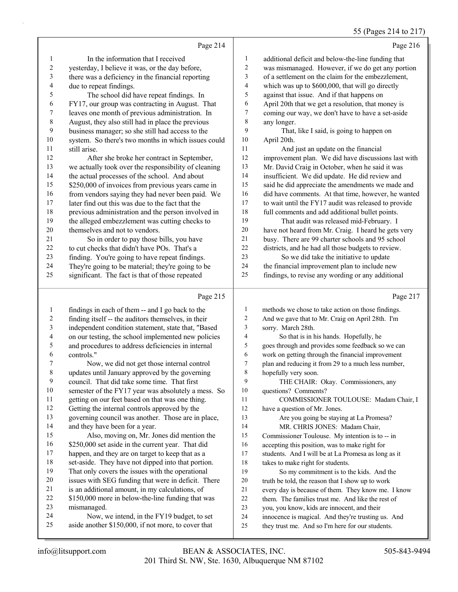# 55 (Pages 214 to 217)

|    | Page 214                                             |                | Page 216                                             |
|----|------------------------------------------------------|----------------|------------------------------------------------------|
| 1  | In the information that I received                   | 1              | additional deficit and below-the-line funding that   |
| 2  | yesterday, I believe it was, or the day before,      | 2              | was mismanaged. However, if we do get any portion    |
| 3  | there was a deficiency in the financial reporting    | 3              | of a settlement on the claim for the embezzlement,   |
| 4  | due to repeat findings.                              | $\overline{4}$ | which was up to \$600,000, that will go directly     |
| 5  | The school did have repeat findings. In              | 5              | against that issue. And if that happens on           |
| 6  | FY17, our group was contracting in August. That      | 6              | April 20th that we get a resolution, that money is   |
| 7  | leaves one month of previous administration. In      | 7              | coming our way, we don't have to have a set-aside    |
| 8  | August, they also still had in place the previous    | 8              | any longer.                                          |
| 9  | business manager; so she still had access to the     | 9              | That, like I said, is going to happen on             |
| 10 | system. So there's two months in which issues could  | 10             | April 20th.                                          |
| 11 | still arise.                                         | 11             | And just an update on the financial                  |
| 12 | After she broke her contract in September,           | 12             | improvement plan. We did have discussions last with  |
| 13 | we actually took over the responsibility of cleaning | 13             | Mr. David Craig in October, when he said it was      |
| 14 | the actual processes of the school. And about        | 14             | insufficient. We did update. He did review and       |
| 15 | \$250,000 of invoices from previous years came in    | 15             | said he did appreciate the amendments we made and    |
| 16 | from vendors saying they had never been paid. We     | 16             | did have comments. At that time, however, he wanted  |
| 17 | later find out this was due to the fact that the     | 17             | to wait until the FY17 audit was released to provide |
| 18 | previous administration and the person involved in   | 18             | full comments and add additional bullet points.      |
| 19 | the alleged embezzlement was cutting checks to       | 19             | That audit was released mid-February. I              |
| 20 | themselves and not to vendors.                       | 20             | have not heard from Mr. Craig. I heard he gets very  |
| 21 | So in order to pay those bills, you have             | 21             | busy. There are 99 charter schools and 95 school     |
| 22 | to cut checks that didn't have POs. That's a         | 22             | districts, and he had all those budgets to review.   |
| 23 | finding. You're going to have repeat findings.       | 23             | So we did take the initiative to update              |
| 24 | They're going to be material; they're going to be    | 24             | the financial improvement plan to include new        |
| 25 | significant. The fact is that of those repeated      | 25             | findings, to revise any wording or any additional    |
|    | Page 215                                             |                | Page 217                                             |
|    |                                                      |                |                                                      |

|         | $1 \text{ g}$ $2 \text{ g}$                         |              | $1 \text{ g}$ $211$                                 |
|---------|-----------------------------------------------------|--------------|-----------------------------------------------------|
| 1       | findings in each of them -- and I go back to the    | $\mathbf{1}$ | methods we chose to take action on those findings.  |
| 2       | finding itself -- the auditors themselves, in their | 2            | And we gave that to Mr. Craig on April 28th. I'm    |
| 3       | independent condition statement, state that, "Based | 3            | sorry. March 28th.                                  |
| 4       | on our testing, the school implemented new policies | 4            | So that is in his hands. Hopefully, he              |
| 5       | and procedures to address deficiencies in internal  | 5            | goes through and provides some feedback so we can   |
| 6       | controls."                                          | 6            | work on getting through the financial improvement   |
| 7       | Now, we did not get those internal control          | $\tau$       | plan and reducing it from 29 to a much less number, |
| $\,8\,$ | updates until January approved by the governing     | 8            | hopefully very soon.                                |
| 9       | council. That did take some time. That first        | 9            | THE CHAIR: Okay. Commissioners, any                 |
| 10      | semester of the FY17 year was absolutely a mess. So | 10           | questions? Comments?                                |
| 11      | getting on our feet based on that was one thing.    | 11           | COMMISSIONER TOULOUSE: Madam Chair, I               |
| 12      | Getting the internal controls approved by the       | 12           | have a question of Mr. Jones.                       |
| 13      | governing council was another. Those are in place,  | 13           | Are you going be staying at La Promesa?             |
| 14      | and they have been for a year.                      | 14           | MR. CHRIS JONES: Madam Chair,                       |
| 15      | Also, moving on, Mr. Jones did mention the          | 15           | Commissioner Toulouse. My intention is to -- in     |
| 16      | \$250,000 set aside in the current year. That did   | 16           | accepting this position, was to make right for      |
| 17      | happen, and they are on target to keep that as a    | 17           | students. And I will be at La Promesa as long as it |
| 18      | set-aside. They have not dipped into that portion.  | 18           | takes to make right for students.                   |
| 19      | That only covers the issues with the operational    | 19           | So my commitment is to the kids. And the            |
| 20      | issues with SEG funding that were in deficit. There | 20           | truth be told, the reason that I show up to work    |
| 21      | is an additional amount, in my calculations, of     | 21           | every day is because of them. They know me. I know  |
| 22      | \$150,000 more in below-the-line funding that was   | 22           | them. The families trust me. And like the rest of   |
| 23      | mismanaged.                                         | 23           | you, you know, kids are innocent, and their         |
| 24      | Now, we intend, in the FY19 budget, to set          | 24           | innocence is magical. And they're trusting us. And  |
| 25      | aside another \$150,000, if not more, to cover that | 25           | they trust me. And so I'm here for our students.    |
|         |                                                     |              |                                                     |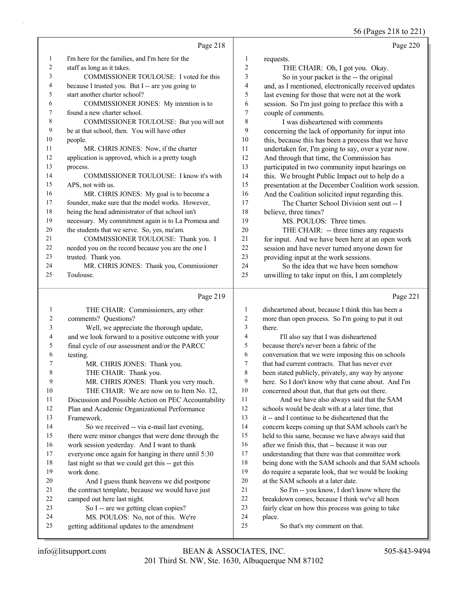56 (Pages 218 to 221)

|    | Page 218                                            |                | Page 220                                             |
|----|-----------------------------------------------------|----------------|------------------------------------------------------|
| 1  | I'm here for the families, and I'm here for the     | 1              | requests.                                            |
| 2  | staff as long as it takes.                          | $\overline{c}$ | THE CHAIR: Oh, I got you. Okay.                      |
| 3  | COMMISSIONER TOULOUSE: I voted for this             | 3              | So in your packet is the -- the original             |
| 4  | because I trusted you. But I -- are you going to    | 4              | and, as I mentioned, electronically received updates |
| 5  | start another charter school?                       | 5              | last evening for those that were not at the work     |
| 6  | COMMISSIONER JONES: My intention is to              | 6              | session. So I'm just going to preface this with a    |
| 7  | found a new charter school.                         | 7              | couple of comments.                                  |
| 8  | COMMISSIONER TOULOUSE: But you will not             | 8              | I was disheartened with comments                     |
| 9  | be at that school, then. You will have other        | 9              | concerning the lack of opportunity for input into    |
| 10 | people.                                             | 10             | this, because this has been a process that we have   |
| 11 | MR. CHRIS JONES: Now, if the charter                | 11             | undertaken for, I'm going to say, over a year now.   |
| 12 | application is approved, which is a pretty tough    | 12             | And through that time, the Commission has            |
| 13 | process.                                            | 13             | participated in two community input hearings on      |
| 14 | COMMISSIONER TOULOUSE: I know it's with             | 14             | this. We brought Public Impact out to help do a      |
| 15 | APS, not with us.                                   | 15             | presentation at the December Coalition work session. |
| 16 | MR. CHRIS JONES: My goal is to become a             | 16             | And the Coalition solicited input regarding this.    |
| 17 | founder, make sure that the model works. However,   | 17             | The Charter School Division sent out -- I            |
| 18 | being the head administrator of that school isn't   | 18             | believe, three times?                                |
| 19 | necessary. My commitment again is to La Promesa and | 19             | MS. POULOS: Three times.                             |
| 20 | the students that we serve. So, yes, ma'am.         | 20             | THE CHAIR: -- three times any requests               |
| 21 | COMMISSIONER TOULOUSE: Thank you. I                 | 21             | for input. And we have been here at an open work     |
| 22 | needed you on the record because you are the one I  | 22             | session and have never turned anyone down for        |
| 23 | trusted. Thank you.                                 | 23             | providing input at the work sessions.                |
| 24 | MR. CHRIS JONES: Thank you, Commissioner            | 24             | So the idea that we have been somehow                |
| 25 | Toulouse.                                           | 25             | unwilling to take input on this, I am completely     |
|    | Page 219                                            |                | Page 221                                             |

| $\mathbf{1}$            | THE CHAIR: Commissioners, any other                  | 1              | di:             |
|-------------------------|------------------------------------------------------|----------------|-----------------|
| 2                       | comments? Questions?                                 | 2              | m               |
| 3                       | Well, we appreciate the thorough update,             | 3              | th              |
| $\overline{\mathbf{4}}$ | and we look forward to a positive outcome with your  | $\overline{4}$ |                 |
| 5                       | final cycle of our assessment and/or the PARCC       | 5              | be              |
| 6                       | testing.                                             | 6              | $_{\rm co}$     |
| 7                       | MR. CHRIS JONES: Thank you.                          | 7              | th              |
| 8                       | THE CHAIR: Thank you.                                | 8              | be              |
| 9                       | MR. CHRIS JONES: Thank you very much.                | 9              | he              |
| 10                      | THE CHAIR: We are now on to Item No. 12,             | 10             | $_{\rm co}$     |
| 11                      | Discussion and Possible Action on PEC Accountability | 11             |                 |
| 12                      | Plan and Academic Organizational Performance         | 12             | sc              |
| 13                      | Framework.                                           | 13             | it <sub>1</sub> |
| 14                      | So we received -- via e-mail last evening,           | 14             | $_{\rm co}$     |
| 15                      | there were minor changes that were done through the  | 15             | he              |
| 16                      | work session yesterday. And I want to thank          | 16             | af              |
| 17                      | everyone once again for hanging in there until 5:30  | 17             | un              |
| 18                      | last night so that we could get this -- get this     | 18             | be              |
| 19                      | work done.                                           | 19             | do              |
| 20                      | And I guess thank heavens we did postpone            | 20             | at              |
| 21                      | the contract template, because we would have just    | 21             |                 |
| 22                      | camped out here last night.                          | 22             | br              |
| 23                      | So I -- are we getting clean copies?                 | 23             | fai             |
| 24                      | MS. POULOS: No, not of this. We're                   | 24             | pl              |
| 25                      | getting additional updates to the amendment          | 25             |                 |
|                         |                                                      |                |                 |

sheartened about, because I think this has been a ore than open process. So I'm going to put it out ere.

I'll also say that I was disheartened ecause there's never been a fabric of the mversation that we were imposing this on schools at had current contracts. That has never ever een stated publicly, privately, any way by anyone ere. So I don't know why that came about. And I'm ncerned about that, that that gets out there. And we have also always said that the SAM hools would be dealt with at a later time, that -- and I continue to be disheartened that the ncern keeps coming up that SAM schools can't be ld to this same, because we have always said that ter we finish this, that -- because it was our derstanding that there was that committee work eing done with the SAM schools and that SAM schools require a separate look, that we would be looking the SAM schools at a later date. So I'm -- you know, I don't know where the eakdown comes, because I think we've all been irly clear on how this process was going to take ace. So that's my comment on that.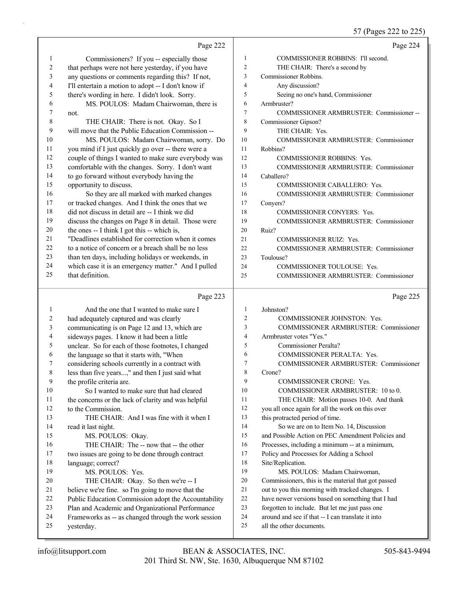# 57 (Pages 222 to 225)

|             | Page 222                                                           |                | Page 224                                                                      |
|-------------|--------------------------------------------------------------------|----------------|-------------------------------------------------------------------------------|
| 1           | Commissioners? If you -- especially those                          | $\mathbf{1}$   | COMMISSIONER ROBBINS: I'll second.                                            |
| 2           | that perhaps were not here yesterday, if you have                  | $\overline{c}$ | THE CHAIR: There's a second by                                                |
| 3           | any questions or comments regarding this? If not,                  | 3              | Commissioner Robbins.                                                         |
| 4           | I'll entertain a motion to adopt -- I don't know if                | 4              | Any discussion?                                                               |
| 5           | there's wording in here. I didn't look. Sorry.                     | 5              | Seeing no one's hand, Commissioner                                            |
| 6           | MS. POULOS: Madam Chairwoman, there is                             | 6              | Armbruster?                                                                   |
| 7           | not.                                                               | 7              | COMMISSIONER ARMBRUSTER: Commissioner--                                       |
| $\,$ 8 $\,$ | THE CHAIR: There is not. Okay. So I                                | 8              | Commissioner Gipson?                                                          |
| 9           | will move that the Public Education Commission --                  | 9              | THE CHAIR: Yes.                                                               |
| $10\,$      | MS. POULOS: Madam Chairwoman, sorry. Do                            | 10             | COMMISSIONER ARMBRUSTER: Commissioner                                         |
| 11          | you mind if I just quickly go over -- there were a                 | 11             | Robbins?                                                                      |
| 12          | couple of things I wanted to make sure everybody was               | 12             | <b>COMMISSIONER ROBBINS: Yes.</b>                                             |
| 13          | comfortable with the changes. Sorry. I don't want                  | 13             | COMMISSIONER ARMBRUSTER: Commissioner                                         |
| 14          | to go forward without everybody having the                         | 14             | Caballero?                                                                    |
| 15          | opportunity to discuss.                                            | 15             | COMMISSIONER CABALLERO: Yes.                                                  |
| 16          | So they are all marked with marked changes                         | 16             | COMMISSIONER ARMBRUSTER: Commissioner                                         |
| 17          | or tracked changes. And I think the ones that we                   | 17             | Conyers?                                                                      |
| $18\,$      | did not discuss in detail are -- I think we did                    | 18             | COMMISSIONER CONYERS: Yes.                                                    |
| 19          | discuss the changes on Page 8 in detail. Those were                | 19             | COMMISSIONER ARMBRUSTER: Commissioner                                         |
| $20\,$      | the ones -- I think I got this -- which is,                        | 20             | Ruiz?                                                                         |
| 21          | "Deadlines established for correction when it comes                | 21             | <b>COMMISSIONER RUIZ: Yes.</b>                                                |
| 22          | to a notice of concern or a breach shall be no less                | 22             | COMMISSIONER ARMBRUSTER: Commissioner                                         |
| 23          | than ten days, including holidays or weekends, in                  | 23             | Toulouse?                                                                     |
| 24          | which case it is an emergency matter." And I pulled                | 24             | COMMISSIONER TOULOUSE: Yes.                                                   |
| 25          | that definition.                                                   | 25             | COMMISSIONER ARMBRUSTER: Commissioner                                         |
|             |                                                                    |                |                                                                               |
|             | Page 223                                                           |                | Page 225                                                                      |
| 1           | And the one that I wanted to make sure I                           | $\mathbf{1}$   | Johnston?                                                                     |
| 2           | had adequately captured and was clearly                            | 2              | COMMISSIONER JOHNSTON: Yes.                                                   |
| 3           | communicating is on Page 12 and 13, which are                      | 3              | COMMISSIONER ARMBRUSTER: Commissioner                                         |
| 4           | sideways pages. I know it had been a little                        | 4              | Armbruster votes "Yes."                                                       |
| 5           | unclear. So for each of those footnotes, I changed                 | 5              | Commissioner Peralta?                                                         |
| 6           | the language so that it starts with, "When                         | 6              | COMMISSIONER PERALTA: Yes.                                                    |
| 7           | considering schools currently in a contract with                   | 7              | <b>COMMISSIONER ARMBRUSTER: Commissioner</b>                                  |
| 8           | less than five years," and then I just said what                   | 8              | Crone?                                                                        |
| 9           | the profile criteria are.                                          | 9              | COMMISSIONER CRONE: Yes.                                                      |
| 10          | So I wanted to make sure that had cleared                          | 10             | COMMISSIONER ARMBRUSTER: 10 to 0.                                             |
| 11          | the concerns or the lack of clarity and was helpful                | 11             | THE CHAIR: Motion passes 10-0. And thank                                      |
| 12          | to the Commission.                                                 | 12             | you all once again for all the work on this over                              |
| 13          | THE CHAIR: And I was fine with it when I                           | 13             | this protracted period of time.                                               |
| 14          | read it last night.                                                | 14             | So we are on to Item No. 14, Discussion                                       |
| 15          | MS. POULOS: Okay.                                                  | 15             | and Possible Action on PEC Amendment Policies and                             |
| 16          | THE CHAIR: The -- now that -- the other                            | 16             | Processes, including a minimum -- at a minimum,                               |
| 17          | two issues are going to be done through contract                   | 17             | Policy and Processes for Adding a School                                      |
| 18          | language; correct?                                                 | 18             | Site/Replication.                                                             |
| 19          | MS. POULOS: Yes.                                                   | 19             | MS. POULOS: Madam Chairwoman,                                                 |
| 20          | THE CHAIR: Okay. So then we're -- I                                | 20             | Commissioners, this is the material that got passed                           |
| 21          | believe we're fine. so I'm going to move that the                  | 21             | out to you this morning with tracked changes. I                               |
| 22          | Public Education Commission adopt the Accountability               | 22             | have newer versions based on something that I had                             |
| 23          | Plan and Academic and Organizational Performance                   | 23             | forgotten to include. But let me just pass one                                |
| 24<br>25    | Frameworks as -- as changed through the work session<br>yesterday. | 24<br>25       | around and see if that -- I can translate it into<br>all the other documents. |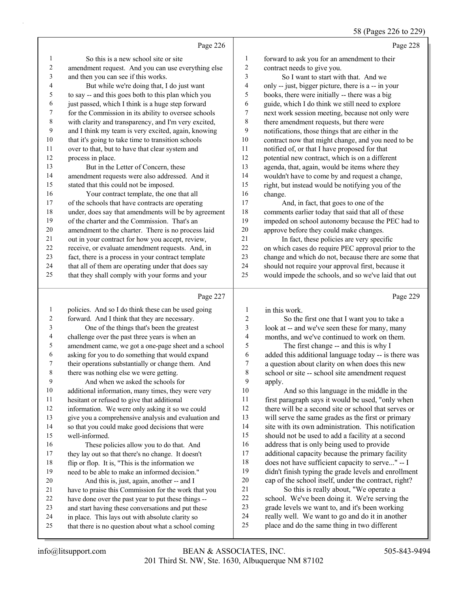#### 58 (Pages 226 to 229)

|                |                                                      |                         | $30$ (1 ages 220 to 22)                              |
|----------------|------------------------------------------------------|-------------------------|------------------------------------------------------|
|                | Page 226                                             |                         | Page 228                                             |
| $\mathbf{1}$   | So this is a new school site or site                 | 1                       | forward to ask you for an amendment to their         |
| $\overline{c}$ | amendment request. And you can use everything else   | $\overline{c}$          | contract needs to give you.                          |
| $\mathfrak{Z}$ | and then you can see if this works.                  | 3                       | So I want to start with that. And we                 |
| 4              | But while we're doing that, I do just want           | $\overline{4}$          | only -- just, bigger picture, there is a -- in your  |
| 5              | to say -- and this goes both to this plan which you  | 5                       | books, there were initially -- there was a big       |
| 6              | just passed, which I think is a huge step forward    | 6                       | guide, which I do think we still need to explore     |
| 7              | for the Commission in its ability to oversee schools | $\sqrt{ }$              | next work session meeting, because not only were     |
| $\,8\,$        | with clarity and transparency, and I'm very excited, | 8                       | there amendment requests, but there were             |
| $\overline{9}$ | and I think my team is very excited, again, knowing  | 9                       | notifications, those things that are either in the   |
| 10             | that it's going to take time to transition schools   | $10\,$                  | contract now that might change, and you need to be   |
| 11             | over to that, but to have that clear system and      | 11                      | notified of, or that I have proposed for that        |
| 12             | process in place.                                    | 12                      | potential new contract, which is on a different      |
| 13             | But in the Letter of Concern, these                  | 13                      | agenda, that, again, would be items where they       |
| 14             | amendment requests were also addressed. And it       | 14                      | wouldn't have to come by and request a change,       |
| 15             | stated that this could not be imposed.               | 15                      | right, but instead would be notifying you of the     |
| 16             | Your contract template, the one that all             | 16                      | change.                                              |
| 17             | of the schools that have contracts are operating     | 17                      | And, in fact, that goes to one of the                |
| 18             | under, does say that amendments will be by agreement | 18                      | comments earlier today that said that all of these   |
| 19             | of the charter and the Commission. That's an         | 19                      | impeded on school autonomy because the PEC had to    |
| 20             | amendment to the charter. There is no process laid   | 20                      | approve before they could make changes.              |
| 21             | out in your contract for how you accept, review,     | 21                      | In fact, these policies are very specific            |
| 22             | receive, or evaluate amendment requests. And, in     | 22                      | on which cases do require PEC approval prior to the  |
| 23             | fact, there is a process in your contract template   | 23                      | change and which do not, because there are some that |
| 24             | that all of them are operating under that does say   | 24                      | should not require your approval first, because it   |
| 25             | that they shall comply with your forms and your      | 25                      | would impede the schools, and so we've laid that out |
|                | Page 227                                             |                         | Page 229                                             |
| $\mathbf{1}$   | policies. And so I do think these can be used going  | 1                       | in this work.                                        |
| $\overline{2}$ | forward. And I think that they are necessary.        | $\overline{2}$          | So the first one that I want you to take a           |
| $\mathfrak{Z}$ | One of the things that's been the greatest           | $\overline{\mathbf{3}}$ | look at -- and we've seen these for many, many       |
| $\overline{4}$ | challenge over the past three years is when an       | $\overline{\mathbf{4}}$ | months, and we've continued to work on them.         |
| 5              | amendment came, we got a one-page sheet and a school | 5                       | The first change -- and this is why I                |
| 6              | asking for you to do something that would expand     | 6                       | added this additional language today -- is there was |
| $\tau$         | their operations substantially or change them. And   | $\overline{7}$          | a question about clarity on when does this new       |

a question about clarity on when does this new school or site -- school site amendment request  $\begin{bmatrix} 9 & \text{apply.} \\ 10 & \text{rel} \end{bmatrix}$ 

And so this language in the middle in the first paragraph says it would be used, "only when there will be a second site or school that serves or will serve the same grades as the first or primary site with its own administration. This notification should not be used to add a facility at a second address that is only being used to provide additional capacity because the primary facility does not have sufficient capacity to serve..." -- I didn't finish typing the grade levels and enrollment cap of the school itself, under the contract, right? 21 So this is really about, "We operate a school. We've been doing it. We're serving the grade levels we want to, and it's been working really well. We want to go and do it in another place and do the same thing in two different

well-informed.

 there was nothing else we were getting. 9 And when we asked the schools for additional information, many times, they were very

hesitant or refused to give that additional

 information. We were only asking it so we could give you a comprehensive analysis and evaluation and so that you could make good decisions that were

16 These policies allow you to do that. And they lay out so that there's no change. It doesn't flip or flop. It is, "This is the information we need to be able to make an informed decision." 20 And this is, just, again, another -- and I have to praise this Commission for the work that you have done over the past year to put these things -- and start having these conversations and put these in place. This lays out with absolute clarity so that there is no question about what a school coming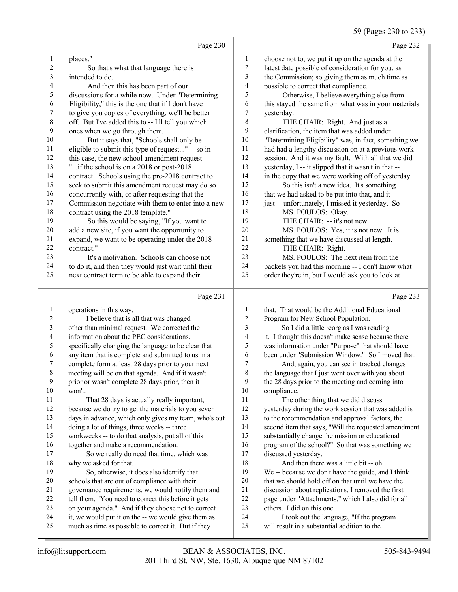# 59 (Pages 230 to 233)

|                | Page 230                                                                                                   |                         | Page 232                                                                                              |
|----------------|------------------------------------------------------------------------------------------------------------|-------------------------|-------------------------------------------------------------------------------------------------------|
| 1              | places."                                                                                                   | $\mathbf{1}$            | choose not to, we put it up on the agenda at the                                                      |
| $\sqrt{2}$     | So that's what that language there is                                                                      | $\overline{\mathbf{c}}$ | latest date possible of consideration for you, as                                                     |
| 3              | intended to do.                                                                                            | 3                       | the Commission; so giving them as much time as                                                        |
| 4              | And then this has been part of our                                                                         | 4                       | possible to correct that compliance.                                                                  |
| 5              | discussions for a while now. Under "Determining                                                            | 5                       | Otherwise, I believe everything else from                                                             |
| 6              | Eligibility," this is the one that if I don't have                                                         | 6                       | this stayed the same from what was in your materials                                                  |
| $\overline{7}$ | to give you copies of everything, we'll be better                                                          | 7                       | yesterday.                                                                                            |
| $\,$ $\,$      | off. But I've added this to -- I'll tell you which                                                         | 8                       | THE CHAIR: Right. And just as a                                                                       |
| 9              | ones when we go through them.                                                                              | 9                       | clarification, the item that was added under                                                          |
| 10             | But it says that, "Schools shall only be                                                                   | 10                      | "Determining Eligibility" was, in fact, something we                                                  |
| 11             | eligible to submit this type of request" -- so in                                                          | 11                      | had had a lengthy discussion on at a previous work                                                    |
| 12             | this case, the new school amendment request --                                                             | 12                      | session. And it was my fault. With all that we did                                                    |
| 13             | "if the school is on a 2018 or post-2018"                                                                  | 13                      | yesterday, I -- it slipped that it wasn't in that --                                                  |
| 14             | contract. Schools using the pre-2018 contract to                                                           | 14                      | in the copy that we were working off of yesterday.                                                    |
| 15             | seek to submit this amendment request may do so                                                            | 15                      | So this isn't a new idea. It's something                                                              |
| 16             | concurrently with, or after requesting that the                                                            | 16                      | that we had asked to be put into that, and it                                                         |
| $17\,$         | Commission negotiate with them to enter into a new                                                         | $17\,$                  | just -- unfortunately, I missed it yesterday. So --                                                   |
| $18\,$         | contract using the 2018 template."                                                                         | 18                      | MS. POULOS: Okay.                                                                                     |
| 19             | So this would be saying, "If you want to                                                                   | 19                      | THE CHAIR: -- it's not new.                                                                           |
| 20             | add a new site, if you want the opportunity to                                                             | $20\,$                  | MS. POULOS: Yes, it is not new. It is                                                                 |
| 21             | expand, we want to be operating under the 2018                                                             | $21\,$                  | something that we have discussed at length.                                                           |
| $22\,$         | contract."                                                                                                 | 22                      | THE CHAIR: Right.                                                                                     |
| 23             | It's a motivation. Schools can choose not                                                                  | 23                      | MS. POULOS: The next item from the                                                                    |
| 24             | to do it, and then they would just wait until their                                                        | 24                      | packets you had this morning -- I don't know what                                                     |
| 25             | next contract term to be able to expand their                                                              | 25                      | order they're in, but I would ask you to look at                                                      |
|                |                                                                                                            |                         |                                                                                                       |
|                | Page 231                                                                                                   |                         | Page 233                                                                                              |
|                |                                                                                                            |                         |                                                                                                       |
| 1              | operations in this way.                                                                                    | $\mathbf{1}$            | that. That would be the Additional Educational                                                        |
| 2              | I believe that is all that was changed                                                                     | 2                       | Program for New School Population.                                                                    |
| 3              | other than minimal request. We corrected the                                                               | 3<br>4                  | So I did a little reorg as I was reading                                                              |
| 4<br>5         | information about the PEC considerations,                                                                  | 5                       | it. I thought this doesn't make sense because there                                                   |
| 6              | specifically changing the language to be clear that                                                        | 6                       | was information under "Purpose" that should have                                                      |
| 7              | any item that is complete and submitted to us in a                                                         | 7                       | been under "Submission Window." So I moved that.                                                      |
| 8              | complete form at least 28 days prior to your next<br>meeting will be on that agenda. And if it wasn't      | 8                       | And, again, you can see in tracked changes                                                            |
| 9              | prior or wasn't complete 28 days prior, then it                                                            | 9                       | the language that I just went over with you about<br>the 28 days prior to the meeting and coming into |
| $10\,$         | won't.                                                                                                     | $10\,$                  | compliance.                                                                                           |
| 11             | That 28 days is actually really important,                                                                 | 11                      | The other thing that we did discuss                                                                   |
| 12             | because we do try to get the materials to you seven                                                        | 12                      | yesterday during the work session that was added is                                                   |
| 13             | days in advance, which only gives my team, who's out                                                       | 13                      | to the recommendation and approval factors, the                                                       |
| 14             | doing a lot of things, three weeks -- three                                                                | 14                      | second item that says, "Will the requested amendment                                                  |
| 15             | workweeks -- to do that analysis, put all of this                                                          | 15                      | substantially change the mission or educational                                                       |
| 16             | together and make a recommendation.                                                                        | 16                      | program of the school?" So that was something we                                                      |
| 17             | So we really do need that time, which was                                                                  | 17                      | discussed yesterday.                                                                                  |
| $18\,$         | why we asked for that.                                                                                     | 18                      | And then there was a little bit -- oh.                                                                |
| 19             | So, otherwise, it does also identify that                                                                  | 19                      | We -- because we don't have the guide, and I think                                                    |
| 20             | schools that are out of compliance with their                                                              | 20                      | that we should hold off on that until we have the                                                     |
| 21             | governance requirements, we would notify them and                                                          | 21                      | discussion about replications, I removed the first                                                    |
| 22             | tell them, "You need to correct this before it gets                                                        | $22\,$                  | page under "Attachments," which I also did for all                                                    |
| 23             | on your agenda." And if they choose not to correct                                                         | 23                      | others. I did on this one.                                                                            |
| 24<br>25       | it, we would put it on the -- we would give them as<br>much as time as possible to correct it. But if they | 24<br>25                | I took out the language, "If the program<br>will result in a substantial addition to the              |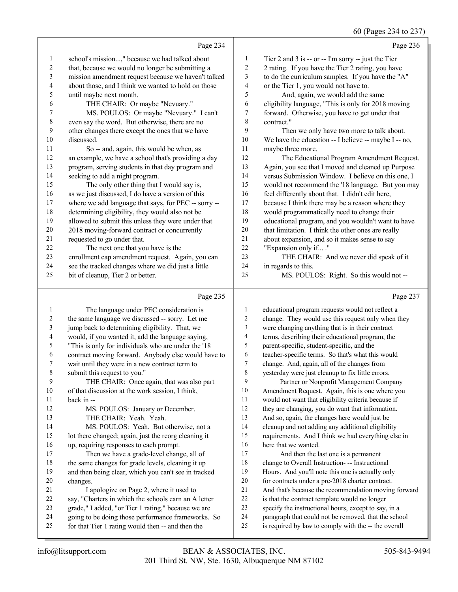60 (Pages 234 to 237)

|             | Page 234                                             |              | Page 236                                             |
|-------------|------------------------------------------------------|--------------|------------------------------------------------------|
| 1           | school's mission," because we had talked about       | 1            | Tier 2 and 3 is -- or -- I'm sorry -- just the Tier  |
| 2           | that, because we would no longer be submitting a     | $\mathbf{2}$ | 2 rating. If you have the Tier 2 rating, you have    |
| 3           | mission amendment request because we haven't talked  | 3            | to do the curriculum samples. If you have the "A"    |
| 4           | about those, and I think we wanted to hold on those  | 4            | or the Tier 1, you would not have to.                |
| 5           | until maybe next month.                              | 5            | And, again, we would add the same                    |
| 6           | THE CHAIR: Or maybe "Nevuary."                       | 6            | eligibility language, "This is only for 2018 moving  |
| 7           | MS. POULOS: Or maybe "Nevuary." I can't              | 7            | forward. Otherwise, you have to get under that       |
| $\,$ 8 $\,$ | even say the word. But otherwise, there are no       | 8            | contract."                                           |
| 9           | other changes there except the ones that we have     | 9            | Then we only have two more to talk about.            |
| 10          | discussed.                                           | 10           | We have the education -- I believe -- maybe I -- no, |
| 11          | So -- and, again, this would be when, as             | 11           | maybe three more.                                    |
| 12          | an example, we have a school that's providing a day  | 12           | The Educational Program Amendment Request.           |
| 13          | program, serving students in that day program and    | 13           | Again, you see that I moved and cleaned up Purpose   |
| 14          | seeking to add a night program.                      | 14           | versus Submission Window. I believe on this one, I   |
| 15          | The only other thing that I would say is,            | 15           | would not recommend the '18 language. But you may    |
| 16          | as we just discussed, I do have a version of this    | 16           | feel differently about that. I didn't edit here,     |
| 17          | where we add language that says, for PEC -- sorry -- | 17           | because I think there may be a reason where they     |
| 18          | determining eligibility, they would also not be      | 18           | would programmatically need to change their          |
| 19          | allowed to submit this unless they were under that   | 19           | educational program, and you wouldn't want to have   |
| 20          | 2018 moving-forward contract or concurrently         | 20           | that limitation. I think the other ones are really   |
| 21          | requested to go under that.                          | 21           | about expansion, and so it makes sense to say        |
| 22          | The next one that you have is the                    | 22           | "Expansion only if ."                                |
| 23          | enrollment cap amendment request. Again, you can     | 23           | THE CHAIR: And we never did speak of it              |
| 24          | see the tracked changes where we did just a little   | 24           | in regards to this.                                  |
| 25          | bit of cleanup, Tier 2 or better.                    | 25           | MS. POULOS: Right. So this would not --              |
|             | Page 235                                             |              | Page 237                                             |

## Page 235 |

|    | The language under PEC consideration is              | 1  | educational program requests would not reflect a     |
|----|------------------------------------------------------|----|------------------------------------------------------|
| 2  | the same language we discussed -- sorry. Let me      | 2  | change. They would use this request only when they   |
| 3  | jump back to determining eligibility. That, we       | 3  | were changing anything that is in their contract     |
| 4  | would, if you wanted it, add the language saying,    | 4  | terms, describing their educational program, the     |
| 5  | "This is only for individuals who are under the '18  | 5  | parent-specific, student-specific, and the           |
| 6  | contract moving forward. Anybody else would have to  | 6  | teacher-specific terms. So that's what this would    |
| 7  | wait until they were in a new contract term to       | 7  | change. And, again, all of the changes from          |
| 8  | submit this request to you."                         | 8  | yesterday were just cleanup to fix little errors.    |
| 9  | THE CHAIR: Once again, that was also part            | 9  | Partner or Nonprofit Management Company              |
| 10 | of that discussion at the work session, I think,     | 10 | Amendment Request. Again, this is one where you      |
| 11 | back in --                                           | 11 | would not want that eligibility criteria because if  |
| 12 | MS. POULOS: January or December.                     | 12 | they are changing, you do want that information.     |
| 13 | THE CHAIR: Yeah. Yeah.                               | 13 | And so, again, the changes here would just be        |
| 14 | MS. POULOS: Yeah. But otherwise, not a               | 14 | cleanup and not adding any additional eligibility    |
| 15 | lot there changed; again, just the reorg cleaning it | 15 | requirements. And I think we had everything else in  |
| 16 | up, requiring responses to each prompt.              | 16 | here that we wanted.                                 |
| 17 | Then we have a grade-level change, all of            | 17 | And then the last one is a permanent                 |
| 18 | the same changes for grade levels, cleaning it up    | 18 | change to Overall Instruction- -- Instructional      |
| 19 | and then being clear, which you can't see in tracked | 19 | Hours. And you'll note this one is actually only     |
| 20 | changes.                                             | 20 | for contracts under a pre-2018 charter contract.     |
| 21 | I apologize on Page 2, where it used to              | 21 | And that's because the recommendation moving forward |
| 22 | say, "Charters in which the schools earn an A letter | 22 | is that the contract template would no longer        |
| 23 | grade," I added, "or Tier 1 rating," because we are  | 23 | specify the instructional hours, except to say, in a |
| 24 | going to be doing those performance frameworks. So   | 24 | paragraph that could not be removed, that the school |
| 25 | for that Tier 1 rating would then -- and then the    | 25 | is required by law to comply with the -- the overall |
|    |                                                      |    |                                                      |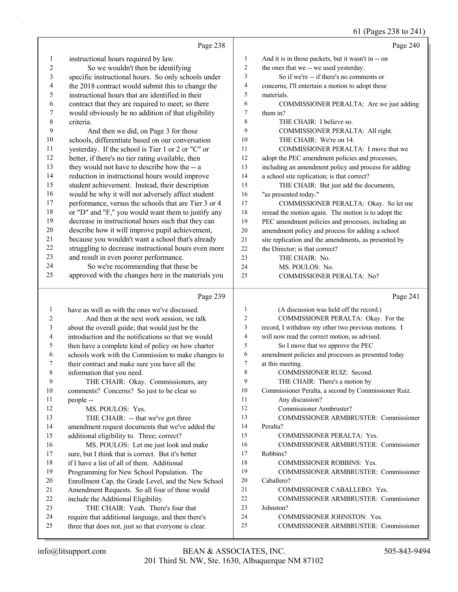# 61 (Pages 238 to 241)

|        | Page 238                                                                            |                  | Page 240                                                                |
|--------|-------------------------------------------------------------------------------------|------------------|-------------------------------------------------------------------------|
| 1      | instructional hours required by law.                                                | 1                | And it is in those packets, but it wasn't in -- on                      |
| 2      | So we wouldn't then be identifying                                                  | $\sqrt{2}$       | the ones that we -- we used yesterday.                                  |
| 3      | specific instructional hours. So only schools under                                 | 3                | So if we're -- if there's no comments or                                |
| 4      | the 2018 contract would submit this to change the                                   | 4                | concerns, I'll entertain a motion to adopt these                        |
| 5      | instructional hours that are identified in their                                    | 5                | materials.                                                              |
| 6      | contract that they are required to meet; so there                                   | 6                | COMMISSIONER PERALTA: Are we just adding                                |
| 7      | would obviously be no addition of that eligibility                                  | $\boldsymbol{7}$ | them in?                                                                |
| 8      | criteria.                                                                           | 8                | THE CHAIR: I believe so.                                                |
| 9      | And then we did, on Page 3 for those                                                | 9                | COMMISSIONER PERALTA: All right.                                        |
| $10\,$ | schools, differentiate based on our conversation                                    | 10               | THE CHAIR: We're on 14.                                                 |
| 11     | yesterday. If the school is Tier 1 or 2 or "C" or                                   | 11               | COMMISSIONER PERALTA: I move that we                                    |
| 12     | better, if there's no tier rating available, then                                   | 12               | adopt the PEC amendment policies and processes,                         |
| 13     | they would not have to describe how the -- a                                        | 13               | including an amendment policy and process for adding                    |
| 14     | reduction in instructional hours would improve                                      | 14               | a school site replication; is that correct?                             |
| 15     | student achievement. Instead, their description                                     | 15               | THE CHAIR: But just add the documents,                                  |
| 16     | would be why it will not adversely affect student                                   | 16               | "as presented today."                                                   |
| 17     | performance, versus the schools that are Tier 3 or 4                                | 17               | COMMISSIONER PERALTA: Okay. So let me                                   |
| 18     | or "D" and "F," you would want them to justify any                                  | 18               | reread the motion again. The motion is to adopt the                     |
| 19     | decrease in instructional hours such that they can                                  | 19               | PEC amendment policies and processes, including an                      |
| 20     | describe how it will improve pupil achievement,                                     | 20               | amendment policy and process for adding a school                        |
| 21     | because you wouldn't want a school that's already                                   | 21               | site replication and the amendments, as presented by                    |
| 22     | struggling to decrease instructional hours even more                                | 22               | the Director; is that correct?                                          |
| 23     | and result in even poorer performance.                                              | 23               | THE CHAIR: No.                                                          |
| 24     | So we're recommending that these be                                                 | 24               | MS. POULOS: No.                                                         |
| 25     | approved with the changes here in the materials you                                 | 25               | COMMISSIONER PERALTA: No?                                               |
|        |                                                                                     |                  |                                                                         |
|        | Page 239                                                                            |                  | Page 241                                                                |
|        |                                                                                     | $\mathbf{1}$     |                                                                         |
| 1<br>2 | have as well as with the ones we've discussed.                                      | $\overline{c}$   | (A discussion was held off the record.)                                 |
| 3      | And then at the next work session, we talk                                          | 3                | COMMISSIONER PERALTA: Okay. For the                                     |
| 4      | about the overall guide; that would just be the                                     | 4                | record, I withdraw my other two previous motions. I                     |
| 5      | introduction and the notifications so that we would                                 | 5                | will now read the correct motion, as advised.                           |
| 6      | then have a complete kind of policy on how charter                                  | 6                | So I move that we approve the PEC                                       |
| 7      | schools work with the Commission to make changes to                                 | 7                | amendment policies and processes as presented today<br>at this meeting. |
| 8      | their contract and make sure you have all the                                       | $\,$ 8 $\,$      | COMMISSIONER RUIZ: Second.                                              |
| 9      | information that you need.<br>THE CHAIR: Okay. Commissioners, any                   | 9                | THE CHAIR: There's a motion by                                          |
| 10     | comments? Concerns? So just to be clear so                                          | 10               | Commissioner Peralta, a second by Commissioner Ruiz.                    |
| 11     | people --                                                                           | 11               | Any discussion?                                                         |
| 12     | MS. POULOS: Yes.                                                                    | 12               | Commissioner Armbruster?                                                |
| 13     | THE CHAIR: -- that we've got three                                                  | 13               | COMMISSIONER ARMBRUSTER: Commissioner                                   |
| 14     | amendment request documents that we've added the                                    | 14               | Peralta?                                                                |
| 15     |                                                                                     | 15               | COMMISSIONER PERALTA: Yes.                                              |
| 16     | additional eligibility to. Three; correct?<br>MS. POULOS: Let me just look and make | 16               | COMMISSIONER ARMBRUSTER: Commissioner                                   |
| 17     | sure, but I think that is correct. But it's better                                  | 17               | Robbins?                                                                |
| 18     | if I have a list of all of them. Additional                                         | 18               | COMMISSIONER ROBBINS: Yes.                                              |
| 19     | Programming for New School Population. The                                          | 19               | COMMISSIONER ARMBRUSTER: Commissioner                                   |
| $20\,$ | Enrollment Cap, the Grade Level, and the New School                                 | $20\,$           | Caballero?                                                              |
| 21     | Amendment Requests. So all four of those would                                      | 21               | COMMISSIONER CABALLERO: Yes.                                            |
| 22     | include the Additional Eligibility.                                                 | 22               | COMMISSIONER ARMBRUSTER: Commissioner                                   |
| 23     | THE CHAIR: Yeah. There's four that                                                  | 23               | Johnston?                                                               |
| 24     | require that additional language, and then there's                                  | 24<br>25         | COMMISSIONER JOHNSTON: Yes.<br>COMMISSIONER ARMBRUSTER: Commissioner    |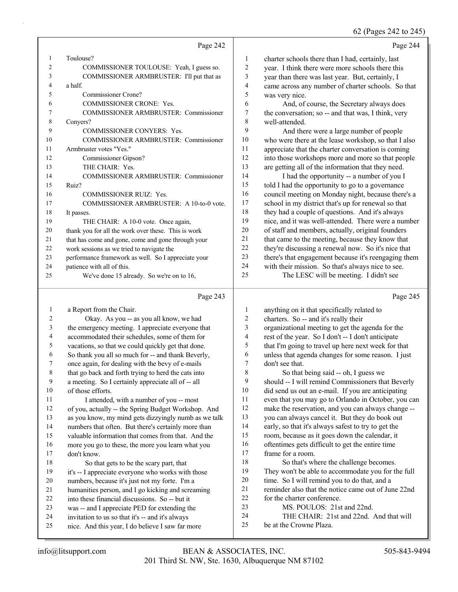62 (Pages 242 to 245)

|                |                                                     |                          | $02$ (1 ages 242 to 249                              |
|----------------|-----------------------------------------------------|--------------------------|------------------------------------------------------|
|                | Page 242                                            |                          | Page 244                                             |
| 1              | Toulouse?                                           | 1                        | charter schools there than I had, certainly, last    |
| $\overline{2}$ | COMMISSIONER TOULOUSE: Yeah, I guess so.            | $\overline{c}$           | year. I think there were more schools there this     |
| 3              | COMMISSIONER ARMBRUSTER: I'll put that as           | 3                        | year than there was last year. But, certainly, I     |
| 4              | a half.                                             | $\overline{\mathcal{L}}$ | came across any number of charter schools. So that   |
| 5              | Commissioner Crone?                                 | 5                        | was very nice.                                       |
| 6              | COMMISSIONER CRONE: Yes.                            | 6                        | And, of course, the Secretary always does            |
| 7              | COMMISSIONER ARMBRUSTER: Commissioner               | 7                        | the conversation; so -- and that was, I think, very  |
| 8              | Conyers?                                            | 8                        | well-attended.                                       |
| 9              | COMMISSIONER CONYERS: Yes.                          | 9                        | And there were a large number of people              |
| 10             | COMMISSIONER ARMBRUSTER: Commissioner               | 10                       | who were there at the lease workshop, so that I also |
| 11             | Armbruster votes "Yes."                             | 11                       | appreciate that the charter conversation is coming   |
| 12             | Commissioner Gipson?                                | 12                       | into those workshops more and more so that people    |
| 13             | THE CHAIR: Yes.                                     | 13                       | are getting all of the information that they need.   |
| 14             | <b>COMMISSIONER ARMBRUSTER: Commissioner</b>        | 14                       | I had the opportunity -- a number of you I           |
| 15             | Ruiz?                                               | 15                       | told I had the opportunity to go to a governance     |
| 16             | <b>COMMISSIONER RUIZ: Yes.</b>                      | 16                       | council meeting on Monday night, because there's a   |
| 17             | COMMISSIONER ARMBRUSTER: A 10-to-0 vote.            | 17                       | school in my district that's up for renewal so that  |
| 18             | It passes.                                          | 18                       | they had a couple of questions. And it's always      |
| 19             | THE CHAIR: A 10-0 vote. Once again,                 | 19                       | nice, and it was well-attended. There were a number  |
| 20             | thank you for all the work over these. This is work | 20                       | of staff and members, actually, original founders    |
| 21             | that has come and gone, come and gone through your  | 21                       | that came to the meeting, because they know that     |
| 22             | work sessions as we tried to navigate the           | 22                       | they're discussing a renewal now. So it's nice that  |
| 23             | performance framework as well. So I appreciate your | 23                       | there's that engagement because it's reengaging them |
| 24             | patience with all of this.                          | 24                       | with their mission. So that's always nice to see.    |
| 25             | We've done 15 already. So we're on to 16,           | 25                       | The LESC will be meeting. I didn't see               |
|                | Page 243                                            |                          | Page 245                                             |
| 1              | a Report from the Chair.                            | 1                        | anything on it that specifically related to          |
| 2              | Okay. As you -- as you all know, we had             | 2                        | charters. So -- and it's really their                |
| 3              | the emergency meeting. I appreciate everyone that   | 3                        | organizational meeting to get the agenda for the     |
| 4              | accommodated their schedules, some of them for      | $\overline{\mathbf{4}}$  | rest of the year. So I don't -- I don't anticipate   |
| 5              | vacations, so that we could quickly get that done.  | 5                        | that I'm going to travel up here next week for that  |
| 6              | So thank you all so much for -- and thank Beverly.  | 6                        | unless that agenda changes for some reason. I just   |

once again, for dealing with the bevy of e-mails

- that go back and forth trying to herd the cats into
- a meeting. So I certainly appreciate all of -- all
- 10 of those efforts.<br>11 I attended
- I attended, with a number of you -- most of you, actually -- the Spring Budget Workshop. And as you know, my mind gets dizzyingly numb as we talk numbers that often. But there's certainly more than valuable information that comes from that. And the more you go to these, the more you learn what you
- don't know. 18 So that gets to be the scary part, that it's -- I appreciate everyone who works with those
- numbers, because it's just not my forte. I'm a
- humanities person, and I go kicking and screaming
- into these financial discussions. So -- but it
- was -- and I appreciate PED for extending the
- invitation to us so that it's -- and it's always
- nice. And this year, I do believe I saw far more
- unless that agenda changes for some reason. I just don't see that.
- 8 So that being said -- oh, I guess we should -- I will remind Commissioners that Beverly did send us out an e-mail. If you are anticipating even that you may go to Orlando in October, you can make the reservation, and you can always change -- you can always cancel it. But they do book out early, so that it's always safest to try to get the room, because as it goes down the calendar, it oftentimes gets difficult to get the entire time
- frame for a room. 18 So that's where the challenge becomes.
- They won't be able to accommodate you for the full
- time. So I will remind you to do that, and a
- reminder also that the notice came out of June 22nd
- for the charter conference.
- 23 MS. POULOS: 21st and 22nd.
- 24 THE CHAIR: 21st and 22nd. And that will
- be at the Crowne Plaza.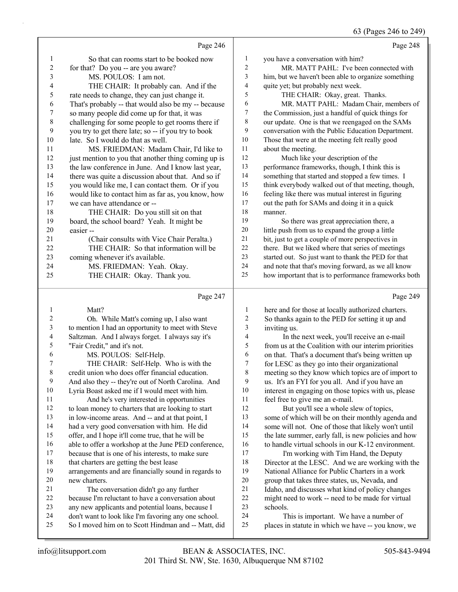$240^\circ$ 

|                              |                                                                                                             |                         | 03 (Pages 240 to 249)                                                                                 |
|------------------------------|-------------------------------------------------------------------------------------------------------------|-------------------------|-------------------------------------------------------------------------------------------------------|
|                              | Page 246                                                                                                    |                         | Page 248                                                                                              |
| 1                            | So that can rooms start to be booked now                                                                    | 1                       | you have a conversation with him?                                                                     |
| $\sqrt{2}$                   | for that? Do you -- are you aware?                                                                          | 2                       | MR. MATT PAHL: I've been connected with                                                               |
| 3                            | MS. POULOS: I am not.                                                                                       | $\overline{\mathbf{3}}$ | him, but we haven't been able to organize something                                                   |
| 4                            | THE CHAIR: It probably can. And if the                                                                      | 4                       | quite yet; but probably next week.                                                                    |
| 5                            | rate needs to change, they can just change it.                                                              | 5                       | THE CHAIR: Okay, great. Thanks.                                                                       |
| 6                            | That's probably -- that would also be my -- because                                                         | 6                       | MR. MATT PAHL: Madam Chair, members of                                                                |
| 7                            | so many people did come up for that, it was                                                                 | 7                       | the Commission, just a handful of quick things for                                                    |
| $\,$ $\,$                    | challenging for some people to get rooms there if                                                           | 8                       | our update. One is that we reengaged on the SAMs                                                      |
| 9                            | you try to get there late; so -- if you try to book                                                         | 9                       | conversation with the Public Education Department.                                                    |
| 10                           | late. So I would do that as well.                                                                           | $10\,$                  | Those that were at the meeting felt really good                                                       |
| 11                           | MS. FRIEDMAN: Madam Chair, I'd like to                                                                      | 11                      | about the meeting.                                                                                    |
| 12                           | just mention to you that another thing coming up is                                                         | 12                      | Much like your description of the                                                                     |
| 13                           | the law conference in June. And I know last year,                                                           | 13                      | performance frameworks, though, I think this is                                                       |
| 14                           | there was quite a discussion about that. And so if                                                          | 14                      | something that started and stopped a few times. I                                                     |
| 15                           | you would like me, I can contact them. Or if you                                                            | 15                      | think everybody walked out of that meeting, though,                                                   |
| 16                           | would like to contact him as far as, you know, how                                                          | 16                      | feeling like there was mutual interest in figuring                                                    |
| 17                           | we can have attendance or --                                                                                | 17                      | out the path for SAMs and doing it in a quick                                                         |
| 18                           | THE CHAIR: Do you still sit on that                                                                         | 18                      | manner.                                                                                               |
| 19                           | board, the school board? Yeah. It might be                                                                  | 19                      | So there was great appreciation there, a                                                              |
| 20                           | easier-                                                                                                     | 20                      | little push from us to expand the group a little                                                      |
| 21                           | (Chair consults with Vice Chair Peralta.)                                                                   | 21                      | bit, just to get a couple of more perspectives in                                                     |
| 22                           | THE CHAIR: So that information will be                                                                      | $22\,$                  | there. But we liked where that series of meetings                                                     |
| 23                           | coming whenever it's available.                                                                             | 23                      | started out. So just want to thank the PED for that                                                   |
| 24                           | MS. FRIEDMAN: Yeah. Okay.                                                                                   | 24                      | and note that that's moving forward, as we all know                                                   |
| 25                           | THE CHAIR: Okay. Thank you.                                                                                 | 25                      | how important that is to performance frameworks both                                                  |
|                              |                                                                                                             |                         |                                                                                                       |
|                              | Page 247                                                                                                    |                         | Page 249                                                                                              |
|                              |                                                                                                             |                         |                                                                                                       |
| $\mathbf{1}$                 | Matt?                                                                                                       | 1                       | here and for those at locally authorized charters.                                                    |
| $\overline{c}$               | Oh. While Matt's coming up, I also want                                                                     | $\overline{c}$          | So thanks again to the PED for setting it up and                                                      |
| $\mathfrak{Z}$               | to mention I had an opportunity to meet with Steve                                                          | 3                       | inviting us.                                                                                          |
| $\overline{\mathbf{4}}$<br>5 | Saltzman. And I always forget. I always say it's                                                            | $\overline{\mathbf{4}}$ | In the next week, you'll receive an e-mail                                                            |
| 6                            | "Fair Credit," and it's not.                                                                                | 5<br>6                  | from us at the Coalition with our interim priorities                                                  |
| $\overline{7}$               | MS. POULOS: Self-Help.                                                                                      | 7                       | on that. That's a document that's being written up                                                    |
| $\,$ 8 $\,$                  | THE CHAIR: Self-Help. Who is with the<br>credit union who does offer financial education.                   | 8                       | for LESC as they go into their organizational                                                         |
| 9                            | And also they -- they're out of North Carolina. And                                                         | 9                       | meeting so they know which topics are of import to<br>us. It's an FYI for you all. And if you have an |
| 10                           | Lyria Boast asked me if I would meet with him.                                                              | 10                      | interest in engaging on those topics with us, please                                                  |
| 11                           | And he's very interested in opportunities                                                                   | 11                      | feel free to give me an e-mail.                                                                       |
| 12                           | to loan money to charters that are looking to start                                                         | 12                      | But you'll see a whole slew of topics,                                                                |
| 13                           | in low-income areas. And -- and at that point, I                                                            | 13                      | some of which will be on their monthly agenda and                                                     |
| 14                           | had a very good conversation with him. He did                                                               | 14                      | some will not. One of those that likely won't until                                                   |
| 15                           | offer, and I hope it'll come true, that he will be                                                          | 15                      | the late summer, early fall, is new policies and how                                                  |
| 16                           | able to offer a workshop at the June PED conference,                                                        | 16                      | to handle virtual schools in our K-12 environment.                                                    |
| 17                           | because that is one of his interests, to make sure                                                          | 17                      | I'm working with Tim Hand, the Deputy                                                                 |
| 18                           | that charters are getting the best lease                                                                    | 18                      | Director at the LESC. And we are working with the                                                     |
| 19                           | arrangements and are financially sound in regards to                                                        | 19                      | National Alliance for Public Charters in a work                                                       |
| 20                           | new charters.                                                                                               | $20\,$                  | group that takes three states, us, Nevada, and                                                        |
| 21                           | The conversation didn't go any further                                                                      | 21                      | Idaho, and discusses what kind of policy changes                                                      |
| 22                           | because I'm reluctant to have a conversation about                                                          | $22\,$                  | might need to work -- need to be made for virtual                                                     |
| 23                           | any new applicants and potential loans, because I                                                           | 23                      | schools.                                                                                              |
| 24<br>25                     | don't want to look like I'm favoring any one school.<br>So I moved him on to Scott Hindman and -- Matt, did | 24<br>25                | This is important. We have a number of<br>places in statute in which we have -- you know, we          |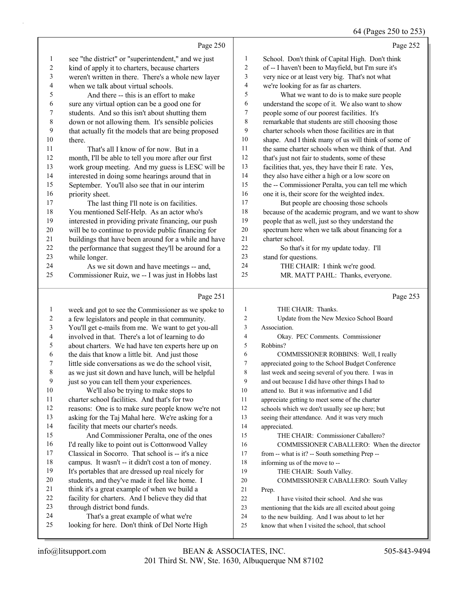#### 64 (Pages 250 to 253)

|    |                                                      |                | 0                                                    |
|----|------------------------------------------------------|----------------|------------------------------------------------------|
|    | Page 250                                             |                | Page 252                                             |
| 1  | see "the district" or "superintendent," and we just  | $\mathbf{1}$   | School. Don't think of Capital High. Don't think     |
| 2  | kind of apply it to charters, because charters       | 2              | of -- I haven't been to Mayfield, but I'm sure it's  |
| 3  | weren't written in there. There's a whole new layer  | 3              | very nice or at least very big. That's not what      |
| 4  | when we talk about virtual schools.                  | 4              | we're looking for as far as charters.                |
| 5  | And there -- this is an effort to make               | 5              | What we want to do is to make sure people            |
| 6  | sure any virtual option can be a good one for        | 6              | understand the scope of it. We also want to show     |
| 7  | students. And so this isn't about shutting them      | 7              | people some of our poorest facilities. It's          |
| 8  | down or not allowing them. It's sensible policies    | 8              | remarkable that students are still choosing those    |
| 9  | that actually fit the models that are being proposed | 9              | charter schools when those facilities are in that    |
| 10 | there.                                               | 10             | shape. And I think many of us will think of some of  |
| 11 | That's all I know of for now. But in a               | 11             | the same charter schools when we think of that. And  |
| 12 | month, I'll be able to tell you more after our first | 12             | that's just not fair to students, some of these      |
| 13 | work group meeting. And my guess is LESC will be     | 13             | facilities that, yes, they have their E rate. Yes,   |
| 14 | interested in doing some hearings around that in     | 14             | they also have either a high or a low score on       |
| 15 | September. You'll also see that in our interim       | 15             | the -- Commissioner Peralta, you can tell me which   |
| 16 | priority sheet.                                      | 16             | one it is, their score for the weighted index.       |
| 17 | The last thing I'll note is on facilities.           | 17             | But people are choosing those schools                |
| 18 | You mentioned Self-Help. As an actor who's           | 18             | because of the academic program, and we want to show |
| 19 | interested in providing private financing, our push  | 19             | people that as well, just so they understand the     |
| 20 | will be to continue to provide public financing for  | 20             | spectrum here when we talk about financing for a     |
| 21 | buildings that have been around for a while and have | 21             | charter school.                                      |
| 22 | the performance that suggest they'll be around for a | 22             | So that's it for my update today. I'll               |
| 23 | while longer.                                        | 23             | stand for questions.                                 |
| 24 | As we sit down and have meetings -- and,             | 24             | THE CHAIR: I think we're good.                       |
| 25 | Commissioner Ruiz, we -- I was just in Hobbs last    | 25             | MR. MATT PAHL: Thanks, everyone.                     |
|    |                                                      |                |                                                      |
|    | Page 251                                             |                | Page 253                                             |
| 1  | week and got to see the Commissioner as we spoke to  | -1             | THE CHAIR: Thanks.                                   |
| 2  | a few legislators and people in that community.      | 2              | Update from the New Mexico School Board              |
| 3  | You'll get e-mails from me. We want to get you-all   | 3              | Association.                                         |
| 4  | involved in that. There's a lot of learning to do    | $\overline{4}$ | Okay. PEC Comments. Commissioner                     |

- about charters. We had have ten experts here up on
- the dais that know a little bit. And just those
- little side conversations as we do the school visit,
- as we just sit down and have lunch, will be helpful
- just so you can tell them your experiences. 10 We'll also be trying to make stops to charter school facilities. And that's for two reasons: One is to make sure people know we're not
- asking for the Taj Mahal here. We're asking for a facility that meets our charter's needs.
- 15 And Commissioner Peralta, one of the ones 16 I'd really like to point out is Cottonwood Valley Classical in Socorro. That school is -- it's a nice campus. It wasn't -- it didn't cost a ton of money. It's portables that are dressed up real nicely for
- students, and they've made it feel like home. I
- think it's a great example of when we build a
- facility for charters. And I believe they did that
- through district bond funds.
- 24 That's a great example of what we're
- looking for here. Don't think of Del Norte High
- 4 Okay. PEC Comments. Commissioner Robbins?
- 6 COMMISSIONER ROBBINS: Well, I really appreciated going to the School Budget Conference last week and seeing several of you there. I was in and out because I did have other things I had to attend to. But it was informative and I did appreciate getting to meet some of the charter schools which we don't usually see up here; but seeing their attendance. And it was very much appreciated. 15 THE CHAIR: Commissioner Caballero? 16 COMMISSIONER CABALLERO: When the director from -- what is it? -- South something Prep -- informing us of the move to -- 19 THE CHAIR: South Valley. 20 COMMISSIONER CABALLERO: South Valley Prep.
- 22 I have visited their school. And she was
- mentioning that the kids are all excited about going
- to the new building. And I was about to let her
- know that when I visited the school, that school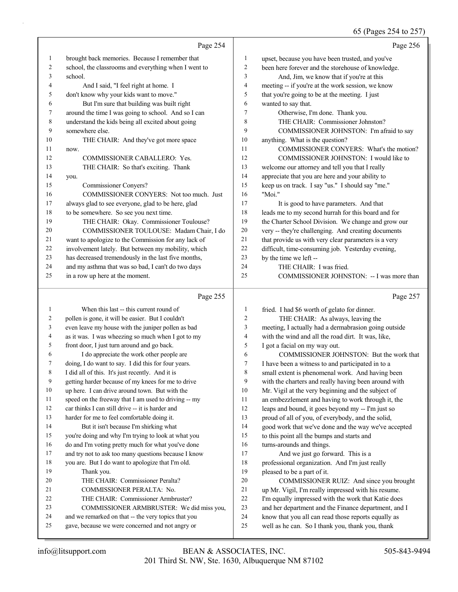|                | Page 254                                             |                         | Page 256                                             |
|----------------|------------------------------------------------------|-------------------------|------------------------------------------------------|
| $\mathbf{1}$   | brought back memories. Because I remember that       | 1                       | upset, because you have been trusted, and you've     |
| $\overline{c}$ | school, the classrooms and everything when I went to | $\overline{c}$          | been here forever and the storehouse of knowledge.   |
| 3              | school.                                              | 3                       | And, Jim, we know that if you're at this             |
| 4              | And I said, "I feel right at home. I                 | $\overline{\mathbf{4}}$ | meeting -- if you're at the work session, we know    |
| 5              | don't know why your kids want to move."              | 5                       | that you're going to be at the meeting. I just       |
| 6              | But I'm sure that building was built right           | 6                       | wanted to say that.                                  |
| 7              | around the time I was going to school. And so I can  | 7                       | Otherwise, I'm done. Thank you.                      |
| 8              | understand the kids being all excited about going    | 8                       | THE CHAIR: Commissioner Johnston?                    |
| 9              | somewhere else.                                      | 9                       | COMMISSIONER JOHNSTON: I'm afraid to say             |
| 10             | THE CHAIR: And they've got more space                | 10                      | anything. What is the question?                      |
| 11             | now.                                                 | 11                      | COMMISSIONER CONYERS: What's the motion?             |
| 12             | COMMISSIONER CABALLERO: Yes.                         | 12                      | COMMISSIONER JOHNSTON: I would like to               |
| 13             | THE CHAIR: So that's exciting. Thank                 | 13                      | welcome our attorney and tell you that I really      |
| 14             | you.                                                 | 14                      | appreciate that you are here and your ability to     |
| 15             | Commissioner Conyers?                                | 15                      | keep us on track. I say "us." I should say "me."     |
| 16             | COMMISSIONER CONYERS: Not too much. Just             | 16                      | "Moi."                                               |
| 17             | always glad to see everyone, glad to be here, glad   | 17                      | It is good to have parameters. And that              |
| 18             | to be somewhere. So see you next time.               | 18                      | leads me to my second hurrah for this board and for  |
| 19             | THE CHAIR: Okay. Commissioner Toulouse?              | 19                      | the Charter School Division. We change and grow our  |
| 20             | COMMISSIONER TOULOUSE: Madam Chair, I do             | 20                      | very -- they're challenging. And creating documents  |
| 21             | want to apologize to the Commission for any lack of  | 21                      | that provide us with very clear parameters is a very |
| 22             | involvement lately. But between my mobility, which   | 22                      | difficult, time-consuming job. Yesterday evening,    |
| 23             | has decreased tremendously in the last five months,  | 23                      | by the time we left --                               |
| 24             | and my asthma that was so bad, I can't do two days   | 24                      | THE CHAIR: I was fried.                              |
| 25             | in a row up here at the moment.                      | 25                      | COMMISSIONER JOHNSTON: -- I was more than            |
|                | Page 255                                             |                         | Page 257                                             |
| 1              | When this last -- this current round of              | 1                       | fried. I had \$6 worth of gelato for dinner.         |
| 2              | pollen is gone, it will be easier. But I couldn't    | $\overline{c}$          | THE CHAIR: As always, leaving the                    |
| 3              | even leave my house with the juniper pollen as bad   | 3                       | meeting, I actually had a dermabrasion going outside |
| 4              | as it was. I was wheezing so much when I got to my   | $\overline{4}$          | with the wind and all the road dirt. It was, like,   |
| 5              | front door, I just turn around and go back.          | 5                       | I got a facial on my way out.                        |
| 6              | I do appreciate the work other people are            | 6                       | COMMISSIONER JOHNSTON: But the work that             |
| 7              | doing, I do want to say. I did this for four years.  | 7                       | I have been a witness to and participated in to a    |

getting harder because of my knees for me to drive

up here. I can drive around town. But with the

 speed on the freeway that I am used to driving -- my car thinks I can still drive -- it is harder and

harder for me to feel comfortable doing it.

I did all of this. It's just recently. And it is

14 But it isn't because I'm shirking what you're doing and why I'm trying to look at what you

do and I'm voting pretty much for what you've done

and try not to ask too many questions because I know

- you are. But I do want to apologize that I'm old. 19 Thank you. 20 THE CHAIR: Commissioner Peralta?
- 21 COMMISSIONER PERALTA: No.
- 22 THE CHAIR: Commissioner Armbruster?

23 COMMISSIONER ARMBRUSTER: We did miss you,

- and we remarked on that -- the very topics that you
- gave, because we were concerned and not angry or
- 201 Third St. NW, Ste. 1630, Albuquerque NM 87102 info@litsupport.com BEAN & ASSOCIATES, INC. 505-843-9494

 small extent is phenomenal work. And having been with the charters and really having been around with Mr. Vigil at the very beginning and the subject of an embezzlement and having to work through it, the leaps and bound, it goes beyond my -- I'm just so proud of all of you, of everybody, and the solid, good work that we've done and the way we've accepted

20 COMMISSIONER RUIZ: And since you brought up Mr. Vigil, I'm really impressed with his resume. I'm equally impressed with the work that Katie does and her department and the Finance department, and I know that you all can read those reports equally as well as he can. So I thank you, thank you, thank

to this point all the bumps and starts and

17 And we just go forward. This is a professional organization. And I'm just really

turns-arounds and things.

pleased to be a part of it.